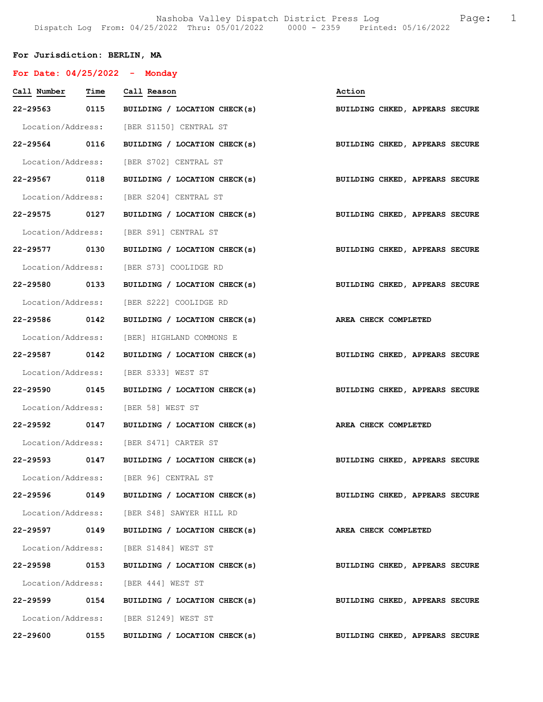# For Jurisdiction: BERLIN, MA

| For Date: $04/25/2022 -$ Monday |      |                                                                           |                                |
|---------------------------------|------|---------------------------------------------------------------------------|--------------------------------|
| Call Number Time Call Reason    |      |                                                                           | Action                         |
|                                 |      | 22-29563 0115 BUILDING / LOCATION CHECK(s)                                | BUILDING CHKED, APPEARS SECURE |
|                                 |      | Location/Address: [BER S1150] CENTRAL ST                                  |                                |
|                                 |      | 22-29564 0116 BUILDING / LOCATION CHECK(s) BUILDING CHKED, APPEARS SECURE |                                |
|                                 |      | Location/Address: [BER S702] CENTRAL ST                                   |                                |
|                                 |      | 22-29567 0118 BUILDING / LOCATION CHECK(s) BUILDING CHKED, APPEARS SECURE |                                |
|                                 |      | Location/Address: [BER S204] CENTRAL ST                                   |                                |
| 22-29575 0127                   |      | BUILDING / LOCATION CHECK(s)                                              | BUILDING CHKED, APPEARS SECURE |
|                                 |      | Location/Address: [BER S91] CENTRAL ST                                    |                                |
| 22-29577 0130                   |      | BUILDING / LOCATION CHECK(s)                                              | BUILDING CHKED, APPEARS SECURE |
|                                 |      | Location/Address: [BER S73] COOLIDGE RD                                   |                                |
|                                 |      | 22-29580 0133 BUILDING / LOCATION CHECK(s) BUILDING CHKED, APPEARS SECURE |                                |
|                                 |      | Location/Address: [BER S222] COOLIDGE RD                                  |                                |
| 22-29586 0142                   |      | BUILDING / LOCATION CHECK(s) AREA CHECK COMPLETED                         |                                |
|                                 |      | Location/Address: [BER] HIGHLAND COMMONS E                                |                                |
| 22-29587 0142                   |      | BUILDING / LOCATION CHECK(s)                                              | BUILDING CHKED, APPEARS SECURE |
|                                 |      | Location/Address: [BER S333] WEST ST                                      |                                |
|                                 |      | 22-29590 0145 BUILDING / LOCATION CHECK(s)                                | BUILDING CHKED, APPEARS SECURE |
|                                 |      | Location/Address: [BER 58] WEST ST                                        |                                |
|                                 |      | 22-29592 0147 BUILDING / LOCATION CHECK(s)                                | AREA CHECK COMPLETED           |
|                                 |      | Location/Address: [BER S471] CARTER ST                                    |                                |
| 22-29593 0147                   |      | BUILDING / LOCATION CHECK(s) BUILDING CHKED, APPEARS SECURE               |                                |
|                                 |      | Location/Address: [BER 96] CENTRAL ST                                     |                                |
| 22-29596 0149                   |      | BUILDING / LOCATION CHECK(s)                                              | BUILDING CHKED, APPEARS SECURE |
|                                 |      | Location/Address: [BER S48] SAWYER HILL RD                                |                                |
| 22-29597                        | 0149 | BUILDING / LOCATION CHECK(s)                                              | AREA CHECK COMPLETED           |
|                                 |      | Location/Address: [BER S1484] WEST ST                                     |                                |
| 22-29598                        | 0153 | BUILDING / LOCATION CHECK(s)                                              | BUILDING CHKED, APPEARS SECURE |
|                                 |      | Location/Address: [BER 444] WEST ST                                       |                                |
| 22-29599 0154                   |      | BUILDING / LOCATION CHECK(s)                                              | BUILDING CHKED, APPEARS SECURE |
|                                 |      | Location/Address: [BER S1249] WEST ST                                     |                                |
| 22-29600                        | 0155 | BUILDING / LOCATION CHECK(s)                                              | BUILDING CHKED, APPEARS SECURE |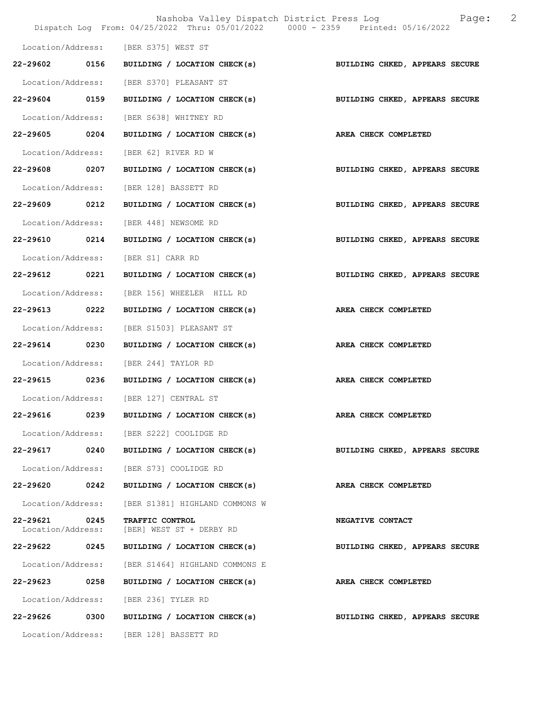|                               |      | Nashoba Valley Dispatch District Press Log Bage:<br>Dispatch Log From: 04/25/2022 Thru: 05/01/2022 0000 - 2359 Printed: 05/16/2022 | 2                              |
|-------------------------------|------|------------------------------------------------------------------------------------------------------------------------------------|--------------------------------|
|                               |      | Location/Address: [BER S375] WEST ST                                                                                               |                                |
| 22-29602                      | 0156 | BUILDING / LOCATION CHECK(s)                                                                                                       | BUILDING CHKED, APPEARS SECURE |
| Location/Address:             |      | [BER S370] PLEASANT ST                                                                                                             |                                |
| 22-29604 0159                 |      | BUILDING / LOCATION CHECK(s) BUILDING CHKED, APPEARS SECURE                                                                        |                                |
| Location/Address:             |      | [BER S638] WHITNEY RD                                                                                                              |                                |
| 22-29605 0204                 |      | BUILDING / LOCATION CHECK(s) AREA CHECK COMPLETED                                                                                  |                                |
| Location/Address:             |      | [BER 62] RIVER RD W                                                                                                                |                                |
| 22-29608 0207                 |      | BUILDING / LOCATION CHECK(s)                                                                                                       | BUILDING CHKED, APPEARS SECURE |
| Location/Address:             |      | [BER 128] BASSETT RD                                                                                                               |                                |
| 22-29609 0212                 |      | BUILDING / LOCATION CHECK(s)                                                                                                       | BUILDING CHKED, APPEARS SECURE |
| Location/Address:             |      | [BER 448] NEWSOME RD                                                                                                               |                                |
| 22-29610 0214                 |      | BUILDING / LOCATION CHECK(s)                                                                                                       | BUILDING CHKED, APPEARS SECURE |
| Location/Address:             |      | [BER S1] CARR RD                                                                                                                   |                                |
| 22-29612 0221                 |      | BUILDING / LOCATION CHECK(s)                                                                                                       | BUILDING CHKED, APPEARS SECURE |
| Location/Address:             |      | [BER 156] WHEELER HILL RD                                                                                                          |                                |
| 22-29613 0222                 |      | BUILDING / LOCATION CHECK(s)                                                                                                       | AREA CHECK COMPLETED           |
| Location/Address:             |      | [BER S1503] PLEASANT ST                                                                                                            |                                |
| 22-29614 0230                 |      | BUILDING / LOCATION CHECK(s)                                                                                                       | <b>AREA CHECK COMPLETED</b>    |
| Location/Address:             |      | [BER 244] TAYLOR RD                                                                                                                |                                |
| 22-29615 0236                 |      | BUILDING / LOCATION CHECK(s)                                                                                                       | AREA CHECK COMPLETED           |
|                               |      | Location/Address: [BER 127] CENTRAL ST                                                                                             |                                |
| 22-29616                      | 0239 | BUILDING / LOCATION CHECK(s)                                                                                                       | AREA CHECK COMPLETED           |
|                               |      | Location/Address: [BER S222] COOLIDGE RD                                                                                           |                                |
| 22-29617                      | 0240 | BUILDING / LOCATION CHECK(s)                                                                                                       | BUILDING CHKED, APPEARS SECURE |
| Location/Address:             |      | [BER S73] COOLIDGE RD                                                                                                              |                                |
| 22-29620                      | 0242 | BUILDING / LOCATION CHECK(s)                                                                                                       | AREA CHECK COMPLETED           |
| Location/Address:             |      | [BER S1381] HIGHLAND COMMONS W                                                                                                     |                                |
| 22-29621<br>Location/Address: | 0245 | <b>TRAFFIC CONTROL</b><br>[BER] WEST ST + DERBY RD                                                                                 | NEGATIVE CONTACT               |
| 22-29622                      | 0245 | BUILDING / LOCATION CHECK(s)                                                                                                       | BUILDING CHKED, APPEARS SECURE |
| Location/Address:             |      | [BER S1464] HIGHLAND COMMONS E                                                                                                     |                                |
| 22-29623                      | 0258 | BUILDING / LOCATION CHECK(s)                                                                                                       | AREA CHECK COMPLETED           |
| Location/Address:             |      | [BER 236] TYLER RD                                                                                                                 |                                |
| 22-29626 0300                 |      | BUILDING / LOCATION CHECK(s)                                                                                                       | BUILDING CHKED, APPEARS SECURE |
|                               |      | Location/Address: [BER 128] BASSETT RD                                                                                             |                                |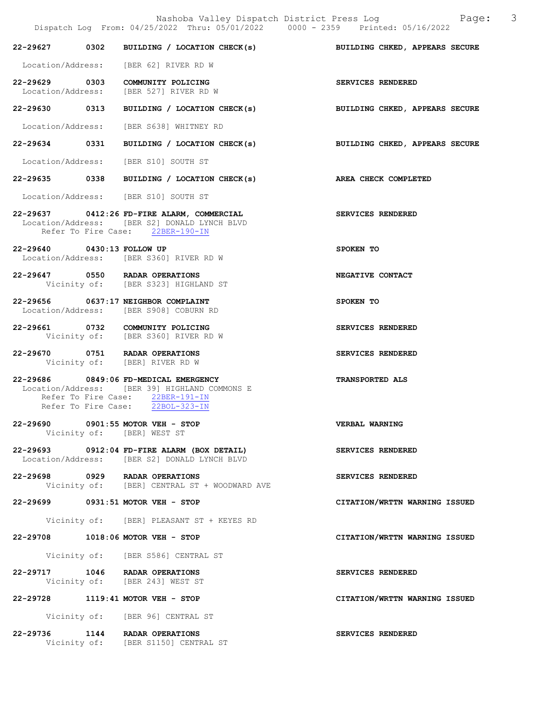|                            | Dispatch Log From: 04/25/2022 Thru: 05/01/2022 0000 - 2359 Printed: 05/16/2022                                                                                 | Nashoba Valley Dispatch District Press Log Nashoba Valley Dispatch District Press Log |
|----------------------------|----------------------------------------------------------------------------------------------------------------------------------------------------------------|---------------------------------------------------------------------------------------|
|                            |                                                                                                                                                                | 22-29627 0302 BUILDING / LOCATION CHECK(s) BUILDING CHKED, APPEARS SECURE             |
|                            | Location/Address: [BER 62] RIVER RD W                                                                                                                          |                                                                                       |
|                            | 22-29629 0303 COMMUNITY POLICING<br>Location/Address: [BER 527] RIVER RD W                                                                                     | SERVICES RENDERED                                                                     |
|                            |                                                                                                                                                                | 22-29630 0313 BUILDING / LOCATION CHECK(s) BUILDING CHKED, APPEARS SECURE             |
|                            | Location/Address: [BER S638] WHITNEY RD                                                                                                                        |                                                                                       |
|                            |                                                                                                                                                                | 22-29634 0331 BUILDING / LOCATION CHECK(s) BUILDING CHKED, APPEARS SECURE             |
|                            | Location/Address: [BER S10] SOUTH ST                                                                                                                           |                                                                                       |
|                            | 22-29635 0338 BUILDING / LOCATION CHECK(s) AREA CHECK COMPLETED                                                                                                |                                                                                       |
|                            | Location/Address: [BER S10] SOUTH ST                                                                                                                           |                                                                                       |
|                            | 22-29637 0412:26 FD-FIRE ALARM, COMMERCIAL<br>Location/Address: [BER S2] DONALD LYNCH BLVD<br>Refer To Fire Case: 22BER-190-IN                                 | SERVICES RENDERED                                                                     |
| 22-29640 0430:13 FOLLOW UP | Location/Address: [BER S360] RIVER RD W                                                                                                                        | SPOKEN TO                                                                             |
|                            | 22-29647 0550 RADAR OPERATIONS<br>Vicinity of: [BER S323] HIGHLAND ST                                                                                          | NEGATIVE CONTACT                                                                      |
|                            | 22-29656 0637:17 NEIGHBOR COMPLAINT<br>Location/Address: [BER S908] COBURN RD                                                                                  | SPOKEN TO                                                                             |
|                            | 22-29661 0732 COMMUNITY POLICING<br>Vicinity of: [BER S360] RIVER RD W                                                                                         | SERVICES RENDERED                                                                     |
|                            | 22-29670 0751 RADAR OPERATIONS<br>Vicinity of: [BER] RIVER RD W                                                                                                | SERVICES RENDERED                                                                     |
|                            | 22-29686 0849:06 FD-MEDICAL EMERGENCY<br>Location/Address: [BER 39] HIGHLAND COMMONS E<br>Refer To Fire Case: 22BER-191-IN<br>Refer To Fire Case: 22BOL-323-IN | <b>TRANSPORTED ALS</b>                                                                |
|                            | 22-29690 0901:55 MOTOR VEH - STOP<br>Vicinity of: [BER] WEST ST                                                                                                | VERBAL WARNING                                                                        |
|                            | 22-29693 0912:04 FD-FIRE ALARM (BOX DETAIL)<br>Location/Address: [BER S2] DONALD LYNCH BLVD                                                                    | SERVICES RENDERED                                                                     |
|                            | 22-29698 0929 RADAR OPERATIONS<br>Vicinity of: [BER] CENTRAL ST + WOODWARD AVE                                                                                 | SERVICES RENDERED                                                                     |
|                            | 22-29699 0931:51 MOTOR VEH - STOP                                                                                                                              | CITATION/WRTTN WARNING ISSUED                                                         |
|                            | Vicinity of: [BER] PLEASANT ST + KEYES RD                                                                                                                      |                                                                                       |
|                            | 22-29708 1018:06 MOTOR VEH - STOP                                                                                                                              | CITATION/WRTTN WARNING ISSUED                                                         |
|                            | Vicinity of: [BER S586] CENTRAL ST                                                                                                                             |                                                                                       |
|                            | 22-29717 1046 RADAR OPERATIONS<br>Vicinity of: [BER 243] WEST ST                                                                                               | SERVICES RENDERED                                                                     |
|                            | 22-29728 1119:41 MOTOR VEH - STOP                                                                                                                              | CITATION/WRTTN WARNING ISSUED                                                         |
|                            | Vicinity of: [BER 96] CENTRAL ST                                                                                                                               |                                                                                       |
|                            | 22-29736 1144 RADAR OPERATIONS                                                                                                                                 | SERVICES RENDERED                                                                     |

Vicinity of: [BER S1150] CENTRAL ST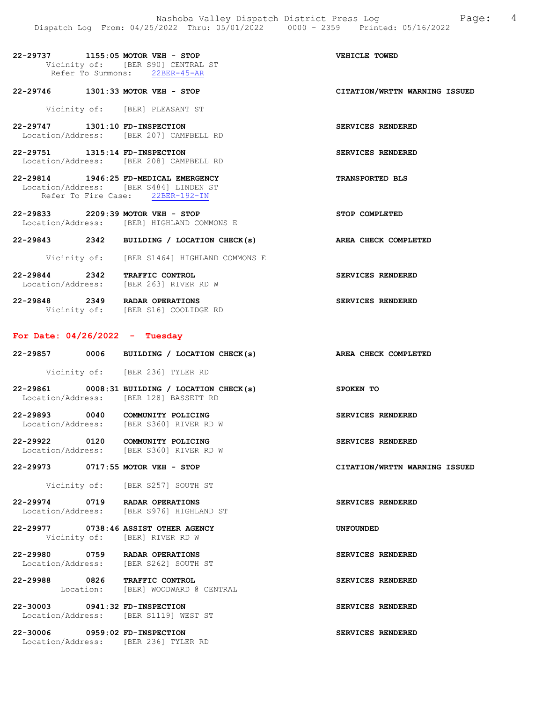| 22-29737                          | $1155:05$ MOTOR VEH - STOP |  |             |  |  | VEHICLE TOWED |  |
|-----------------------------------|----------------------------|--|-------------|--|--|---------------|--|
| Vicinity of: [BER S90] CENTRAL ST |                            |  |             |  |  |               |  |
|                                   | Refer To Summons:          |  | 22BER-45-AR |  |  |               |  |

#### 22-29746 1301:33 MOTOR VEH - STOP CITATION/WRTTN WARNING ISSUED

Vicinity of: [BER] PLEASANT ST

- 22-29747 1301:10 FD-INSPECTION SERVICES RENDERED Location/Address: [BER 207] CAMPBELL RD
- 22-29751 1315:14 FD-INSPECTION<br>
Location/Address: [BER 208] CAMPBELL RD<br>
The Services Rendered Services: 1988 208] CAMPBELL RD [BER 208] CAMPBELL RD
- 22-29814 1946:25 FD-MEDICAL EMERGENCY TRANSPORTED BLS Location/Address: [BER S484] LINDEN ST Refer To Fire Case: 22BER-192-IN
- 22-29833 2209:39 MOTOR VEH STOP STOP COMPLETED Location/Address: [BER] HIGHLAND COMMONS E
- 22-29843 2342 BUILDING / LOCATION CHECK(s) AREA CHECK COMPLETED
	- Vicinity of: [BER S1464] HIGHLAND COMMONS E
- 22-29844 2342 TRAFFIC CONTROL SERVICES RENDERED Location/Address: [BER 263] RIVER RD W
- 22-29848 2349 RADAR OPERATIONS SERVICES RENDERED Vicinity of: [BER S16] COOLIDGE RD

#### For Date: 04/26/2022 - Tuesday

- 22-29857 0006 BUILDING / LOCATION CHECK(s) AREA CHECK COMPLETED Vicinity of: [BER 236] TYLER RD
- 22-29861 0008:31 BUILDING / LOCATION CHECK(s) SPOKEN TO Location/Address: [BER 128] BASSETT RD
- 22-29893 0040 COMMUNITY POLICING<br>
Location/Address: [BER S360] RIVER RD W Location/Address: [BER S360] RIVER RD W
- 22-29922 0120 COMMUNITY POLICING<br>
Location/Address: [BER S360] RIVER RD W [BER S360] RIVER RD W
- 22-29973 0717:55 MOTOR VEH STOP CITATION/WRTTN WARNING ISSUED
	- Vicinity of: [BER S257] SOUTH ST
- 22-29974 0719 RADAR OPERATIONS SERVICES RENDERED Location/Address: [BER S976] HIGHLAND ST
- 22-29977 0738:46 ASSIST OTHER AGENCY UNFOUNDED Vicinity of: [BER] RIVER RD W
- 22-29980 0759 RADAR OPERATIONS<br>
Location/Address: [BER S262] SOUTH ST [BER S262] SOUTH ST
- 22-29988 0826 TRAFFIC CONTROL SERVICES RENDERED<br>
Location: [BER] WOODWARD @ CENTRAL [BER] WOODWARD @ CENTRAL
- 22-30003 0941:32 FD-INSPECTION SERVICES RENDERED Location/Address: [BER S1119] WEST ST
- 22-30006 0959:02 FD-INSPECTION SERVICES RENDERED Location/Address: [BER 236] TYLER RD

- 
- 
- 
- 
- 
- 
- 
- 
- 
- 
- 
- 
- 
- 
-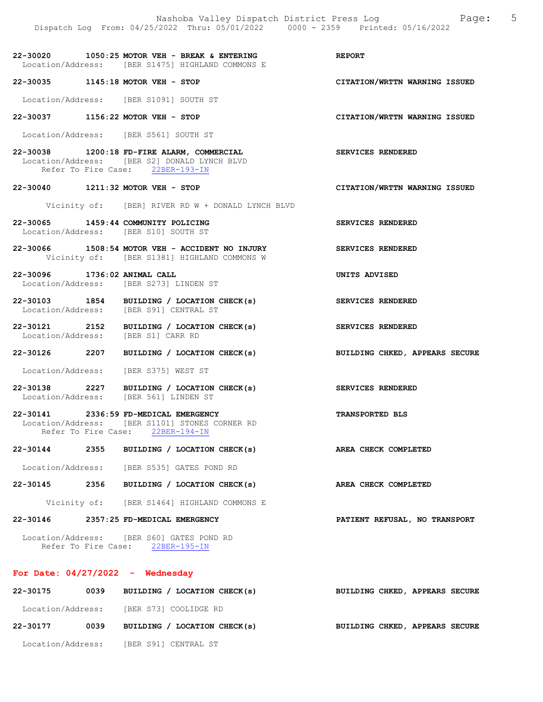Nashoba Valley Dispatch District Press Log Fage: 5 Dispatch Log From: 04/25/2022 Thru: 05/01/2022 0000 - 2359 Printed: 05/16/2022 22-30020 1050:25 MOTOR VEH - BREAK & ENTERING REPORT Location/Address: [BER S1475] HIGHLAND COMMONS E 22-30035 1145:18 MOTOR VEH - STOP CITATION/WRTTN WARNING ISSUED Location/Address: [BER S1091] SOUTH ST 22-30037 1156:22 MOTOR VEH - STOP CITATION/WRTTN WARNING ISSUED Location/Address: [BER S561] SOUTH ST 22-30038 1200:18 FD-FIRE ALARM, COMMERCIAL SERVICES RENDERED Location/Address: [BER S2] DONALD LYNCH BLVD Refer To Fire Case: 22BER-193-IN 22-30040 1211:32 MOTOR VEH - STOP CITATION/WRTTN WARNING ISSUED Vicinity of: [BER] RIVER RD W + DONALD LYNCH BLVD 22-30065 1459:44 COMMUNITY POLICING SERVICES RENDERED Location/Address: [BER S10] SOUTH ST

22-30066 1508:54 MOTOR VEH - ACCIDENT NO INJURY SERVICES RENDERED Vicinity of: [BER S1381] HIGHLAND COMMONS W

22-30096 1736:02 ANIMAL CALL UNITS ADVISED Location/Address: [BER S273] LINDEN ST

22-30103 1854 BUILDING / LOCATION CHECK(s) SERVICES RENDERED Location/Address: [BER S91] CENTRAL ST

22-30121 2152 BUILDING / LOCATION CHECK(s) SERVICES RENDERED Location/Address: [BER S1] CARR RD

22-30126 2207 BUILDING / LOCATION CHECK(s) BUILDING CHKED, APPEARS SECURE

Location/Address: [BER S375] WEST ST

22-30138 2227 BUILDING / LOCATION CHECK(s) SERVICES RENDERED Location/Address: [BER 561] LINDEN ST

22-30141 2336:59 FD-MEDICAL EMERGENCY TRANSPORTED BLS Location/Address: [BER S1101] STONES CORNER RD Refer To Fire Case: 22BER-194-IN

22-30144 2355 BUILDING / LOCATION CHECK(s) AREA CHECK COMPLETED

Location/Address: [BER S535] GATES POND RD

22-30145 2356 BUILDING / LOCATION CHECK(s) AREA CHECK COMPLETED

Vicinity of: [BER S1464] HIGHLAND COMMONS E

22-30146 2357:25 FD-MEDICAL EMERGENCY PATIENT REFUSAL, NO TRANSPORT

 Location/Address: [BER S60] GATES POND RD Refer To Fire Case: 22BER-195-IN

#### For Date:  $04/27/2022 -$  Wednesday

| 22-30175          | 0039 | BUILDING / LOCATION CHECK(s) | <b>BUILDING CHKED, APPEARS SECURE</b> |
|-------------------|------|------------------------------|---------------------------------------|
| Location/Address: |      | [BER S73] COOLIDGE RD        |                                       |
| 22-30177          | 0039 | BUILDING / LOCATION CHECK(s) | BUILDING CHKED, APPEARS SECURE        |
| Location/Address: |      | [BER S91] CENTRAL ST         |                                       |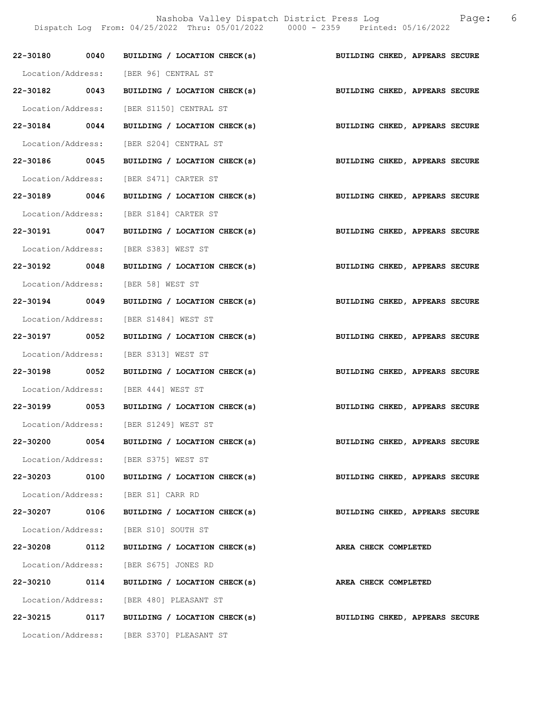Nashoba Valley Dispatch District Press Log Tage: 6

Dispatch Log From: 04/25/2022 Thru: 05/01/2022 0000 - 2359 Printed: 05/16/2022

|               |      | 22-30180 0040 BUILDING / LOCATION CHECK(s)                                | BUILDING CHKED, APPEARS SECURE |
|---------------|------|---------------------------------------------------------------------------|--------------------------------|
|               |      | Location/Address: [BER 96] CENTRAL ST                                     |                                |
|               |      | 22-30182 0043 BUILDING / LOCATION CHECK(s) BUILDING CHKED, APPEARS SECURE |                                |
|               |      | Location/Address: [BER S1150] CENTRAL ST                                  |                                |
| 22-30184 0044 |      | BUILDING / LOCATION CHECK(s)                                              | BUILDING CHKED, APPEARS SECURE |
|               |      | Location/Address: [BER S204] CENTRAL ST                                   |                                |
| 22-30186 0045 |      | BUILDING / LOCATION CHECK(s)                                              | BUILDING CHKED, APPEARS SECURE |
|               |      | Location/Address: [BER S471] CARTER ST                                    |                                |
| 22-30189 0046 |      | BUILDING / LOCATION CHECK(s) BUILDING CHKED, APPEARS SECURE               |                                |
|               |      | Location/Address: [BER S184] CARTER ST                                    |                                |
| 22-30191 0047 |      | BUILDING / LOCATION CHECK(s)                                              | BUILDING CHKED, APPEARS SECURE |
|               |      | Location/Address: [BER S383] WEST ST                                      |                                |
| 22-30192 0048 |      | BUILDING / LOCATION CHECK(s)                                              | BUILDING CHKED, APPEARS SECURE |
|               |      | Location/Address: [BER 58] WEST ST                                        |                                |
| 22-30194 0049 |      | BUILDING / LOCATION CHECK(s)                                              | BUILDING CHKED, APPEARS SECURE |
|               |      | Location/Address: [BER S1484] WEST ST                                     |                                |
| 22-30197 0052 |      | BUILDING / LOCATION CHECK(s)                                              | BUILDING CHKED, APPEARS SECURE |
|               |      | Location/Address: [BER S313] WEST ST                                      |                                |
| 22-30198 0052 |      | BUILDING / LOCATION CHECK(s)                                              | BUILDING CHKED, APPEARS SECURE |
|               |      | Location/Address: [BER 444] WEST ST                                       |                                |
| 22-30199 0053 |      | BUILDING / LOCATION CHECK(s)                                              | BUILDING CHKED, APPEARS SECURE |
|               |      | Location/Address: [BER S1249] WEST ST                                     |                                |
|               |      | 22-30200 0054 BUILDING / LOCATION CHECK(s) BUILDING CHKED, APPEARS SECURE |                                |
|               |      | Location/Address: [BER S375] WEST ST                                      |                                |
|               |      | 22-30203 0100 BUILDING / LOCATION CHECK(s)                                | BUILDING CHKED, APPEARS SECURE |
|               |      | Location/Address: [BER S1] CARR RD                                        |                                |
|               |      | 22-30207 0106 BUILDING / LOCATION CHECK(s)                                | BUILDING CHKED, APPEARS SECURE |
|               |      | Location/Address: [BER S10] SOUTH ST                                      |                                |
| 22-30208 0112 |      | BUILDING / LOCATION CHECK(s)                                              | AREA CHECK COMPLETED           |
|               |      | Location/Address: [BER S675] JONES RD                                     |                                |
| 22-30210      | 0114 | BUILDING / LOCATION CHECK(s)                                              | AREA CHECK COMPLETED           |
|               |      | Location/Address: [BER 480] PLEASANT ST                                   |                                |
|               |      | 22-30215 0117 BUILDING / LOCATION CHECK(s)                                | BUILDING CHKED, APPEARS SECURE |
|               |      | Location/Address: [BER S370] PLEASANT ST                                  |                                |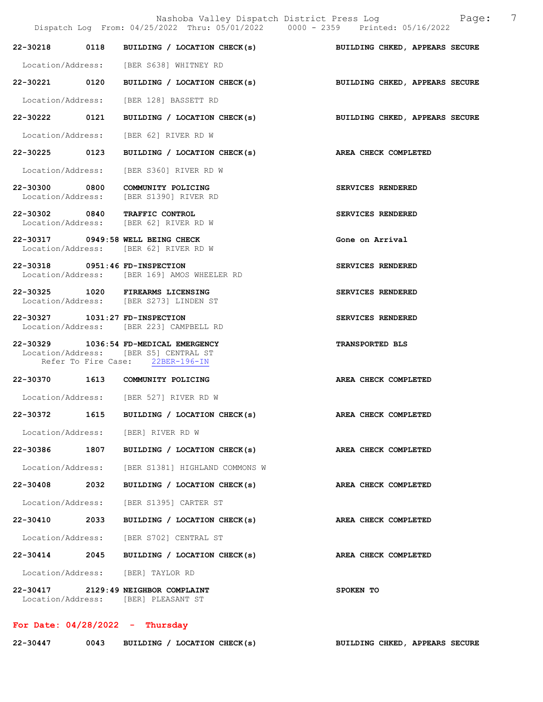|                                |      | Nashoba Valley Dispatch District Press Log Faqe:<br>Dispatch Log From: 04/25/2022 Thru: 05/01/2022 0000 - 2359 Printed: 05/16/2022 | 7                              |
|--------------------------------|------|------------------------------------------------------------------------------------------------------------------------------------|--------------------------------|
| 22-30218 0118                  |      | BUILDING / LOCATION CHECK(s) BUILDING CHKED, APPEARS SECURE                                                                        |                                |
|                                |      | Location/Address: [BER S638] WHITNEY RD                                                                                            |                                |
| 22-30221 0120                  |      | BUILDING / LOCATION CHECK(s)                                                                                                       | BUILDING CHKED, APPEARS SECURE |
|                                |      | Location/Address: [BER 128] BASSETT RD                                                                                             |                                |
| 22-30222 0121                  |      | BUILDING / LOCATION CHECK(s)                                                                                                       | BUILDING CHKED, APPEARS SECURE |
|                                |      | Location/Address: [BER 62] RIVER RD W                                                                                              |                                |
|                                |      | 22-30225 0123 BUILDING / LOCATION CHECK(s) AREA CHECK COMPLETED                                                                    |                                |
| Location/Address:              |      | [BER S360] RIVER RD W                                                                                                              |                                |
|                                |      | 22-30300 0800 COMMUNITY POLICING<br>Location/Address: [BER S1390] RIVER RD                                                         | SERVICES RENDERED              |
|                                |      | 22-30302 0840 TRAFFIC CONTROL<br>Location/Address: [BER 62] RIVER RD W                                                             | SERVICES RENDERED              |
|                                |      | 22-30317 0949:58 WELL BEING CHECK<br>Location/Address: [BER 62] RIVER RD W                                                         | Gone on Arrival                |
| 22-30318 0951:46 FD-INSPECTION |      | Location/Address: [BER 169] AMOS WHEELER RD                                                                                        | SERVICES RENDERED              |
|                                |      | 22-30325 1020 FIREARMS LICENSING<br>Location/Address: [BER S273] LINDEN ST                                                         | SERVICES RENDERED              |
| 22-30327 1031:27 FD-INSPECTION |      | Location/Address: [BER 223] CAMPBELL RD                                                                                            | SERVICES RENDERED              |
|                                |      | 22-30329 1036:54 FD-MEDICAL EMERGENCY<br>Location/Address: [BER S5] CENTRAL ST<br>Refer To Fire Case: 22BER-196-IN                 | TRANSPORTED BLS                |
|                                |      | 22-30370 1613 COMMUNITY POLICING                                                                                                   | AREA CHECK COMPLETED           |
|                                |      | Location/Address: [BER 527] RIVER RD W                                                                                             |                                |
| 22-30372                       | 1615 | BUILDING / LOCATION CHECK(s)                                                                                                       | AREA CHECK COMPLETED           |
|                                |      | Location/Address: [BER] RIVER RD W                                                                                                 |                                |
| 22-30386 1807                  |      | BUILDING / LOCATION CHECK(s)                                                                                                       | AREA CHECK COMPLETED           |
| Location/Address:              |      | [BER S1381] HIGHLAND COMMONS W                                                                                                     |                                |
| 22-30408                       | 2032 | BUILDING / LOCATION CHECK(s)                                                                                                       | AREA CHECK COMPLETED           |
| Location/Address:              |      | [BER S1395] CARTER ST                                                                                                              |                                |
| 22-30410 2033                  |      | BUILDING / LOCATION CHECK(s)                                                                                                       | AREA CHECK COMPLETED           |
| Location/Address:              |      | [BER S702] CENTRAL ST                                                                                                              |                                |
| 22-30414 2045                  |      | BUILDING / LOCATION CHECK(s)                                                                                                       | AREA CHECK COMPLETED           |
|                                |      | Location/Address: [BER] TAYLOR RD                                                                                                  |                                |
|                                |      | 22-30417 2129:49 NEIGHBOR COMPLAINT<br>Location/Address: [BER] PLEASANT ST                                                         | SPOKEN TO                      |

# For Date: 04/28/2022 - Thursday

| 22-30447<br>0043 | BUILDING / LOCATION CHECK(s) | BUILDING CHKED, APPEARS SECURE |  |  |
|------------------|------------------------------|--------------------------------|--|--|
|------------------|------------------------------|--------------------------------|--|--|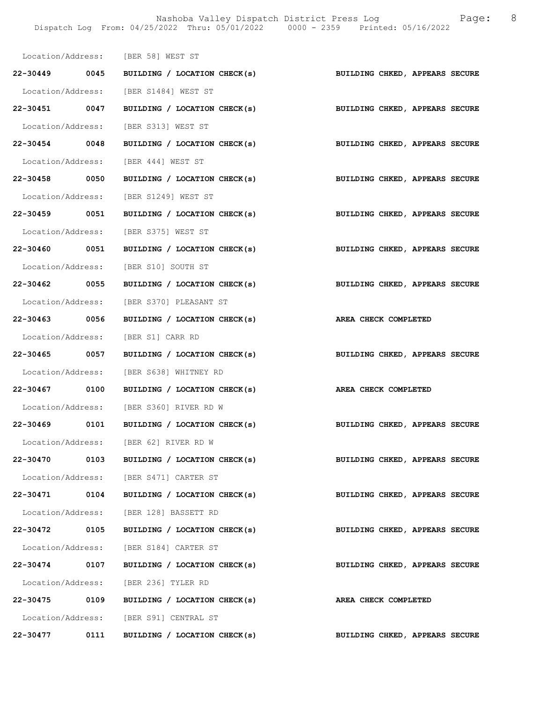|               |      | Location/Address: [BER 58] WEST ST                          |                                |
|---------------|------|-------------------------------------------------------------|--------------------------------|
|               |      | 22-30449 0045 BUILDING / LOCATION CHECK(s)                  | BUILDING CHKED, APPEARS SECURE |
|               |      | Location/Address: [BER S1484] WEST ST                       |                                |
| 22-30451 0047 |      | BUILDING / LOCATION CHECK(s)                                | BUILDING CHKED, APPEARS SECURE |
|               |      | Location/Address: [BER S313] WEST ST                        |                                |
| 22-30454 0048 |      | BUILDING / LOCATION CHECK(s) BUILDING CHKED, APPEARS SECURE |                                |
|               |      | Location/Address: [BER 444] WEST ST                         |                                |
| 22-30458 0050 |      | BUILDING / LOCATION CHECK(s)                                | BUILDING CHKED, APPEARS SECURE |
|               |      | Location/Address: [BER S1249] WEST ST                       |                                |
| 22-30459 0051 |      | BUILDING / LOCATION CHECK(s)                                | BUILDING CHKED, APPEARS SECURE |
|               |      | Location/Address: [BER S375] WEST ST                        |                                |
|               |      | 22-30460 0051 BUILDING / LOCATION CHECK(s)                  | BUILDING CHKED, APPEARS SECURE |
|               |      | Location/Address: [BER S10] SOUTH ST                        |                                |
| 22-30462 0055 |      | BUILDING / LOCATION CHECK(s)                                | BUILDING CHKED, APPEARS SECURE |
|               |      | Location/Address: [BER S370] PLEASANT ST                    |                                |
| 22-30463 0056 |      | BUILDING / LOCATION CHECK(s)                                | AREA CHECK COMPLETED           |
|               |      | Location/Address: [BER S1] CARR RD                          |                                |
| 22-30465 0057 |      | BUILDING / LOCATION CHECK(s)                                | BUILDING CHKED, APPEARS SECURE |
|               |      | Location/Address: [BER S638] WHITNEY RD                     |                                |
|               |      | 22-30467 0100 BUILDING / LOCATION CHECK(s)                  | AREA CHECK COMPLETED           |
|               |      | Location/Address: [BER S360] RIVER RD W                     |                                |
|               |      | 22-30469 0101 BUILDING / LOCATION CHECK(s)                  | BUILDING CHKED, APPEARS SECURE |
|               |      | Location/Address: [BER 62] RIVER RD W                       |                                |
|               |      | 22-30470 0103 BUILDING / LOCATION CHECK(s)                  | BUILDING CHKED, APPEARS SECURE |
|               |      | Location/Address: [BER S471] CARTER ST                      |                                |
|               |      | 22-30471 0104 BUILDING / LOCATION CHECK(s)                  | BUILDING CHKED, APPEARS SECURE |
|               |      | Location/Address: [BER 128] BASSETT RD                      |                                |
| 22-30472 0105 |      | BUILDING / LOCATION CHECK(s)                                | BUILDING CHKED, APPEARS SECURE |
|               |      | Location/Address: [BER S184] CARTER ST                      |                                |
|               |      | 22-30474 0107 BUILDING / LOCATION CHECK(s)                  | BUILDING CHKED, APPEARS SECURE |
|               |      | Location/Address: [BER 236] TYLER RD                        |                                |
|               |      | 22-30475 0109 BUILDING / LOCATION CHECK(s)                  | AREA CHECK COMPLETED           |
|               |      | Location/Address: [BER S91] CENTRAL ST                      |                                |
| 22-30477      | 0111 | BUILDING / LOCATION CHECK(s)                                | BUILDING CHKED, APPEARS SECURE |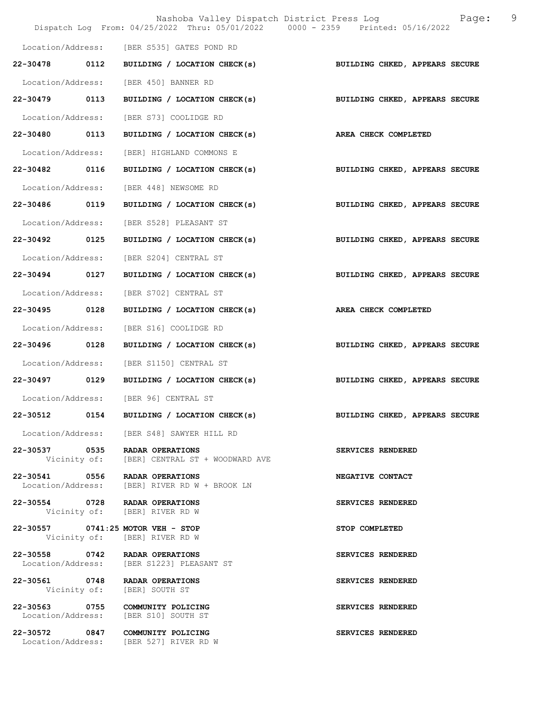|                   |      | Nashoba Valley Dispatch District Press Log<br>Dispatch Log From: 04/25/2022 Thru: 05/01/2022 0000 - 2359 Printed: 05/16/2022 |                                | 9<br>Page: |
|-------------------|------|------------------------------------------------------------------------------------------------------------------------------|--------------------------------|------------|
|                   |      |                                                                                                                              |                                |            |
|                   |      | Location/Address: [BER S535] GATES POND RD                                                                                   |                                |            |
| 22-30478 0112     |      | BUILDING / LOCATION CHECK(s)                                                                                                 | BUILDING CHKED, APPEARS SECURE |            |
|                   |      | Location/Address: [BER 450] BANNER RD                                                                                        |                                |            |
| 22-30479 0113     |      | BUILDING / LOCATION CHECK(s)                                                                                                 | BUILDING CHKED, APPEARS SECURE |            |
| Location/Address: |      | [BER S73] COOLIDGE RD                                                                                                        |                                |            |
| 22-30480 0113     |      | BUILDING / LOCATION CHECK(s)                                                                                                 | AREA CHECK COMPLETED           |            |
| Location/Address: |      | [BER] HIGHLAND COMMONS E                                                                                                     |                                |            |
| 22-30482 0116     |      | BUILDING / LOCATION CHECK(s)                                                                                                 | BUILDING CHKED, APPEARS SECURE |            |
| Location/Address: |      | [BER 448] NEWSOME RD                                                                                                         |                                |            |
| 22-30486 0119     |      | BUILDING / LOCATION CHECK(s)                                                                                                 | BUILDING CHKED, APPEARS SECURE |            |
| Location/Address: |      | [BER S528] PLEASANT ST                                                                                                       |                                |            |
| 22-30492 0125     |      | BUILDING / LOCATION CHECK(s) BUILDING CHKED, APPEARS SECURE                                                                  |                                |            |
| Location/Address: |      | [BER S204] CENTRAL ST                                                                                                        |                                |            |
| 22-30494 0127     |      | BUILDING / LOCATION CHECK(s)                                                                                                 | BUILDING CHKED, APPEARS SECURE |            |
| Location/Address: |      | [BER S702] CENTRAL ST                                                                                                        |                                |            |
| 22-30495          | 0128 | BUILDING / LOCATION CHECK(s)                                                                                                 | <b>AREA CHECK COMPLETED</b>    |            |
| Location/Address: |      | [BER S16] COOLIDGE RD                                                                                                        |                                |            |
| 22-30496 0128     |      | BUILDING / LOCATION CHECK(s)                                                                                                 | BUILDING CHKED, APPEARS SECURE |            |
| Location/Address: |      | [BER S1150] CENTRAL ST                                                                                                       |                                |            |
| 22-30497 0129     |      | BUILDING / LOCATION CHECK(s)                                                                                                 | BUILDING CHKED, APPEARS SECURE |            |
|                   |      | Location/Address: [BER 96] CENTRAL ST                                                                                        |                                |            |
| 22-30512 0154     |      | BUILDING / LOCATION CHECK(s)                                                                                                 | BUILDING CHKED, APPEARS SECURE |            |
|                   |      | Location/Address: [BER S48] SAWYER HILL RD                                                                                   |                                |            |
|                   |      | 22-30537 0535 RADAR OPERATIONS<br>Vicinity of: [BER] CENTRAL ST + WOODWARD AVE                                               | SERVICES RENDERED              |            |
|                   |      | 22-30541 0556 RADAR OPERATIONS<br>Location/Address: [BER] RIVER RD W + BROOK LN                                              | NEGATIVE CONTACT               |            |
|                   |      | 22-30554 0728 RADAR OPERATIONS<br>Vicinity of: [BER] RIVER RD W                                                              | SERVICES RENDERED              |            |
|                   |      | 22-30557 0741:25 MOTOR VEH - STOP<br>Vicinity of: [BER] RIVER RD W                                                           | STOP COMPLETED                 |            |
|                   |      | 22-30558 0742 RADAR OPERATIONS<br>Location/Address: [BER S1223] PLEASANT ST                                                  | SERVICES RENDERED              |            |
|                   |      | 22-30561 0748 RADAR OPERATIONS<br>Vicinity of: [BER] SOUTH ST                                                                | SERVICES RENDERED              |            |
|                   |      | 22-30563 0755 COMMUNITY POLICING<br>Location/Address: [BER S10] SOUTH ST                                                     | SERVICES RENDERED              |            |
|                   |      | 22-30572 0847 COMMUNITY POLICING<br>Location/Address: [BER 527] RIVER RD W                                                   | SERVICES RENDERED              |            |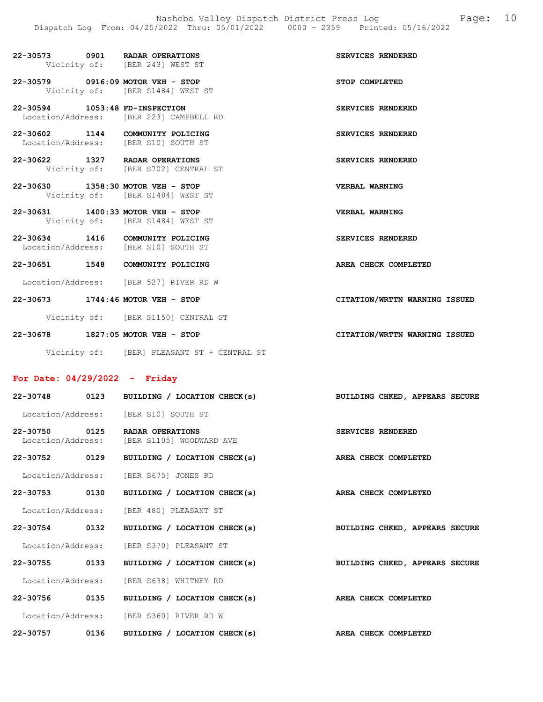| 22-30573 | 0901 | <b>RADAR OPERATIONS</b>        | SERVICES RENDERED |  |
|----------|------|--------------------------------|-------------------|--|
|          |      | Vicinity of: [BER 243] WEST ST |                   |  |

22-30579 0916:09 MOTOR VEH - STOP STOP COMPLETED Vicinity of: [BER S1484] WEST ST

22-30594 1053:48 FD-INSPECTION SERVICES RENDERED Location/Address: [BER 223] CAMPBELL RD

22-30602 1144 COMMUNITY POLICING SERVICES RENDERED Location/Address: [BER S10] SOUTH ST

22-30622 1327 RADAR OPERATIONS SERVICES RENDERED Vicinity of: [BER S702] CENTRAL ST

22-30630 1358:30 MOTOR VEH - STOP VERBAL WARNING Vicinity of: [BER S1484] WEST ST

22-30631 1400:33 MOTOR VEH - STOP VERBAL WARNING Vicinity of: [BER S1484] WEST ST

22-30634 1416 COMMUNITY POLICING SERVICES RENDERED Location/Address: [BER S10] SOUTH ST

22-30651 1548 COMMUNITY POLICING AREA CHECK COMPLETED

Location/Address: [BER 527] RIVER RD W

22-30673 1744:46 MOTOR VEH - STOP CITATION/WRTTN WARNING ISSUED

Vicinity of: [BER S1150] CENTRAL ST

22-30678 1827:05 MOTOR VEH - STOP CITATION/WRTTN WARNING ISSUED

Vicinity of: [BER] PLEASANT ST + CENTRAL ST

#### For Date: 04/29/2022 - Friday

|               |      | 22-30748 0123 BUILDING / LOCATION CHECK(s)                     | BUILDING CHKED, APPEARS SECURE |
|---------------|------|----------------------------------------------------------------|--------------------------------|
|               |      | Location/Address: [BER S10] SOUTH ST                           |                                |
| 22-30750 0125 |      | RADAR OPERATIONS<br>Location/Address: [BER S1105] WOODWARD AVE | SERVICES RENDERED              |
| 22-30752 0129 |      | BUILDING / LOCATION CHECK(s)                                   | AREA CHECK COMPLETED           |
|               |      | Location/Address: [BER S675] JONES RD                          |                                |
|               |      | 22-30753 0130 BUILDING / LOCATION CHECK(s)                     | AREA CHECK COMPLETED           |
|               |      | Location/Address: [BER 480] PLEASANT ST                        |                                |
| 22-30754 0132 |      | BUILDING / LOCATION CHECK(s)                                   | BUILDING CHKED, APPEARS SECURE |
|               |      | Location/Address: [BER S370] PLEASANT ST                       |                                |
| 22-30755 0133 |      | BUILDING / LOCATION CHECK(s)                                   | BUILDING CHKED, APPEARS SECURE |
|               |      | Location/Address: [BER S638] WHITNEY RD                        |                                |
| 22-30756 0135 |      | BUILDING / LOCATION CHECK(s)                                   | AREA CHECK COMPLETED           |
|               |      | Location/Address: [BER S360] RIVER RD W                        |                                |
| 22-30757      | 0136 | BUILDING / LOCATION CHECK(s)                                   | AREA CHECK COMPLETED           |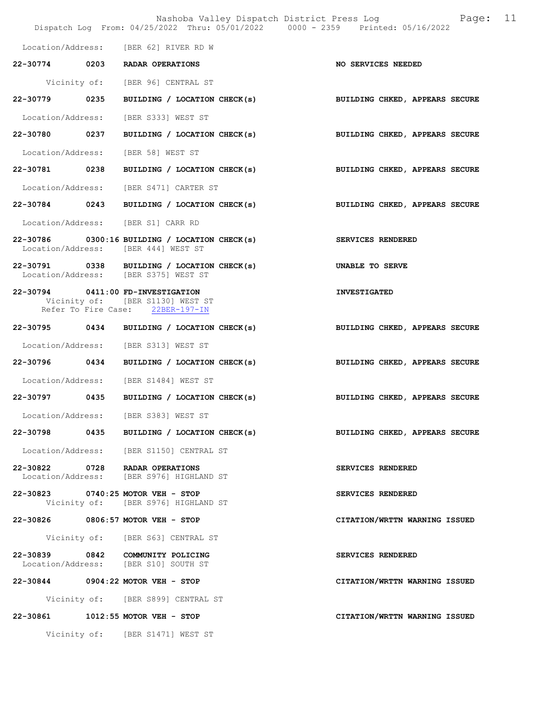Nashoba Valley Dispatch District Press Log Fage: 11 Dispatch Log From: 04/25/2022 Thru: 05/01/2022 0000 - 2359 Printed: 05/16/2022 Location/Address: [BER 62] RIVER RD W 22-30774 0203 RADAR OPERATIONS NO SERVICES NEEDED Vicinity of: [BER 96] CENTRAL ST 22-30779 0235 BUILDING / LOCATION CHECK(s) BUILDING CHKED, APPEARS SECURE Location/Address: [BER S333] WEST ST 22-30780 0237 BUILDING / LOCATION CHECK(s) BUILDING CHKED, APPEARS SECURE Location/Address: [BER 58] WEST ST 22-30781 0238 BUILDING / LOCATION CHECK(s) BUILDING CHKED, APPEARS SECURE Location/Address: [BER S471] CARTER ST 22-30784 0243 BUILDING / LOCATION CHECK(s) BUILDING CHKED, APPEARS SECURE Location/Address: [BER S1] CARR RD 22-30786 0300:16 BUILDING / LOCATION CHECK(s) SERVICES RENDERED Location/Address: [BER 444] WEST ST 22-30791 0338 BUILDING / LOCATION CHECK(s) UNABLE TO SERVE<br>
Location/Address: [BER S375] WEST ST [BER S375] WEST ST 22-30794 0411:00 FD-INVESTIGATION INVESTIGATED Vicinity of: [BER S1130] WEST ST Refer To Fire Case: 22BER-197-IN 22-30795 0434 BUILDING / LOCATION CHECK(s) BUILDING CHKED, APPEARS SECURE Location/Address: [BER S313] WEST ST 22-30796 0434 BUILDING / LOCATION CHECK(s) BUILDING CHKED, APPEARS SECURE Location/Address: [BER S1484] WEST ST 22-30797 0435 BUILDING / LOCATION CHECK(s) BUILDING CHKED, APPEARS SECURE Location/Address: [BER S383] WEST ST 22-30798 0435 BUILDING / LOCATION CHECK(s) BUILDING CHKED, APPEARS SECURE Location/Address: [BER S1150] CENTRAL ST 22-30822 0728 RADAR OPERATIONS<br>
Location/Address: [BER S976] HIGHLAND ST Location/Address: [BER S976] HIGHLAND ST 22-30823 0740:25 MOTOR VEH - STOP SERVICES RENDERED Vicinity of: [BER S976] HIGHLAND ST 22-30826 0806:57 MOTOR VEH - STOP CITATION/WRTTN WARNING ISSUED Vicinity of: [BER S63] CENTRAL ST 22-30839 0842 COMMUNITY POLICING SERVICES RENDERED Location/Address: [BER S10] SOUTH ST 22-30844 0904:22 MOTOR VEH - STOP CITATION/WRTTN WARNING ISSUED Vicinity of: [BER S899] CENTRAL ST 22-30861 1012:55 MOTOR VEH - STOP CITATION/WRTTN WARNING ISSUED Vicinity of: [BER S1471] WEST ST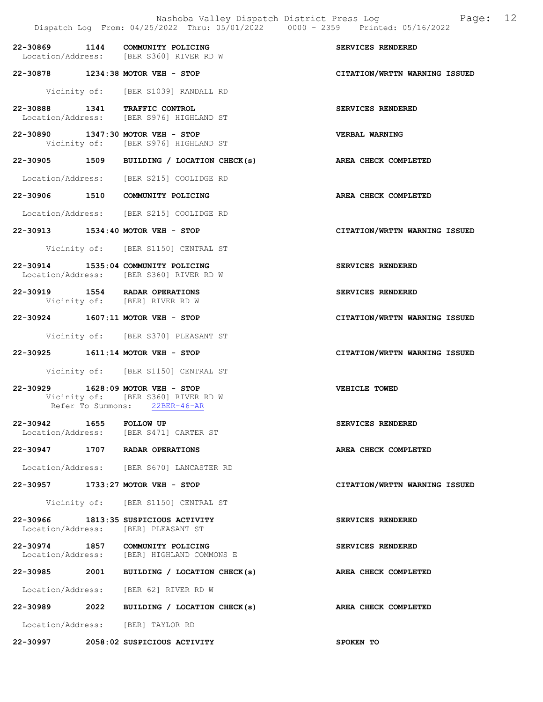|                         | Nashoba Valley Dispatch District Press Log<br>Dispatch Log From: 04/25/2022 Thru: 05/01/2022 0000 - 2359 Printed: 05/16/2022 | Page: 12                      |
|-------------------------|------------------------------------------------------------------------------------------------------------------------------|-------------------------------|
|                         | 22-30869 1144 COMMUNITY POLICING<br>Location/Address: [BER S360] RIVER RD W                                                  | SERVICES RENDERED             |
|                         | 22-30878 1234:38 MOTOR VEH - STOP                                                                                            | CITATION/WRTTN WARNING ISSUED |
|                         | Vicinity of: [BER S1039] RANDALL RD                                                                                          |                               |
|                         | 22-30888 1341 TRAFFIC CONTROL<br>Location/Address: [BER S976] HIGHLAND ST                                                    | SERVICES RENDERED             |
|                         | 22-30890 1347:30 MOTOR VEH - STOP<br>Vicinity of: [BER S976] HIGHLAND ST                                                     | <b>VERBAL WARNING</b>         |
|                         | 22-30905 1509 BUILDING / LOCATION CHECK(s)                                                                                   | AREA CHECK COMPLETED          |
|                         | Location/Address: [BER S215] COOLIDGE RD                                                                                     |                               |
|                         | 22-30906 1510 COMMUNITY POLICING                                                                                             | AREA CHECK COMPLETED          |
|                         | Location/Address: [BER S215] COOLIDGE RD                                                                                     |                               |
|                         | 22-30913 1534:40 MOTOR VEH - STOP                                                                                            | CITATION/WRTTN WARNING ISSUED |
|                         | Vicinity of: [BER S1150] CENTRAL ST                                                                                          |                               |
|                         | 22-30914 1535:04 COMMUNITY POLICING<br>Location/Address: [BER S360] RIVER RD W                                               | SERVICES RENDERED             |
|                         | 22-30919 1554 RADAR OPERATIONS<br>Vicinity of: [BER] RIVER RD W                                                              | SERVICES RENDERED             |
|                         | 22-30924 1607:11 MOTOR VEH - STOP                                                                                            | CITATION/WRTTN WARNING ISSUED |
|                         | Vicinity of: [BER S370] PLEASANT ST                                                                                          |                               |
|                         | 22-30925 1611:14 MOTOR VEH - STOP                                                                                            | CITATION/WRTTN WARNING ISSUED |
|                         | Vicinity of: [BER S1150] CENTRAL ST                                                                                          |                               |
|                         | 22-30929 1628:09 MOTOR VEH - STOP<br>Vicinity of: [BER S360] RIVER RD W<br>Refer To Summons: 22BER-46-AR                     | VEHICLE TOWED                 |
| 22-30942 1655 FOLLOW UP | Location/Address: [BER S471] CARTER ST                                                                                       | SERVICES RENDERED             |
|                         | 22-30947 1707 RADAR OPERATIONS                                                                                               | AREA CHECK COMPLETED          |
|                         | Location/Address: [BER S670] LANCASTER RD                                                                                    |                               |
|                         | 22-30957 1733:27 MOTOR VEH - STOP                                                                                            | CITATION/WRTTN WARNING ISSUED |
|                         | Vicinity of: [BER S1150] CENTRAL ST                                                                                          |                               |
|                         | 22-30966 1813:35 SUSPICIOUS ACTIVITY<br>Location/Address: [BER] PLEASANT ST                                                  | SERVICES RENDERED             |
|                         | 22-30974 1857 COMMUNITY POLICING<br>Location/Address: [BER] HIGHLAND COMMONS E                                               | SERVICES RENDERED             |
|                         | 22-30985 2001 BUILDING / LOCATION CHECK(s)                                                                                   | AREA CHECK COMPLETED          |
|                         | Location/Address: [BER 62] RIVER RD W                                                                                        |                               |
|                         | 22-30989 2022 BUILDING / LOCATION CHECK(s)                                                                                   | AREA CHECK COMPLETED          |
|                         | Location/Address: [BER] TAYLOR RD                                                                                            |                               |
|                         | 22-30997 2058:02 SUSPICIOUS ACTIVITY                                                                                         | SPOKEN TO                     |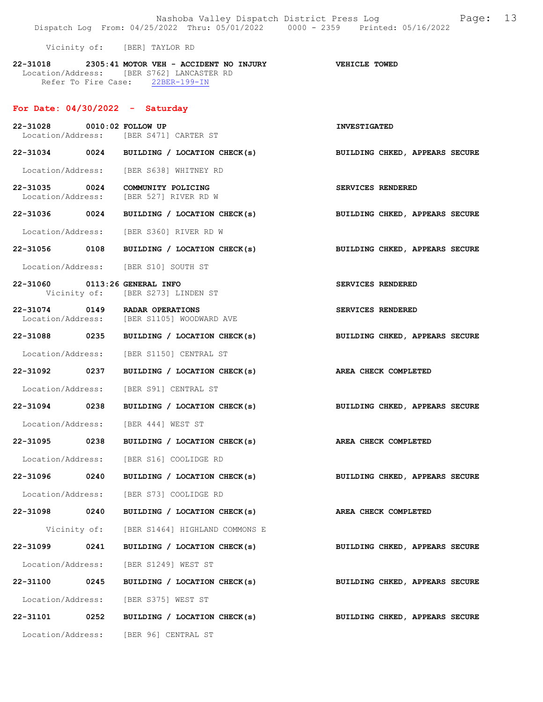Nashoba Valley Dispatch District Press Log Fage: 13 Dispatch Log From: 04/25/2022 Thru: 05/01/2022 0000 - 2359 Printed: 05/16/2022

Vicinity of: [BER] TAYLOR RD

22-31018 2305:41 MOTOR VEH - ACCIDENT NO INJURY VEHICLE TOWED Location/Address: [BER S762] LANCASTER RD Refer To Fire Case: 22BER-199-IN

#### For Date: 04/30/2022 - Saturday

| 22-31028 0010:02 FOLLOW UP    |      | Location/Address: [BER S471] CARTER ST                                       | <b>INVESTIGATED</b>            |
|-------------------------------|------|------------------------------------------------------------------------------|--------------------------------|
|                               |      | 22-31034 0024 BUILDING / LOCATION CHECK(s)                                   | BUILDING CHKED, APPEARS SECURE |
|                               |      | Location/Address: [BER S638] WHITNEY RD                                      |                                |
| 22-31035 0024                 |      | COMMUNITY POLICING<br>Location/Address: [BER 527] RIVER RD W                 | SERVICES RENDERED              |
|                               |      | 22-31036 0024 BUILDING / LOCATION CHECK(s)                                   | BUILDING CHKED, APPEARS SECURE |
|                               |      | Location/Address: [BER S360] RIVER RD W                                      |                                |
|                               |      | 22-31056 0108 BUILDING / LOCATION CHECK(s)                                   | BUILDING CHKED, APPEARS SECURE |
|                               |      | Location/Address: [BER S10] SOUTH ST                                         |                                |
| 22-31060 0113:26 GENERAL INFO |      | Vicinity of: [BER S273] LINDEN ST                                            | SERVICES RENDERED              |
|                               |      | 22-31074 0149 RADAR OPERATIONS<br>Location/Address: [BER S1105] WOODWARD AVE | SERVICES RENDERED              |
|                               |      | 22-31088 0235 BUILDING / LOCATION CHECK(s)                                   | BUILDING CHKED, APPEARS SECURE |
|                               |      | Location/Address: [BER S1150] CENTRAL ST                                     |                                |
|                               |      | 22-31092 0237 BUILDING / LOCATION CHECK(s)                                   | AREA CHECK COMPLETED           |
|                               |      | Location/Address: [BER S91] CENTRAL ST                                       |                                |
| 22-31094 0238                 |      | BUILDING / LOCATION CHECK(s)                                                 | BUILDING CHKED, APPEARS SECURE |
|                               |      | Location/Address: [BER 444] WEST ST                                          |                                |
| 22-31095 0238                 |      | BUILDING / LOCATION CHECK(s)                                                 | AREA CHECK COMPLETED           |
|                               |      | Location/Address: [BER S16] COOLIDGE RD                                      |                                |
|                               |      | 22-31096 0240 BUILDING / LOCATION CHECK(s)                                   | BUILDING CHKED, APPEARS SECURE |
|                               |      | Location/Address: [BER S73] COOLIDGE RD                                      |                                |
|                               |      | 22-31098 0240 BUILDING / LOCATION CHECK(s) AREA CHECK COMPLETED              |                                |
|                               |      | Vicinity of: [BER S1464] HIGHLAND COMMONS E                                  |                                |
|                               |      | 22-31099 0241 BUILDING / LOCATION CHECK(s)                                   | BUILDING CHKED, APPEARS SECURE |
|                               |      | Location/Address: [BER S1249] WEST ST                                        |                                |
| 22-31100 0245                 |      | BUILDING / LOCATION CHECK(s)                                                 | BUILDING CHKED, APPEARS SECURE |
|                               |      | Location/Address: [BER S375] WEST ST                                         |                                |
| 22-31101                      | 0252 | BUILDING / LOCATION CHECK(s)                                                 | BUILDING CHKED, APPEARS SECURE |
|                               |      | Location/Address: [BER 96] CENTRAL ST                                        |                                |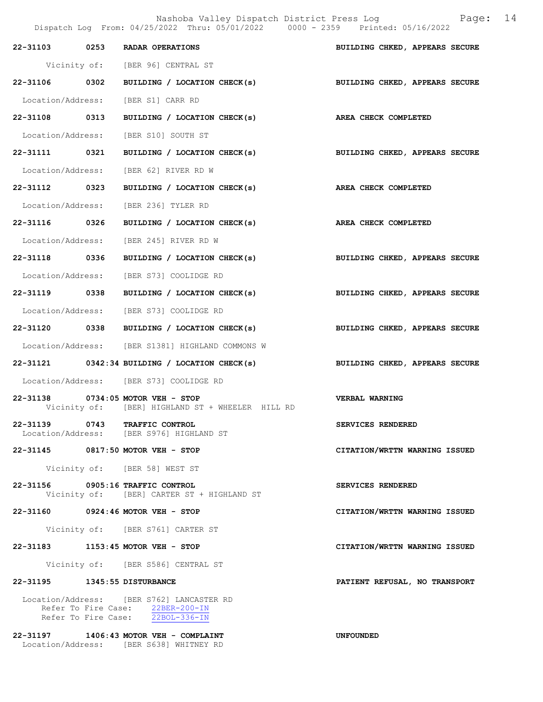Nashoba Valley Dispatch District Press Log Fage: 14

|                              | Dispatch Log From: 04/25/2022 Thru: 05/01/2022 0000 - 2359 Printed: 05/16/2022                                    |                                |
|------------------------------|-------------------------------------------------------------------------------------------------------------------|--------------------------------|
|                              | 22-31103 0253 RADAR OPERATIONS                                                                                    | BUILDING CHKED, APPEARS SECURE |
|                              | Vicinity of: [BER 96] CENTRAL ST                                                                                  |                                |
|                              | 22-31106 0302 BUILDING / LOCATION CHECK(s) BUILDING CHKED, APPEARS SECURE                                         |                                |
|                              | Location/Address: [BER S1] CARR RD                                                                                |                                |
| 22-31108 0313                | BUILDING / LOCATION CHECK(s) AREA CHECK COMPLETED                                                                 |                                |
|                              | Location/Address: [BER S10] SOUTH ST                                                                              |                                |
| 22-31111 0321                | BUILDING / LOCATION CHECK(s)                                                                                      | BUILDING CHKED, APPEARS SECURE |
|                              | Location/Address: [BER 62] RIVER RD W                                                                             |                                |
| 22-31112 0323                | BUILDING / LOCATION CHECK(s) AREA CHECK COMPLETED                                                                 |                                |
|                              | Location/Address: [BER 236] TYLER RD                                                                              |                                |
| 22-31116 0326                | BUILDING / LOCATION CHECK(s) AREA CHECK COMPLETED                                                                 |                                |
|                              | Location/Address: [BER 245] RIVER RD W                                                                            |                                |
| 22-31118 0336                | BUILDING / LOCATION CHECK(s)                                                                                      | BUILDING CHKED, APPEARS SECURE |
|                              | Location/Address: [BER S73] COOLIDGE RD                                                                           |                                |
| 22-31119 0338                | BUILDING / LOCATION CHECK(s) BUILDING CHKED, APPEARS SECURE                                                       |                                |
|                              | Location/Address: [BER S73] COOLIDGE RD                                                                           |                                |
|                              | 22-31120 0338 BUILDING / LOCATION CHECK(s)                                                                        | BUILDING CHKED, APPEARS SECURE |
|                              | Location/Address: [BER S1381] HIGHLAND COMMONS W                                                                  |                                |
|                              | $22-31121$ 0342:34 BUILDING / LOCATION CHECK(s)                                                                   | BUILDING CHKED, APPEARS SECURE |
|                              | Location/Address: [BER S73] COOLIDGE RD                                                                           |                                |
|                              | 22-31138 0734:05 MOTOR VEH - STOP<br>Vicinity of: [BER] HIGHLAND ST + WHEELER HILL RD                             | VERBAL WARNING                 |
|                              | 22-31139 0743 TRAFFIC CONTROL<br>Location/Address: [BER S976] HIGHLAND ST                                         | SERVICES RENDERED              |
|                              | 22-31145 0817:50 MOTOR VEH - STOP                                                                                 | CITATION/WRTTN WARNING ISSUED  |
|                              | Vicinity of: [BER 58] WEST ST                                                                                     |                                |
|                              | 22-31156 0905:16 TRAFFIC CONTROL<br>Vicinity of: [BER] CARTER ST + HIGHLAND ST                                    | SERVICES RENDERED              |
|                              | 22-31160 0924:46 MOTOR VEH - STOP                                                                                 | CITATION/WRTTN WARNING ISSUED  |
|                              | Vicinity of: [BER S761] CARTER ST                                                                                 |                                |
|                              | 22-31183 1153:45 MOTOR VEH - STOP                                                                                 | CITATION/WRTTN WARNING ISSUED  |
|                              | Vicinity of: [BER S586] CENTRAL ST                                                                                |                                |
| 22-31195 1345:55 DISTURBANCE |                                                                                                                   | PATIENT REFUSAL, NO TRANSPORT  |
|                              | Location/Address: [BER S762] LANCASTER RD<br>Refer To Fire Case: 22BER-200-IN<br>Refer To Fire Case: 22BOL-336-IN |                                |
|                              | 22-31197 1406:43 MOTOR VEH - COMPLAINT<br>Location/Address: [BER S638] WHITNEY RD                                 | <b>UNFOUNDED</b>               |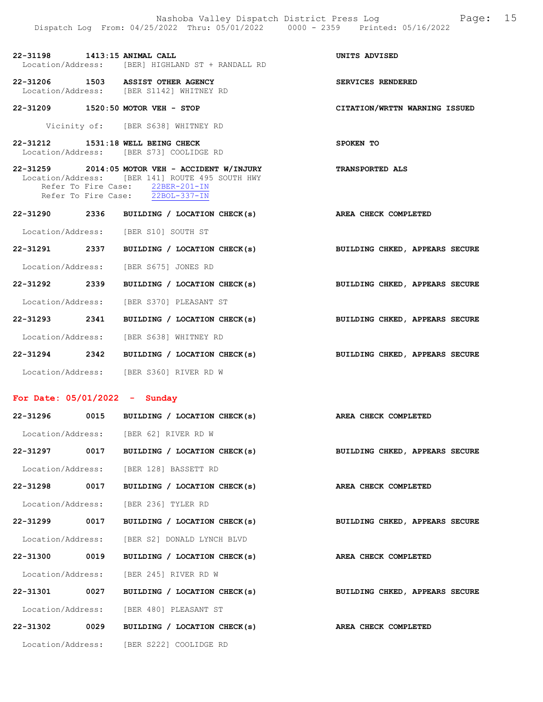| 22-31198          | 1413:15 ANIMAL CALL |                                |  |  | UNITS ADVISED |
|-------------------|---------------------|--------------------------------|--|--|---------------|
| Location/Address: |                     | [BER] HIGHLAND ST + RANDALL RD |  |  |               |

22-31206 1503 ASSIST OTHER AGENCY SERVICES RENDERED Location/Address: [BER S1142] WHITNEY RD

22-31209 1520:50 MOTOR VEH - STOP CITATION/WRTTN WARNING ISSUED

Vicinity of: [BER S638] WHITNEY RD

22-31212 1531:18 WELL BEING CHECK SPOKEN TO Location/Address: [BER S73] COOLIDGE RD

- 22-31259 2014:05 MOTOR VEH ACCIDENT W/INJURY TRANSPORTED ALS Location/Address: [BER 141] ROUTE 495 SOUTH HWY<br>Refer To Fire Case: 22BER-201-IN Refer To Fire Case: 22BER-201-IN Refer To Fire Case: 22BOL-337-IN
- 22-31290 2336 BUILDING / LOCATION CHECK(s) AREA CHECK COMPLETED Location/Address: [BER S10] SOUTH ST 22-31291 2337 BUILDING / LOCATION CHECK(s) BUILDING CHKED, APPEARS SECURE Location/Address: [BER S675] JONES RD 22-31292 2339 BUILDING / LOCATION CHECK(s) BUILDING CHKED, APPEARS SECURE Location/Address: [BER S370] PLEASANT ST 22-31293 2341 BUILDING / LOCATION CHECK(s) BUILDING CHKED, APPEARS SECURE Location/Address: [BER S638] WHITNEY RD
- 22-31294 2342 BUILDING / LOCATION CHECK(s) BUILDING CHKED, APPEARS SECURE Location/Address: [BER S360] RIVER RD W

#### For Date: 05/01/2022 - Sunday

|               | 22-31296 0015 BUILDING / LOCATION CHECK(s)   | AREA CHECK COMPLETED           |
|---------------|----------------------------------------------|--------------------------------|
|               | Location/Address: [BER 62] RIVER RD W        |                                |
|               | 22-31297 0017 BUILDING / LOCATION CHECK(s)   | BUILDING CHKED, APPEARS SECURE |
|               | Location/Address: [BER 128] BASSETT RD       |                                |
|               | 22-31298 0017 BUILDING / LOCATION CHECK(s)   | AREA CHECK COMPLETED           |
|               | Location/Address: [BER 236] TYLER RD         |                                |
|               | 22-31299 0017 BUILDING / LOCATION CHECK(s)   | BUILDING CHKED, APPEARS SECURE |
|               | Location/Address: [BER S2] DONALD LYNCH BLVD |                                |
| 22-31300 0019 | BUILDING / LOCATION CHECK(s)                 | AREA CHECK COMPLETED           |
|               | Location/Address: [BER 245] RIVER RD W       |                                |
|               | 22-31301 0027 BUILDING / LOCATION CHECK(s)   | BUILDING CHKED, APPEARS SECURE |
|               | Location/Address: [BER 480] PLEASANT ST      |                                |
| 22-31302 0029 | BUILDING / LOCATION CHECK(s)                 | AREA CHECK COMPLETED           |
|               | Location/Address: [BER S222] COOLIDGE RD     |                                |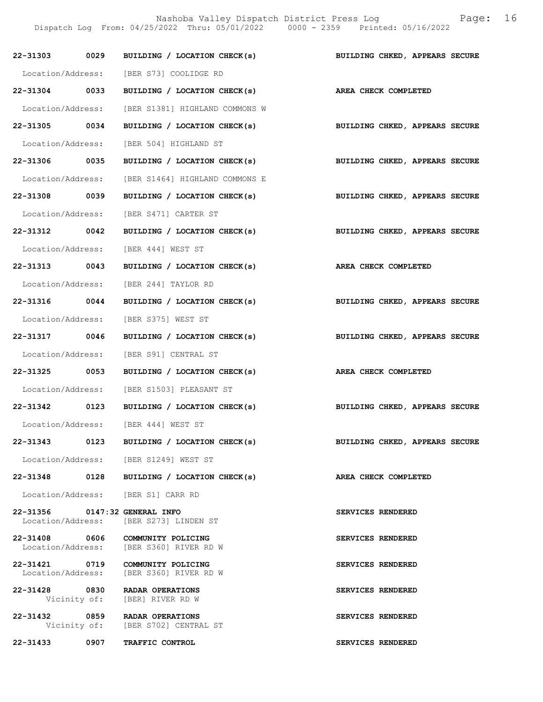Nashoba Valley Dispatch District Press Log Fage: 16

Dispatch Log From: 04/25/2022 Thru: 05/01/2022 0000 - 2359 Printed: 05/16/2022

|                               |      | 22-31303 0029 BUILDING / LOCATION CHECK(s)                                  | BUILDING CHKED, APPEARS SECURE |
|-------------------------------|------|-----------------------------------------------------------------------------|--------------------------------|
|                               |      | Location/Address: [BER S73] COOLIDGE RD                                     |                                |
| 22-31304 0033                 |      | BUILDING / LOCATION CHECK(s)                                                | AREA CHECK COMPLETED           |
|                               |      | Location/Address: [BER S1381] HIGHLAND COMMONS W                            |                                |
| 22-31305 0034                 |      | BUILDING / LOCATION CHECK(s)                                                | BUILDING CHKED, APPEARS SECURE |
|                               |      | Location/Address: [BER 504] HIGHLAND ST                                     |                                |
| 22-31306 0035                 |      | BUILDING / LOCATION CHECK(s)                                                | BUILDING CHKED, APPEARS SECURE |
|                               |      | Location/Address: [BER S1464] HIGHLAND COMMONS E                            |                                |
| 22-31308 0039                 |      | BUILDING / LOCATION CHECK(s)                                                | BUILDING CHKED, APPEARS SECURE |
|                               |      | Location/Address: [BER S471] CARTER ST                                      |                                |
| 22-31312 0042                 |      | BUILDING / LOCATION CHECK(s)                                                | BUILDING CHKED, APPEARS SECURE |
|                               |      | Location/Address: [BER 444] WEST ST                                         |                                |
| 22-31313 0043                 |      | BUILDING / LOCATION CHECK(s)                                                | AREA CHECK COMPLETED           |
|                               |      | Location/Address: [BER 244] TAYLOR RD                                       |                                |
| 22-31316 0044                 |      | BUILDING / LOCATION CHECK(s)                                                | BUILDING CHKED, APPEARS SECURE |
|                               |      | Location/Address: [BER S375] WEST ST                                        |                                |
| 22-31317 0046                 |      | BUILDING / LOCATION CHECK(s)                                                | BUILDING CHKED, APPEARS SECURE |
|                               |      | Location/Address: [BER S91] CENTRAL ST                                      |                                |
| 22-31325 0053                 |      | BUILDING / LOCATION CHECK(s)                                                | AREA CHECK COMPLETED           |
|                               |      | Location/Address: [BER S1503] PLEASANT ST                                   |                                |
|                               |      | 22-31342 0123 BUILDING / LOCATION CHECK(s)                                  | BUILDING CHKED, APPEARS SECURE |
|                               |      | Location/Address: [BER 444] WEST ST                                         |                                |
| 22-31343                      | 0123 | BUILDING / LOCATION CHECK(s)                                                | BUILDING CHKED, APPEARS SECURE |
|                               |      | Location/Address: [BER S1249] WEST ST                                       |                                |
|                               |      | 22-31348 0128 BUILDING / LOCATION CHECK(s)                                  | AREA CHECK COMPLETED           |
|                               |      | Location/Address: [BER S1] CARR RD                                          |                                |
| 22-31356 0147:32 GENERAL INFO |      | Location/Address: [BER S273] LINDEN ST                                      | SERVICES RENDERED              |
|                               |      | 22-31408 0606 COMMUNITY POLICING<br>Location/Address: [BER S360] RIVER RD W | SERVICES RENDERED              |
|                               |      | 22-31421 0719 COMMUNITY POLICING<br>Location/Address: [BER S360] RIVER RD W | SERVICES RENDERED              |
|                               |      | 22-31428 0830 RADAR OPERATIONS<br>Vicinity of: [BER] RIVER RD W             | SERVICES RENDERED              |
| 22-31432 0859                 |      | RADAR OPERATIONS<br>Vicinity of: [BER S702] CENTRAL ST                      | SERVICES RENDERED              |
| 22-31433                      | 0907 | TRAFFIC CONTROL                                                             | SERVICES RENDERED              |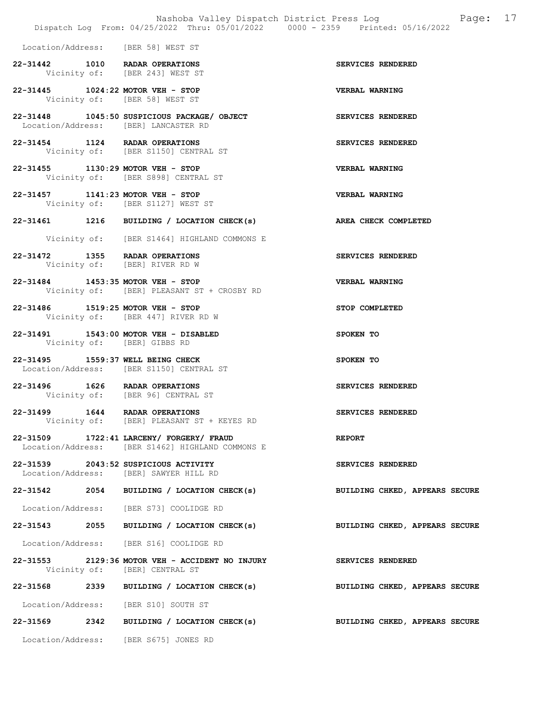|  | Dispatch Log From: 04/25/2022 Thru: 05/01/2022 0000 - 2359 Printed: 05/16/2022                        | Nashoba Valley Dispatch District Press Log Fage: 17 |
|--|-------------------------------------------------------------------------------------------------------|-----------------------------------------------------|
|  | Location/Address: [BER 58] WEST ST                                                                    |                                                     |
|  | 22-31442 1010 RADAR OPERATIONS<br>Vicinity of: [BER 243] WEST ST                                      | SERVICES RENDERED                                   |
|  | 22-31445 1024:22 MOTOR VEH - STOP<br>Vicinity of: [BER 58] WEST ST                                    | <b>VERBAL WARNING</b>                               |
|  | 22-31448 1045:50 SUSPICIOUS PACKAGE/ OBJECT SERVICES RENDERED<br>Location/Address: [BER] LANCASTER RD |                                                     |
|  | 22-31454 1124 RADAR OPERATIONS<br>Vicinity of: [BER S1150] CENTRAL ST                                 | SERVICES RENDERED                                   |
|  | 22-31455 1130:29 MOTOR VEH - STOP<br>Vicinity of: [BER S898] CENTRAL ST                               | <b>VERBAL WARNING</b>                               |
|  | 22-31457 1141:23 MOTOR VEH - STOP<br>Vicinity of: [BER S1127] WEST ST                                 | <b>VERBAL WARNING</b>                               |
|  | 22-31461 1216 BUILDING / LOCATION CHECK(s) AREA CHECK COMPLETED                                       |                                                     |
|  | Vicinity of: [BER S1464] HIGHLAND COMMONS E                                                           |                                                     |
|  | 22-31472 1355 RADAR OPERATIONS<br>Vicinity of: [BER] RIVER RD W                                       | SERVICES RENDERED                                   |
|  | 22-31484 1453:35 MOTOR VEH - STOP<br>Vicinity of: [BER] PLEASANT ST + CROSBY RD                       | VERBAL WARNING                                      |
|  | 22-31486 1519:25 MOTOR VEH - STOP<br>Vicinity of: [BER 447] RIVER RD W                                | STOP COMPLETED                                      |
|  | 22-31491 1543:00 MOTOR VEH - DISABLED<br>Vicinity of: [BER] GIBBS RD                                  | SPOKEN TO                                           |
|  | 22-31495 1559:37 WELL BEING CHECK<br>Location/Address: [BER S1150] CENTRAL ST                         | SPOKEN TO                                           |
|  | 22-31496 1626 RADAR OPERATIONS<br>Vicinity of: [BER 96] CENTRAL ST                                    | SERVICES RENDERED                                   |
|  | 22-31499 1644 RADAR OPERATIONS<br>Vicinity of: [BER] PLEASANT ST + KEYES RD                           | SERVICES RENDERED                                   |
|  | 22-31509 1722:41 LARCENY/ FORGERY/ FRAUD<br>Location/Address: [BER S1462] HIGHLAND COMMONS E          | <b>REPORT</b>                                       |
|  | 22-31539 2043:52 SUSPICIOUS ACTIVITY<br>Location/Address: [BER] SAWYER HILL RD                        | SERVICES RENDERED                                   |
|  | 22-31542 2054 BUILDING / LOCATION CHECK(s)                                                            | BUILDING CHKED, APPEARS SECURE                      |
|  | Location/Address: [BER S73] COOLIDGE RD                                                               |                                                     |
|  | 22-31543 2055 BUILDING / LOCATION CHECK(s)                                                            | BUILDING CHKED, APPEARS SECURE                      |
|  | Location/Address: [BER S16] COOLIDGE RD                                                               |                                                     |
|  | 22-31553 2129:36 MOTOR VEH - ACCIDENT NO INJURY<br>Vicinity of: [BER] CENTRAL ST                      | <b>SERVICES RENDERED</b>                            |
|  | 22-31568 2339 BUILDING / LOCATION CHECK(s)                                                            | BUILDING CHKED, APPEARS SECURE                      |
|  | Location/Address: [BER S10] SOUTH ST                                                                  |                                                     |
|  | 22-31569 2342 BUILDING / LOCATION CHECK(s)                                                            | BUILDING CHKED, APPEARS SECURE                      |
|  | Location/Address: [BER S675] JONES RD                                                                 |                                                     |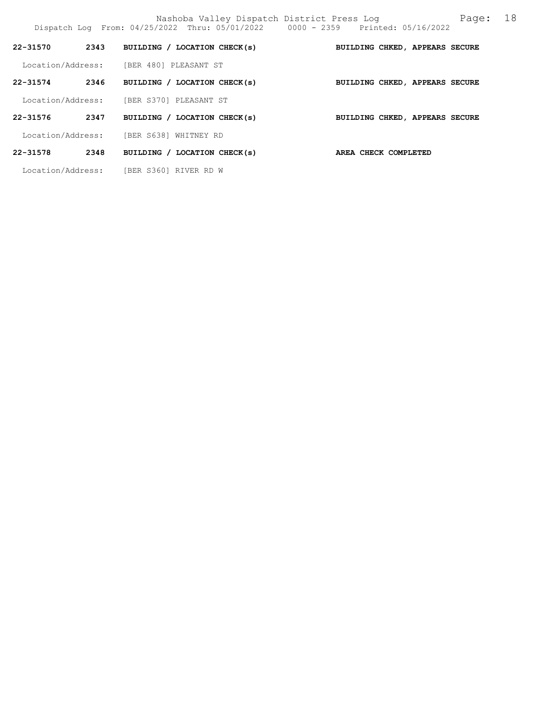| 22-31570          | 2343 | BUILDING / LOCATION CHECK(s) | BUILDING CHKED, APPEARS SECURE |  |  |
|-------------------|------|------------------------------|--------------------------------|--|--|
| Location/Address: |      | [BER 480] PLEASANT ST        |                                |  |  |
| $22 - 31574$      | 2346 | BUILDING / LOCATION CHECK(s) | BUILDING CHKED, APPEARS SECURE |  |  |
| Location/Address: |      | [BER S370] PLEASANT ST       |                                |  |  |
| 22-31576          | 2347 | BUILDING / LOCATION CHECK(s) | BUILDING CHKED, APPEARS SECURE |  |  |
| Location/Address: |      | [BER S638]<br>WHITNEY RD     |                                |  |  |
| 22-31578          | 2348 | BUILDING / LOCATION CHECK(s) | AREA CHECK COMPLETED           |  |  |
| Location/Address: |      | [BER S360] RIVER RD W        |                                |  |  |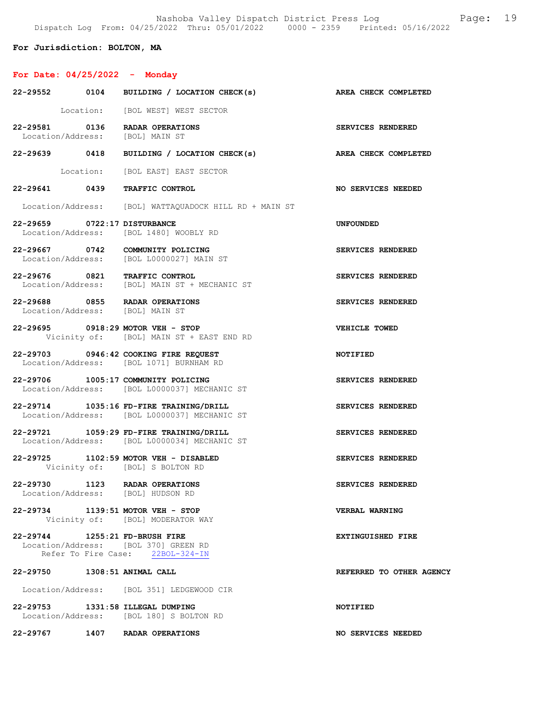Nashoba Valley Dispatch District Press Log Fage: 19 Dispatch Log From: 04/25/2022 Thru: 05/01/2022 0000 - 2359 Printed: 05/16/2022

For Jurisdiction: BOLTON, MA

# For Date: 04/25/2022 - Monday

|                                 | 22-29552 0104 BUILDING / LOCATION CHECK(s)                                              | AREA CHECK COMPLETED      |
|---------------------------------|-----------------------------------------------------------------------------------------|---------------------------|
|                                 | Location: [BOL WEST] WEST SECTOR                                                        |                           |
|                                 | 22-29581 0136 RADAR OPERATIONS<br>Location/Address: [BOL] MAIN ST                       | SERVICES RENDERED         |
|                                 | 22-29639 0418 BUILDING / LOCATION CHECK(s) AREA CHECK COMPLETED                         |                           |
|                                 | Location: [BOL EAST] EAST SECTOR                                                        |                           |
|                                 | 22-29641 0439 TRAFFIC CONTROL                                                           | <b>NO SERVICES NEEDED</b> |
|                                 | Location/Address: [BOL] WATTAQUADOCK HILL RD + MAIN ST                                  |                           |
| 22-29659 0722:17 DISTURBANCE    | Location/Address: [BOL 1480] WOOBLY RD                                                  | <b>UNFOUNDED</b>          |
|                                 | 22-29667 0742 COMMUNITY POLICING<br>Location/Address: [BOL L0000027] MAIN ST            | SERVICES RENDERED         |
|                                 | 22-29676 0821 TRAFFIC CONTROL<br>Location/Address: [BOL] MAIN ST + MECHANIC ST          | SERVICES RENDERED         |
| Location/Address: [BOL] MAIN ST | 22-29688 0855 RADAR OPERATIONS                                                          | SERVICES RENDERED         |
|                                 | 22-29695 0918:29 MOTOR VEH - STOP<br>Vicinity of: [BOL] MAIN ST + EAST END RD           | VEHICLE TOWED             |
|                                 | 22-29703 0946:42 COOKING FIRE REQUEST<br>Location/Address: [BOL 1071] BURNHAM RD        | NOTIFIED                  |
|                                 | 22-29706 1005:17 COMMUNITY POLICING<br>Location/Address: [BOL L0000037] MECHANIC ST     | SERVICES RENDERED         |
|                                 | 22-29714 1035:16 FD-FIRE TRAINING/DRILL<br>Location/Address: [BOL L0000037] MECHANIC ST | SERVICES RENDERED         |
|                                 | 22-29721 1059:29 FD-FIRE TRAINING/DRILL<br>Location/Address: [BOL L0000034] MECHANIC ST | SERVICES RENDERED         |
|                                 | 22-29725 1102:59 MOTOR VEH - DISABLED<br>Vicinity of: [BOL] S BOLTON RD                 | SERVICES RENDERED         |
|                                 | 22-29730 1123 RADAR OPERATIONS<br>Location/Address: [BOL] HUDSON RD                     | SERVICES RENDERED         |
|                                 | 22-29734 1139:51 MOTOR VEH - STOP<br>Vicinity of: [BOL] MODERATOR WAY                   | VERBAL WARNING            |
| 22-29744 1255:21 FD-BRUSH FIRE  | Location/Address: [BOL 370] GREEN RD<br>Refer To Fire Case: 22BOL-324-IN                | <b>EXTINGUISHED FIRE</b>  |
| 22-29750 1308:51 ANIMAL CALL    |                                                                                         | REFERRED TO OTHER AGENCY  |
|                                 | Location/Address: [BOL 351] LEDGEWOOD CIR                                               |                           |
|                                 | 22-29753 1331:58 ILLEGAL DUMPING<br>Location/Address: [BOL 180] S BOLTON RD             | NOTIFIED                  |
|                                 | 22-29767 1407 RADAR OPERATIONS                                                          | NO SERVICES NEEDED        |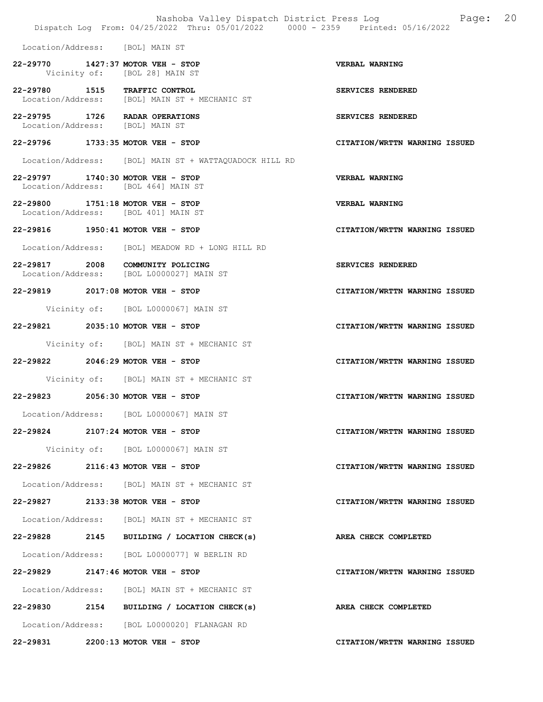|                                 | Dispatch Log From: 04/25/2022 Thru: 05/01/2022 0000 - 2359 Printed: 05/16/2022 | Nashoba Valley Dispatch District Press Log Nashoba Valley Dispatch District Press Log<br>20 |
|---------------------------------|--------------------------------------------------------------------------------|---------------------------------------------------------------------------------------------|
|                                 | Location/Address: [BOL] MAIN ST                                                |                                                                                             |
|                                 | 22-29770 1427:37 MOTOR VEH - STOP<br>Vicinity of: [BOL 28] MAIN ST             | VERBAL WARNING                                                                              |
|                                 | 22-29780 1515 TRAFFIC CONTROL<br>Location/Address: [BOL] MAIN ST + MECHANIC ST | SERVICES RENDERED                                                                           |
| Location/Address: [BOL] MAIN ST | 22-29795 1726 RADAR OPERATIONS                                                 | SERVICES RENDERED                                                                           |
|                                 | 22-29796 1733:35 MOTOR VEH - STOP                                              | CITATION/WRTTN WARNING ISSUED                                                               |
|                                 | Location/Address: [BOL] MAIN ST + WATTAQUADOCK HILL RD                         |                                                                                             |
|                                 | 22-29797 1740:30 MOTOR VEH - STOP<br>Location/Address: [BOL 464] MAIN ST       | <b>VERBAL WARNING</b>                                                                       |
|                                 | 22-29800 1751:18 MOTOR VEH - STOP<br>Location/Address: [BOL 401] MAIN ST       | <b>VERBAL WARNING</b>                                                                       |
|                                 | 22-29816 1950:41 MOTOR VEH - STOP                                              | CITATION/WRTTN WARNING ISSUED                                                               |
|                                 | Location/Address: [BOL] MEADOW RD + LONG HILL RD                               |                                                                                             |
|                                 | 22-29817 2008 COMMUNITY POLICING<br>Location/Address: [BOL L0000027] MAIN ST   | SERVICES RENDERED                                                                           |
|                                 | 22-29819 2017:08 MOTOR VEH - STOP                                              | CITATION/WRTTN WARNING ISSUED                                                               |
|                                 | Vicinity of: [BOL L0000067] MAIN ST                                            |                                                                                             |
|                                 | 22-29821 2035:10 MOTOR VEH - STOP                                              | CITATION/WRTTN WARNING ISSUED                                                               |
|                                 | Vicinity of: [BOL] MAIN ST + MECHANIC ST                                       |                                                                                             |
|                                 | 22-29822 2046:29 MOTOR VEH - STOP                                              | CITATION/WRTTN WARNING ISSUED                                                               |
|                                 | Vicinity of: [BOL] MAIN ST + MECHANIC ST                                       |                                                                                             |
|                                 | 22-29823 2056:30 MOTOR VEH - STOP                                              | CITATION/WRTTN WARNING ISSUED                                                               |
|                                 | Location/Address: [BOL L0000067] MAIN ST                                       |                                                                                             |
|                                 | 22-29824 2107:24 MOTOR VEH - STOP                                              | CITATION/WRTTN WARNING ISSUED                                                               |
|                                 | Vicinity of: [BOL L0000067] MAIN ST                                            |                                                                                             |
|                                 | 22-29826 2116:43 MOTOR VEH - STOP                                              | CITATION/WRTTN WARNING ISSUED                                                               |
|                                 | Location/Address: [BOL] MAIN ST + MECHANIC ST                                  |                                                                                             |
|                                 | 22-29827 2133:38 MOTOR VEH - STOP                                              | CITATION/WRTTN WARNING ISSUED                                                               |
|                                 | Location/Address: [BOL] MAIN ST + MECHANIC ST                                  |                                                                                             |
|                                 | 22-29828 2145 BUILDING / LOCATION CHECK(s)                                     | AREA CHECK COMPLETED                                                                        |
|                                 | Location/Address: [BOL L0000077] W BERLIN RD                                   |                                                                                             |
|                                 | 22-29829 2147:46 MOTOR VEH - STOP                                              | CITATION/WRTTN WARNING ISSUED                                                               |
|                                 | Location/Address: [BOL] MAIN ST + MECHANIC ST                                  |                                                                                             |
|                                 | 22-29830 2154 BUILDING / LOCATION CHECK(s)                                     | AREA CHECK COMPLETED                                                                        |
|                                 | Location/Address: [BOL L0000020] FLANAGAN RD                                   |                                                                                             |
|                                 | 22-29831 2200:13 MOTOR VEH - STOP                                              | CITATION/WRTTN WARNING ISSUED                                                               |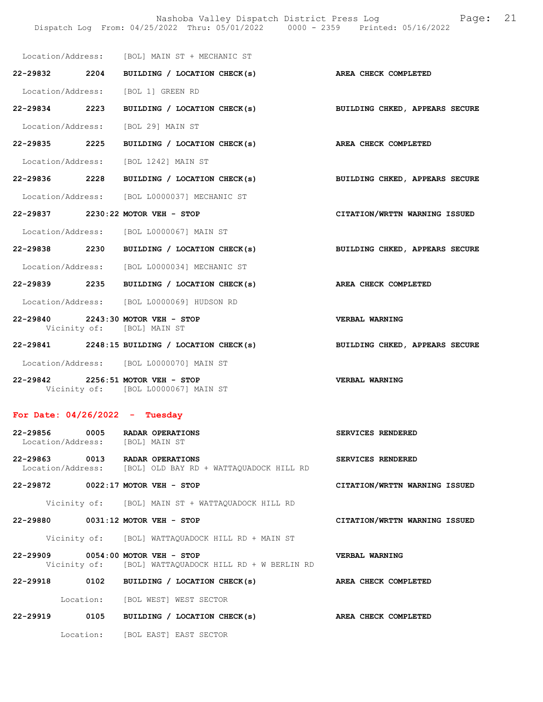|                                  |                                                                          | Nashoba Valley Dispatch District Press Log Nashoba Page:<br>Dispatch Log From: 04/25/2022 Thru: 05/01/2022 0000 - 2359 Printed: 05/16/2022 | 21 |
|----------------------------------|--------------------------------------------------------------------------|--------------------------------------------------------------------------------------------------------------------------------------------|----|
|                                  | Location/Address: [BOL] MAIN ST + MECHANIC ST                            |                                                                                                                                            |    |
|                                  |                                                                          | 22-29832 2204 BUILDING / LOCATION CHECK(s) AREA CHECK COMPLETED                                                                            |    |
|                                  | Location/Address: [BOL 1] GREEN RD                                       |                                                                                                                                            |    |
| 22-29834 2223                    | BUILDING / LOCATION CHECK(s)                                             | BUILDING CHKED, APPEARS SECURE                                                                                                             |    |
|                                  | Location/Address: [BOL 29] MAIN ST                                       |                                                                                                                                            |    |
| 22-29835 2225                    | BUILDING / LOCATION CHECK(s)                                             | AREA CHECK COMPLETED                                                                                                                       |    |
|                                  | Location/Address: [BOL 1242] MAIN ST                                     |                                                                                                                                            |    |
|                                  | 22-29836 2228 BUILDING / LOCATION CHECK(s)                               | BUILDING CHKED, APPEARS SECURE                                                                                                             |    |
|                                  | Location/Address: [BOL L0000037] MECHANIC ST                             |                                                                                                                                            |    |
|                                  | 22-29837 2230:22 MOTOR VEH - STOP                                        | CITATION/WRTTN WARNING ISSUED                                                                                                              |    |
|                                  | Location/Address: [BOL L0000067] MAIN ST                                 |                                                                                                                                            |    |
|                                  | 22-29838 2230 BUILDING / LOCATION CHECK(s)                               | BUILDING CHKED, APPEARS SECURE                                                                                                             |    |
|                                  | Location/Address: [BOL L0000034] MECHANIC ST                             |                                                                                                                                            |    |
|                                  | 22-29839 2235 BUILDING / LOCATION CHECK(s)                               | AREA CHECK COMPLETED                                                                                                                       |    |
|                                  | Location/Address: [BOL L0000069] HUDSON RD                               |                                                                                                                                            |    |
|                                  | 22-29840 2243:30 MOTOR VEH - STOP<br>Vicinity of: [BOL] MAIN ST          | VERBAL WARNING                                                                                                                             |    |
|                                  | 22-29841 2248:15 BUILDING / LOCATION CHECK(s)                            | BUILDING CHKED, APPEARS SECURE                                                                                                             |    |
|                                  | Location/Address: [BOL L0000070] MAIN ST                                 |                                                                                                                                            |    |
|                                  | 22-29842 2256:51 MOTOR VEH - STOP<br>Vicinity of: [BOL L0000067] MAIN ST | <b>VERBAL WARNING</b>                                                                                                                      |    |
| For Date: $04/26/2022 - Tuesday$ |                                                                          |                                                                                                                                            |    |

| 22-29856 0005 RADAR OPERATIONS<br>Location/Address: [BOL] MAIN ST |           |                                                                 |                | <b>SERVICES RENDERED</b>      |  |
|-------------------------------------------------------------------|-----------|-----------------------------------------------------------------|----------------|-------------------------------|--|
| 22-29863 0013 RADAR OPERATIONS                                    |           | Location/Address: [BOL] OLD BAY RD + WATTAQUADOCK HILL RD       |                | SERVICES RENDERED             |  |
| 22-29872 0022:17 MOTOR VEH - STOP                                 |           |                                                                 |                | CITATION/WRTTN WARNING ISSUED |  |
|                                                                   |           | Vicinity of: [BOL] MAIN ST + WATTAQUADOCK HILL RD               |                |                               |  |
| 22-29880 0031:12 MOTOR VEH - STOP                                 |           |                                                                 |                | CITATION/WRTTN WARNING ISSUED |  |
|                                                                   |           | Vicinity of: [BOL] WATTAQUADOCK HILL RD + MAIN ST               |                |                               |  |
| 22-29909 0054:00 MOTOR VEH - STOP                                 |           | Vicinity of: [BOL] WATTAQUADOCK HILL RD + W BERLIN RD           | VERBAL WARNING |                               |  |
|                                                                   |           | 22-29918 0102 BUILDING / LOCATION CHECK(s)                      |                | AREA CHECK COMPLETED          |  |
|                                                                   |           | Location: [BOL WEST] WEST SECTOR                                |                |                               |  |
|                                                                   |           | 22-29919 0105 BUILDING / LOCATION CHECK(s) AREA CHECK COMPLETED |                |                               |  |
|                                                                   | Location: | [BOL EAST] EAST SECTOR                                          |                |                               |  |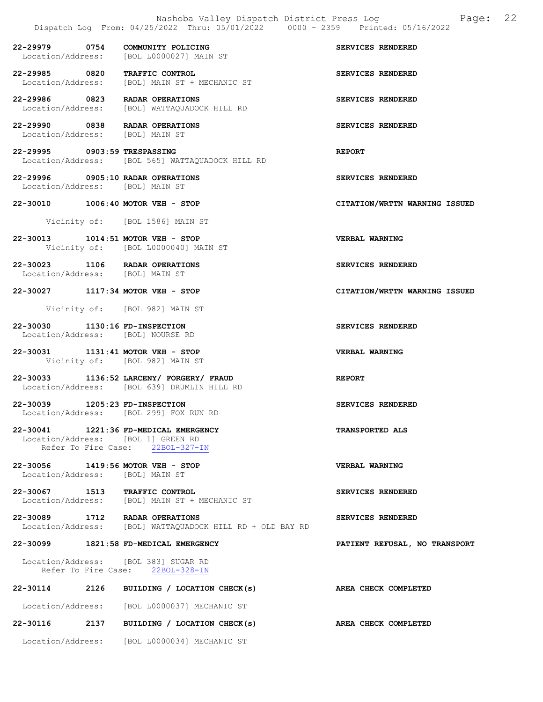|                                 | Nashoba Valley Dispatch District Press Log<br>Dispatch Log From: 04/25/2022 Thru: 05/01/2022 0000 - 2359 Printed: 05/16/2022 | 22<br>Page:                   |
|---------------------------------|------------------------------------------------------------------------------------------------------------------------------|-------------------------------|
|                                 | 22-29979 0754 COMMUNITY POLICING<br>Location/Address: [BOL L0000027] MAIN ST                                                 | SERVICES RENDERED             |
|                                 | 22-29985 0820 TRAFFIC CONTROL<br>Location/Address: [BOL] MAIN ST + MECHANIC ST                                               | SERVICES RENDERED             |
|                                 | 22-29986 0823 RADAR OPERATIONS<br>Location/Address: [BOL] WATTAQUADOCK HILL RD                                               | SERVICES RENDERED             |
|                                 | 22-29990 0838 RADAR OPERATIONS<br>Location/Address: [BOL] MAIN ST                                                            | SERVICES RENDERED             |
| 22-29995 0903:59 TRESPASSING    | Location/Address: [BOL 565] WATTAQUADOCK HILL RD                                                                             | <b>REPORT</b>                 |
|                                 | 22-29996 0905:10 RADAR OPERATIONS<br>Location/Address: [BOL] MAIN ST                                                         | SERVICES RENDERED             |
|                                 | 22-30010 1006:40 MOTOR VEH - STOP<br>Vicinity of: [BOL 1586] MAIN ST                                                         | CITATION/WRTTN WARNING ISSUED |
|                                 | 22-30013 1014:51 MOTOR VEH - STOP<br>Vicinity of: [BOL L0000040] MAIN ST                                                     | VERBAL WARNING                |
|                                 | 22-30023 1106 RADAR OPERATIONS<br>Location/Address: [BOL] MAIN ST                                                            | SERVICES RENDERED             |
|                                 | 22-30027 1117:34 MOTOR VEH - STOP                                                                                            | CITATION/WRTTN WARNING ISSUED |
|                                 | Vicinity of: [BOL 982] MAIN ST                                                                                               |                               |
| 22-30030 1130:16 FD-INSPECTION  | Location/Address: [BOL] NOURSE RD                                                                                            | SERVICES RENDERED             |
|                                 | 22-30031 1131:41 MOTOR VEH - STOP<br>Vicinity of: [BOL 982] MAIN ST                                                          | VERBAL WARNING                |
|                                 | 22-30033 1136:52 LARCENY/ FORGERY/ FRAUD<br>Location/Address: [BOL 639] DRUMLIN HILL RD                                      | <b>REPORT</b>                 |
| 22-30039 1205:23 FD-INSPECTION  | Location/Address: [BOL 299] FOX RUN RD                                                                                       | SERVICES RENDERED             |
|                                 | 22-30041 1221:36 FD-MEDICAL EMERGENCY<br>Location/Address: [BOL 1] GREEN RD<br>Refer To Fire Case: 22BOL-327-IN              | <b>TRANSPORTED ALS</b>        |
| Location/Address: [BOL] MAIN ST | 22-30056 1419:56 MOTOR VEH - STOP                                                                                            | <b>VERBAL WARNING</b>         |
|                                 | 22-30067 1513 TRAFFIC CONTROL<br>Location/Address: [BOL] MAIN ST + MECHANIC ST                                               | SERVICES RENDERED             |
|                                 | 22-30089 1712 RADAR OPERATIONS<br>Location/Address: [BOL] WATTAQUADOCK HILL RD + OLD BAY RD                                  | SERVICES RENDERED             |
|                                 | 22-30099 1821:58 FD-MEDICAL EMERGENCY                                                                                        | PATIENT REFUSAL, NO TRANSPORT |
|                                 | Location/Address: [BOL 383] SUGAR RD<br>Refer To Fire Case: 22BOL-328-IN                                                     |                               |
|                                 | 22-30114 2126 BUILDING / LOCATION CHECK(s)                                                                                   | AREA CHECK COMPLETED          |
|                                 | Location/Address: [BOL L0000037] MECHANIC ST                                                                                 |                               |
|                                 | 22-30116 2137 BUILDING / LOCATION CHECK(s)                                                                                   | AREA CHECK COMPLETED          |
|                                 | Location/Address: [BOL L0000034] MECHANIC ST                                                                                 |                               |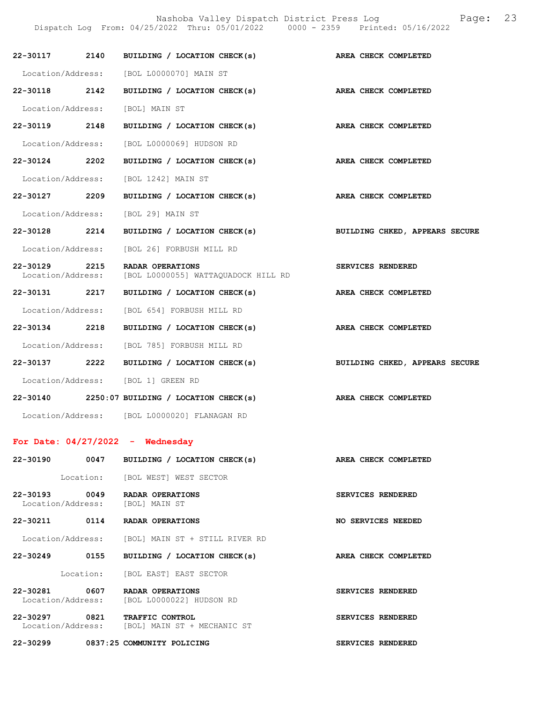Nashoba Valley Dispatch District Press Log Fage: 23

Dispatch Log From: 04/25/2022 Thru: 05/01/2022 0000 - 2359 Printed: 05/16/2022

|               | 22-30117 2140 BUILDING / LOCATION CHECK(s)                                       | AREA CHECK COMPLETED           |
|---------------|----------------------------------------------------------------------------------|--------------------------------|
|               | Location/Address: [BOL L0000070] MAIN ST                                         |                                |
| 22-30118 2142 | BUILDING / LOCATION CHECK(s) AREA CHECK COMPLETED                                |                                |
|               | Location/Address: [BOL] MAIN ST                                                  |                                |
| 22-30119 2148 | BUILDING / LOCATION CHECK(s) AREA CHECK COMPLETED                                |                                |
|               | Location/Address: [BOL L0000069] HUDSON RD                                       |                                |
| 22-30124 2202 | BUILDING / LOCATION CHECK(s) AREA CHECK COMPLETED                                |                                |
|               | Location/Address: [BOL 1242] MAIN ST                                             |                                |
| 22-30127 2209 | BUILDING / LOCATION CHECK(s) AREA CHECK COMPLETED                                |                                |
|               | Location/Address: [BOL 29] MAIN ST                                               |                                |
|               | 22-30128 2214 BUILDING / LOCATION CHECK(s) BUILDING CHKED, APPEARS SECURE        |                                |
|               | Location/Address: [BOL 26] FORBUSH MILL RD                                       |                                |
| 22-30129 2215 | <b>RADAR OPERATIONS</b><br>Location/Address: [BOL L0000055] WATTAQUADOCK HILL RD | SERVICES RENDERED              |
| 22-30131 2217 | BUILDING / LOCATION CHECK(s)                                                     | AREA CHECK COMPLETED           |
|               | Location/Address: [BOL 654] FORBUSH MILL RD                                      |                                |
|               | 22-30134 2218 BUILDING / LOCATION CHECK(s)                                       | AREA CHECK COMPLETED           |
|               | Location/Address: [BOL 785] FORBUSH MILL RD                                      |                                |
|               | 22-30137 2222 BUILDING / LOCATION CHECK(s)                                       | BUILDING CHKED, APPEARS SECURE |
|               | Location/Address: [BOL 1] GREEN RD                                               |                                |
|               | 22-30140 2250:07 BUILDING / LOCATION CHECK(s) AREA CHECK COMPLETED               |                                |
|               | Location/Address: [BOL L0000020] FLANAGAN RD                                     |                                |
|               | For Date: $04/27/2022 -$ Wednesday                                               |                                |
|               | 22-30190 0047 BUILDING / LOCATION CHECK(s)                                       | AREA CHECK COMPLETED           |
|               | Location: [BOL WEST] WEST SECTOR                                                 |                                |
|               | 22-30193 0049 RADAR OPERATIONS<br>Location/Address: [BOL] MAIN ST                | SERVICES RENDERED              |
|               | 22-30211 0114 RADAR OPERATIONS                                                   | NO SERVICES NEEDED             |
|               | Location/Address: [BOL] MAIN ST + STILL RIVER RD                                 |                                |
|               | 22-30249 0155 BUILDING / LOCATION CHECK(s)                                       | AREA CHECK COMPLETED           |
|               | Location: [BOL EAST] EAST SECTOR                                                 |                                |
| 22-30281      | 0607 RADAR OPERATIONS<br>Location/Address: [BOL L0000022] HUDSON RD              | SERVICES RENDERED              |
| 22-30297 0821 | TRAFFIC CONTROL<br>Location/Address: [BOL] MAIN ST + MECHANIC ST                 | SERVICES RENDERED              |
|               | 22-30299 0837:25 COMMUNITY POLICING                                              | SERVICES RENDERED              |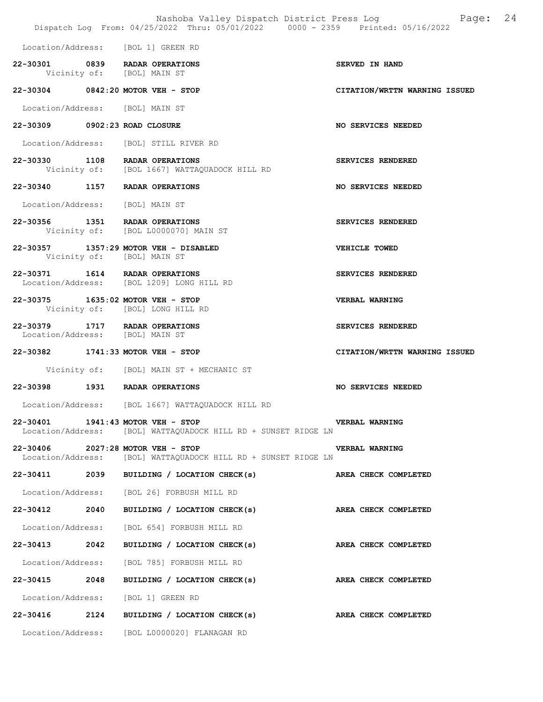|                                 | Dispatch Log From: 04/25/2022 Thru: 05/01/2022 0000 - 2359 Printed: 05/16/2022                      | Nashoba Valley Dispatch District Press Log Mashoba Valley Dispatch District Press Log |
|---------------------------------|-----------------------------------------------------------------------------------------------------|---------------------------------------------------------------------------------------|
|                                 | Location/Address: [BOL 1] GREEN RD                                                                  |                                                                                       |
|                                 | 22-30301 0839 RADAR OPERATIONS<br>Vicinity of: [BOL] MAIN ST                                        | SERVED IN HAND                                                                        |
|                                 | 22-30304 0842:20 MOTOR VEH - STOP                                                                   | CITATION/WRTTN WARNING ISSUED                                                         |
| Location/Address: [BOL] MAIN ST |                                                                                                     |                                                                                       |
| 22-30309 0902:23 ROAD CLOSURE   |                                                                                                     | NO SERVICES NEEDED                                                                    |
|                                 | Location/Address: [BOL] STILL RIVER RD                                                              |                                                                                       |
|                                 | 22-30330 1108 RADAR OPERATIONS<br>Vicinity of: [BOL 1667] WATTAQUADOCK HILL RD                      | SERVICES RENDERED                                                                     |
|                                 | 22-30340 1157 RADAR OPERATIONS                                                                      | NO SERVICES NEEDED                                                                    |
| Location/Address: [BOL] MAIN ST |                                                                                                     |                                                                                       |
|                                 | 22-30356 1351 RADAR OPERATIONS<br>Vicinity of: [BOL L0000070] MAIN ST                               | SERVICES RENDERED                                                                     |
|                                 | 22-30357 1357:29 MOTOR VEH - DISABLED<br>Vicinity of: [BOL] MAIN ST                                 | VEHICLE TOWED                                                                         |
|                                 | 22-30371 1614 RADAR OPERATIONS<br>Location/Address: [BOL 1209] LONG HILL RD                         | SERVICES RENDERED                                                                     |
|                                 | 22-30375 1635:02 MOTOR VEH - STOP<br>Vicinity of: [BOL] LONG HILL RD                                | VERBAL WARNING                                                                        |
| Location/Address: [BOL] MAIN ST | 22-30379 1717 RADAR OPERATIONS                                                                      | SERVICES RENDERED                                                                     |
|                                 | 22-30382 1741:33 MOTOR VEH - STOP                                                                   | CITATION/WRTTN WARNING ISSUED                                                         |
|                                 | Vicinity of: [BOL] MAIN ST + MECHANIC ST                                                            |                                                                                       |
|                                 | 22-30398 1931 RADAR OPERATIONS                                                                      | NO SERVICES NEEDED                                                                    |
|                                 | Location/Address: [BOL 1667] WATTAQUADOCK HILL RD                                                   |                                                                                       |
|                                 | 22-30401 1941:43 MOTOR VEH - STOP<br>Location/Address: [BOL] WATTAQUADOCK HILL RD + SUNSET RIDGE LN | <b>VERBAL WARNING</b>                                                                 |
|                                 | 22-30406 2027:28 MOTOR VEH - STOP<br>Location/Address: [BOL] WATTAQUADOCK HILL RD + SUNSET RIDGE LN | <b>VERBAL WARNING</b>                                                                 |
|                                 | 22-30411 2039 BUILDING / LOCATION CHECK(s)                                                          | AREA CHECK COMPLETED                                                                  |
|                                 | Location/Address: [BOL 26] FORBUSH MILL RD                                                          |                                                                                       |
|                                 | 22-30412 2040 BUILDING / LOCATION CHECK(s) AREA CHECK COMPLETED                                     |                                                                                       |
|                                 | Location/Address: [BOL 654] FORBUSH MILL RD                                                         |                                                                                       |
|                                 | 22-30413 2042 BUILDING / LOCATION CHECK(s) AREA CHECK COMPLETED                                     |                                                                                       |
|                                 | Location/Address: [BOL 785] FORBUSH MILL RD                                                         |                                                                                       |
|                                 | 22-30415 2048 BUILDING / LOCATION CHECK(s) AREA CHECK COMPLETED                                     |                                                                                       |
|                                 | Location/Address: [BOL 1] GREEN RD                                                                  |                                                                                       |
|                                 | 22-30416 2124 BUILDING / LOCATION CHECK(s) AREA CHECK COMPLETED                                     |                                                                                       |
|                                 | Location/Address: [BOL L0000020] FLANAGAN RD                                                        |                                                                                       |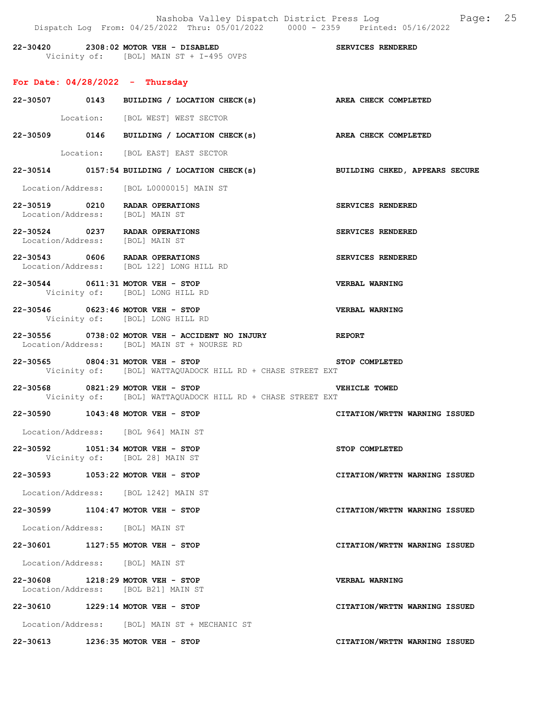|                                   | Dispatch Log From: 04/25/2022 Thru: 05/01/2022 0000 - 2359 Printed: 05/16/2022                        | Nashoba Valley Dispatch District Press Log Fage: 25 |
|-----------------------------------|-------------------------------------------------------------------------------------------------------|-----------------------------------------------------|
|                                   | 22-30420 2308:02 MOTOR VEH - DISABLED<br>Vicinity of: [BOL] MAIN ST + I-495 OVPS<br>$\overline{S}$    |                                                     |
| For Date: $04/28/2022 -$ Thursday |                                                                                                       |                                                     |
|                                   | 22-30507 0143 BUILDING / LOCATION CHECK(s) AREA CHECK COMPLETED                                       |                                                     |
|                                   | Location: [BOL WEST] WEST SECTOR                                                                      |                                                     |
|                                   | 22-30509 0146 BUILDING / LOCATION CHECK(s) AREA CHECK COMPLETED                                       |                                                     |
|                                   | Location: [BOL EAST] EAST SECTOR                                                                      |                                                     |
|                                   | 22-30514 0157:54 BUILDING / LOCATION CHECK(s)                                                         | BUILDING CHKED, APPEARS SECURE                      |
|                                   | Location/Address: [BOL L0000015] MAIN ST                                                              |                                                     |
| Location/Address: [BOL] MAIN ST   | 22-30519 0210 RADAR OPERATIONS                                                                        | SERVICES RENDERED                                   |
| Location/Address: [BOL] MAIN ST   | 22-30524 0237 RADAR OPERATIONS                                                                        | SERVICES RENDERED                                   |
|                                   | 22-30543 0606 RADAR OPERATIONS<br>Location/Address: [BOL 122] LONG HILL RD                            | SERVICES RENDERED                                   |
|                                   | 22-30544 0611:31 MOTOR VEH - STOP<br>Vicinity of: [BOL] LONG HILL RD                                  | <b>VERBAL WARNING</b>                               |
|                                   | 22-30546 0623:46 MOTOR VEH - STOP<br>Vicinity of: [BOL] LONG HILL RD                                  | <b>VERBAL WARNING</b>                               |
|                                   | 22-30556 0738:02 MOTOR VEH - ACCIDENT NO INJURY REPORT<br>Location/Address: [BOL] MAIN ST + NOURSE RD |                                                     |
|                                   | 22-30565 0804:31 MOTOR VEH - STOP<br>Vicinity of: [BOL] WATTAQUADOCK HILL RD + CHASE STREET EXT       | STOP COMPLETED                                      |
|                                   | 22-30568 0821:29 MOTOR VEH - STOP<br>Vicinity of: [BOL] WATTAQUADOCK HILL RD + CHASE STREET EXT       | <b>VEHICLE TOWED</b>                                |
|                                   | 22-30590 1043:48 MOTOR VEH - STOP<br>Location/Address: [BOL 964] MAIN ST                              | CITATION/WRTTN WARNING ISSUED                       |
|                                   | 22-30592 1051:34 MOTOR VEH - STOP<br>Vicinity of: [BOL 28] MAIN ST                                    | STOP COMPLETED                                      |
|                                   | 22-30593 1053:22 MOTOR VEH - STOP                                                                     | CITATION/WRTTN WARNING ISSUED                       |
|                                   | Location/Address: [BOL 1242] MAIN ST                                                                  |                                                     |
|                                   | 22-30599 1104:47 MOTOR VEH - STOP                                                                     | CITATION/WRTTN WARNING ISSUED                       |
| Location/Address: [BOL] MAIN ST   |                                                                                                       |                                                     |
|                                   | 22-30601 1127:55 MOTOR VEH - STOP                                                                     | CITATION/WRTTN WARNING ISSUED                       |
| Location/Address: [BOL] MAIN ST   |                                                                                                       |                                                     |
|                                   | 22-30608 1218:29 MOTOR VEH - STOP<br>Location/Address: [BOL B21] MAIN ST                              | <b>VERBAL WARNING</b>                               |
|                                   | 22-30610 1229:14 MOTOR VEH - STOP                                                                     | CITATION/WRTTN WARNING ISSUED                       |
|                                   | Location/Address: [BOL] MAIN ST + MECHANIC ST                                                         |                                                     |
|                                   | 22-30613 1236:35 MOTOR VEH - STOP                                                                     | CITATION/WRTTN WARNING ISSUED                       |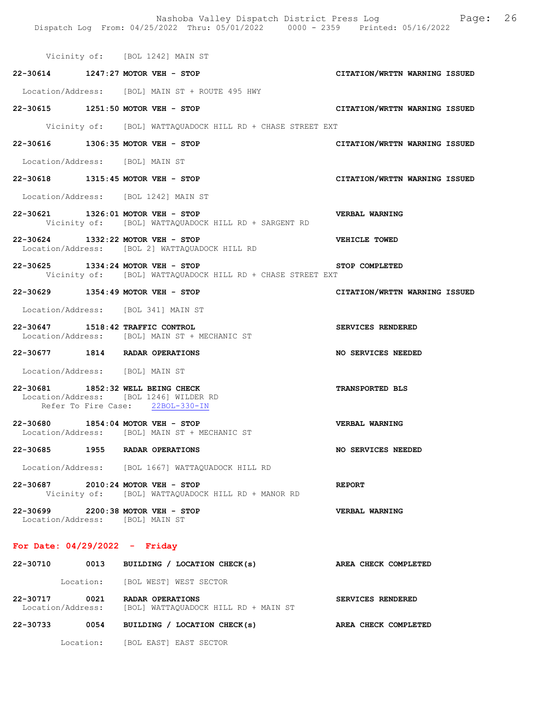|                                                                             | Dispatch Log From: 04/25/2022 Thru: 05/01/2022 0000 - 2359 Printed: 05/16/2022 | Nashoba Valley Dispatch District Press Log Faqe: 26 |
|-----------------------------------------------------------------------------|--------------------------------------------------------------------------------|-----------------------------------------------------|
|                                                                             | Vicinity of: [BOL 1242] MAIN ST                                                |                                                     |
| 22-30614 1247:27 MOTOR VEH - STOP                                           |                                                                                | CITATION/WRTTN WARNING ISSUED                       |
|                                                                             | Location/Address: [BOL] MAIN ST + ROUTE 495 HWY                                |                                                     |
| 22-30615 1251:50 MOTOR VEH - STOP                                           |                                                                                | CITATION/WRTTN WARNING ISSUED                       |
|                                                                             | Vicinity of: [BOL] WATTAQUADOCK HILL RD + CHASE STREET EXT                     |                                                     |
| 22-30616 1306:35 MOTOR VEH - STOP                                           |                                                                                | CITATION/WRTTN WARNING ISSUED                       |
| Location/Address: [BOL] MAIN ST                                             |                                                                                |                                                     |
| 22-30618 1315:45 MOTOR VEH - STOP                                           |                                                                                | CITATION/WRTTN WARNING ISSUED                       |
| Location/Address: [BOL 1242] MAIN ST                                        |                                                                                |                                                     |
| 22-30621 1326:01 MOTOR VEH - STOP                                           | Vicinity of: [BOL] WATTAQUADOCK HILL RD + SARGENT RD                           | <b>VERBAL WARNING</b>                               |
| 22-30624 1332:22 MOTOR VEH - STOP                                           | Location/Address: [BOL 2] WATTAQUADOCK HILL RD                                 | <b>VEHICLE TOWED</b>                                |
| 22-30625 1334:24 MOTOR VEH - STOP                                           | Vicinity of: [BOL] WATTAQUADOCK HILL RD + CHASE STREET EXT                     | STOP COMPLETED                                      |
| 22-30629 1354:49 MOTOR VEH - STOP                                           |                                                                                | CITATION/WRTTN WARNING ISSUED                       |
| Location/Address: [BOL 341] MAIN ST                                         |                                                                                |                                                     |
| 22-30647 1518:42 TRAFFIC CONTROL                                            | Location/Address: [BOL] MAIN ST + MECHANIC ST                                  | SERVICES RENDERED                                   |
| 22-30677 1814 RADAR OPERATIONS                                              |                                                                                | <b>NO SERVICES NEEDED</b>                           |
| Location/Address: [BOL] MAIN ST                                             |                                                                                |                                                     |
| 22-30681 1852:32 WELL BEING CHECK<br>Location/Address: [BOL 1246] WILDER RD | Refer To Fire Case: 22BOL-330-IN                                               | TRANSPORTED BLS                                     |
| 22-30680 1854:04 MOTOR VEH - STOP                                           | Location/Address: [BOL] MAIN ST + MECHANIC ST                                  | VERBAL WARNING                                      |
| 22-30685 1955 RADAR OPERATIONS                                              |                                                                                | NO SERVICES NEEDED                                  |
|                                                                             | Location/Address: [BOL 1667] WATTAQUADOCK HILL RD                              |                                                     |
| 22-30687 2010:24 MOTOR VEH - STOP                                           | Vicinity of: [BOL] WATTAQUADOCK HILL RD + MANOR RD                             | <b>REPORT</b>                                       |
| 22-30699 2200:38 MOTOR VEH - STOP<br>Location/Address: [BOL] MAIN ST        |                                                                                | VERBAL WARNING                                      |
| For Date: $04/29/2022 -$ Friday                                             |                                                                                |                                                     |
|                                                                             | 22-30710 0013 BUILDING / LOCATION CHECK(s)                                     | AREA CHECK COMPLETED                                |
|                                                                             | Location: [BOL WEST] WEST SECTOR                                               |                                                     |

22-30717 0021 RADAR OPERATIONS SERVICES RENDERED Location/Address: [BOL] WATTAQUADOCK HILL RD + MAIN ST

22-30733 0054 BUILDING / LOCATION CHECK(s) AREA CHECK COMPLETED Location: [BOL EAST] EAST SECTOR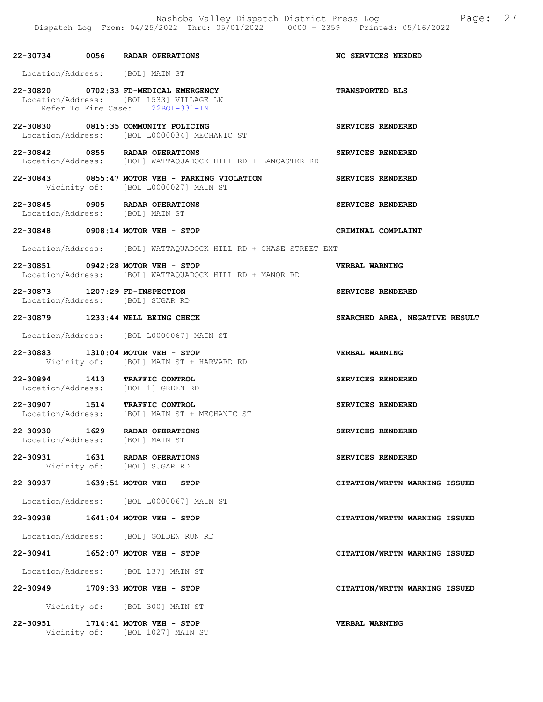|                                | 22-30734 0056 RADAR OPERATIONS                                                                                       | NO SERVICES NEEDED             |
|--------------------------------|----------------------------------------------------------------------------------------------------------------------|--------------------------------|
|                                | Location/Address: [BOL] MAIN ST                                                                                      |                                |
|                                | 22-30820 0702:33 FD-MEDICAL EMERGENCY<br>Location/Address: [BOL 1533] VILLAGE LN<br>Refer To Fire Case: 22BOL-331-IN | <b>TRANSPORTED BLS</b>         |
|                                | 22-30830 0815:35 COMMUNITY POLICING<br>Location/Address: [BOL L0000034] MECHANIC ST                                  | SERVICES RENDERED              |
|                                | 22-30842 0855 RADAR OPERATIONS<br>Location/Address: [BOL] WATTAQUADOCK HILL RD + LANCASTER RD                        | SERVICES RENDERED              |
|                                | 22-30843 0855:47 MOTOR VEH - PARKING VIOLATION<br>Vicinity of: [BOL L0000027] MAIN ST                                | SERVICES RENDERED              |
|                                | 22-30845 0905 RADAR OPERATIONS<br>Location/Address: [BOL] MAIN ST                                                    | SERVICES RENDERED              |
|                                | 22-30848 0908:14 MOTOR VEH - STOP                                                                                    | CRIMINAL COMPLAINT             |
|                                | Location/Address: [BOL] WATTAQUADOCK HILL RD + CHASE STREET EXT                                                      |                                |
|                                | 22-30851 0942:28 MOTOR VEH - STOP<br>Location/Address: [BOL] WATTAQUADOCK HILL RD + MANOR RD                         | VERBAL WARNING                 |
| 22-30873 1207:29 FD-INSPECTION | Location/Address: [BOL] SUGAR RD                                                                                     | SERVICES RENDERED              |
|                                | 22-30879 1233:44 WELL BEING CHECK                                                                                    | SEARCHED AREA, NEGATIVE RESULT |
|                                | Location/Address: [BOL L0000067] MAIN ST                                                                             |                                |
|                                | 22-30883 1310:04 MOTOR VEH - STOP<br>Vicinity of: [BOL] MAIN ST + HARVARD RD                                         | VERBAL WARNING                 |
|                                | 22-30894 1413 TRAFFIC CONTROL<br>Location/Address: [BOL 1] GREEN RD                                                  | SERVICES RENDERED              |
|                                | 22-30907 1514 TRAFFIC CONTROL<br>Location/Address: [BOL] MAIN ST + MECHANIC ST                                       | SERVICES RENDERED              |
|                                | 22-30930 1629 RADAR OPERATIONS<br>Location/Address: [BOL] MAIN ST                                                    | SERVICES RENDERED              |
|                                | 22-30931 1631 RADAR OPERATIONS<br>Vicinity of: [BOL] SUGAR RD                                                        | SERVICES RENDERED              |
|                                | 22-30937 1639:51 MOTOR VEH - STOP                                                                                    | CITATION/WRTTN WARNING ISSUED  |
|                                | Location/Address: [BOL L0000067] MAIN ST                                                                             |                                |
|                                | 22-30938 1641:04 MOTOR VEH - STOP                                                                                    | CITATION/WRTTN WARNING ISSUED  |
|                                | Location/Address: [BOL] GOLDEN RUN RD                                                                                |                                |
|                                | 22-30941 1652:07 MOTOR VEH - STOP                                                                                    | CITATION/WRTTN WARNING ISSUED  |
|                                | Location/Address: [BOL 137] MAIN ST                                                                                  |                                |
|                                | 22-30949 1709:33 MOTOR VEH - STOP                                                                                    | CITATION/WRTTN WARNING ISSUED  |
|                                | Vicinity of: [BOL 300] MAIN ST                                                                                       |                                |
|                                | 22-30951 1714:41 MOTOR VEH - STOP<br>Vicinity of: [BOL 1027] MAIN ST                                                 | <b>VERBAL WARNING</b>          |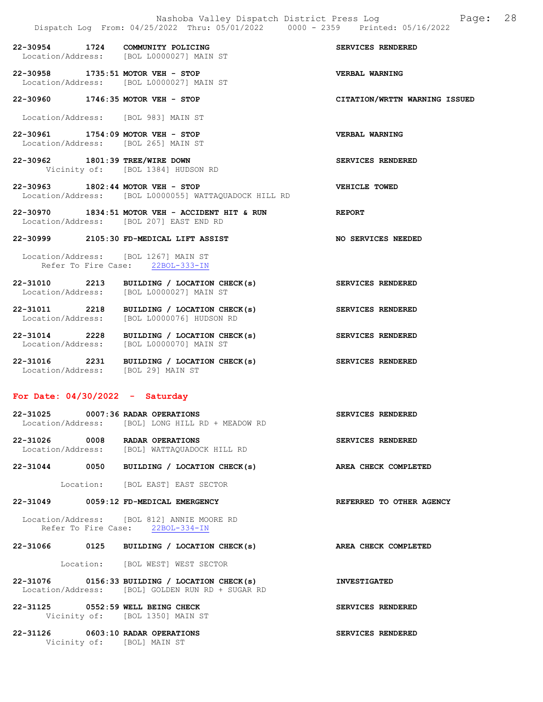22-30958 1735:51 MOTOR VEH - STOP VERBAL WARNING Location/Address: [BOL L0000027] MAIN ST 22-30960 1746:35 MOTOR VEH - STOP CITATION/WRTTN WARNING ISSUED Location/Address: [BOL 983] MAIN ST 22-30961 1754:09 MOTOR VEH - STOP VERBAL WARNING Location/Address: [BOL 265] MAIN ST 22-30962 1801:39 TREE/WIRE DOWN SERVICES RENDERED Vicinity of: [BOL 1384] HUDSON RD 22-30963 1802:44 MOTOR VEH - STOP VEHICLE TOWED Location/Address: [BOL L0000055] WATTAQUADOCK HILL RD 22-30970 1834:51 MOTOR VEH - ACCIDENT HIT & RUN REPORT Location/Address: [BOL 207] EAST END RD 22-30999 2105:30 FD-MEDICAL LIFT ASSIST NO SERVICES NEEDED Location/Address: [BOL 1267] MAIN ST

22-30954 1724 COMMUNITY POLICING<br>
Location/Address: [BOL L0000027] MAIN ST

Location/Address: [BOL L0000027] MAIN ST

Refer To Fire Case: 22BOL-333-IN

- 22-31010 2213 BUILDING / LOCATION CHECK(s) SERVICES RENDERED Location/Address: [BOL L0000027] MAIN ST
- 22-31011 2218 BUILDING / LOCATION CHECK(s) SERVICES RENDERED Location/Address: [BOL L0000076] HUDSON RD
- 22-31014 2228 BUILDING / LOCATION CHECK(s) SERVICES RENDERED Location/Address: [BOL L0000070] MAIN ST
- 22-31016 2231 BUILDING / LOCATION CHECK(s) SERVICES RENDERED Location/Address: [BOL 29] MAIN ST

#### For Date: 04/30/2022 - Saturday

| 22-31025          |      | 0007:36 RADAR OPERATIONS       | SERVICES RENDERED        |  |
|-------------------|------|--------------------------------|--------------------------|--|
| Location/Address: |      | [BOL] LONG HILL RD + MEADOW RD |                          |  |
| 22-31026          | 0008 | RADAR OPERATIONS               | <b>SERVICES RENDERED</b> |  |

Location/Address: [BOL] WATTAQUADOCK HILL RD

22-31044 0050 BUILDING / LOCATION CHECK(s) AREA CHECK COMPLETED

Location: [BOL EAST] EAST SECTOR

22-31049 0059:12 FD-MEDICAL EMERGENCY REFERRED TO OTHER AGENCY

 Location/Address: [BOL 812] ANNIE MOORE RD Refer To Fire Case: 22BOL-334-IN

22-31066 0125 BUILDING / LOCATION CHECK(s) AREA CHECK COMPLETED

Location: [BOL WEST] WEST SECTOR

22-31076 0156:33 BUILDING / LOCATION CHECK(s) INVESTIGATED Location/Address: [BOL] GOLDEN RUN RD + SUGAR RD

22-31125 0552:59 WELL BEING CHECK SERVICES RENDERED Vicinity of: [BOL 1350] MAIN ST

22-31126 0603:10 RADAR OPERATIONS SERVICES RENDERED Vicinity of: [BOL] MAIN ST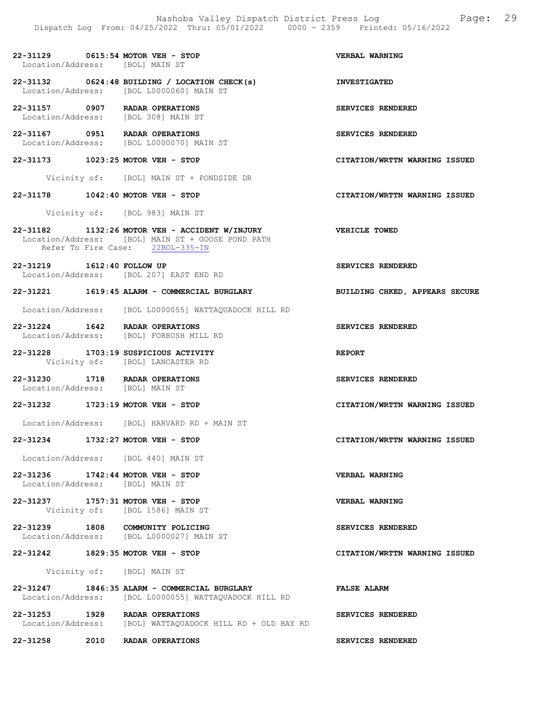22-31129 0615:54 MOTOR VEH - STOP VERBAL WARNING

 Location/Address: [BOL] MAIN ST 22-31132 0624:48 BUILDING / LOCATION CHECK(s) INVESTIGATED<br>
Location/Address: [BOL L0000060] MAIN ST Location/Address: [BOL L0000060] MAIN ST 22-31157 0907 RADAR OPERATIONS SERVICES RENDERED Location/Address: [BOL 308] MAIN ST 22-31167 0951 RADAR OPERATIONS SERVICES RENDERED Location/Address: [BOL L0000070] MAIN ST 22-31173 1023:25 MOTOR VEH - STOP CITATION/WRTTN WARNING ISSUED Vicinity of: [BOL] MAIN ST + PONDSIDE DR 22-31178 1042:40 MOTOR VEH - STOP CITATION/WRTTN WARNING ISSUED Vicinity of: [BOL 983] MAIN ST 22-31182 1132:26 MOTOR VEH - ACCIDENT W/INJURY VEHICLE TOWED Location/Address: [BOL] MAIN ST + GOOSE POND PATH Refer To Fire Case: 22BOL-335-IN 22-31219 1612:40 FOLLOW UP SERVICES RENDERED Location/Address: [BOL 207] EAST END RD 22-31221 1619:45 ALARM - COMMERCIAL BURGLARY BUILDING CHKED, APPEARS SECURE Location/Address: [BOL L0000055] WATTAQUADOCK HILL RD 22-31224 1642 RADAR OPERATIONS SERVICES RENDERED Location/Address: [BOL] FORBUSH MILL RD 22-31228 1703:19 SUSPICIOUS ACTIVITY REPORT Vicinity of: [BOL] LANCASTER RD 22-31230 1718 RADAR OPERATIONS SERVICES RENDERED Location/Address: [BOL] MAIN ST 22-31232 1723:19 MOTOR VEH - STOP CITATION/WRTTN WARNING ISSUED Location/Address: [BOL] HARVARD RD + MAIN ST 22-31234 1732:27 MOTOR VEH - STOP CITATION/WRTTN WARNING ISSUED Location/Address: [BOL 440] MAIN ST 22-31236 1742:44 MOTOR VEH - STOP VERBAL WARNING Location/Address: [BOL] MAIN ST 22-31237 1757:31 MOTOR VEH - STOP VERBAL WARNING Vicinity of: [BOL 1586] MAIN ST 22-31239 1808 COMMUNITY POLICING<br>
Location/Address: [BOL L0000027] MAIN ST Location/Address: [BOL L0000027] MAIN ST 22-31242 1829:35 MOTOR VEH - STOP CITATION/WRTTN WARNING ISSUED Vicinity of: [BOL] MAIN ST 22-31247 1846:35 ALARM - COMMERCIAL BURGLARY FALSE ALARM FALSE ALARM Location/Address: [BOL L00000551 WATTAOUADOCK HILL RD Location/Address: [BOL L0000055] WATTAQUADOCK HILL RD 22-31253 1928 RADAR OPERATIONS SERVICES RENDERED Location/Address: [BOL] WATTAQUADOCK HILL RD + OLD BAY RD

22-31258 2010 RADAR OPERATIONS SERVICES RENDERED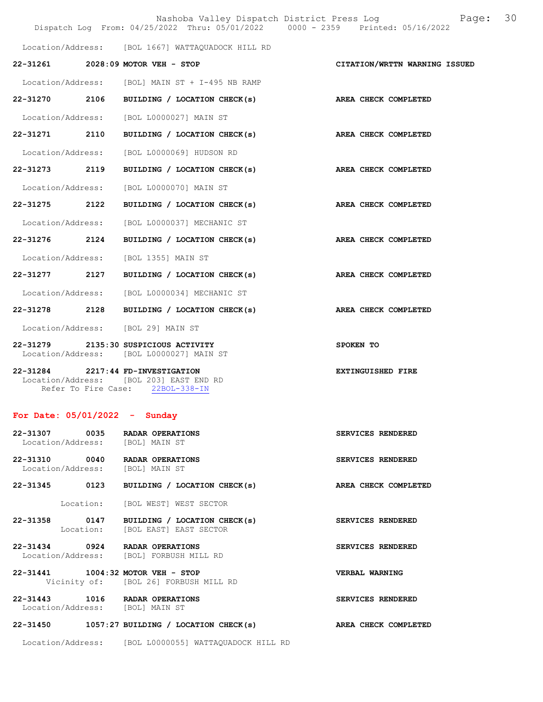|                   | Nashoba Valley Dispatch District Press Log Nashoba Valley Dispatch District Press Log<br>Dispatch Log From: 04/25/2022 Thru: 05/01/2022 0000 - 2359 Printed: 05/16/2022 |                               | 30 |
|-------------------|-------------------------------------------------------------------------------------------------------------------------------------------------------------------------|-------------------------------|----|
|                   | Location/Address: [BOL 1667] WATTAQUADOCK HILL RD                                                                                                                       |                               |    |
|                   | 22-31261 2028:09 MOTOR VEH - STOP                                                                                                                                       | CITATION/WRTTN WARNING ISSUED |    |
|                   | Location/Address: [BOL] MAIN ST + I-495 NB RAMP                                                                                                                         |                               |    |
| 22-31270 2106     | BUILDING / LOCATION CHECK(s) AREA CHECK COMPLETED                                                                                                                       |                               |    |
|                   | Location/Address: [BOL L0000027] MAIN ST                                                                                                                                |                               |    |
| 22-31271 2110     | BUILDING / LOCATION CHECK(s)                                                                                                                                            | AREA CHECK COMPLETED          |    |
| Location/Address: | [BOL L0000069] HUDSON RD                                                                                                                                                |                               |    |
| 22-31273 2119     | BUILDING / LOCATION CHECK(s)                                                                                                                                            | AREA CHECK COMPLETED          |    |
| Location/Address: | [BOL L0000070] MAIN ST                                                                                                                                                  |                               |    |
| 22-31275 2122     | BUILDING / LOCATION CHECK(s)                                                                                                                                            | AREA CHECK COMPLETED          |    |
| Location/Address: | [BOL L0000037] MECHANIC ST                                                                                                                                              |                               |    |
| 22-31276 2124     | BUILDING / LOCATION CHECK(s)                                                                                                                                            | AREA CHECK COMPLETED          |    |
| Location/Address: | [BOL 1355] MAIN ST                                                                                                                                                      |                               |    |
| 22-31277 2127     | BUILDING / LOCATION CHECK(s)                                                                                                                                            | AREA CHECK COMPLETED          |    |
| Location/Address: | [BOL L0000034] MECHANIC ST                                                                                                                                              |                               |    |
| 22-31278 2128     | BUILDING / LOCATION CHECK(s)                                                                                                                                            | AREA CHECK COMPLETED          |    |
|                   | Location/Address: [BOL 29] MAIN ST                                                                                                                                      |                               |    |
| 22-31279          | 2135:30 SUSPICIOUS ACTIVITY<br>Location/Address: [BOL L0000027] MAIN ST                                                                                                 | SPOKEN TO                     |    |
| $22 - 31284$      | 2217:44 FD-INVESTIGATION<br>Location/Address: [BOL 203] EAST END RD<br>Refer To Fire Case: 22BOL-338-IN                                                                 | <b>EXTINGUISHED FIRE</b>      |    |

# For Date: 05/01/2022 - Sunday

| 22-31307 0035<br>Location/Address: | RADAR OPERATIONS<br>[BOL] MAIN ST                      | SERVICES RENDERED     |
|------------------------------------|--------------------------------------------------------|-----------------------|
| 22-31310 0040<br>Location/Address: | RADAR OPERATIONS<br>[BOL] MAIN ST                      | SERVICES RENDERED     |
| 0123<br>22-31345                   | BUILDING / LOCATION CHECK(s)                           | AREA CHECK COMPLETED  |
|                                    | Location: [BOL WEST] WEST SECTOR                       |                       |
| 22-31358 0147<br>Location:         | BUILDING / LOCATION CHECK(s)<br>[BOL EAST] EAST SECTOR | SERVICES RENDERED     |
| 22-31434 0924<br>Location/Address: | RADAR OPERATIONS<br>[BOL] FORBUSH MILL RD              | SERVICES RENDERED     |
| 22-31441 1004:32 MOTOR VEH - STOP  | Vicinity of: [BOL 26] FORBUSH MILL RD                  | <b>VERBAL WARNING</b> |
| 22-31443 1016<br>Location/Address: | RADAR OPERATIONS<br>[BOL] MAIN ST                      | SERVICES RENDERED     |
| $22 - 31450$                       | 1057:27 BUILDING / LOCATION CHECK(s)                   | AREA CHECK COMPLETED  |

Location/Address: [BOL L0000055] WATTAQUADOCK HILL RD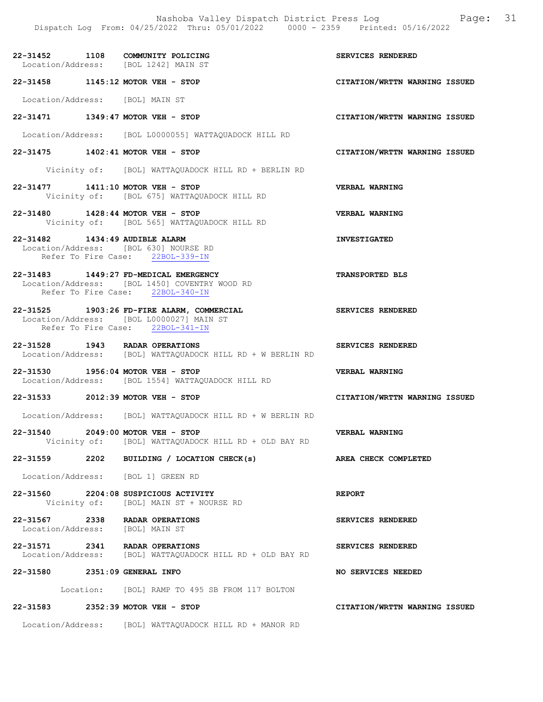22-31452 1108 COMMUNITY POLICING<br>
Location/Address: [BOL 1242] MAIN ST Location/Address: 22-31458 1145:12 MOTOR VEH - STOP CITATION/WRTTN WARNING ISSUED Location/Address: [BOL] MAIN ST 22-31471 1349:47 MOTOR VEH - STOP CITATION/WRTTN WARNING ISSUED Location/Address: [BOL L0000055] WATTAQUADOCK HILL RD 22-31475 1402:41 MOTOR VEH - STOP CITATION/WRTTN WARNING ISSUED Vicinity of: [BOL] WATTAQUADOCK HILL RD + BERLIN RD 22-31477 1411:10 MOTOR VEH - STOP VERBAL WARNING Vicinity of: [BOL 675] WATTAQUADOCK HILL RD 22-31480 1428:44 MOTOR VEH - STOP VERBAL WARNING Vicinity of: [BOL 565] WATTAQUADOCK HILL RD 22-31482 1434:49 AUDIBLE ALARM INVESTIGATED Location/Address: [BOL 630] NOURSE RD Refer To Fire Case: 22BOL-339-IN 22-31483 1449:27 FD-MEDICAL EMERGENCY TRANSPORTED BLS Location/Address: [BOL 1450] COVENTRY WOOD RD<br>Refer To Fire Case: 22BOL-340-IN Refer To Fire Case: 22-31525 1903:26 FD-FIRE ALARM, COMMERCIAL SERVICES RENDERED Location/Address: [BOL L0000027] MAIN ST Refer To Fire Case: 22BOL-341-IN 22-31528 1943 RADAR OPERATIONS SERVICES RENDERED Location/Address: [BOL] WATTAQUADOCK HILL RD + W BERLIN RD 22-31530 1956:04 MOTOR VEH - STOP VERBAL WARNING Location/Address: [BOL 1554] WATTAQUADOCK HILL RD 22-31533 2012:39 MOTOR VEH - STOP CITATION/WRTTN WARNING ISSUED Location/Address: [BOL] WATTAQUADOCK HILL RD + W BERLIN RD 22-31540 2049:00 MOTOR VEH - STOP VERBAL WARNING Vicinity of: [BOL] WATTAQUADOCK HILL RD + OLD BAY RD 22-31559 2202 BUILDING / LOCATION CHECK(s) AREA CHECK COMPLETED Location/Address: [BOL 1] GREEN RD 22-31560 2204:08 SUSPICIOUS ACTIVITY REPORT Vicinity of: [BOL] MAIN ST + NOURSE RD 22-31567 2338 RADAR OPERATIONS SERVICES RENDERED Location/Address: [BOL] MAIN ST 22-31571 2341 RADAR OPERATIONS SERVICES RENDERED<br>Location/Address: [BOL] WATTAOUADOCK HILL RD + OLD BAY RD Location/Address: [BOL] WATTAQUADOCK HILL RD + OLD BAY RD 22-31580 2351:09 GENERAL INFO NO SERVICES NEEDED Location: [BOL] RAMP TO 495 SB FROM 117 BOLTON

Dispatch Log From: 04/25/2022 Thru: 05/01/2022 0000 - 2359 Printed: 05/16/2022

Nashoba Valley Dispatch District Press Log Fage: 31

#### 22-31583 2352:39 MOTOR VEH - STOP CITATION/WRTTN WARNING ISSUED

Location/Address: [BOL] WATTAQUADOCK HILL RD + MANOR RD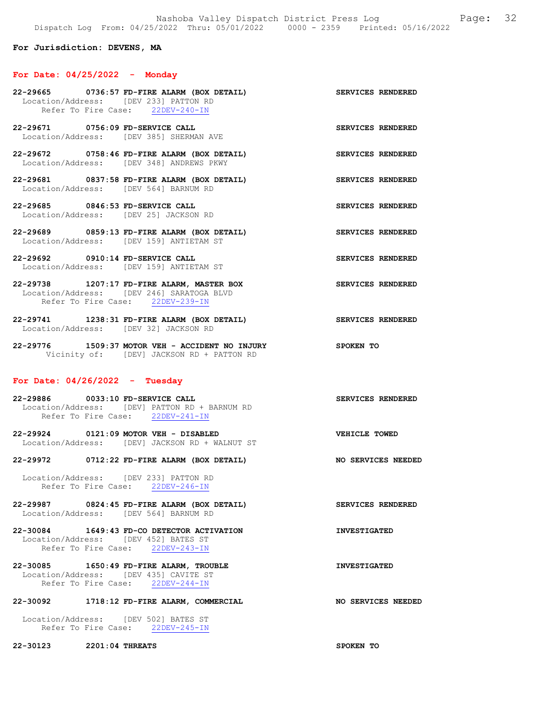#### For Jurisdiction: DEVENS, MA

#### For Date: 04/25/2022 - Monday

|                                                                           | 22-29665 0736:57 FD-FIRE ALARM (BOX DETAIL)<br>Location/Address: [DEV 233] PATTON RD<br>Refer To Fire Case: 22DEV-240-IN    | SERVICES RENDERED        |                   |
|---------------------------------------------------------------------------|-----------------------------------------------------------------------------------------------------------------------------|--------------------------|-------------------|
| 22-29671 0756:09 FD-SERVICE CALL                                          | Location/Address: [DEV 385] SHERMAN AVE                                                                                     |                          | SERVICES RENDERED |
|                                                                           | 22-29672 0758:46 FD-FIRE ALARM (BOX DETAIL)<br><b>SERVICES RENDERED</b><br>Location/Address: [DEV 348] ANDREWS PKWY         |                          |                   |
| Location/Address: [DEV 564] BARNUM RD                                     | 22-29681 0837:58 FD-FIRE ALARM (BOX DETAIL)                                                                                 | SERVICES RENDERED        |                   |
| 22-29685 0846:53 FD-SERVICE CALL<br>Location/Address: [DEV 25] JACKSON RD |                                                                                                                             | SERVICES RENDERED        |                   |
|                                                                           | 22-29689 0859:13 FD-FIRE ALARM (BOX DETAIL)<br>Location/Address: [DEV 159] ANTIETAM ST                                      | <b>SERVICES RENDERED</b> |                   |
| 22-29692 0910:14 FD-SERVICE CALL                                          | Location/Address: [DEV 159] ANTIETAM ST                                                                                     | SERVICES RENDERED        |                   |
|                                                                           | 22-29738 1207:17 FD-FIRE ALARM, MASTER BOX<br>Location/Address: [DEV 246] SARATOGA BLVD<br>Refer To Fire Case: 22DEV-239-IN | SERVICES RENDERED        |                   |

22-29741 1238:31 FD-FIRE ALARM (BOX DETAIL) SERVICES RENDERED Location/Address: [DEV 32] JACKSON RD

22-29776 1509:37 MOTOR VEH - ACCIDENT NO INJURY SPOKEN TO Vicinity of: [DEV] JACKSON RD + PATTON RD

#### For Date: 04/26/2022 - Tuesday

22-29886 0033:10 FD-SERVICE CALL SERVICES RENDERED Location/Address: [DEV] PATTON RD + BARNUM RD Refer To Fire Case: 22DEV-241-IN

22-29924 0121:09 MOTOR VEH - DISABLED VEHICLE TOWED Location/Address: [DEV] JACKSON RD + WALNUT ST

22-29972 0712:22 FD-FIRE ALARM (BOX DETAIL) NO SERVICES NEEDED

 Location/Address: [DEV 233] PATTON RD Refer To Fire Case: 22DEV-246-IN

22-29987 0824:45 FD-FIRE ALARM (BOX DETAIL) SERVICES RENDERED Location/Address: [DEV 564] BARNUM RD

22-30084 1649:43 FD-CO DETECTOR ACTIVATION INVESTIGATED Location/Address: [DEV 452] BATES ST Refer To Fire Case: 22DEV-243-IN

22-30085 1650:49 FD-FIRE ALARM, TROUBLE INVESTIGATED Location/Address: [DEV 435] CAVITE ST Refer To Fire Case: 22DEV-244-IN

#### 22-30092 1718:12 FD-FIRE ALARM, COMMERCIAL NO SERVICES NEEDED

 Location/Address: [DEV 502] BATES ST Refer To Fire Case: 22DEV-245-IN

22-30123 2201:04 THREATS SPOKEN TO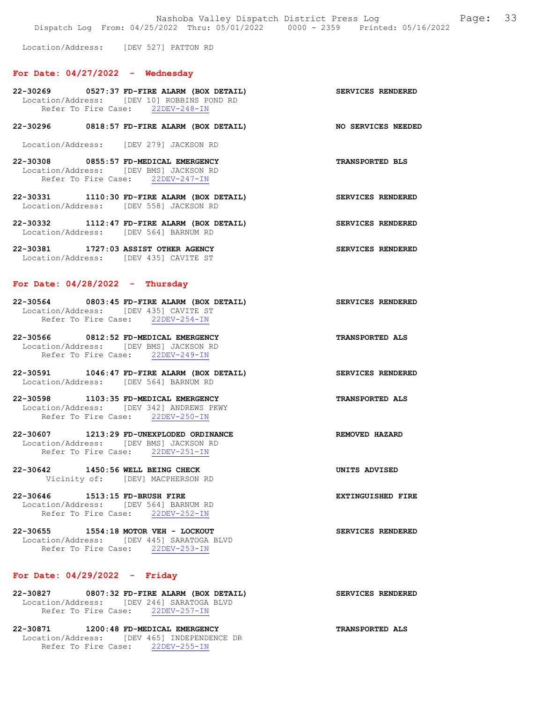Location/Address: [DEV 527] PATTON RD

#### For Date:  $04/27/2022 -$  Wednesday

- 22-30269 0527:37 FD-FIRE ALARM (BOX DETAIL) SERVICES RENDERED Location/Address: [DEV 10] ROBBINS POND RD Refer To Fire Case: 22DEV-248-IN
- 22-30296 0818:57 FD-FIRE ALARM (BOX DETAIL) NO SERVICES NEEDED
- Location/Address: [DEV 279] JACKSON RD
- 22-30308 0855:57 FD-MEDICAL EMERGENCY TRANSPORTED BLS Location/Address: [DEV BMS] JACKSON RD Refer To Fire Case: 22DEV-247-IN
- 22-30331 1110:30 FD-FIRE ALARM (BOX DETAIL) SERVICES RENDERED Location/Address: [DEV 558] JACKSON RD
- 22-30332 1112:47 FD-FIRE ALARM (BOX DETAIL) SERVICES RENDERED Location/Address: [DEV 564] BARNUM RD
- 22-30381 1727:03 ASSIST OTHER AGENCY SERVICES RENDERED Location/Address: [DEV 435] CAVITE ST

#### For Date:  $04/28/2022 -$  Thursday

- 22-30564 0803:45 FD-FIRE ALARM (BOX DETAIL) SERVICES RENDERED Location/Address: [DEV 435] CAVITE ST Refer To Fire Case: 22DEV-254-IN
- 22-30566 0812:52 FD-MEDICAL EMERGENCY TRANSPORTED ALS Location/Address: [DEV BMS] JACKSON RD<br>Refer To Fire Case: 22DEV-249-IN Refer To Fire Case:
- 22-30591 1046:47 FD-FIRE ALARM (BOX DETAIL) SERVICES RENDERED Location/Address: [DEV 564] BARNUM RD
- 22-30598 1103:35 FD-MEDICAL EMERGENCY TRANSPORTED ALS Location/Address: [DEV 342] ANDREWS PKWY Refer To Fire Case: 22DEV-250-IN
- 22-30607 1213:29 FD-UNEXPLODED ORDINANCE REMOVED HAZARD Location/Address: [DEV BMS] JACKSON RD Refer To Fire Case: 22DEV-251-IN
- 22-30642 1450:56 WELL BEING CHECK UNITS ADVISED Vicinity of: [DEV] MACPHERSON RD
- 22-30646 1513:15 FD-BRUSH FIRE **EXTINGUISHED** FIRE Location/Address: [DEV 564] BARNUM RD Refer To Fire Case: 22DEV-252-IN
- 22-30655 1554:18 MOTOR VEH LOCKOUT SERVICES RENDERED Location/Address: [DEV 445] SARATOGA BLVD Refer To Fire Case: 22DEV-253-IN

#### For Date: 04/29/2022 - Friday

- 22-30827 0807:32 FD-FIRE ALARM (BOX DETAIL) SERVICES RENDERED Location/Address: [DEV 246] SARATOGA BLVD Refer To Fire Case: 22DEV-257-IN
- 22-30871 1200:48 FD-MEDICAL EMERGENCY TRANSPORTED ALS Location/Address: [DEV 465] INDEPENDENCE DR Refer To Fire Case: 22DEV-255-IN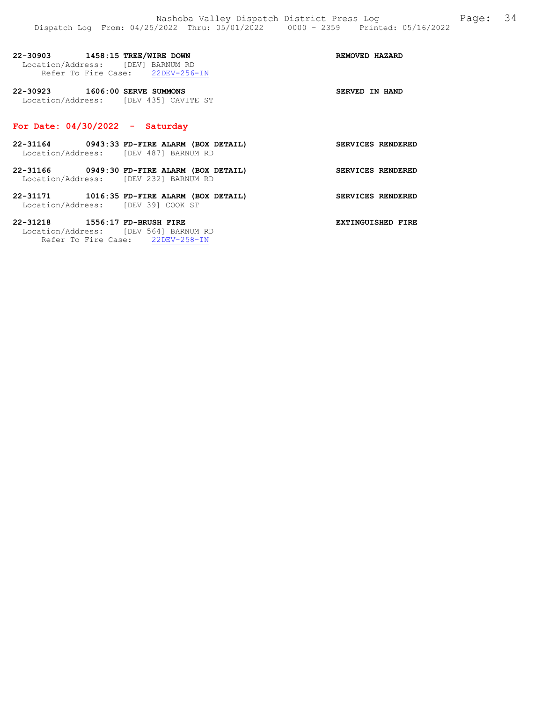| 22-30903 1458:15 TREE/WIRE DOWN<br>Location/Address: [DEV] BARNUM RD    | Refer To Fire Case: 22DEV-256-IN            | REMOVED HAZARD           |
|-------------------------------------------------------------------------|---------------------------------------------|--------------------------|
| 22-30923 1606:00 SERVE SUMMONS<br>Location/Address: [DEV 435] CAVITE ST |                                             | SERVED IN HAND           |
| For Date: $04/30/2022 -$ Saturday                                       |                                             |                          |
| Location/Address: [DEV 487] BARNUM RD                                   | 22-31164 0943:33 FD-FIRE ALARM (BOX DETAIL) | SERVICES RENDERED        |
| Location/Address: [DEV 232] BARNUM RD                                   | 22-31166 0949:30 FD-FIRE ALARM (BOX DETAIL) | <b>SERVICES RENDERED</b> |
| Location/Address: [DEV 39] COOK ST                                      | 22-31171 1016:35 FD-FIRE ALARM (BOX DETAIL) | SERVICES RENDERED        |

22-31218 1556:17 FD-BRUSH FIRE **EXTINGUISHED** FIRE Location/Address: [DEV 564] BARNUM RD

Refer To Fire Case: 22DEV-258-IN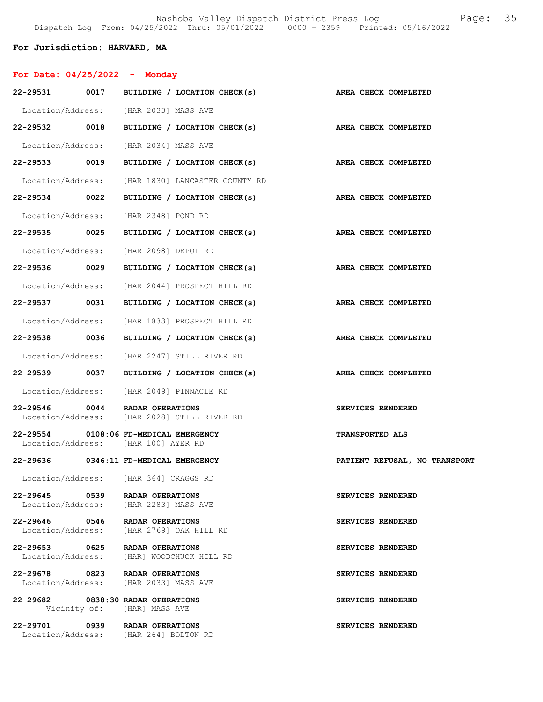### For Jurisdiction: HARVARD, MA

| For Date: $04/25/2022 -$ Monday    |                                                                               |                                                   |
|------------------------------------|-------------------------------------------------------------------------------|---------------------------------------------------|
|                                    | 22-29531 0017 BUILDING / LOCATION CHECK(s)                                    | AREA CHECK COMPLETED                              |
|                                    | Location/Address: [HAR 2033] MASS AVE                                         |                                                   |
|                                    | 22-29532 0018 BUILDING / LOCATION CHECK(s)                                    | AREA CHECK COMPLETED                              |
|                                    | Location/Address: [HAR 2034] MASS AVE                                         |                                                   |
| 22-29533 0019                      |                                                                               | BUILDING / LOCATION CHECK(s) AREA CHECK COMPLETED |
|                                    | Location/Address: [HAR 1830] LANCASTER COUNTY RD                              |                                                   |
| 22-29534 0022                      | BUILDING / LOCATION CHECK(s)                                                  | AREA CHECK COMPLETED                              |
|                                    | Location/Address: [HAR 2348] POND RD                                          |                                                   |
| 22-29535 0025                      | BUILDING / LOCATION CHECK(s)                                                  | AREA CHECK COMPLETED                              |
|                                    | Location/Address: [HAR 2098] DEPOT RD                                         |                                                   |
| 22-29536 0029                      | BUILDING / LOCATION CHECK(s)                                                  | AREA CHECK COMPLETED                              |
|                                    | Location/Address: [HAR 2044] PROSPECT HILL RD                                 |                                                   |
| 22-29537 0031                      | BUILDING / LOCATION CHECK(s)                                                  | AREA CHECK COMPLETED                              |
|                                    | Location/Address: [HAR 1833] PROSPECT HILL RD                                 |                                                   |
| 22-29538 0036                      | BUILDING / LOCATION CHECK(s)                                                  | AREA CHECK COMPLETED                              |
|                                    | Location/Address: [HAR 2247] STILL RIVER RD                                   |                                                   |
|                                    | 22-29539 0037 BUILDING / LOCATION CHECK(s)                                    | AREA CHECK COMPLETED                              |
|                                    | Location/Address: [HAR 2049] PINNACLE RD                                      |                                                   |
|                                    | 22-29546 0044 RADAR OPERATIONS<br>Location/Address: [HAR 2028] STILL RIVER RD | SERVICES RENDERED                                 |
|                                    | 22-29554 0108:06 FD-MEDICAL EMERGENCY<br>Location/Address: [HAR 100] AYER RD  | <b>TRANSPORTED ALS</b>                            |
|                                    | 22-29636 0346:11 FD-MEDICAL EMERGENCY                                         | PATIENT REFUSAL, NO TRANSPORT                     |
|                                    | Location/Address: [HAR 364] CRAGGS RD                                         |                                                   |
|                                    | 22-29645 0539 RADAR OPERATIONS<br>Location/Address: [HAR 2283] MASS AVE       | SERVICES RENDERED                                 |
|                                    | 22-29646 0546 RADAR OPERATIONS<br>Location/Address: [HAR 2769] OAK HILL RD    | SERVICES RENDERED                                 |
| 22-29653 0625<br>Location/Address: | RADAR OPERATIONS<br>[HAR] WOODCHUCK HILL RD                                   | SERVICES RENDERED                                 |
|                                    | 22-29678 0823 RADAR OPERATIONS<br>Location/Address: [HAR 2033] MASS AVE       | SERVICES RENDERED                                 |
|                                    | 22-29682 0838:30 RADAR OPERATIONS<br>Vicinity of: [HAR] MASS AVE              | SERVICES RENDERED                                 |
|                                    | 22-29701 0939 RADAR OPERATIONS<br>Location/Address: [HAR 264] BOLTON RD       | SERVICES RENDERED                                 |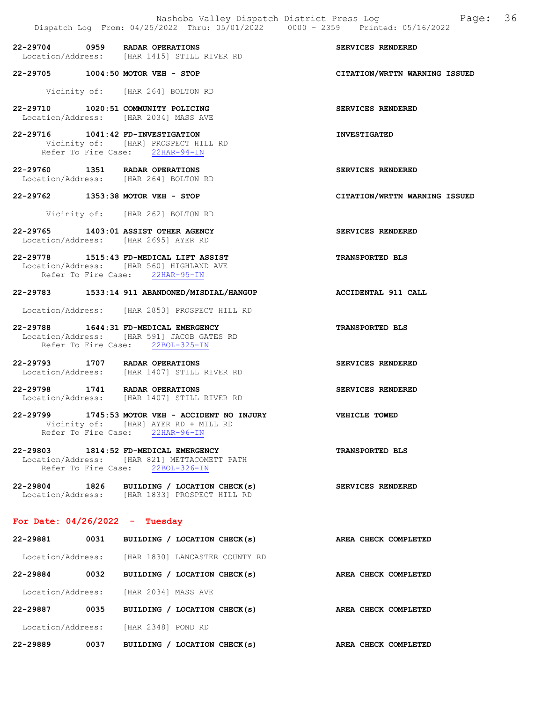22-29704 0959 RADAR OPERATIONS<br>
Location/Address: [HAR 1415] STILL RIVER RD<br> **SERVICES RENDERED** [HAR 1415] STILL RIVER RD

22-29705 1004:50 MOTOR VEH - STOP CITATION/WRTTN WARNING ISSUED

Vicinity of: [HAR 264] BOLTON RD

22-29710 1020:51 COMMUNITY POLICING SERVICES RENDERED Location/Address: [HAR 2034] MASS AVE

22-29716 1041:42 FD-INVESTIGATION INVESTIGATED Vicinity of: [HAR] PROSPECT HILL RD Refer To Fire Case: 22HAR-94-IN

22-29760 1351 RADAR OPERATIONS SERVICES RENDERED Location/Address: [HAR 264] BOLTON RD

22-29762 1353:38 MOTOR VEH - STOP CITATION/WRTTN WARNING ISSUED

Vicinity of: [HAR 262] BOLTON RD

22-29765 1403:01 ASSIST OTHER AGENCY SERVICES RENDERED Location/Address: [HAR 2695] AYER RD

22-29778 1515:43 FD-MEDICAL LIFT ASSIST TRANSPORTED BLS Location/Address: [HAR 560] HIGHLAND AVE Refer To Fire Case: 22HAR-95-IN

#### 22-29783 1533:14 911 ABANDONED/MISDIAL/HANGUP ACCIDENTAL 911 CALL

Location/Address: [HAR 2853] PROSPECT HILL RD

22-29788 1644:31 FD-MEDICAL EMERGENCY TRANSPORTED BLS Location/Address: [HAR 591] JACOB GATES RD Refer To Fire Case: 22BOL-325-IN

22-29793 1707 RADAR OPERATIONS SERVICES RENDERED Location/Address: [HAR 1407] STILL RIVER RD

22-29798 1741 RADAR OPERATIONS SERVICES RENDERED Location/Address: [HAR 1407] STILL RIVER RD

22-29799 1745:53 MOTOR VEH - ACCIDENT NO INJURY VEHICLE TOWED Vicinity of: [HAR] AYER RD + MILL RD Refer To Fire Case: 22HAR-96-IN

22-29803 1814:52 FD-MEDICAL EMERGENCY TRANSPORTED BLS Location/Address: [HAR 821] METTACOMETT PATH Refer To Fire Case: 22BOL-326-IN

22-29804 1826 BUILDING / LOCATION CHECK(s) SERVICES RENDERED Location/Address: [HAR 1833] PROSPECT HILL RD

#### For Date: 04/26/2022 - Tuesday

22-29881 0031 BUILDING / LOCATION CHECK(s) AREA CHECK COMPLETED Location/Address: [HAR 1830] LANCASTER COUNTY RD 22-29884 0032 BUILDING / LOCATION CHECK(s) AREA CHECK COMPLETED Location/Address: [HAR 2034] MASS AVE 22-29887 0035 BUILDING / LOCATION CHECK(s) AREA CHECK COMPLETED Location/Address: [HAR 2348] POND RD 22-29889 0037 BUILDING / LOCATION CHECK(s) AREA CHECK COMPLETED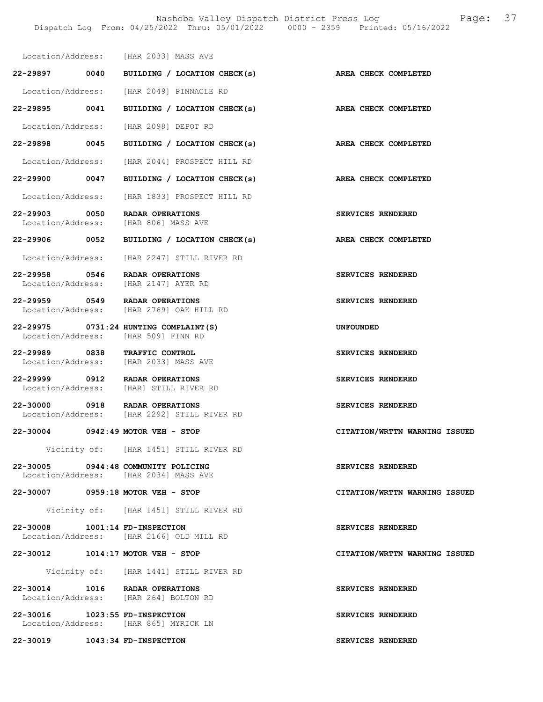|                                   | DISPACCH LOG FIOM; 04/20/2022 INIU; 00/01/2022 - 0000 - 2009                  | FIINLEU: UJ/I0/ZUZZ           |
|-----------------------------------|-------------------------------------------------------------------------------|-------------------------------|
|                                   | Location/Address: [HAR 2033] MASS AVE                                         |                               |
|                                   | 22-29897 0040 BUILDING / LOCATION CHECK(s)                                    | AREA CHECK COMPLETED          |
|                                   | Location/Address: [HAR 2049] PINNACLE RD                                      |                               |
|                                   | 22-29895 0041 BUILDING / LOCATION CHECK(s)                                    | AREA CHECK COMPLETED          |
|                                   | Location/Address: [HAR 2098] DEPOT RD                                         |                               |
|                                   | 22-29898 0045 BUILDING / LOCATION CHECK(s)                                    | AREA CHECK COMPLETED          |
|                                   | Location/Address: [HAR 2044] PROSPECT HILL RD                                 |                               |
|                                   | 22-29900 0047 BUILDING / LOCATION CHECK(s)                                    | AREA CHECK COMPLETED          |
|                                   | Location/Address: [HAR 1833] PROSPECT HILL RD                                 |                               |
|                                   | 22-29903 0050 RADAR OPERATIONS<br>Location/Address: [HAR 806] MASS AVE        | SERVICES RENDERED             |
|                                   | $22-29906$ 0052 BUILDING / LOCATION CHECK(s)                                  | AREA CHECK COMPLETED          |
|                                   | Location/Address: [HAR 2247] STILL RIVER RD                                   |                               |
|                                   | 22-29958 0546 RADAR OPERATIONS<br>Location/Address: [HAR 2147] AYER RD        | SERVICES RENDERED             |
|                                   | 22-29959 0549 RADAR OPERATIONS<br>Location/Address: [HAR 2769] OAK HILL RD    | SERVICES RENDERED             |
|                                   | 22-29975 0731:24 HUNTING COMPLAINT (S)<br>Location/Address: [HAR 509] FINN RD | <b>UNFOUNDED</b>              |
| Location/Address:                 | 22-29989 0838 TRAFFIC CONTROL<br>[HAR 2033] MASS AVE                          | SERVICES RENDERED             |
|                                   | 22-29999 0912 RADAR OPERATIONS<br>Location/Address: [HAR] STILL RIVER RD      | SERVICES RENDERED             |
|                                   | 22-30000 0918 RADAR OPERATIONS<br>Location/Address: [HAR 2292] STILL RIVER RD | SERVICES RENDERED             |
|                                   | 22-30004 0942:49 MOTOR VEH - STOP                                             | CITATION/WRTTN WARNING ISSUED |
|                                   | Vicinity of: [HAR 1451] STILL RIVER RD                                        |                               |
|                                   | 22-30005 0944:48 COMMUNITY POLICING<br>Location/Address: [HAR 2034] MASS AVE  | SERVICES RENDERED             |
|                                   | 22-30007 0959:18 MOTOR VEH - STOP                                             | CITATION/WRTTN WARNING ISSUED |
|                                   | Vicinity of: [HAR 1451] STILL RIVER RD                                        |                               |
| 22-30008    1001:14 FD-INSPECTION | Location/Address: [HAR 2166] OLD MILL RD                                      | SERVICES RENDERED             |
|                                   | 22-30012 1014:17 MOTOR VEH - STOP                                             | CITATION/WRTTN WARNING ISSUED |
|                                   | Vicinity of: [HAR 1441] STILL RIVER RD                                        |                               |
|                                   | 22-30014 1016 RADAR OPERATIONS<br>Location/Address: [HAR 264] BOLTON RD       | SERVICES RENDERED             |
| 22-30016 1023:55 FD-INSPECTION    | Location/Address: [HAR 865] MYRICK LN                                         | SERVICES RENDERED             |

22-30019 1043:34 FD-INSPECTION SERVICES RENDERED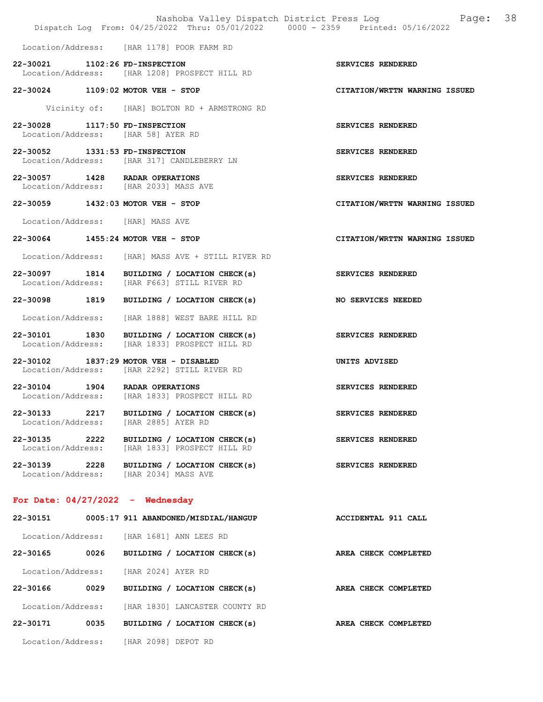|                                    |      |                                                                                             | Page: 38<br>Nashoba Valley Dispatch District Press Log<br>Dispatch Log From: 04/25/2022 Thru: 05/01/2022 0000 - 2359 Printed: 05/16/2022 |  |
|------------------------------------|------|---------------------------------------------------------------------------------------------|------------------------------------------------------------------------------------------------------------------------------------------|--|
|                                    |      | Location/Address: [HAR 1178] POOR FARM RD                                                   |                                                                                                                                          |  |
|                                    |      | 22-30021 1102:26 FD-INSPECTION                                                              | SERVICES RENDERED                                                                                                                        |  |
|                                    |      | Location/Address: [HAR 1208] PROSPECT HILL RD                                               |                                                                                                                                          |  |
|                                    |      | 22-30024 1109:02 MOTOR VEH - STOP                                                           | CITATION/WRTTN WARNING ISSUED                                                                                                            |  |
|                                    |      | Vicinity of: [HAR] BOLTON RD + ARMSTRONG RD                                                 |                                                                                                                                          |  |
| 22-30028 1117:50 FD-INSPECTION     |      | Location/Address: [HAR 58] AYER RD                                                          | SERVICES RENDERED                                                                                                                        |  |
|                                    |      | 22-30052 1331:53 FD-INSPECTION<br>Location/Address: [HAR 317] CANDLEBERRY LN                | SERVICES RENDERED                                                                                                                        |  |
|                                    |      | 22-30057 1428 RADAR OPERATIONS<br>Location/Address: [HAR 2033] MASS AVE                     | SERVICES RENDERED                                                                                                                        |  |
|                                    |      | 22-30059 1432:03 MOTOR VEH - STOP                                                           | CITATION/WRTTN WARNING ISSUED                                                                                                            |  |
|                                    |      | Location/Address: [HAR] MASS AVE                                                            |                                                                                                                                          |  |
|                                    |      | 22-30064 1455:24 MOTOR VEH - STOP                                                           | CITATION/WRTTN WARNING ISSUED                                                                                                            |  |
|                                    |      | Location/Address: [HAR] MASS AVE + STILL RIVER RD                                           |                                                                                                                                          |  |
|                                    |      | 22-30097 1814 BUILDING / LOCATION CHECK(s)<br>Location/Address: [HAR F663] STILL RIVER RD   | SERVICES RENDERED                                                                                                                        |  |
| 22-30098 1819                      |      | BUILDING / LOCATION CHECK(s)                                                                | NO SERVICES NEEDED                                                                                                                       |  |
| Location/Address:                  |      | [HAR 1888] WEST BARE HILL RD                                                                |                                                                                                                                          |  |
|                                    |      | 22-30101 1830 BUILDING / LOCATION CHECK(s)<br>Location/Address: [HAR 1833] PROSPECT HILL RD | SERVICES RENDERED                                                                                                                        |  |
|                                    |      | 22-30102 1837:29 MOTOR VEH - DISABLED<br>Location/Address: [HAR 2292] STILL RIVER RD        | UNITS ADVISED                                                                                                                            |  |
|                                    |      | 22-30104 1904 RADAR OPERATIONS<br>Location/Address: [HAR 1833] PROSPECT HILL RD             | SERVICES RENDERED                                                                                                                        |  |
| 22-30133<br>Location/Address:      | 2217 | BUILDING / LOCATION CHECK(s)<br>[HAR 2885] AYER RD                                          | SERVICES RENDERED                                                                                                                        |  |
| 22-30135 2222<br>Location/Address: |      | BUILDING / LOCATION CHECK(s)<br>[HAR 1833] PROSPECT HILL RD                                 | SERVICES RENDERED                                                                                                                        |  |
|                                    |      | 22-30139 2228 BUILDING / LOCATION CHECK(s)<br>Location/Address: [HAR 2034] MASS AVE         | SERVICES RENDERED                                                                                                                        |  |
|                                    |      | For Date: $04/27/2022 -$ Wednesday                                                          |                                                                                                                                          |  |
|                                    |      | 22-30151 0005:17 911 ABANDONED/MISDIAL/HANGUP                                               | ACCIDENTAL 911 CALL                                                                                                                      |  |
|                                    |      | Location/Address: [HAR 1681] ANN LEES RD                                                    |                                                                                                                                          |  |
| 22-30165 0026                      |      | BUILDING / LOCATION CHECK(s)                                                                | AREA CHECK COMPLETED                                                                                                                     |  |
| Location/Address:                  |      | [HAR 2024] AYER RD                                                                          |                                                                                                                                          |  |
| 22-30166 0029                      |      | BUILDING / LOCATION CHECK(s)                                                                | AREA CHECK COMPLETED                                                                                                                     |  |
| Location/Address:                  |      | [HAR 1830] LANCASTER COUNTY RD                                                              |                                                                                                                                          |  |
| 22-30171                           | 0035 | BUILDING / LOCATION CHECK(s)                                                                | AREA CHECK COMPLETED                                                                                                                     |  |
|                                    |      | Location/Address: [HAR 2098] DEPOT RD                                                       |                                                                                                                                          |  |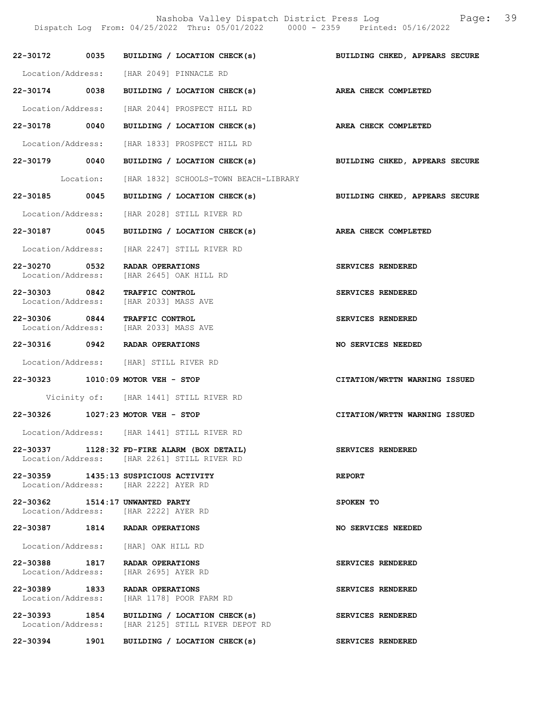Nashoba Valley Dispatch District Press Log Page: 39 Dispatch Log From: 04/25/2022 Thru: 05/01/2022 0000 - 2359 Printed: 05/16/2022 22-30172 0035 BUILDING / LOCATION CHECK(s) BUILDING CHKED, APPEARS SECURE Location/Address: [HAR 2049] PINNACLE RD 22-30174 0038 BUILDING / LOCATION CHECK(s) AREA CHECK COMPLETED Location/Address: [HAR 2044] PROSPECT HILL RD 22-30178 0040 BUILDING / LOCATION CHECK(s) AREA CHECK COMPLETED Location/Address: [HAR 1833] PROSPECT HILL RD 22-30179 0040 BUILDING / LOCATION CHECK(s) BUILDING CHKED, APPEARS SECURE Location: [HAR 1832] SCHOOLS-TOWN BEACH-LIBRARY 22-30185 0045 BUILDING / LOCATION CHECK(s) BUILDING CHKED, APPEARS SECURE Location/Address: [HAR 2028] STILL RIVER RD 22-30187 0045 BUILDING / LOCATION CHECK(s) AREA CHECK COMPLETED Location/Address: [HAR 2247] STILL RIVER RD 22-30270 0532 RADAR OPERATIONS SERVICES RENDERED Location/Address: [HAR 2645] OAK HILL RD 22-30303 0842 TRAFFIC CONTROL SERVICES RENDERED<br>
Location/Address: [HAR 2033] MASS AVE [HAR 2033] MASS AVE 22-30306 0844 TRAFFIC CONTROL SERVICES RENDERED<br>
Location/Address: [HAR 2033] MASS AVE [HAR 2033] MASS AVE 22-30316 0942 RADAR OPERATIONS NO SERVICES NEEDED Location/Address: [HAR] STILL RIVER RD 22-30323 1010:09 MOTOR VEH - STOP CITATION/WRTTN WARNING ISSUED Vicinity of: [HAR 1441] STILL RIVER RD 22-30326 1027:23 MOTOR VEH - STOP CITATION/WRTTN WARNING ISSUED Location/Address: [HAR 1441] STILL RIVER RD 22-30337 1128:32 FD-FIRE ALARM (BOX DETAIL) SERVICES RENDERED Location/Address: [HAR 2261] STILL RIVER RD 22-30359 1435:13 SUSPICIOUS ACTIVITY REPORT Location/Address: [HAR 2222] AYER RD 22-30362 1514:17 UNWANTED PARTY SPOKEN TO Location/Address: [HAR 2222] AYER RD 22-30387 1814 RADAR OPERATIONS NO SERVICES NEEDED Location/Address: [HAR] OAK HILL RD 22-30388 1817 RADAR OPERATIONS SERVICES RENDERED<br>Location/Address: [HAR 2695] AYER RD [HAR 2695] AYER RD 22-30389 1833 RADAR OPERATIONS<br>
Location/Address: [HAR 1178] POOR FARM RD<br>
SERVICES RENDERED [HAR 1178] POOR FARM RD 22-30393 1854 BUILDING / LOCATION CHECK(s) SERVICES RENDERED Location/Address: [HAR 2125] STILL RIVER DEPOT RD

22-30394 1901 BUILDING / LOCATION CHECK(s) SERVICES RENDERED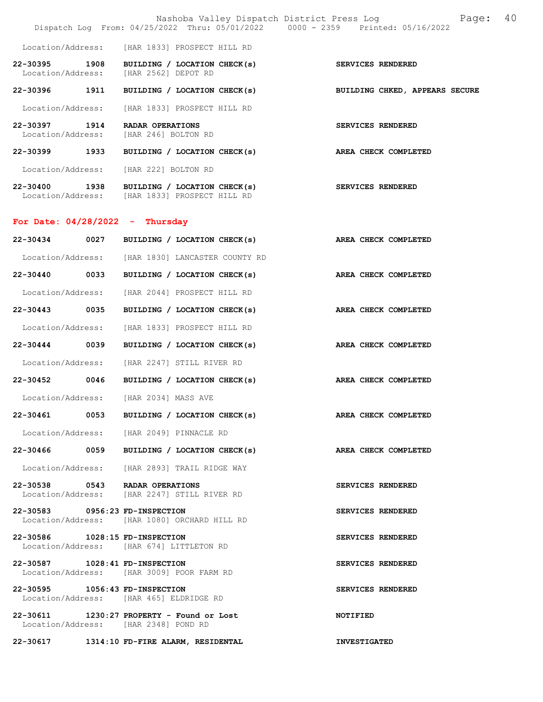|                                       | Nashoba Valley Dispatch District Press Log<br>Dispatch Log From: 04/25/2022 Thru: 05/01/2022 0000 - 2359 Printed: 05/16/2022 | 40<br>Page:                    |
|---------------------------------------|------------------------------------------------------------------------------------------------------------------------------|--------------------------------|
| Location/Address:                     | [HAR 1833] PROSPECT HILL RD                                                                                                  |                                |
| 22-30395<br>1908<br>Location/Address: | BUILDING / LOCATION CHECK(s)<br>[HAR 2562] DEPOT RD                                                                          | SERVICES RENDERED              |
| 22-30396 1911                         | BUILDING / LOCATION CHECK(s)                                                                                                 | BUILDING CHKED, APPEARS SECURE |
| Location/Address:                     | [HAR 1833] PROSPECT HILL RD                                                                                                  |                                |
| 22-30397<br>1914<br>Location/Address: | RADAR OPERATIONS<br>[HAR 246] BOLTON RD                                                                                      | SERVICES RENDERED              |
| 22-30399<br>1933                      | BUILDING / LOCATION CHECK(s)                                                                                                 | AREA CHECK COMPLETED           |
| Location/Address:                     | [HAR 222] BOLTON RD                                                                                                          |                                |
| 22-30400<br>1938                      | BUILDING / LOCATION CHECK(s)<br>Location/Address: [HAR 1833] PROSPECT HILL RD                                                | SERVICES RENDERED              |
| For Date: $04/28/2022 - Thursday$     |                                                                                                                              |                                |
| 22-30434<br>0027                      | BUILDING / LOCATION CHECK(s)                                                                                                 | AREA CHECK COMPLETED           |
|                                       | Location/Address: [HAR 1830] LANCASTER COUNTY RD                                                                             |                                |
| 22-30440 0033                         | BUILDING / LOCATION CHECK(s)                                                                                                 | AREA CHECK COMPLETED           |
| Location/Address:                     | [HAR 2044] PROSPECT HILL RD                                                                                                  |                                |
| 22-30443<br>0035                      | BUILDING / LOCATION CHECK(s)                                                                                                 | AREA CHECK COMPLETED           |
| Location/Address:                     | [HAR 1833] PROSPECT HILL RD                                                                                                  |                                |
| 0039<br>22-30444                      | BUILDING / LOCATION CHECK(s)                                                                                                 | AREA CHECK COMPLETED           |
| Location/Address:                     | [HAR 2247] STILL RIVER RD                                                                                                    |                                |
| 22-30452 0046                         | BUILDING / LOCATION CHECK(s)                                                                                                 | AREA CHECK COMPLETED           |
| Location/Address: [HAR 2034] MASS AVE |                                                                                                                              |                                |
| 22-30461<br>0053                      | BUILDING / LOCATION CHECK(s)                                                                                                 | AREA CHECK COMPLETED           |
|                                       | Location/Address: [HAR 2049] PINNACLE RD                                                                                     |                                |
|                                       | 22-30466 0059 BUILDING / LOCATION CHECK(s) AREA CHECK COMPLETED                                                              |                                |
|                                       | Location/Address: [HAR 2893] TRAIL RIDGE WAY                                                                                 |                                |
| 22-30538 0543 RADAR OPERATIONS        | Location/Address: [HAR 2247] STILL RIVER RD                                                                                  | SERVICES RENDERED              |
| 22-30583 0956:23 FD-INSPECTION        | Location/Address: [HAR 1080] ORCHARD HILL RD                                                                                 | SERVICES RENDERED              |
| 22-30586 1028:15 FD-INSPECTION        | Location/Address: [HAR 674] LITTLETON RD                                                                                     | SERVICES RENDERED              |
| 22-30587 1028:41 FD-INSPECTION        | Location/Address: [HAR 3009] POOR FARM RD                                                                                    | SERVICES RENDERED              |
| 22-30595 1056:43 FD-INSPECTION        | Location/Address: [HAR 465] ELDRIDGE RD                                                                                      | SERVICES RENDERED              |
| Location/Address: [HAR 2348] POND RD  | 22-30611 1230:27 PROPERTY - Found or Lost                                                                                    | <b>NOTIFIED</b>                |
|                                       | 22-30617 1314:10 FD-FIRE ALARM, RESIDENTAL                                                                                   | <b>INVESTIGATED</b>            |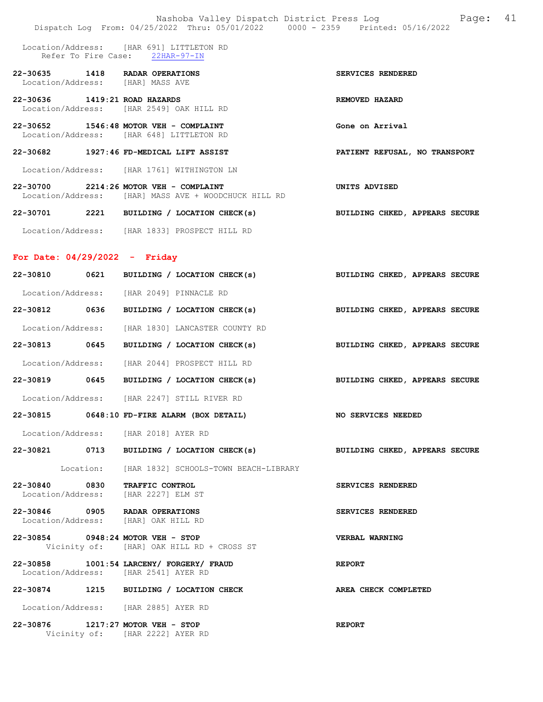|                                 | Nashoba Valley Dispatch District Press Log<br>Dispatch Log From: 04/25/2022 Thru: 05/01/2022 0000 - 2359 Printed: 05/16/2022 | 41<br>Page:                    |
|---------------------------------|------------------------------------------------------------------------------------------------------------------------------|--------------------------------|
|                                 | Location/Address: [HAR 691] LITTLETON RD<br>Refer To Fire Case: 22HAR-97-IN                                                  |                                |
|                                 | 22-30635 1418 RADAR OPERATIONS<br>Location/Address: [HAR] MASS AVE                                                           | SERVICES RENDERED              |
| 22-30636 1419:21 ROAD HAZARDS   | Location/Address: [HAR 2549] OAK HILL RD                                                                                     | REMOVED HAZARD                 |
|                                 | 22-30652 1546:48 MOTOR VEH - COMPLAINT<br>Location/Address: [HAR 648] LITTLETON RD                                           | Gone on Arrival                |
|                                 | 22-30682 1927:46 FD-MEDICAL LIFT ASSIST                                                                                      | PATIENT REFUSAL, NO TRANSPORT  |
|                                 | Location/Address: [HAR 1761] WITHINGTON LN                                                                                   |                                |
|                                 | 22-30700 2214:26 MOTOR VEH - COMPLAINT<br>Location/Address: [HAR] MASS AVE + WOODCHUCK HILL RD                               | UNITS ADVISED                  |
|                                 | 22-30701 2221 BUILDING / LOCATION CHECK(s)                                                                                   | BUILDING CHKED, APPEARS SECURE |
|                                 | Location/Address: [HAR 1833] PROSPECT HILL RD                                                                                |                                |
| For Date: $04/29/2022 -$ Friday |                                                                                                                              |                                |
|                                 | 22-30810 0621 BUILDING / LOCATION CHECK(s)                                                                                   | BUILDING CHKED, APPEARS SECURE |
|                                 | Location/Address: [HAR 2049] PINNACLE RD                                                                                     |                                |
|                                 | 22-30812 0636 BUILDING / LOCATION CHECK(s)                                                                                   | BUILDING CHKED, APPEARS SECURE |
| Location/Address:               | [HAR 1830] LANCASTER COUNTY RD                                                                                               |                                |
| 22-30813 0645                   | BUILDING / LOCATION CHECK(s)                                                                                                 | BUILDING CHKED, APPEARS SECURE |
|                                 | Location/Address: [HAR 2044] PROSPECT HILL RD                                                                                |                                |
|                                 | 22-30819 0645 BUILDING / LOCATION CHECK(s)                                                                                   | BUILDING CHKED, APPEARS SECURE |
|                                 | Location/Address: [HAR 2247] STILL RIVER RD                                                                                  |                                |
|                                 | 22-30815 0648:10 FD-FIRE ALARM (BOX DETAIL)                                                                                  | NO SERVICES NEEDED             |
|                                 | Location/Address: [HAR 2018] AYER RD                                                                                         |                                |
|                                 | 22-30821 0713 BUILDING / LOCATION CHECK(s) BUILDING CHKED, APPEARS SECURE                                                    |                                |
|                                 | Location: [HAR 1832] SCHOOLS-TOWN BEACH-LIBRARY                                                                              |                                |
|                                 | 22-30840 0830 TRAFFIC CONTROL<br>Location/Address: [HAR 2227] ELM ST                                                         | SERVICES RENDERED              |
|                                 | 22-30846 0905 RADAR OPERATIONS<br>Location/Address: [HAR] OAK HILL RD                                                        | SERVICES RENDERED              |
|                                 | 22-30854 0948:24 MOTOR VEH - STOP<br>Vicinity of: [HAR] OAK HILL RD + CROSS ST                                               | VERBAL WARNING                 |
|                                 | 22-30858 1001:54 LARCENY/ FORGERY/ FRAUD<br>Location/Address: [HAR 2541] AYER RD                                             | <b>REPORT</b>                  |
|                                 | 22-30874 1215 BUILDING / LOCATION CHECK                                                                                      | AREA CHECK COMPLETED           |
|                                 | Location/Address: [HAR 2885] AYER RD                                                                                         |                                |
|                                 | 22-30876 1217:27 MOTOR VEH - STOP<br>Vicinity of: [HAR 2222] AYER RD                                                         | <b>REPORT</b>                  |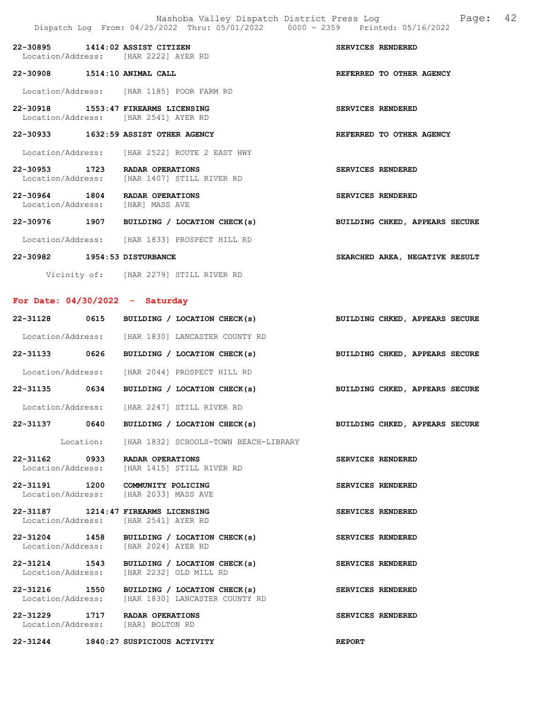|                              |      | 22-30895 1414:02 ASSIST CITIZEN<br>Location/Address: [HAR 2222] AYER RD       | <b>SERVICES RENDERED</b>       |  |
|------------------------------|------|-------------------------------------------------------------------------------|--------------------------------|--|
| 22-30908 1514:10 ANIMAL CALL |      |                                                                               | REFERRED TO OTHER AGENCY       |  |
|                              |      | Location/Address: [HAR 1185] POOR FARM RD                                     |                                |  |
|                              |      | 22-30918 1553:47 FIREARMS LICENSING<br>Location/Address: [HAR 2541] AYER RD   | <b>SERVICES RENDERED</b>       |  |
|                              |      | 22-30933 1632:59 ASSIST OTHER AGENCY                                          | REFERRED TO OTHER AGENCY       |  |
|                              |      | Location/Address: [HAR 2522] ROUTE 2 EAST HWY                                 |                                |  |
|                              |      | 22-30953 1723 RADAR OPERATIONS<br>Location/Address: [HAR 1407] STILL RIVER RD | SERVICES RENDERED              |  |
| 22-30964 1804                |      | RADAR OPERATIONS<br>Location/Address: [HAR] MASS AVE                          | <b>SERVICES RENDERED</b>       |  |
| 22-30976                     | 1907 | BUILDING / LOCATION CHECK(s)                                                  | BUILDING CHKED, APPEARS SECURE |  |

Location/Address: [HAR 1833] PROSPECT HILL RD

#### 22-30982 1954:53 DISTURBANCE SEARCHED AREA, NEGATIVE RESULT

Vicinity of: [HAR 2279] STILL RIVER RD

## For Date: 04/30/2022 - Saturday

|                                                                               |  | 22-31128 0615 BUILDING / LOCATION CHECK(s)                                | BUILDING CHKED, APPEARS SECURE |  |  |
|-------------------------------------------------------------------------------|--|---------------------------------------------------------------------------|--------------------------------|--|--|
| Location/Address: [HAR 1830] LANCASTER COUNTY RD                              |  |                                                                           |                                |  |  |
|                                                                               |  | 22-31133 0626 BUILDING / LOCATION CHECK(s) BUILDING CHKED, APPEARS SECURE |                                |  |  |
| Location/Address: [HAR 2044] PROSPECT HILL RD                                 |  |                                                                           |                                |  |  |
|                                                                               |  | 22-31135 0634 BUILDING / LOCATION CHECK(s) BUILDING CHKED, APPEARS SECURE |                                |  |  |
| Location/Address: [HAR 2247] STILL RIVER RD                                   |  |                                                                           |                                |  |  |
|                                                                               |  | 22-31137 0640 BUILDING / LOCATION CHECK(s) BUILDING CHKED, APPEARS SECURE |                                |  |  |
|                                                                               |  | Location: [HAR 1832] SCHOOLS-TOWN BEACH-LIBRARY                           |                                |  |  |
| 22-31162 0933 RADAR OPERATIONS<br>Location/Address: [HAR 1415] STILL RIVER RD |  |                                                                           | SERVICES RENDERED              |  |  |
| 22-31191 1200 COMMUNITY POLICING<br>Location/Address: [HAR 2033] MASS AVE     |  |                                                                           | SERVICES RENDERED              |  |  |
| 22-31187 1214:47 FIREARMS LICENSING<br>Location/Address: [HAR 2541] AYER RD   |  |                                                                           | SERVICES RENDERED              |  |  |
| Location/Address: [HAR 2024] AYER RD                                          |  | 22-31204 1458 BUILDING / LOCATION CHECK(s)                                | SERVICES RENDERED              |  |  |
| Location/Address: [HAR 2232] OLD MILL RD                                      |  | 22-31214 1543 BUILDING / LOCATION CHECK(s)                                | SERVICES RENDERED              |  |  |
| Location/Address: [HAR 1830] LANCASTER COUNTY RD                              |  | 22-31216 1550 BUILDING / LOCATION CHECK(s)                                | SERVICES RENDERED              |  |  |
| 22-31229 1717 RADAR OPERATIONS<br>Location/Address: [HAR] BOLTON RD           |  |                                                                           | SERVICES RENDERED              |  |  |
|                                                                               |  |                                                                           |                                |  |  |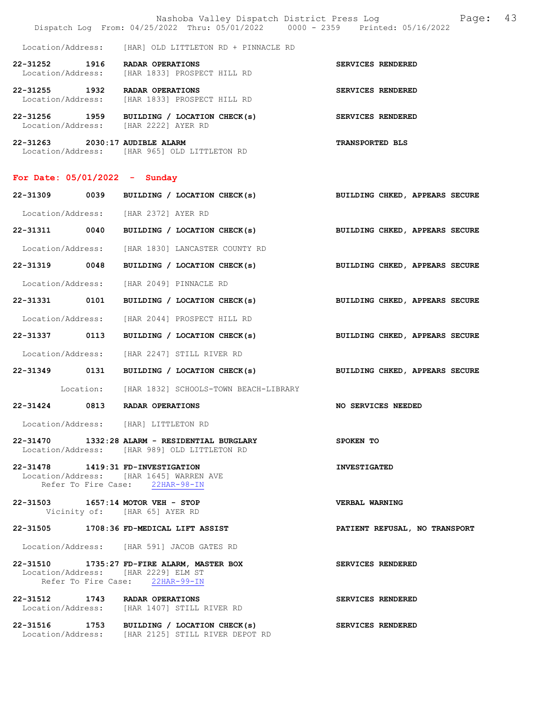|                                                          | Nashoba Valley Dispatch District Press Loq                        | Dispatch Log From: 04/25/2022 Thru: 05/01/2022 0000 - 2359 Printed: 05/16/2022 | Page: | 43 |
|----------------------------------------------------------|-------------------------------------------------------------------|--------------------------------------------------------------------------------|-------|----|
|                                                          | Location/Address: [HAR] OLD LITTLETON RD + PINNACLE RD            |                                                                                |       |    |
| 22-31252<br>1916                                         | RADAR OPERATIONS<br>Location/Address: [HAR 1833] PROSPECT HILL RD | SERVICES RENDERED                                                              |       |    |
| 22-31255 1932 RADAR OPERATIONS                           | Location/Address: [HAR 1833] PROSPECT HILL RD                     | SERVICES RENDERED                                                              |       |    |
| 1959<br>22-31256<br>Location/Address: [HAR 2222] AYER RD | BUILDING / LOCATION CHECK(s)                                      | SERVICES RENDERED                                                              |       |    |
| 22-31263 2030:17 AUDIBLE ALARM                           | Location/Address: [HAR 965] OLD LITTLETON RD                      | <b>TRANSPORTED BLS</b>                                                         |       |    |

## For Date: 05/01/2022 - Sunday

| 22-31309 0039 | BUILDING / LOCATION CHECK(s)                                                                                         | BUILDING CHKED, APPEARS SECURE |
|---------------|----------------------------------------------------------------------------------------------------------------------|--------------------------------|
|               | Location/Address: [HAR 2372] AYER RD                                                                                 |                                |
|               | 22-31311 0040 BUILDING / LOCATION CHECK(s)                                                                           | BUILDING CHKED, APPEARS SECURE |
|               | Location/Address: [HAR 1830] LANCASTER COUNTY RD                                                                     |                                |
|               | 22-31319 0048 BUILDING / LOCATION CHECK(s)                                                                           | BUILDING CHKED, APPEARS SECURE |
|               | Location/Address: [HAR 2049] PINNACLE RD                                                                             |                                |
|               | 22-31331 0101 BUILDING / LOCATION CHECK(s) BUILDING CHKED, APPEARS SECURE                                            |                                |
|               | Location/Address: [HAR 2044] PROSPECT HILL RD                                                                        |                                |
|               | 22-31337 0113 BUILDING / LOCATION CHECK(s)                                                                           | BUILDING CHKED, APPEARS SECURE |
|               | Location/Address: [HAR 2247] STILL RIVER RD                                                                          |                                |
|               | 22-31349 0131 BUILDING / LOCATION CHECK(s) BUILDING CHKED, APPEARS SECURE                                            |                                |
|               | Location: [HAR 1832] SCHOOLS-TOWN BEACH-LIBRARY                                                                      |                                |
|               | 22-31424 0813 RADAR OPERATIONS                                                                                       | <b>NO SERVICES NEEDED</b>      |
|               | Location/Address: [HAR] LITTLETON RD                                                                                 |                                |
|               | 22-31470 1332:28 ALARM - RESIDENTIAL BURGLARY<br>Location/Address: [HAR 989] OLD LITTLETON RD                        | SPOKEN TO                      |
|               | 22-31478 1419:31 FD-INVESTIGATION<br>Location/Address: [HAR 1645] WARREN AVE<br>Refer To Fire Case: 22HAR-98-IN      | <b>INVESTIGATED</b>            |
|               | 22-31503 1657:14 MOTOR VEH - STOP<br>Vicinity of: [HAR 65] AYER RD                                                   | <b>VERBAL WARNING</b>          |
|               | 22-31505 1708:36 FD-MEDICAL LIFT ASSIST                                                                              | PATIENT REFUSAL, NO TRANSPORT  |
|               | Location/Address: [HAR 591] JACOB GATES RD                                                                           |                                |
|               | 22-31510 1735:27 FD-FIRE ALARM, MASTER BOX<br>Location/Address: [HAR 2229] ELM ST<br>Refer To Fire Case: 22HAR-99-IN | SERVICES RENDERED              |
|               | 22-31512 1743 RADAR OPERATIONS<br>Location/Address: [HAR 1407] STILL RIVER RD                                        | SERVICES RENDERED              |
|               | 22-31516 1753 BUILDING / LOCATION CHECK(s)<br>Location/Address: [HAR 2125] STILL RIVER DEPOT RD                      | SERVICES RENDERED              |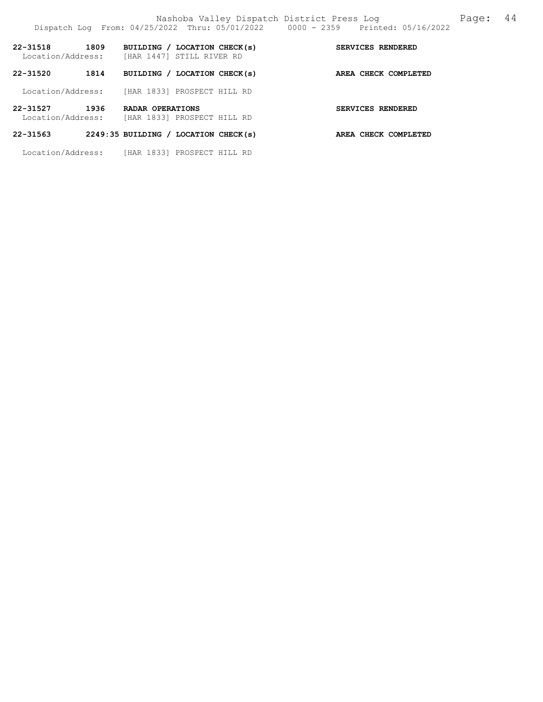|                               |      | Location/Address: [HAR 1447] STILL RIVER RD     |                      |  |  |
|-------------------------------|------|-------------------------------------------------|----------------------|--|--|
| 22-31520                      | 1814 | BUILDING / LOCATION CHECK(s)                    | AREA CHECK COMPLETED |  |  |
|                               |      | Location/Address: [HAR 1833] PROSPECT HILL RD   |                      |  |  |
| 22-31527<br>Location/Address: | 1936 | RADAR OPERATIONS<br>[HAR 1833] PROSPECT HILL RD | SERVICES RENDERED    |  |  |

# 22-31563 2249:35 BUILDING / LOCATION CHECK(s) AREA CHECK COMPLETED

Location/Address: [HAR 1833] PROSPECT HILL RD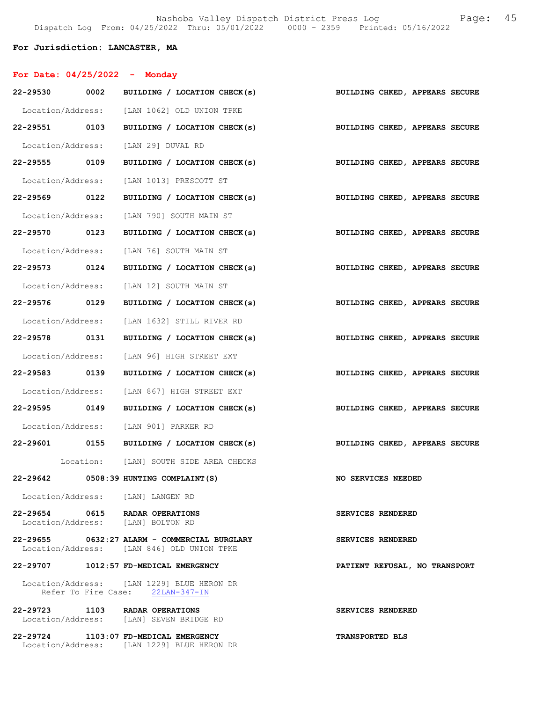#### For Jurisdiction: LANCASTER, MA

Location/Address: [LAN 1229] BLUE HERON DR

| For Date: $04/25/2022 -$ Monday |                                                                                            |                                |
|---------------------------------|--------------------------------------------------------------------------------------------|--------------------------------|
|                                 | 22-29530 0002 BUILDING / LOCATION CHECK(s)                                                 | BUILDING CHKED, APPEARS SECURE |
|                                 | Location/Address: [LAN 1062] OLD UNION TPKE                                                |                                |
| 22-29551 0103                   | BUILDING / LOCATION CHECK(s)                                                               | BUILDING CHKED, APPEARS SECURE |
|                                 | Location/Address: [LAN 29] DUVAL RD                                                        |                                |
| 22-29555 0109                   | BUILDING / LOCATION CHECK(s) BUILDING CHKED, APPEARS SECURE                                |                                |
|                                 | Location/Address: [LAN 1013] PRESCOTT ST                                                   |                                |
| 22-29569 0122                   | BUILDING / LOCATION CHECK(s)                                                               | BUILDING CHKED, APPEARS SECURE |
|                                 | Location/Address: [LAN 790] SOUTH MAIN ST                                                  |                                |
| 22-29570 0123                   | BUILDING / LOCATION CHECK(s)                                                               | BUILDING CHKED, APPEARS SECURE |
|                                 | Location/Address: [LAN 76] SOUTH MAIN ST                                                   |                                |
|                                 | 22-29573 0124 BUILDING / LOCATION CHECK(s)                                                 | BUILDING CHKED, APPEARS SECURE |
|                                 | Location/Address: [LAN 12] SOUTH MAIN ST                                                   |                                |
| 22-29576 0129                   | BUILDING / LOCATION CHECK(s)                                                               | BUILDING CHKED, APPEARS SECURE |
|                                 | Location/Address: [LAN 1632] STILL RIVER RD                                                |                                |
| 22-29578 0131                   | BUILDING / LOCATION CHECK(s)                                                               | BUILDING CHKED, APPEARS SECURE |
|                                 | Location/Address: [LAN 96] HIGH STREET EXT                                                 |                                |
| 22-29583 0139                   | BUILDING / LOCATION CHECK(s)                                                               | BUILDING CHKED, APPEARS SECURE |
|                                 | Location/Address: [LAN 867] HIGH STREET EXT                                                |                                |
|                                 | 22-29595 0149 BUILDING / LOCATION CHECK(s)                                                 | BUILDING CHKED, APPEARS SECURE |
|                                 | Location/Address: [LAN 901] PARKER RD                                                      |                                |
|                                 | 22-29601 0155 BUILDING / LOCATION CHECK(s)                                                 | BUILDING CHKED, APPEARS SECURE |
|                                 | Location: [LAN] SOUTH SIDE AREA CHECKS                                                     |                                |
|                                 | 22-29642 0508:39 HUNTING COMPLAINT (S)                                                     | NO SERVICES NEEDED             |
|                                 | Location/Address: [LAN] LANGEN RD                                                          |                                |
|                                 | 22-29654 0615 RADAR OPERATIONS<br>Location/Address: [LAN] BOLTON RD                        | SERVICES RENDERED              |
|                                 | 22-29655 0632:27 ALARM - COMMERCIAL BURGLARY<br>Location/Address: [LAN 846] OLD UNION TPKE | SERVICES RENDERED              |
|                                 | 22-29707 1012:57 FD-MEDICAL EMERGENCY                                                      | PATIENT REFUSAL, NO TRANSPORT  |
|                                 | Location/Address: [LAN 1229] BLUE HERON DR<br>Refer To Fire Case: 22LAN-347-IN             |                                |
|                                 | 22-29723 1103 RADAR OPERATIONS<br>Location/Address: [LAN] SEVEN BRIDGE RD                  | SERVICES RENDERED              |
|                                 | 22-29724 1103:07 FD-MEDICAL EMERGENCY                                                      | <b>TRANSPORTED BLS</b>         |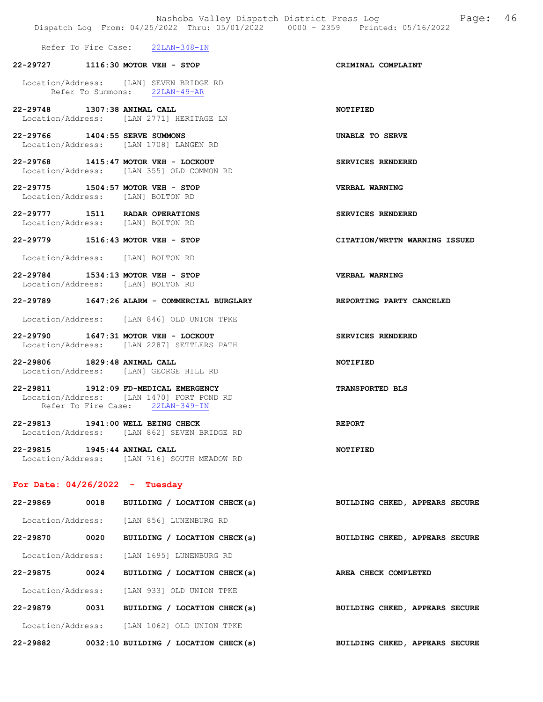|                                                                                   | Nashoba Valley Dispatch District Press Loq<br>Dispatch Log From: 04/25/2022 Thru: 05/01/2022 0000 - 2359 Printed: 05/16/2022 | Page: 46              |  |
|-----------------------------------------------------------------------------------|------------------------------------------------------------------------------------------------------------------------------|-----------------------|--|
| Refer To Fire Case: 22LAN-348-IN                                                  |                                                                                                                              |                       |  |
| 22-29727 1116:30 MOTOR VEH - STOP                                                 |                                                                                                                              | CRIMINAL COMPLAINT    |  |
| Location/Address: [LAN] SEVEN BRIDGE RD<br>Refer To Summons: 22LAN-49-AR          |                                                                                                                              |                       |  |
| 22-29748 1307:38 ANIMAL CALL<br>Location/Address: [LAN 2771] HERITAGE LN          |                                                                                                                              | <b>NOTIFIED</b>       |  |
| 22-29766 1404:55 SERVE SUMMONS<br>Location/Address: [LAN 1708] LANGEN RD          |                                                                                                                              | UNABLE TO SERVE       |  |
| 22-29768 1415:47 MOTOR VEH - LOCKOUT<br>Location/Address: [LAN 355] OLD COMMON RD |                                                                                                                              | SERVICES RENDERED     |  |
| 22-29775 1504:57 MOTOR VEH - STOP<br>Location/Address: [LAN] BOLTON RD            |                                                                                                                              | <b>VERBAL WARNING</b> |  |
| 22-29777 1511 RADAR OPERATIONS<br>Location/Address: [LAN] BOLTON RD               |                                                                                                                              | SERVICES RENDERED     |  |

- 22-29779 1516:43 MOTOR VEH STOP CITATION/WRTTN WARNING ISSUED
- Location/Address: [LAN] BOLTON RD
- 22-29784 1534:13 MOTOR VEH STOP VERBAL WARNING Location/Address: [LAN] BOLTON RD
- 22-29789 1647:26 ALARM COMMERCIAL BURGLARY REPORTING PARTY CANCELED
- Location/Address: [LAN 846] OLD UNION TPKE
- 22-29790 1647:31 MOTOR VEH LOCKOUT SERVICES RENDERED Location/Address: [LAN 2287] SETTLERS PATH
- 22-29806 1829:48 ANIMAL CALL NOTIFIED Location/Address: [LAN] GEORGE HILL RD
- 22-29811 1912:09 FD-MEDICAL EMERGENCY TRANSPORTED BLS Location/Address: [LAN 1470] FORT POND RD Refer To Fire Case: 22LAN-349-IN
- 22-29813 1941:00 WELL BEING CHECK REPORT Location/Address: [LAN 862] SEVEN BRIDGE RD
- 22-29815 1945:44 ANIMAL CALL NOTIFIED Location/Address: [LAN 716] SOUTH MEADOW RD

#### For Date: 04/26/2022 - Tuesday

| $22 - 29869$      | 0018 | BUILDING / LOCATION CHECK(s)         | BUILDING CHKED, APPEARS SECURE |  |
|-------------------|------|--------------------------------------|--------------------------------|--|
| Location/Address: |      | [LAN 856] LUNENBURG RD               |                                |  |
| 22-29870          | 0020 | BUILDING / LOCATION CHECK(s)         | BUILDING CHKED, APPEARS SECURE |  |
| Location/Address: |      | [LAN 1695] LUNENBURG RD              |                                |  |
| 22-29875          | 0024 | BUILDING / LOCATION CHECK(s)         | AREA CHECK COMPLETED           |  |
| Location/Address: |      | TLAN 9331 OLD UNION TPKE             |                                |  |
| 22-29879          | 0031 | BUILDING / LOCATION CHECK(s)         | BUILDING CHKED, APPEARS SECURE |  |
| Location/Address: |      | [LAN 1062] OLD UNION TPKE            |                                |  |
| 22-29882          |      | 0032:10 BUILDING / LOCATION CHECK(s) | BUILDING CHKED, APPEARS SECURE |  |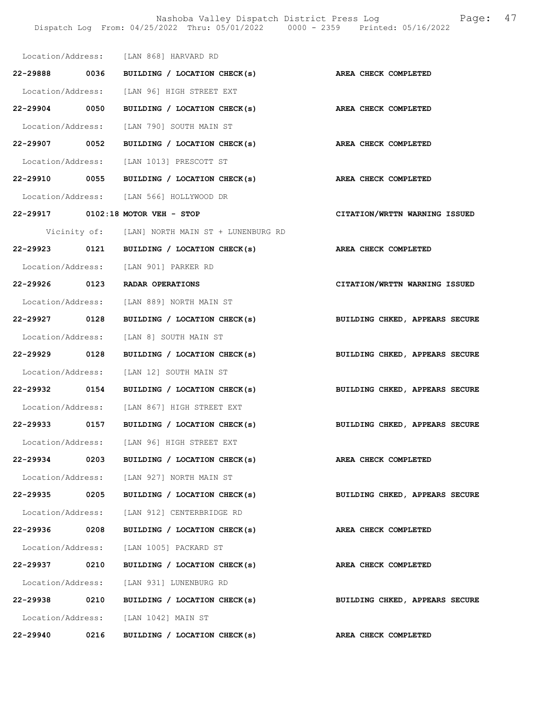Nashoba Valley Dispatch District Press Log Fage: 47 Dispatch Log From: 04/25/2022 Thru: 05/01/2022 0000 - 2359 Printed: 05/16/2022

|               |      | Location/Address: [LAN 868] HARVARD RD                                                                       |                                |
|---------------|------|--------------------------------------------------------------------------------------------------------------|--------------------------------|
|               |      | 22-29888 0036 BUILDING / LOCATION CHECK(s) AREA CHECK COMPLETED                                              |                                |
|               |      | Location/Address: [LAN 96] HIGH STREET EXT                                                                   |                                |
|               |      | 22-29904 0050 BUILDING / LOCATION CHECK(s) AREA CHECK COMPLETED                                              |                                |
|               |      |                                                                                                              |                                |
|               |      | Location/Address: [LAN 790] SOUTH MAIN ST<br>22-29907 0052 BUILDING / LOCATION CHECK(s) AREA CHECK COMPLETED |                                |
|               |      | Location/Address: [LAN 1013] PRESCOTT ST                                                                     |                                |
|               |      | 22-29910 0055 BUILDING / LOCATION CHECK(s) AREA CHECK COMPLETED                                              |                                |
|               |      |                                                                                                              |                                |
|               |      | Location/Address: [LAN 566] HOLLYWOOD DR<br>22-29917 0102:18 MOTOR VEH - STOP                                | CITATION/WRTTN WARNING ISSUED  |
|               |      |                                                                                                              |                                |
|               |      | Vicinity of: [LAN] NORTH MAIN ST + LUNENBURG RD                                                              |                                |
|               |      | 22-29923 0121 BUILDING / LOCATION CHECK(s) AREA CHECK COMPLETED                                              |                                |
|               |      | Location/Address: [LAN 901] PARKER RD                                                                        |                                |
|               |      | 22-29926 0123 RADAR OPERATIONS                                                                               | CITATION/WRTTN WARNING ISSUED  |
|               |      | Location/Address: [LAN 889] NORTH MAIN ST                                                                    |                                |
|               |      | 22-29927 0128 BUILDING / LOCATION CHECK(s) BUILDING CHKED, APPEARS SECURE                                    |                                |
|               |      | Location/Address: [LAN 8] SOUTH MAIN ST                                                                      |                                |
|               |      | 22-29929 0128 BUILDING / LOCATION CHECK(s) BUILDING CHKED, APPEARS SECURE                                    |                                |
|               |      | Location/Address: [LAN 12] SOUTH MAIN ST                                                                     |                                |
|               |      | 22-29932 0154 BUILDING / LOCATION CHECK(s) BUILDING CHKED, APPEARS SECURE                                    |                                |
|               |      | Location/Address: [LAN 867] HIGH STREET EXT                                                                  |                                |
|               |      | 22-29933 0157 BUILDING / LOCATION CHECK(s)                                                                   | BUILDING CHKED, APPEARS SECURE |
|               |      | Location/Address: [LAN 96] HIGH STREET EXT                                                                   |                                |
| 22-29934      | 0203 | BUILDING / LOCATION CHECK(s)                                                                                 | AREA CHECK COMPLETED           |
|               |      | Location/Address: [LAN 927] NORTH MAIN ST                                                                    |                                |
| 22-29935      | 0205 | BUILDING / LOCATION CHECK(s)                                                                                 | BUILDING CHKED, APPEARS SECURE |
|               |      | Location/Address: [LAN 912] CENTERBRIDGE RD                                                                  |                                |
| 22-29936 0208 |      | BUILDING / LOCATION CHECK(s)                                                                                 | AREA CHECK COMPLETED           |
|               |      | Location/Address: [LAN 1005] PACKARD ST                                                                      |                                |
| 22-29937 0210 |      | BUILDING / LOCATION CHECK(s)                                                                                 | AREA CHECK COMPLETED           |
|               |      | Location/Address: [LAN 931] LUNENBURG RD                                                                     |                                |
| 22-29938      | 0210 | BUILDING / LOCATION CHECK(s)                                                                                 | BUILDING CHKED, APPEARS SECURE |
|               |      | Location/Address: [LAN 1042] MAIN ST                                                                         |                                |
| 22-29940 0216 |      | BUILDING / LOCATION CHECK(s)                                                                                 | AREA CHECK COMPLETED           |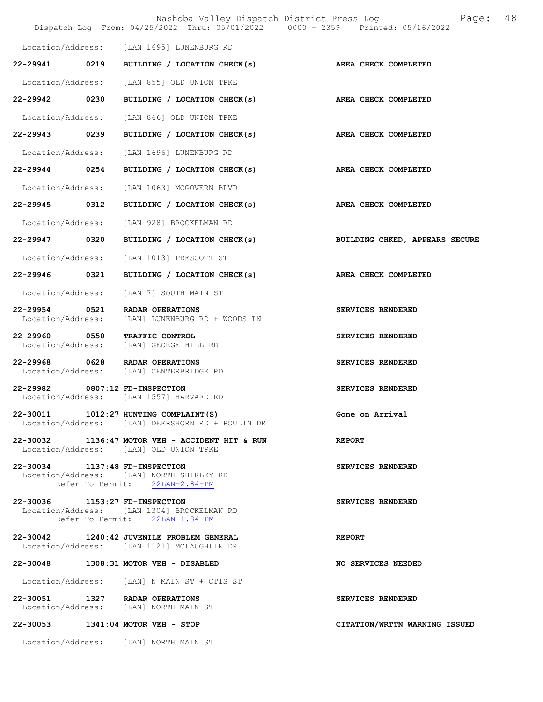|                                    |      | Nashoba Valley Dispatch District Press Log<br>Dispatch Log From: 04/25/2022 Thru: 05/01/2022 0000 - 2359 Printed: 05/16/2022 | 48<br>Page:                    |
|------------------------------------|------|------------------------------------------------------------------------------------------------------------------------------|--------------------------------|
|                                    |      | Location/Address: [LAN 1695] LUNENBURG RD                                                                                    |                                |
| 22-29941 0219                      |      | BUILDING / LOCATION CHECK(s)                                                                                                 | AREA CHECK COMPLETED           |
| Location/Address:                  |      | [LAN 855] OLD UNION TPKE                                                                                                     |                                |
| 22-29942 0230                      |      | BUILDING / LOCATION CHECK(s)                                                                                                 | <b>AREA CHECK COMPLETED</b>    |
| Location/Address:                  |      | [LAN 866] OLD UNION TPKE                                                                                                     |                                |
| 22-29943 0239                      |      | BUILDING / LOCATION CHECK(s)                                                                                                 | AREA CHECK COMPLETED           |
| Location/Address:                  |      | [LAN 1696] LUNENBURG RD                                                                                                      |                                |
| 22-29944 0254                      |      | BUILDING / LOCATION CHECK(s)                                                                                                 | AREA CHECK COMPLETED           |
| Location/Address:                  |      | [LAN 1063] MCGOVERN BLVD                                                                                                     |                                |
| 22-29945                           | 0312 | BUILDING / LOCATION CHECK(s)                                                                                                 | AREA CHECK COMPLETED           |
| Location/Address:                  |      | [LAN 928] BROCKELMAN RD                                                                                                      |                                |
| 22-29947 0320                      |      | BUILDING / LOCATION CHECK(s)                                                                                                 | BUILDING CHKED, APPEARS SECURE |
| Location/Address:                  |      | [LAN 1013] PRESCOTT ST                                                                                                       |                                |
| 22-29946 0321                      |      | BUILDING / LOCATION CHECK(s)                                                                                                 | AREA CHECK COMPLETED           |
| Location/Address:                  |      | [LAN 7] SOUTH MAIN ST                                                                                                        |                                |
| 22-29954 0521<br>Location/Address: |      | RADAR OPERATIONS<br>[LAN] LUNENBURG RD + WOODS LN                                                                            | SERVICES RENDERED              |
| 22-29960 0550<br>Location/Address: |      | TRAFFIC CONTROL<br>[LAN] GEORGE HILL RD                                                                                      | SERVICES RENDERED              |
| 22-29968 0628                      |      | RADAR OPERATIONS<br>Location/Address: [LAN] CENTERBRIDGE RD                                                                  | SERVICES RENDERED              |
| 22-29982 0807:12 FD-INSPECTION     |      | Location/Address: [LAN 1557] HARVARD RD                                                                                      | SERVICES RENDERED              |
|                                    |      | 22-30011 1012:27 HUNTING COMPLAINT (S)<br>Location/Address: [LAN] DEERSHORN RD + POULIN DR                                   | Gone on Arrival                |
|                                    |      | 22-30032 1136:47 MOTOR VEH - ACCIDENT HIT & RUN<br>Location/Address: [LAN] OLD UNION TPKE                                    | <b>REPORT</b>                  |
| 22-30034 1137:48 FD-INSPECTION     |      | Location/Address: [LAN] NORTH SHIRLEY RD<br>Refer To Permit: 22LAN-2.84-PM                                                   | SERVICES RENDERED              |
| 22-30036 1153:27 FD-INSPECTION     |      | Location/Address: [LAN 1304] BROCKELMAN RD<br>Refer To Permit: 22LAN-1.84-PM                                                 | SERVICES RENDERED              |
|                                    |      | 22-30042 1240:42 JUVENILE PROBLEM GENERAL<br>Location/Address: [LAN 1121] MCLAUGHLIN DR                                      | <b>REPORT</b>                  |
|                                    |      | 22-30048 1308:31 MOTOR VEH - DISABLED                                                                                        | NO SERVICES NEEDED             |
|                                    |      | Location/Address: [LAN] N MAIN ST + OTIS ST                                                                                  |                                |
|                                    |      | 22-30051 1327 RADAR OPERATIONS<br>Location/Address: [LAN] NORTH MAIN ST                                                      | SERVICES RENDERED              |
|                                    |      | 22-30053 1341:04 MOTOR VEH - STOP                                                                                            | CITATION/WRTTN WARNING ISSUED  |
|                                    |      | Location/Address: [LAN] NORTH MAIN ST                                                                                        |                                |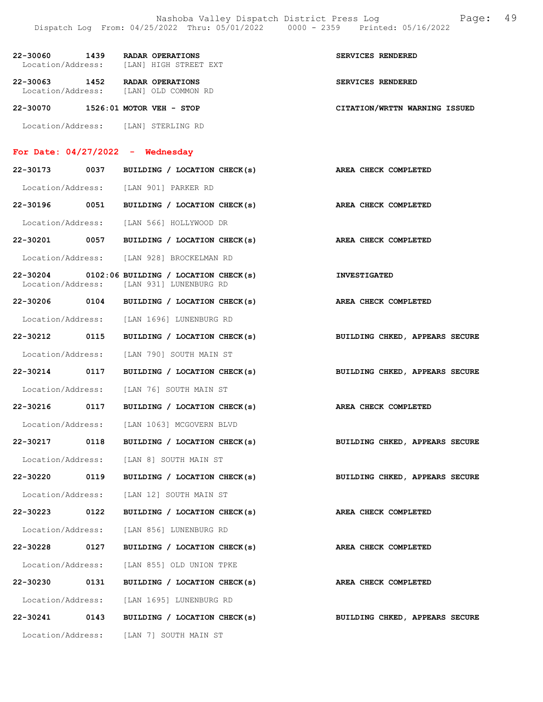| 22-30060 1439 RADAR OPERATIONS                                          | Location/Address: [LAN] HIGH STREET EXT                                                     | SERVICES RENDERED              |
|-------------------------------------------------------------------------|---------------------------------------------------------------------------------------------|--------------------------------|
| 22-30063 1452 RADAR OPERATIONS<br>Location/Address: [LAN] OLD COMMON RD |                                                                                             | SERVICES RENDERED              |
| 22-30070 1526:01 MOTOR VEH - STOP                                       |                                                                                             | CITATION/WRTTN WARNING ISSUED  |
| Location/Address: [LAN] STERLING RD                                     |                                                                                             |                                |
| For Date: $04/27/2022 -$ Wednesday                                      |                                                                                             |                                |
|                                                                         | 22-30173 0037 BUILDING / LOCATION CHECK(s) AREA CHECK COMPLETED                             |                                |
| Location/Address: [LAN 901] PARKER RD                                   |                                                                                             |                                |
|                                                                         | 22-30196 0051 BUILDING / LOCATION CHECK(s) AREA CHECK COMPLETED                             |                                |
|                                                                         | Location/Address: [LAN 566] HOLLYWOOD DR                                                    |                                |
|                                                                         | 22-30201 0057 BUILDING / LOCATION CHECK(s)                                                  | AREA CHECK COMPLETED           |
|                                                                         | Location/Address: [LAN 928] BROCKELMAN RD                                                   |                                |
|                                                                         | $22-30204$ 0102:06 BUILDING / LOCATION CHECK(s)<br>Location/Address: [LAN 931] LUNENBURG RD | <b>INVESTIGATED</b>            |
|                                                                         | 22-30206 0104 BUILDING / LOCATION CHECK(s)                                                  | AREA CHECK COMPLETED           |
|                                                                         | Location/Address: [LAN 1696] LUNENBURG RD                                                   |                                |
| 22-30212 0115                                                           | BUILDING / LOCATION CHECK(s)                                                                | BUILDING CHKED, APPEARS SECURE |
|                                                                         | Location/Address: [LAN 790] SOUTH MAIN ST                                                   |                                |
|                                                                         | 22-30214 0117 BUILDING / LOCATION CHECK(s)                                                  | BUILDING CHKED, APPEARS SECURE |
|                                                                         | Location/Address: [LAN 76] SOUTH MAIN ST                                                    |                                |
|                                                                         | 22-30216 0117 BUILDING / LOCATION CHECK(s) AREA CHECK COMPLETED                             |                                |
|                                                                         | Location/Address: [LAN 1063] MCGOVERN BLVD                                                  |                                |
| 0118<br>22-30217                                                        | BUILDING / LOCATION CHECK(s)                                                                | BUILDING CHKED, APPEARS SECURE |
|                                                                         | Location/Address: [LAN 8] SOUTH MAIN ST                                                     |                                |
| 22-30220<br>0119                                                        | BUILDING / LOCATION CHECK(s)                                                                | BUILDING CHKED, APPEARS SECURE |
|                                                                         | Location/Address: [LAN 12] SOUTH MAIN ST                                                    |                                |
| 22-30223<br>0122                                                        | BUILDING / LOCATION CHECK(s)                                                                | AREA CHECK COMPLETED           |
|                                                                         | Location/Address: [LAN 856] LUNENBURG RD                                                    |                                |
| 22-30228<br>0127                                                        | BUILDING / LOCATION CHECK(s)                                                                | AREA CHECK COMPLETED           |
|                                                                         | Location/Address: [LAN 855] OLD UNION TPKE                                                  |                                |
| 22-30230<br>0131                                                        | BUILDING / LOCATION CHECK(s)                                                                | AREA CHECK COMPLETED           |
|                                                                         | Location/Address: [LAN 1695] LUNENBURG RD                                                   |                                |
| 0143<br>22-30241                                                        | BUILDING / LOCATION CHECK(s)                                                                | BUILDING CHKED, APPEARS SECURE |
|                                                                         | Location/Address: [LAN 7] SOUTH MAIN ST                                                     |                                |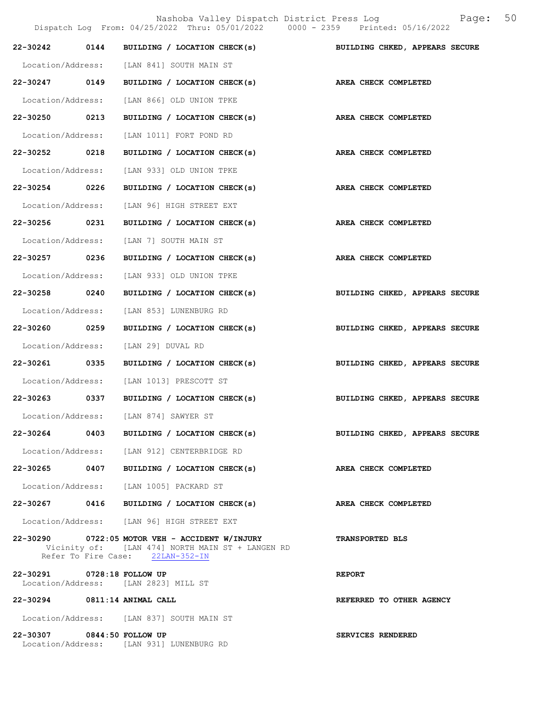Nashoba Valley Dispatch District Press Log Fage: 50

|                                                                    | Dispatch Log From: 04/25/2022 Thru: 05/01/2022 0000 - 2359 Printed: 05/16/2022                                                           |                                |
|--------------------------------------------------------------------|------------------------------------------------------------------------------------------------------------------------------------------|--------------------------------|
| 0144<br>22-30242                                                   | BUILDING / LOCATION CHECK(s)                                                                                                             | BUILDING CHKED, APPEARS SECURE |
|                                                                    | Location/Address: [LAN 841] SOUTH MAIN ST                                                                                                |                                |
| 22-30247 0149                                                      | BUILDING / LOCATION CHECK(s)                                                                                                             | AREA CHECK COMPLETED           |
|                                                                    | Location/Address: [LAN 866] OLD UNION TPKE                                                                                               |                                |
| 22-30250 0213                                                      | BUILDING / LOCATION CHECK(s)                                                                                                             | AREA CHECK COMPLETED           |
|                                                                    | Location/Address: [LAN 1011] FORT POND RD                                                                                                |                                |
| 22-30252 0218                                                      | BUILDING / LOCATION CHECK(s)                                                                                                             | AREA CHECK COMPLETED           |
|                                                                    | Location/Address: [LAN 933] OLD UNION TPKE                                                                                               |                                |
| 22-30254 0226                                                      | BUILDING / LOCATION CHECK(s)                                                                                                             | AREA CHECK COMPLETED           |
|                                                                    | Location/Address: [LAN 96] HIGH STREET EXT                                                                                               |                                |
| 22-30256 0231                                                      | BUILDING / LOCATION CHECK(s)                                                                                                             | AREA CHECK COMPLETED           |
|                                                                    | Location/Address: [LAN 7] SOUTH MAIN ST                                                                                                  |                                |
| 22-30257 0236                                                      | BUILDING / LOCATION CHECK(s)                                                                                                             | AREA CHECK COMPLETED           |
|                                                                    | Location/Address: [LAN 933] OLD UNION TPKE                                                                                               |                                |
| 22-30258 0240                                                      | BUILDING / LOCATION CHECK(s)                                                                                                             | BUILDING CHKED, APPEARS SECURE |
|                                                                    | Location/Address: [LAN 853] LUNENBURG RD                                                                                                 |                                |
| 22-30260 0259                                                      | BUILDING / LOCATION CHECK(s)                                                                                                             | BUILDING CHKED, APPEARS SECURE |
| Location/Address: [LAN 29] DUVAL RD                                |                                                                                                                                          |                                |
| 22-30261 0335                                                      | BUILDING / LOCATION CHECK(s)                                                                                                             | BUILDING CHKED, APPEARS SECURE |
|                                                                    | Location/Address: [LAN 1013] PRESCOTT ST                                                                                                 |                                |
|                                                                    | 22-30263 0337 BUILDING / LOCATION CHECK(s)                                                                                               | BUILDING CHKED, APPEARS SECURE |
| Location/Address:                                                  | [LAN 874] SAWYER ST                                                                                                                      |                                |
|                                                                    | 22-30264 0403 BUILDING / LOCATION CHECK(s)                                                                                               | BUILDING CHKED, APPEARS SECURE |
|                                                                    | Location/Address: [LAN 912] CENTERBRIDGE RD                                                                                              |                                |
|                                                                    | 22-30265 0407 BUILDING / LOCATION CHECK(s)                                                                                               | <b>AREA CHECK COMPLETED</b>    |
|                                                                    | Location/Address: [LAN 1005] PACKARD ST                                                                                                  |                                |
|                                                                    | 22-30267 0416 BUILDING / LOCATION CHECK(s)                                                                                               | AREA CHECK COMPLETED           |
|                                                                    | Location/Address: [LAN 96] HIGH STREET EXT                                                                                               |                                |
|                                                                    | $22-30290$ 0722:05 MOTOR VEH - ACCIDENT W/INJURY<br>Vicinity of: [LAN 474] NORTH MAIN ST + LANGEN RD<br>Refer To Fire Case: 22LAN-352-IN | <b>TRANSPORTED BLS</b>         |
| 22-30291 0728:18 FOLLOW UP<br>Location/Address: [LAN 2823] MILL ST |                                                                                                                                          | <b>REPORT</b>                  |
| 22-30294 0811:14 ANIMAL CALL                                       |                                                                                                                                          | REFERRED TO OTHER AGENCY       |
|                                                                    | Location/Address: [LAN 837] SOUTH MAIN ST                                                                                                |                                |
| 22-30307 0844:50 FOLLOW UP                                         | Location/Address: [LAN 931] LUNENBURG RD                                                                                                 | SERVICES RENDERED              |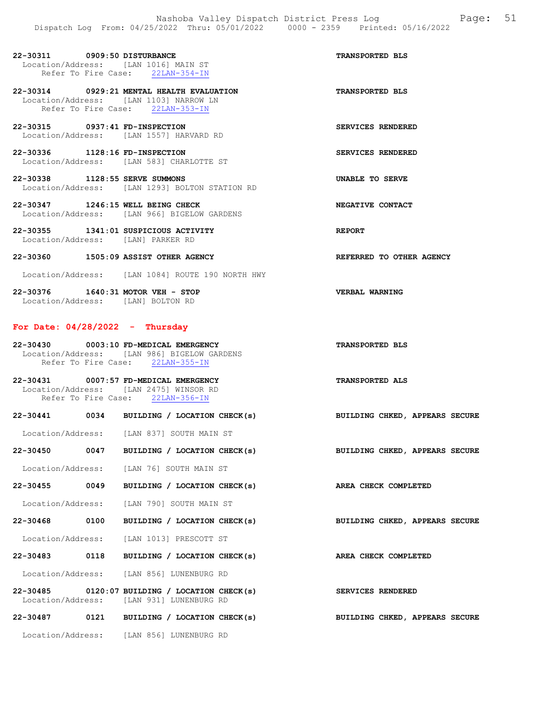| 22-30311 0909:50 DISTURBANCE<br>Location/Address: [LAN 1016] MAIN ST        | Refer To Fire Case: 22LAN-354-IN                                                                                        | <b>TRANSPORTED BLS</b>   |
|-----------------------------------------------------------------------------|-------------------------------------------------------------------------------------------------------------------------|--------------------------|
|                                                                             | 22-30314 0929:21 MENTAL HEALTH EVALUATION<br>Location/Address: [LAN 1103] NARROW LN<br>Refer To Fire Case: 22LAN-353-IN | <b>TRANSPORTED BLS</b>   |
| 22-30315 0937:41 FD-INSPECTION                                              | Location/Address: [LAN 1557] HARVARD RD                                                                                 | SERVICES RENDERED        |
| 22-30336 1128:16 FD-INSPECTION                                              | Location/Address: [LAN 583] CHARLOTTE ST                                                                                | SERVICES RENDERED        |
| 22-30338 1128:55 SERVE SUMMONS                                              | Location/Address: [LAN 1293] BOLTON STATION RD                                                                          | UNABLE TO SERVE          |
| 22-30347 1246:15 WELL BEING CHECK                                           | Location/Address: [LAN 966] BIGELOW GARDENS                                                                             | NEGATIVE CONTACT         |
| $22-30355$ 1341:01 SUSPICIOUS ACTIVITY<br>Location/Address: [LAN] PARKER RD |                                                                                                                         | <b>REPORT</b>            |
| 22-30360 1505:09 ASSIST OTHER AGENCY                                        |                                                                                                                         | REFERRED TO OTHER AGENCY |
|                                                                             | Location/Address: [LAN 1084] ROUTE 190 NORTH HWY                                                                        |                          |
| 22-30376 1640:31 MOTOR VEH - STOP<br>Location/Address: [LAN] BOLTON RD      |                                                                                                                         | VERBAL WARNING           |

## For Date: 04/28/2022 - Thursday

| 22-30430          |                     | 0003:10 FD-MEDICAL EMERGENCY | <b>TRANSPORTED BLS</b> |
|-------------------|---------------------|------------------------------|------------------------|
| Location/Address: |                     | [LAN 986] BIGELOW GARDENS    |                        |
|                   | Refer To Fire Case: | $22$ LAN-355-IN              |                        |

22-30431 0007:57 FD-MEDICAL EMERGENCY TRANSPORTED ALS Location/Address: [LAN 2475] WINSOR RD Refer To Fire Case: 22LAN-356-IN

|  | 22-30441 0034 BUILDING / LOCATION CHECK(s)                                                  | BUILDING CHKED, APPEARS SECURE                                            |
|--|---------------------------------------------------------------------------------------------|---------------------------------------------------------------------------|
|  | Location/Address: [LAN 837] SOUTH MAIN ST                                                   |                                                                           |
|  |                                                                                             | 22-30450 0047 BUILDING / LOCATION CHECK(s) BUILDING CHKED, APPEARS SECURE |
|  | Location/Address: [LAN 76] SOUTH MAIN ST                                                    |                                                                           |
|  | 22-30455 0049 BUILDING / LOCATION CHECK(s)                                                  | AREA CHECK COMPLETED                                                      |
|  | Location/Address: [LAN 790] SOUTH MAIN ST                                                   |                                                                           |
|  | 22-30468 0100 BUILDING / LOCATION CHECK(s)                                                  | BUILDING CHKED, APPEARS SECURE                                            |
|  | Location/Address: [LAN 1013] PRESCOTT ST                                                    |                                                                           |
|  | 22-30483 0118 BUILDING / LOCATION CHECK(s)                                                  | AREA CHECK COMPLETED                                                      |
|  | Location/Address: [LAN 856] LUNENBURG RD                                                    |                                                                           |
|  | $22-30485$ 0120:07 BUILDING / LOCATION CHECK(s)<br>Location/Address: [LAN 931] LUNENBURG RD | SERVICES RENDERED                                                         |
|  | 22-30487 0121 BUILDING / LOCATION CHECK(s)                                                  | BUILDING CHKED, APPEARS SECURE                                            |
|  | Location/Address: [LAN 856] LUNENBURG RD                                                    |                                                                           |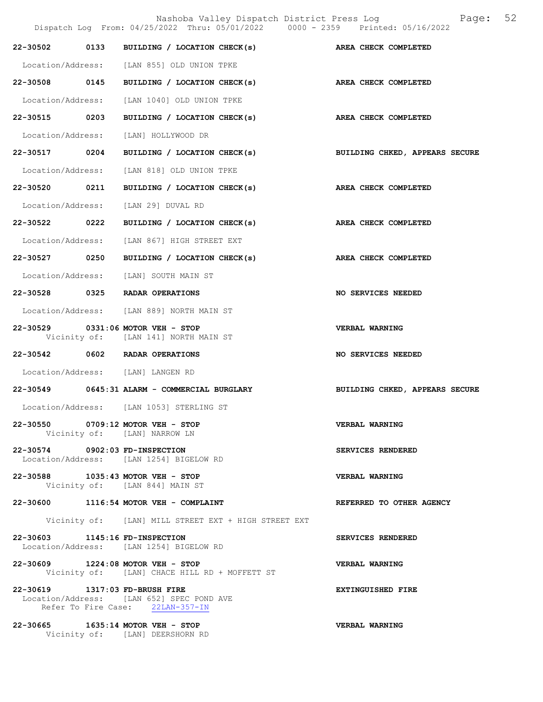|                                | Nashoba Valley Dispatch District Press Log<br>Dispatch Log From: 04/25/2022 Thru: 05/01/2022 0000 - 2359 Printed: 05/16/2022 | Page: 52                       |
|--------------------------------|------------------------------------------------------------------------------------------------------------------------------|--------------------------------|
| 22-30502 0133                  | BUILDING / LOCATION CHECK(s) AREA CHECK COMPLETED                                                                            |                                |
|                                | Location/Address: [LAN 855] OLD UNION TPKE                                                                                   |                                |
| 22-30508 0145                  | BUILDING / LOCATION CHECK(s)                                                                                                 | AREA CHECK COMPLETED           |
| Location/Address:              | [LAN 1040] OLD UNION TPKE                                                                                                    |                                |
| 22-30515 0203                  | BUILDING / LOCATION CHECK(s) AREA CHECK COMPLETED                                                                            |                                |
| Location/Address:              | [LAN] HOLLYWOOD DR                                                                                                           |                                |
| 22-30517 0204                  | BUILDING / LOCATION CHECK(s) BUILDING CHKED, APPEARS SECURE                                                                  |                                |
| Location/Address:              | [LAN 818] OLD UNION TPKE                                                                                                     |                                |
| 22-30520 0211                  | BUILDING / LOCATION CHECK(s) AREA CHECK COMPLETED                                                                            |                                |
| Location/Address:              | [LAN 29] DUVAL RD                                                                                                            |                                |
| 22-30522 0222                  | BUILDING / LOCATION CHECK(s) AREA CHECK COMPLETED                                                                            |                                |
| Location/Address:              | [LAN 867] HIGH STREET EXT                                                                                                    |                                |
| 22-30527 0250                  | BUILDING / LOCATION CHECK(s)                                                                                                 | AREA CHECK COMPLETED           |
| Location/Address:              | [LAN] SOUTH MAIN ST                                                                                                          |                                |
|                                | 22-30528 0325 RADAR OPERATIONS                                                                                               | <b>NO SERVICES NEEDED</b>      |
|                                | Location/Address: [LAN 889] NORTH MAIN ST                                                                                    |                                |
|                                | 22-30529 0331:06 MOTOR VEH - STOP<br>Vicinity of: [LAN 141] NORTH MAIN ST                                                    | <b>VERBAL WARNING</b>          |
|                                | 22-30542 0602 RADAR OPERATIONS                                                                                               | <b>NO SERVICES NEEDED</b>      |
|                                | Location/Address: [LAN] LANGEN RD                                                                                            |                                |
|                                | 22-30549 0645:31 ALARM - COMMERCIAL BURGLARY                                                                                 | BUILDING CHKED, APPEARS SECURE |
|                                | Location/Address: [LAN 1053] STERLING ST                                                                                     |                                |
|                                | 22-30550 0709:12 MOTOR VEH - STOP<br>Vicinity of: [LAN] NARROW LN                                                            | <b>VERBAL WARNING</b>          |
| 22-30574 0902:03 FD-INSPECTION | Location/Address: [LAN 1254] BIGELOW RD                                                                                      | <b>SERVICES RENDERED</b>       |
|                                | 22-30588 1035:43 MOTOR VEH - STOP<br>Vicinity of: [LAN 844] MAIN ST                                                          | VERBAL WARNING                 |
|                                | 22-30600 1116:54 MOTOR VEH - COMPLAINT                                                                                       | REFERRED TO OTHER AGENCY       |
|                                | Vicinity of: [LAN] MILL STREET EXT + HIGH STREET EXT                                                                         |                                |
| 22-30603 1145:16 FD-INSPECTION | Location/Address: [LAN 1254] BIGELOW RD                                                                                      | SERVICES RENDERED              |
|                                | 22-30609 1224:08 MOTOR VEH - STOP<br>Vicinity of: [LAN] CHACE HILL RD + MOFFETT ST                                           | <b>VERBAL WARNING</b>          |
| 22-30619 1317:03 FD-BRUSH FIRE | Location/Address: [LAN 652] SPEC POND AVE<br>Refer To Fire Case: 22LAN-357-IN                                                | <b>EXTINGUISHED FIRE</b>       |
|                                | 22-30665 1635:14 MOTOR VEH - STOP<br>Vicinity of: [LAN] DEERSHORN RD                                                         | VERBAL WARNING                 |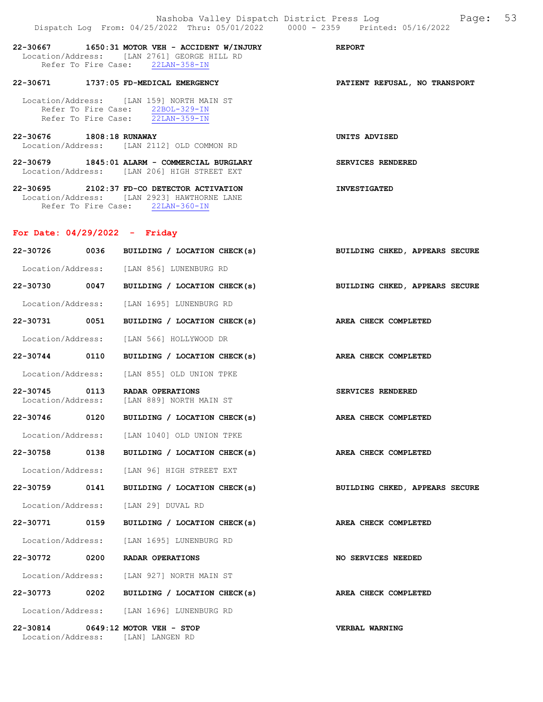|                                 |      | Nashoba Valley Dispatch District Press Log Mashoba Valley Dispatch District Press Log<br>Dispatch Log From: 04/25/2022 Thru: 05/01/2022 0000 - 2359 Printed: 05/16/2022 |                                |  |
|---------------------------------|------|-------------------------------------------------------------------------------------------------------------------------------------------------------------------------|--------------------------------|--|
|                                 |      | 22-30667 1650:31 MOTOR VEH - ACCIDENT W/INJURY REPORT<br>Location/Address: [LAN 2761] GEORGE HILL RD<br>Refer To Fire Case: 22LAN-358-IN                                |                                |  |
|                                 |      | 22-30671 1737:05 FD-MEDICAL EMERGENCY                                                                                                                                   | PATIENT REFUSAL, NO TRANSPORT  |  |
|                                 |      | Location/Address: [LAN 159] NORTH MAIN ST<br>Refer To Fire Case: 22BOL-329-IN<br>Refer To Fire Case: 22LAN-359-IN                                                       |                                |  |
| 22-30676 1808:18 RUNAWAY        |      | Location/Address: [LAN 2112] OLD COMMON RD                                                                                                                              | UNITS ADVISED                  |  |
|                                 |      | 22-30679 1845:01 ALARM - COMMERCIAL BURGLARY<br>Location/Address: [LAN 206] HIGH STREET EXT                                                                             | SERVICES RENDERED              |  |
|                                 |      | 22-30695 2102:37 FD-CO DETECTOR ACTIVATION<br>Location/Address: [LAN 2923] HAWTHORNE LANE<br>Refer To Fire Case: 22LAN-360-IN                                           | <b>INVESTIGATED</b>            |  |
| For Date: $04/29/2022 -$ Friday |      |                                                                                                                                                                         |                                |  |
|                                 |      | 22-30726 0036 BUILDING / LOCATION CHECK(s)                                                                                                                              | BUILDING CHKED, APPEARS SECURE |  |
|                                 |      | Location/Address: [LAN 856] LUNENBURG RD                                                                                                                                |                                |  |
|                                 |      | 22-30730 0047 BUILDING / LOCATION CHECK(s)                                                                                                                              | BUILDING CHKED, APPEARS SECURE |  |
|                                 |      | Location/Address: [LAN 1695] LUNENBURG RD                                                                                                                               |                                |  |
|                                 |      | 22-30731 0051 BUILDING / LOCATION CHECK(s)                                                                                                                              | AREA CHECK COMPLETED           |  |
|                                 |      | Location/Address: [LAN 566] HOLLYWOOD DR                                                                                                                                |                                |  |
|                                 |      | 22-30744 0110 BUILDING / LOCATION CHECK(s) AREA CHECK COMPLETED                                                                                                         |                                |  |
|                                 |      | Location/Address: [LAN 855] OLD UNION TPKE                                                                                                                              |                                |  |
|                                 |      | 22-30745 0113 RADAR OPERATIONS<br>Location/Address: [LAN 889] NORTH MAIN ST                                                                                             | SERVICES RENDERED              |  |
| 22-30746 0120                   |      | BUILDING / LOCATION CHECK(s)                                                                                                                                            | AREA CHECK COMPLETED           |  |
|                                 |      | Location/Address: [LAN 1040] OLD UNION TPKE                                                                                                                             |                                |  |
| 22-30758 0138                   |      | BUILDING / LOCATION CHECK(s)                                                                                                                                            | <b>AREA CHECK COMPLETED</b>    |  |
| Location/Address:               |      | [LAN 96] HIGH STREET EXT                                                                                                                                                |                                |  |
| 22-30759                        | 0141 | BUILDING / LOCATION CHECK(s)                                                                                                                                            | BUILDING CHKED, APPEARS SECURE |  |
| Location/Address:               |      | [LAN 29] DUVAL RD                                                                                                                                                       |                                |  |
| 22-30771 0159                   |      | BUILDING / LOCATION CHECK(s)                                                                                                                                            | AREA CHECK COMPLETED           |  |
| Location/Address:               |      | [LAN 1695] LUNENBURG RD                                                                                                                                                 |                                |  |
|                                 |      | 22-30772 0200 RADAR OPERATIONS                                                                                                                                          | NO SERVICES NEEDED             |  |
|                                 |      | Location/Address: [LAN 927] NORTH MAIN ST                                                                                                                               |                                |  |
| 22-30773                        | 0202 | BUILDING / LOCATION CHECK(s)                                                                                                                                            | AREA CHECK COMPLETED           |  |
|                                 |      | Location/Address: [LAN 1696] LUNENBURG RD                                                                                                                               |                                |  |
|                                 |      | 22-30814 0649:12 MOTOR VEH - STOP<br>Location/Address: [LAN] LANGEN RD                                                                                                  | <b>VERBAL WARNING</b>          |  |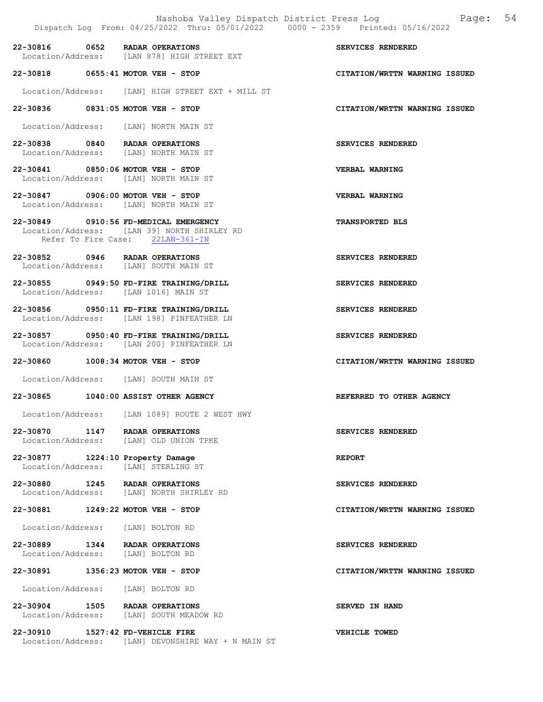|                                                                     | Dispatch Log From: 04/25/2022 Thru: 05/01/2022 0000 - 2359 Printed: 05/16/2022                                           | Nashoba Valley Dispatch District Press Log Mashoba Valley Dispatch District Press Log |
|---------------------------------------------------------------------|--------------------------------------------------------------------------------------------------------------------------|---------------------------------------------------------------------------------------|
| 22-30816 0652 RADAR OPERATIONS                                      | Location/Address: [LAN 878] HIGH STREET EXT                                                                              | SERVICES RENDERED                                                                     |
| 22-30818 0655:41 MOTOR VEH - STOP                                   |                                                                                                                          | CITATION/WRTTN WARNING ISSUED                                                         |
|                                                                     | Location/Address: [LAN] HIGH STREET EXT + MILL ST                                                                        |                                                                                       |
| 22-30836 0831:05 MOTOR VEH - STOP                                   |                                                                                                                          | CITATION/WRTTN WARNING ISSUED                                                         |
|                                                                     | Location/Address: [LAN] NORTH MAIN ST                                                                                    |                                                                                       |
| 22-30838 0840 RADAR OPERATIONS                                      | Location/Address: [LAN] NORTH MAIN ST                                                                                    | SERVICES RENDERED                                                                     |
| 22-30841 0850:06 MOTOR VEH - STOP                                   | Location/Address: [LAN] NORTH MAIN ST                                                                                    | VERBAL WARNING                                                                        |
| 22-30847 0906:00 MOTOR VEH - STOP                                   | Location/Address: [LAN] NORTH MAIN ST                                                                                    | VERBAL WARNING                                                                        |
|                                                                     | 22-30849 0910:56 FD-MEDICAL EMERGENCY<br>Location/Address: [LAN 39] NORTH SHIRLEY RD<br>Refer To Fire Case: 22LAN-361-IN | TRANSPORTED BLS                                                                       |
| 22-30852 0946 RADAR OPERATIONS                                      | Location/Address: [LAN] SOUTH MAIN ST                                                                                    | SERVICES RENDERED                                                                     |
|                                                                     | 22-30855 0949:50 FD-FIRE TRAINING/DRILL<br>Location/Address: [LAN 1016] MAIN ST                                          | SERVICES RENDERED                                                                     |
|                                                                     | 22-30856 0950:11 FD-FIRE TRAINING/DRILL<br>Location/Address: [LAN 198] PINFEATHER LN                                     | SERVICES RENDERED                                                                     |
|                                                                     | 22-30857 0950:40 FD-FIRE TRAINING/DRILL<br>Location/Address: [LAN 200] PINFEATHER LN                                     | SERVICES RENDERED                                                                     |
| 22-30860 1008:34 MOTOR VEH - STOP                                   |                                                                                                                          | CITATION/WRTTN WARNING ISSUED                                                         |
|                                                                     | Location/Address: [LAN] SOUTH MAIN ST                                                                                    |                                                                                       |
|                                                                     | 22-30865 1040:00 ASSIST OTHER AGENCY                                                                                     | REFERRED TO OTHER AGENCY                                                              |
|                                                                     | Location/Address: [LAN 1089] ROUTE 2 WEST HWY                                                                            |                                                                                       |
| $22 - 30870$                                                        | 1147 RADAR OPERATIONS<br>Location/Address: [LAN] OLD UNION TPKE                                                          | SERVICES RENDERED                                                                     |
| 22-30877 1224:10 Property Damage<br>Location/Address:               | [LAN] STERLING ST                                                                                                        | <b>REPORT</b>                                                                         |
| 22-30880 1245 RADAR OPERATIONS                                      | Location/Address: [LAN] NORTH SHIRLEY RD                                                                                 | SERVICES RENDERED                                                                     |
| 22-30881 1249:22 MOTOR VEH - STOP                                   |                                                                                                                          | CITATION/WRTTN WARNING ISSUED                                                         |
| Location/Address: [LAN] BOLTON RD                                   |                                                                                                                          |                                                                                       |
| 22-30889 1344 RADAR OPERATIONS<br>Location/Address: [LAN] BOLTON RD |                                                                                                                          | SERVICES RENDERED                                                                     |
| 22-30891 1356:23 MOTOR VEH - STOP                                   |                                                                                                                          | CITATION/WRTTN WARNING ISSUED                                                         |
| Location/Address: [LAN] BOLTON RD                                   |                                                                                                                          |                                                                                       |
| 22-30904                                                            | 1505 RADAR OPERATIONS<br>Location/Address: [LAN] SOUTH MEADOW RD                                                         | SERVED IN HAND                                                                        |
| 22-30910                                                            | 1527:42 FD-VEHICLE FIRE                                                                                                  | VEHICLE TOWED                                                                         |

Location/Address: [LAN] DEVONSHIRE WAY + N MAIN ST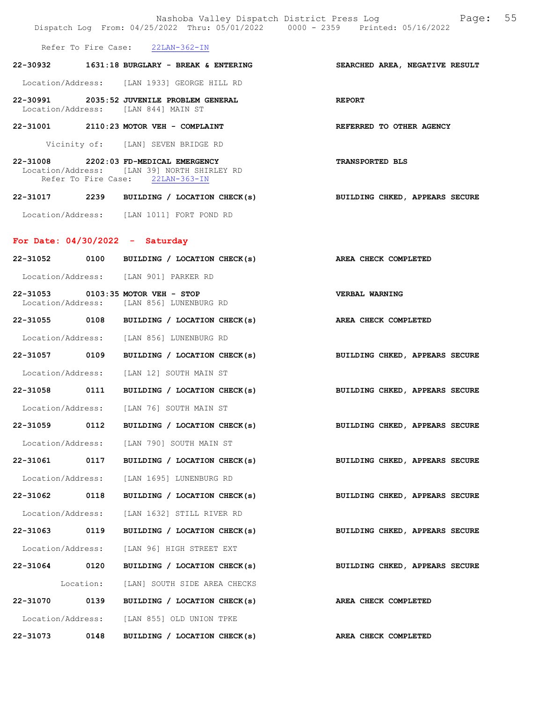|                   |           | Nashoba Valley Dispatch District Press Log<br>Dispatch Log From: 04/25/2022 Thru: 05/01/2022 0000 - 2359 Printed: 05/16/2022 | Page: 55                       |
|-------------------|-----------|------------------------------------------------------------------------------------------------------------------------------|--------------------------------|
|                   |           | Refer To Fire Case: 22LAN-362-IN                                                                                             |                                |
|                   |           | 22-30932 1631:18 BURGLARY - BREAK & ENTERING                                                                                 | SEARCHED AREA, NEGATIVE RESULT |
|                   |           | Location/Address: [LAN 1933] GEORGE HILL RD                                                                                  |                                |
|                   |           | 22-30991 2035:52 JUVENILE PROBLEM GENERAL<br>Location/Address: [LAN 844] MAIN ST                                             | <b>REPORT</b>                  |
|                   |           | 22-31001 2110:23 MOTOR VEH - COMPLAINT                                                                                       | REFERRED TO OTHER AGENCY       |
|                   |           | Vicinity of: [LAN] SEVEN BRIDGE RD                                                                                           |                                |
|                   |           | 22-31008 2202:03 FD-MEDICAL EMERGENCY<br>Location/Address: [LAN 39] NORTH SHIRLEY RD<br>Refer To Fire Case: 22LAN-363-IN     | <b>TRANSPORTED BLS</b>         |
|                   |           | 22-31017 2239 BUILDING / LOCATION CHECK(s)                                                                                   | BUILDING CHKED, APPEARS SECURE |
|                   |           | Location/Address: [LAN 1011] FORT POND RD                                                                                    |                                |
|                   |           | For Date: $04/30/2022 -$ Saturday                                                                                            |                                |
|                   |           | 22-31052 0100 BUILDING / LOCATION CHECK(s)                                                                                   | AREA CHECK COMPLETED           |
|                   |           | Location/Address: [LAN 901] PARKER RD                                                                                        |                                |
|                   |           | 22-31053 0103:35 MOTOR VEH - STOP                                                                                            | <b>VERBAL WARNING</b>          |
|                   |           | Location/Address: [LAN 856] LUNENBURG RD                                                                                     |                                |
|                   |           | 22-31055 0108 BUILDING / LOCATION CHECK(s)                                                                                   | AREA CHECK COMPLETED           |
|                   |           | Location/Address: [LAN 856] LUNENBURG RD                                                                                     |                                |
| 22-31057 0109     |           | BUILDING / LOCATION CHECK(s)                                                                                                 | BUILDING CHKED, APPEARS SECURE |
|                   |           | Location/Address: [LAN 12] SOUTH MAIN ST                                                                                     |                                |
|                   |           | 22-31058 0111 BUILDING / LOCATION CHECK(s)                                                                                   | BUILDING CHKED, APPEARS SECURE |
| Location/Address: |           | [LAN 76] SOUTH MAIN ST                                                                                                       |                                |
| 22-31059          | 0112      | BUILDING / LOCATION CHECK(s)                                                                                                 | BUILDING CHKED, APPEARS SECURE |
|                   |           | Location/Address: [LAN 790] SOUTH MAIN ST                                                                                    |                                |
| 22-31061 0117     |           | BUILDING / LOCATION CHECK(s)                                                                                                 | BUILDING CHKED, APPEARS SECURE |
| Location/Address: |           | [LAN 1695] LUNENBURG RD                                                                                                      |                                |
| 22-31062 0118     |           | BUILDING / LOCATION CHECK(s)                                                                                                 | BUILDING CHKED, APPEARS SECURE |
| Location/Address: |           | [LAN 1632] STILL RIVER RD                                                                                                    |                                |
| 22-31063          | 0119      | BUILDING / LOCATION CHECK(s)                                                                                                 | BUILDING CHKED, APPEARS SECURE |
| Location/Address: |           | [LAN 96] HIGH STREET EXT                                                                                                     |                                |
| 22-31064 0120     |           | BUILDING / LOCATION CHECK(s)                                                                                                 | BUILDING CHKED, APPEARS SECURE |
|                   | Location: | [LAN] SOUTH SIDE AREA CHECKS                                                                                                 |                                |
| 22-31070 0139     |           | BUILDING / LOCATION CHECK(s)                                                                                                 | AREA CHECK COMPLETED           |
|                   |           | Location/Address: [LAN 855] OLD UNION TPKE                                                                                   |                                |
| 22-31073 0148     |           | BUILDING / LOCATION CHECK(s) AREA CHECK COMPLETED                                                                            |                                |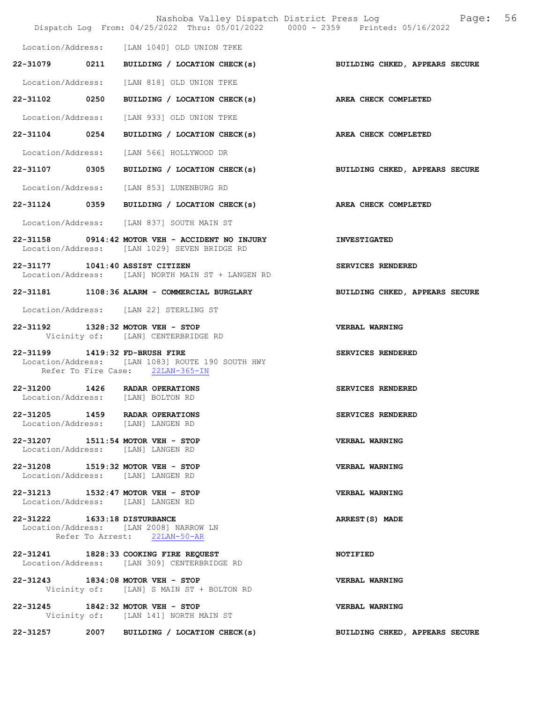|                                                                        | Nashoba Valley Dispatch District Press Log Nashoba Valley Dispatch District Press Log<br>Dispatch Log From: 04/25/2022 Thru: 05/01/2022 0000 - 2359 Printed: 05/16/2022 | 56                                    |
|------------------------------------------------------------------------|-------------------------------------------------------------------------------------------------------------------------------------------------------------------------|---------------------------------------|
|                                                                        | Location/Address: [LAN 1040] OLD UNION TPKE                                                                                                                             |                                       |
|                                                                        | 22-31079 0211 BUILDING / LOCATION CHECK(s)                                                                                                                              | <b>BUILDING CHKED, APPEARS SECURE</b> |
|                                                                        | Location/Address: [LAN 818] OLD UNION TPKE                                                                                                                              |                                       |
| 22-31102 0250                                                          | BUILDING / LOCATION CHECK(s)                                                                                                                                            | AREA CHECK COMPLETED                  |
|                                                                        | Location/Address: [LAN 933] OLD UNION TPKE                                                                                                                              |                                       |
| 22-31104 0254                                                          | BUILDING / LOCATION CHECK(s) AREA CHECK COMPLETED                                                                                                                       |                                       |
|                                                                        | Location/Address: [LAN 566] HOLLYWOOD DR                                                                                                                                |                                       |
|                                                                        | 22-31107 0305 BUILDING / LOCATION CHECK(s) BUILDING CHKED, APPEARS SECURE                                                                                               |                                       |
|                                                                        | Location/Address: [LAN 853] LUNENBURG RD                                                                                                                                |                                       |
|                                                                        | 22-31124 0359 BUILDING / LOCATION CHECK(s) AREA CHECK COMPLETED                                                                                                         |                                       |
|                                                                        | Location/Address: [LAN 837] SOUTH MAIN ST                                                                                                                               |                                       |
|                                                                        | 22-31158 0914:42 MOTOR VEH - ACCIDENT NO INJURY<br>Location/Address: [LAN 1029] SEVEN BRIDGE RD                                                                         | <b>INVESTIGATED</b>                   |
| 22-31177 1041:40 ASSIST CITIZEN                                        | Location/Address: [LAN] NORTH MAIN ST + LANGEN RD                                                                                                                       | SERVICES RENDERED                     |
|                                                                        | 22-31181 1108:36 ALARM - COMMERCIAL BURGLARY                                                                                                                            | BUILDING CHKED, APPEARS SECURE        |
|                                                                        | Location/Address: [LAN 22] STERLING ST                                                                                                                                  |                                       |
| 22-31192 1328:32 MOTOR VEH - STOP                                      | Vicinity of: [LAN] CENTERBRIDGE RD                                                                                                                                      | VERBAL WARNING                        |
| 22-31199 1419:32 FD-BRUSH FIRE                                         | Location/Address: [LAN 1083] ROUTE 190 SOUTH HWY<br>Refer To Fire Case: 22LAN-365-IN                                                                                    | SERVICES RENDERED                     |
| 22-31200 1426 RADAR OPERATIONS<br>Location/Address: [LAN] BOLTON RD    |                                                                                                                                                                         | SERVICES RENDERED                     |
| 22-31205 1459 RADAR OPERATIONS<br>Location/Address: [LAN] LANGEN RD    |                                                                                                                                                                         | SERVICES RENDERED                     |
| 22-31207 1511:54 MOTOR VEH - STOP<br>Location/Address: [LAN] LANGEN RD |                                                                                                                                                                         | VERBAL WARNING                        |
| 22-31208 1519:32 MOTOR VEH - STOP<br>Location/Address: [LAN] LANGEN RD |                                                                                                                                                                         | VERBAL WARNING                        |
| 22-31213 1532:47 MOTOR VEH - STOP<br>Location/Address: [LAN] LANGEN RD |                                                                                                                                                                         | <b>VERBAL WARNING</b>                 |
| 22-31222 1633:18 DISTURBANCE                                           | Location/Address: [LAN 2008] NARROW LN<br>Refer To Arrest: 22LAN-50-AR                                                                                                  | ARREST(S) MADE                        |
|                                                                        | 22-31241 1828:33 COOKING FIRE REQUEST<br>Location/Address: [LAN 309] CENTERBRIDGE RD                                                                                    | <b>NOTIFIED</b>                       |
| 22-31243 1834:08 MOTOR VEH - STOP                                      | Vicinity of: [LAN] S MAIN ST + BOLTON RD                                                                                                                                | VERBAL WARNING                        |
| 22-31245 1842:32 MOTOR VEH - STOP                                      | Vicinity of: [LAN 141] NORTH MAIN ST                                                                                                                                    | <b>VERBAL WARNING</b>                 |
| 22-31257                                                               | 2007 BUILDING / LOCATION CHECK(s)                                                                                                                                       | BUILDING CHKED, APPEARS SECURE        |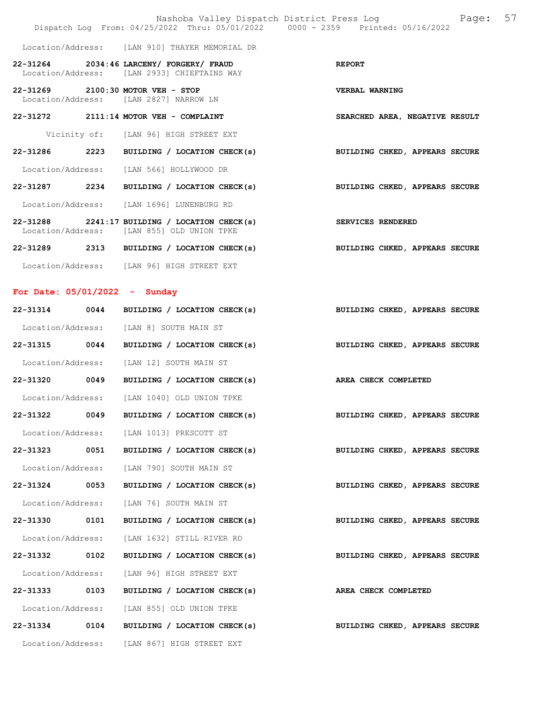|                                 |      | Nashoba Valley Dispatch District Press Log<br>Dispatch Log From: 04/25/2022 Thru: 05/01/2022 0000 - 2359 Printed: 05/16/2022 |                                | Page: 57 |
|---------------------------------|------|------------------------------------------------------------------------------------------------------------------------------|--------------------------------|----------|
|                                 |      | Location/Address: [LAN 910] THAYER MEMORIAL DR                                                                               |                                |          |
|                                 |      | 22-31264 2034:46 LARCENY/ FORGERY/ FRAUD<br>Location/Address: [LAN 2933] CHIEFTAINS WAY                                      | <b>REPORT</b>                  |          |
|                                 |      | 22-31269 2100:30 MOTOR VEH - STOP<br>Location/Address: [LAN 2827] NARROW LN                                                  | <b>VERBAL WARNING</b>          |          |
|                                 |      | 22-31272 2111:14 MOTOR VEH - COMPLAINT                                                                                       | SEARCHED AREA, NEGATIVE RESULT |          |
|                                 |      | Vicinity of: [LAN 96] HIGH STREET EXT                                                                                        |                                |          |
|                                 |      | 22-31286 2223 BUILDING / LOCATION CHECK(s)                                                                                   | BUILDING CHKED, APPEARS SECURE |          |
|                                 |      | Location/Address: [LAN 566] HOLLYWOOD DR                                                                                     |                                |          |
|                                 |      | 22-31287 2234 BUILDING / LOCATION CHECK(s)                                                                                   | BUILDING CHKED, APPEARS SECURE |          |
|                                 |      | Location/Address: [LAN 1696] LUNENBURG RD                                                                                    |                                |          |
|                                 |      | $22-31288$ 2241:17 BUILDING / LOCATION CHECK(s)<br>Location/Address: [LAN 855] OLD UNION TPKE                                | SERVICES RENDERED              |          |
|                                 |      | 22-31289 2313 BUILDING / LOCATION CHECK(s)                                                                                   | BUILDING CHKED, APPEARS SECURE |          |
|                                 |      | Location/Address: [LAN 96] HIGH STREET EXT                                                                                   |                                |          |
| For Date: $05/01/2022 -$ Sunday |      |                                                                                                                              |                                |          |
|                                 |      | 22-31314 0044 BUILDING / LOCATION CHECK(s)                                                                                   | BUILDING CHKED, APPEARS SECURE |          |
|                                 |      | Location/Address: [LAN 8] SOUTH MAIN ST                                                                                      |                                |          |
| 22-31315 0044                   |      | BUILDING / LOCATION CHECK(s)                                                                                                 | BUILDING CHKED, APPEARS SECURE |          |
|                                 |      | Location/Address: [LAN 12] SOUTH MAIN ST                                                                                     |                                |          |
|                                 |      | 22-31320 0049 BUILDING / LOCATION CHECK(s)                                                                                   | AREA CHECK COMPLETED           |          |
|                                 |      | Location/Address: [LAN 1040] OLD UNION TPKE                                                                                  |                                |          |
| 22-31322                        | 0049 | BUILDING / LOCATION CHECK(s)                                                                                                 | BUILDING CHKED, APPEARS SECURE |          |
|                                 |      | Location/Address: [LAN 1013] PRESCOTT ST                                                                                     |                                |          |
| 22-31323                        | 0051 | BUILDING / LOCATION CHECK(s)                                                                                                 | BUILDING CHKED, APPEARS SECURE |          |
| Location/Address:               |      | [LAN 790] SOUTH MAIN ST                                                                                                      |                                |          |
| 22-31324 0053                   |      | BUILDING / LOCATION CHECK(s)                                                                                                 | BUILDING CHKED, APPEARS SECURE |          |
| Location/Address:               |      | [LAN 76] SOUTH MAIN ST                                                                                                       |                                |          |
| 22-31330 0101                   |      | BUILDING / LOCATION CHECK(s)                                                                                                 | BUILDING CHKED, APPEARS SECURE |          |
| Location/Address:               |      | [LAN 1632] STILL RIVER RD                                                                                                    |                                |          |
| 22-31332                        | 0102 | BUILDING / LOCATION CHECK(s)                                                                                                 | BUILDING CHKED, APPEARS SECURE |          |
| Location/Address:               |      | [LAN 96] HIGH STREET EXT                                                                                                     |                                |          |
| 22-31333                        | 0103 | BUILDING / LOCATION CHECK(s)                                                                                                 | AREA CHECK COMPLETED           |          |
|                                 |      | Location/Address: [LAN 855] OLD UNION TPKE                                                                                   |                                |          |
| 22-31334 0104                   |      | BUILDING / LOCATION CHECK(s)                                                                                                 | BUILDING CHKED, APPEARS SECURE |          |
|                                 |      | Location/Address: [LAN 867] HIGH STREET EXT                                                                                  |                                |          |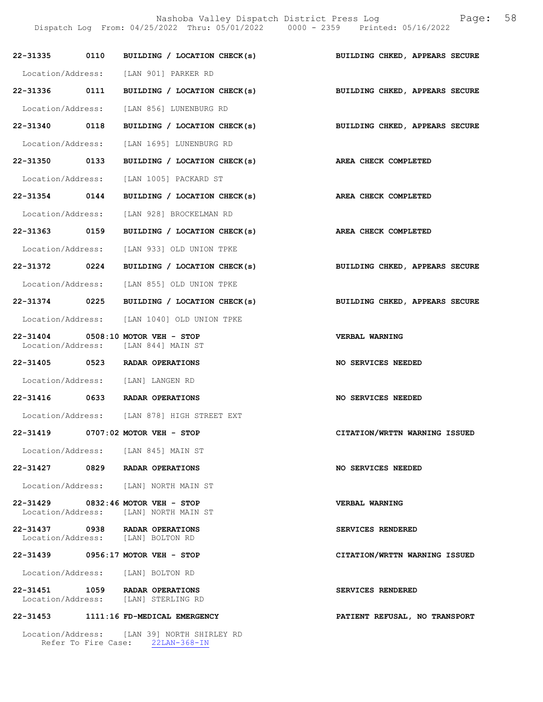Nashoba Valley Dispatch District Press Log Fage: 58 Dispatch Log From: 04/25/2022 Thru: 05/01/2022 0000 - 2359 Printed: 05/16/2022

|               | 22-31335 0110 BUILDING / LOCATION CHECK(s) BUILDING CHKED, APPEARS SECURE  |                                |
|---------------|----------------------------------------------------------------------------|--------------------------------|
|               | Location/Address: [LAN 901] PARKER RD                                      |                                |
|               | 22-31336 0111 BUILDING / LOCATION CHECK(s) BUILDING CHKED, APPEARS SECURE  |                                |
|               | Location/Address: [LAN 856] LUNENBURG RD                                   |                                |
|               | 22-31340 0118 BUILDING / LOCATION CHECK(s) BUILDING CHKED, APPEARS SECURE  |                                |
|               | Location/Address: [LAN 1695] LUNENBURG RD                                  |                                |
|               | 22-31350 0133 BUILDING / LOCATION CHECK(s) AREA CHECK COMPLETED            |                                |
|               | Location/Address: [LAN 1005] PACKARD ST                                    |                                |
|               | 22-31354 0144 BUILDING / LOCATION CHECK(s) AREA CHECK COMPLETED            |                                |
|               | Location/Address: [LAN 928] BROCKELMAN RD                                  |                                |
| 22-31363 0159 | BUILDING / LOCATION CHECK(s)                                               | <b>AREA CHECK COMPLETED</b>    |
|               | Location/Address: [LAN 933] OLD UNION TPKE                                 |                                |
|               | 22-31372 0224 BUILDING / LOCATION CHECK(s) BUILDING CHKED, APPEARS SECURE  |                                |
|               | Location/Address: [LAN 855] OLD UNION TPKE                                 |                                |
|               | 22-31374 0225 BUILDING / LOCATION CHECK(s)                                 | BUILDING CHKED, APPEARS SECURE |
|               | Location/Address: [LAN 1040] OLD UNION TPKE                                |                                |
|               | 22-31404 0508:10 MOTOR VEH - STOP<br>Location/Address: [LAN 844] MAIN ST   | <b>VERBAL WARNING</b>          |
|               | 22-31405 0523 RADAR OPERATIONS                                             | NO SERVICES NEEDED             |
|               | Location/Address: [LAN] LANGEN RD                                          |                                |
|               | 22-31416 0633 RADAR OPERATIONS                                             | <b>NO SERVICES NEEDED</b>      |
|               | Location/Address: [LAN 878] HIGH STREET EXT                                |                                |
|               | 22-31419 0707:02 MOTOR VEH - STOP                                          | CITATION/WRTTN WARNING ISSUED  |
|               | Location/Address: [LAN 845] MAIN ST                                        |                                |
|               | 22-31427 0829 RADAR OPERATIONS                                             | NO SERVICES NEEDED             |
|               | Location/Address: [LAN] NORTH MAIN ST                                      |                                |
|               | 22-31429 0832:46 MOTOR VEH - STOP<br>Location/Address: [LAN] NORTH MAIN ST | VERBAL WARNING                 |
|               | 22-31437 0938 RADAR OPERATIONS<br>Location/Address: [LAN] BOLTON RD        | SERVICES RENDERED              |
| 22-31439      | 0956:17 MOTOR VEH - STOP                                                   | CITATION/WRTTN WARNING ISSUED  |
|               | Location/Address: [LAN] BOLTON RD                                          |                                |
|               | 22-31451 1059 RADAR OPERATIONS<br>Location/Address: [LAN] STERLING RD      | SERVICES RENDERED              |
|               | 22-31453 1111:16 FD-MEDICAL EMERGENCY                                      | PATIENT REFUSAL, NO TRANSPORT  |

 Location/Address: [LAN 39] NORTH SHIRLEY RD Refer To Fire Case: 22LAN-368-IN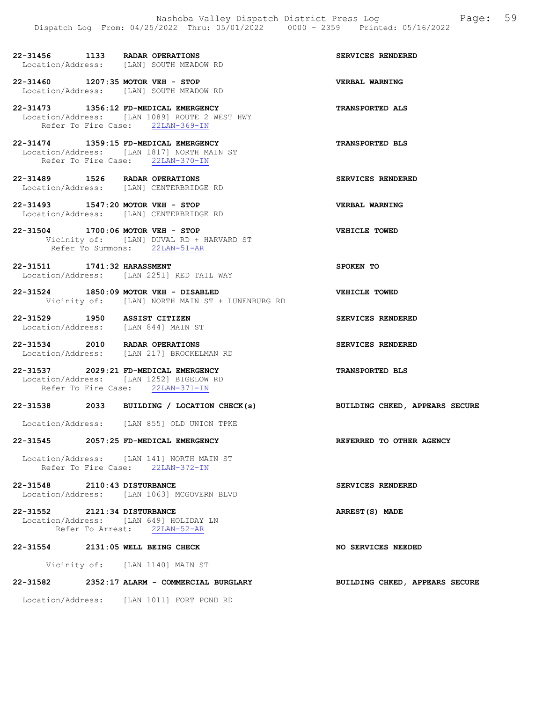- 22-31456 1133 RADAR OPERATIONS SERVICES RENDERED Location/Address: [LAN] SOUTH MEADOW RD
- 22-31460 1207:35 MOTOR VEH STOP VERBAL WARNING Location/Address: [LAN] SOUTH MEADOW RD
- 22-31473 1356:12 FD-MEDICAL EMERGENCY TRANSPORTED ALS Location/Address: [LAN 1089] ROUTE 2 WEST HWY Refer To Fire Case: 22LAN-369-IN
- 22-31474 1359:15 FD-MEDICAL EMERGENCY TRANSPORTED BLS Location/Address: [LAN 1817] NORTH MAIN ST Refer To Fire Case: 22LAN-370-IN
- 22-31489 1526 RADAR OPERATIONS SERVICES RENDERED Location/Address: [LAN] CENTERBRIDGE RD
- 22-31493 1547:20 MOTOR VEH STOP VERBAL WARNING Location/Address: [LAN] CENTERBRIDGE RD
- 22-31504 1700:06 MOTOR VEH STOP VEHICLE TOWED Vicinity of: [LAN] DUVAL RD + HARVARD ST Refer To Summons: 22LAN-51-AR
- 22-31511 1741:32 HARASSMENT SPOKEN TO Location/Address: [LAN 2251] RED TAIL WAY
- 22-31524 1850:09 MOTOR VEH DISABLED VEHICLE TOWED Vicinity of: [LAN] NORTH MAIN ST + LUNENBURG RD
- 22-31529 1950 ASSIST CITIZEN SERVICES RENDERED Location/Address: [LAN 844] MAIN ST
- 22-31534 2010 RADAR OPERATIONS SERVICES RENDERED Location/Address: [LAN 217] BROCKELMAN RD
- 22-31537 2029:21 FD-MEDICAL EMERGENCY TRANSPORTED BLS Location/Address: [LAN 1252] BIGELOW RD Refer To Fire Case: 22LAN-371-IN
- 22-31538 2033 BUILDING / LOCATION CHECK(s) BUILDING CHKED, APPEARS SECURE
- Location/Address: [LAN 855] OLD UNION TPKE
- 22-31545 2057:25 FD-MEDICAL EMERGENCY REFERRED TO OTHER AGENCY
	- Location/Address: [LAN 141] NORTH MAIN ST Refer To Fire Case: 22LAN-372-IN
- 22-31548 2110:43 DISTURBANCE SERVICES RENDERED Location/Address: [LAN 1063] MCGOVERN BLVD
- 22-31552 2121:34 DISTURBANCE ARREST(S) MADE Location/Address: [LAN 649] HOLIDAY LN Refer To Arrest: 22LAN-52-AR
- 22-31554 2131:05 WELL BEING CHECK NO SERVICES NEEDED
	- Vicinity of: [LAN 1140] MAIN ST
- 22-31582 2352:17 ALARM COMMERCIAL BURGLARY BUILDING CHKED, APPEARS SECURE
	- Location/Address: [LAN 1011] FORT POND RD
- 
- 
- 
- 
- 
- 
- -
- 
- 
- 
- 
- 
- 
- 
- 
- 
-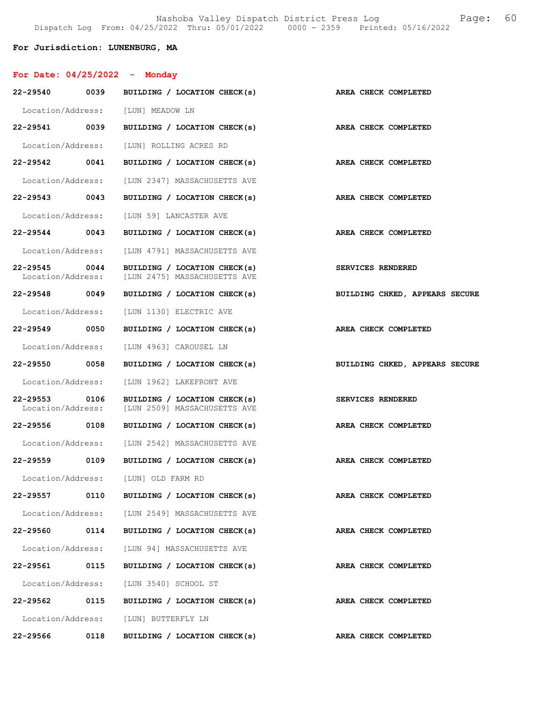Nashoba Valley Dispatch District Press Log Fage: 60 Dispatch Log From: 04/25/2022 Thru: 05/01/2022 0000 - 2359 Printed: 05/16/2022

### For Jurisdiction: LUNENBURG, MA

| For Date: $04/25/2022 -$ Monday       |                                                              |                                |
|---------------------------------------|--------------------------------------------------------------|--------------------------------|
| 22-29540<br>0039                      | BUILDING / LOCATION CHECK(s)                                 | AREA CHECK COMPLETED           |
|                                       | Location/Address: [LUN] MEADOW LN                            |                                |
| 22-29541 0039                         | BUILDING / LOCATION CHECK(s)                                 | AREA CHECK COMPLETED           |
| Location/Address:                     | [LUN] ROLLING ACRES RD                                       |                                |
| 22-29542 0041                         | BUILDING / LOCATION CHECK(s)                                 | AREA CHECK COMPLETED           |
| Location/Address:                     | ILUN 23471 MASSACHUSETTS AVE                                 |                                |
| 22-29543 0043                         | BUILDING / LOCATION CHECK(s)                                 | AREA CHECK COMPLETED           |
| Location/Address:                     | [LUN 59] LANCASTER AVE                                       |                                |
| 22-29544 0043                         | BUILDING / LOCATION CHECK(s)                                 | <b>AREA CHECK COMPLETED</b>    |
|                                       | Location/Address: [LUN 4791] MASSACHUSETTS AVE               |                                |
| 22-29545 0044<br>Location/Address:    | BUILDING / LOCATION CHECK(s)<br>[LUN 2475] MASSACHUSETTS AVE | SERVICES RENDERED              |
| 22-29548<br>0049                      | BUILDING / LOCATION CHECK(s)                                 | BUILDING CHKED, APPEARS SECURE |
| Location/Address:                     | [LUN 1130] ELECTRIC AVE                                      |                                |
| 22-29549 0050                         | BUILDING / LOCATION CHECK(s)                                 | AREA CHECK COMPLETED           |
| Location/Address:                     | [LUN 4963] CAROUSEL LN                                       |                                |
| 22-29550 0058                         | BUILDING / LOCATION CHECK(s)                                 | BUILDING CHKED, APPEARS SECURE |
| Location/Address:                     | [LUN 1962] LAKEFRONT AVE                                     |                                |
| 22-29553<br>0106<br>Location/Address: | BUILDING / LOCATION CHECK(s)<br>[LUN 2509] MASSACHUSETTS AVE | <b>SERVICES RENDERED</b>       |
| 22-29556 0108                         | BUILDING / LOCATION CHECK(s)                                 | AREA CHECK COMPLETED           |
|                                       | Location/Address: [LUN 2542] MASSACHUSETTS AVE               |                                |
| 22-29559 0109                         | BUILDING / LOCATION CHECK(s)                                 | AREA CHECK COMPLETED           |
|                                       | Location/Address: [LUN] OLD FARM RD                          |                                |
| 22-29557 0110                         | BUILDING / LOCATION CHECK(s)                                 | AREA CHECK COMPLETED           |
|                                       | Location/Address: [LUN 2549] MASSACHUSETTS AVE               |                                |
| 22-29560 0114                         | BUILDING / LOCATION CHECK(s)                                 | AREA CHECK COMPLETED           |
|                                       | Location/Address: [LUN 94] MASSACHUSETTS AVE                 |                                |
| 22-29561                              | 0115<br>BUILDING / LOCATION CHECK(s)                         | AREA CHECK COMPLETED           |
|                                       | Location/Address: [LUN 3540] SCHOOL ST                       |                                |
| 22-29562 0115                         | BUILDING / LOCATION CHECK(s)                                 | AREA CHECK COMPLETED           |
|                                       | Location/Address: [LUN] BUTTERFLY LN                         |                                |
| 22-29566 0118                         | BUILDING / LOCATION CHECK(s)                                 | AREA CHECK COMPLETED           |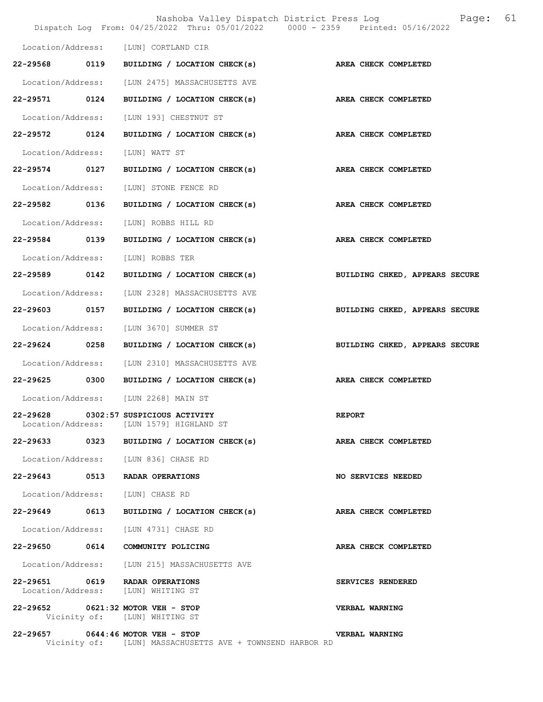|                   |      |                                                                                  | 61<br>Nashoba Valley Dispatch District Press Log<br>Page:<br>Dispatch Log From: 04/25/2022 Thru: 05/01/2022 0000 - 2359 Printed: 05/16/2022 |
|-------------------|------|----------------------------------------------------------------------------------|---------------------------------------------------------------------------------------------------------------------------------------------|
|                   |      | Location/Address: [LUN] CORTLAND CIR                                             |                                                                                                                                             |
| 22-29568 0119     |      | BUILDING / LOCATION CHECK(s)                                                     | AREA CHECK COMPLETED                                                                                                                        |
| Location/Address: |      | [LUN 2475] MASSACHUSETTS AVE                                                     |                                                                                                                                             |
| 22-29571          | 0124 | BUILDING / LOCATION CHECK(s)                                                     | AREA CHECK COMPLETED                                                                                                                        |
|                   |      | Location/Address: [LUN 193] CHESTNUT ST                                          |                                                                                                                                             |
| 22-29572 0124     |      | BUILDING / LOCATION CHECK(s) AREA CHECK COMPLETED                                |                                                                                                                                             |
| Location/Address: |      | [LUN] WATT ST                                                                    |                                                                                                                                             |
| 22-29574 0127     |      | BUILDING / LOCATION CHECK(s)                                                     | AREA CHECK COMPLETED                                                                                                                        |
| Location/Address: |      | [LUN] STONE FENCE RD                                                             |                                                                                                                                             |
| 22-29582          | 0136 | BUILDING / LOCATION CHECK(s)                                                     | AREA CHECK COMPLETED                                                                                                                        |
| Location/Address: |      | [LUN] ROBBS HILL RD                                                              |                                                                                                                                             |
| 22-29584 0139     |      | BUILDING / LOCATION CHECK(s) AREA CHECK COMPLETED                                |                                                                                                                                             |
| Location/Address: |      | [LUN] ROBBS TER                                                                  |                                                                                                                                             |
| 22-29589 0142     |      | BUILDING / LOCATION CHECK(s)                                                     | BUILDING CHKED, APPEARS SECURE                                                                                                              |
| Location/Address: |      | [LUN 2328] MASSACHUSETTS AVE                                                     |                                                                                                                                             |
| 22-29603          | 0157 | BUILDING / LOCATION CHECK(s)                                                     | BUILDING CHKED, APPEARS SECURE                                                                                                              |
| Location/Address: |      | [LUN 3670] SUMMER ST                                                             |                                                                                                                                             |
| 22-29624 0258     |      | BUILDING / LOCATION CHECK(s)                                                     | BUILDING CHKED, APPEARS SECURE                                                                                                              |
| Location/Address: |      | [LUN 2310] MASSACHUSETTS AVE                                                     |                                                                                                                                             |
| 22-29625 0300     |      | BUILDING / LOCATION CHECK(s)                                                     | AREA CHECK COMPLETED                                                                                                                        |
|                   |      | Location/Address: [LUN 2268] MAIN ST                                             |                                                                                                                                             |
|                   |      | 22-29628 0302:57 SUSPICIOUS ACTIVITY<br>Location/Address: [LUN 1579] HIGHLAND ST | <b>REPORT</b>                                                                                                                               |
|                   |      | 22-29633 0323 BUILDING / LOCATION CHECK(s)                                       | AREA CHECK COMPLETED                                                                                                                        |
|                   |      | Location/Address: [LUN 836] CHASE RD                                             |                                                                                                                                             |
|                   |      | 22-29643 0513 RADAR OPERATIONS                                                   | NO SERVICES NEEDED                                                                                                                          |
|                   |      | Location/Address: [LUN] CHASE RD                                                 |                                                                                                                                             |
| 22-29649 0613     |      | BUILDING / LOCATION CHECK(s)                                                     | <b>AREA CHECK COMPLETED</b>                                                                                                                 |
|                   |      | Location/Address: [LUN 4731] CHASE RD                                            |                                                                                                                                             |
|                   |      | 22-29650 0614 COMMUNITY POLICING                                                 | AREA CHECK COMPLETED                                                                                                                        |
|                   |      | Location/Address: [LUN 215] MASSACHUSETTS AVE                                    |                                                                                                                                             |
|                   |      | 22-29651 0619 RADAR OPERATIONS<br>Location/Address: [LUN] WHITING ST             | SERVICES RENDERED                                                                                                                           |
|                   |      | 22-29652 0621:32 MOTOR VEH - STOP<br>Vicinity of: [LUN] WHITING ST               | VERBAL WARNING                                                                                                                              |
|                   |      | 22-29657 0644:46 MOTOR VEH - STOP                                                | <b>VERBAL WARNING</b>                                                                                                                       |

Vicinity of: [LUN] MASSACHUSETTS AVE + TOWNSEND HARBOR RD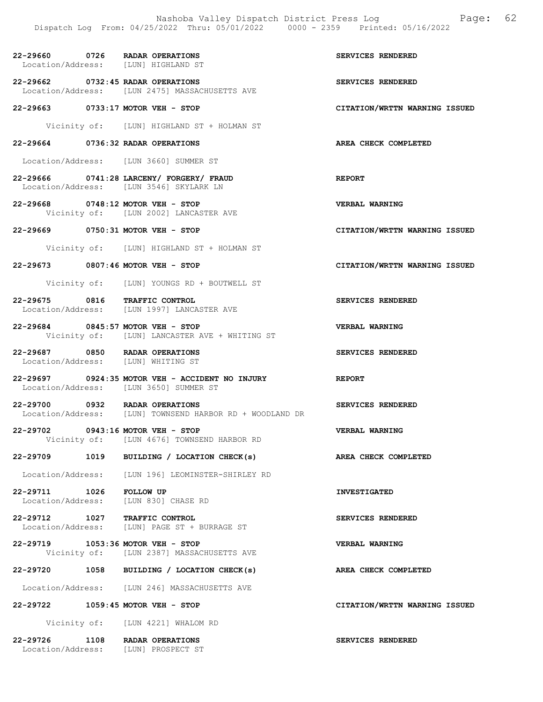Nashoba Valley Dispatch District Press Log Fage: 62 Dispatch Log From: 04/25/2022 Thru: 05/01/2022 0000 - 2359 Printed: 05/16/2022 22-29660 0726 RADAR OPERATIONS SERVICES RENDERED Location/Address: [LUN] HIGHLAND ST 22-29662 0732:45 RADAR OPERATIONS<br>
Location/Address: [LUN 2475] MASSACHUSETTS AVE [LUN 2475] MASSACHUSETTS AVE 22-29663 0733:17 MOTOR VEH - STOP CITATION/WRTTN WARNING ISSUED Vicinity of: [LUN] HIGHLAND ST + HOLMAN ST 22-29664 0736:32 RADAR OPERATIONS AREA CHECK COMPLETED Location/Address: [LUN 3660] SUMMER ST 22-29666 0741:28 LARCENY/ FORGERY/ FRAUD REPORT Location/Address: [LUN 3546] SKYLARK LN 22-29668 0748:12 MOTOR VEH - STOP VERBAL WARNING Vicinity of: [LUN 2002] LANCASTER AVE 22-29669 0750:31 MOTOR VEH - STOP CITATION/WRTTN WARNING ISSUED Vicinity of: [LUN] HIGHLAND ST + HOLMAN ST 22-29673 0807:46 MOTOR VEH - STOP CITATION/WRTTN WARNING ISSUED Vicinity of: [LUN] YOUNGS RD + BOUTWELL ST 22-29675 0816 TRAFFIC CONTROL SERVICES RENDERED Location/Address: [LUN 1997] LANCASTER AVE 22-29684 0845:57 MOTOR VEH - STOP VERBAL WARNING Vicinity of: [LUN] LANCASTER AVE + WHITING ST 22-29687 0850 RADAR OPERATIONS SERVICES RENDERED Location/Address: [LUN] WHITING ST 22-29697 0924:35 MOTOR VEH - ACCIDENT NO INJURY REPORT Location/Address: [LUN 3650] SUMMER ST 22-29700 0932 RADAR OPERATIONS SERVICES RENDERED Location/Address: [LUN] TOWNSEND HARBOR RD + WOODLAND DR 22-29702 0943:16 MOTOR VEH - STOP VERBAL WARNING Vicinity of: [LUN 4676] TOWNSEND HARBOR RD 22-29709 1019 BUILDING / LOCATION CHECK(s) AREA CHECK COMPLETED Location/Address: [LUN 196] LEOMINSTER-SHIRLEY RD 22-29711 1026 FOLLOW UP INVESTIGATED [LUN 830] CHASE RD 22-29712 1027 TRAFFIC CONTROL SERVICES RENDERED<br>Location/Address: [LUN] PAGE ST + BURRAGE ST Location/Address: [LUN] PAGE ST + BURRAGE ST 22-29719 1053:36 MOTOR VEH - STOP VERBAL WARNING Vicinity of: [LUN 2387] MASSACHUSETTS AVE 22-29720 1058 BUILDING / LOCATION CHECK(s) AREA CHECK COMPLETED Location/Address: [LUN 246] MASSACHUSETTS AVE

22-29722 1059:45 MOTOR VEH - STOP CITATION/WRTTN WARNING ISSUED

Vicinity of: [LUN 4221] WHALOM RD

22-29726 1108 RADAR OPERATIONS SERVICES RENDERED Location/Address: [LUN] PROSPECT ST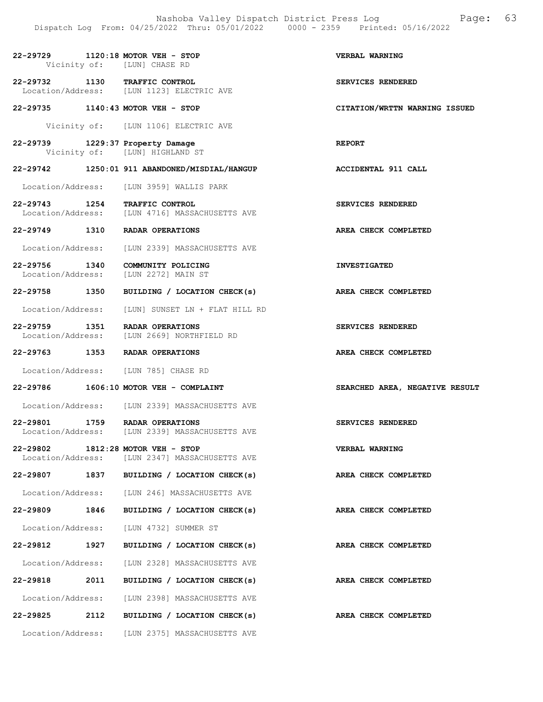|                               |                   | 22-29729 1120:18 MOTOR VEH - STOP                                                | VERBAL WARNING                 |
|-------------------------------|-------------------|----------------------------------------------------------------------------------|--------------------------------|
|                               |                   | Vicinity of: [LUN] CHASE RD                                                      |                                |
|                               |                   | 22-29732 1130 TRAFFIC CONTROL<br>Location/Address: [LUN 1123] ELECTRIC AVE       | SERVICES RENDERED              |
|                               |                   | 22-29735 1140:43 MOTOR VEH - STOP                                                | CITATION/WRTTN WARNING ISSUED  |
|                               |                   | Vicinity of: [LUN 1106] ELECTRIC AVE                                             |                                |
|                               |                   | 22-29739 1229:37 Property Damage<br>Vicinity of: [LUN] HIGHLAND ST               | <b>REPORT</b>                  |
| 22-29742                      |                   | 1250:01 911 ABANDONED/MISDIAL/HANGUP                                             | ACCIDENTAL 911 CALL            |
|                               |                   | Location/Address: [LUN 3959] WALLIS PARK                                         |                                |
|                               |                   | 22-29743 1254 TRAFFIC CONTROL<br>Location/Address: [LUN 4716] MASSACHUSETTS AVE  | SERVICES RENDERED              |
|                               |                   | 22-29749 1310 RADAR OPERATIONS                                                   | AREA CHECK COMPLETED           |
|                               |                   | Location/Address: [LUN 2339] MASSACHUSETTS AVE                                   |                                |
| 22-29756 1340                 |                   | COMMUNITY POLICING<br>Location/Address: [LUN 2272] MAIN ST                       | <b>INVESTIGATED</b>            |
| 22-29758 1350                 |                   | BUILDING / LOCATION CHECK(s)                                                     | AREA CHECK COMPLETED           |
|                               |                   | Location/Address: [LUN] SUNSET LN + FLAT HILL RD                                 |                                |
|                               |                   | 22-29759 1351 RADAR OPERATIONS<br>Location/Address: [LUN 2669] NORTHFIELD RD     | SERVICES RENDERED              |
|                               |                   | 22-29763 1353 RADAR OPERATIONS                                                   | AREA CHECK COMPLETED           |
|                               |                   | Location/Address: [LUN 785] CHASE RD                                             |                                |
|                               |                   | 22-29786 1606:10 MOTOR VEH - COMPLAINT                                           | SEARCHED AREA, NEGATIVE RESULT |
|                               |                   | Location/Address: [LUN 2339] MASSACHUSETTS AVE                                   |                                |
|                               |                   | 22-29801 1759 RADAR OPERATIONS<br>Location/Address: [LUN 2339] MASSACHUSETTS AVE | SERVICES RENDERED              |
| 22-29802<br>Location/Address: |                   | $1812:28$ MOTOR VEH - STOP<br>[LUN 2347] MASSACHUSETTS AVE                       | VERBAL WARNING                 |
| 22-29807                      | 1837              | BUILDING / LOCATION CHECK(s)                                                     | AREA CHECK COMPLETED           |
|                               |                   | Location/Address: [LUN 246] MASSACHUSETTS AVE                                    |                                |
| 22-29809 1846                 |                   | BUILDING / LOCATION CHECK(s)                                                     | AREA CHECK COMPLETED           |
|                               |                   | Location/Address: [LUN 4732] SUMMER ST                                           |                                |
| 22-29812                      | 1927              | BUILDING / LOCATION CHECK(s)                                                     | AREA CHECK COMPLETED           |
|                               |                   | Location/Address: [LUN 2328] MASSACHUSETTS AVE                                   |                                |
| 22-29818                      | 2011              | BUILDING / LOCATION CHECK(s)                                                     | AREA CHECK COMPLETED           |
|                               |                   | Location/Address: [LUN 2398] MASSACHUSETTS AVE                                   |                                |
| 22-29825 2112                 |                   | BUILDING / LOCATION CHECK(s)                                                     | AREA CHECK COMPLETED           |
|                               | Location/Address: | [LUN 2375] MASSACHUSETTS AVE                                                     |                                |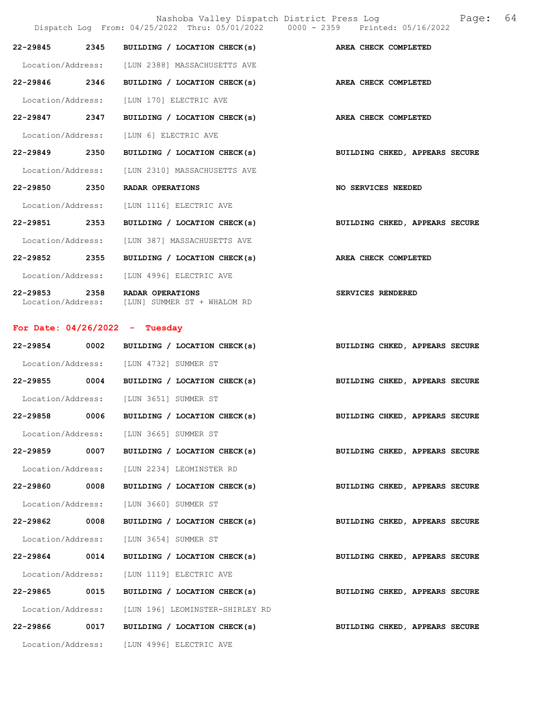|                   |      | Nashoba Valley Dispatch District Press Log<br>Dispatch Log From: 04/25/2022 Thru: 05/01/2022 0000 - 2359 Printed: 05/16/2022 | 64<br>Page:                    |
|-------------------|------|------------------------------------------------------------------------------------------------------------------------------|--------------------------------|
| 22-29845          | 2345 | BUILDING / LOCATION CHECK(s)                                                                                                 | AREA CHECK COMPLETED           |
|                   |      | Location/Address: [LUN 2388] MASSACHUSETTS AVE                                                                               |                                |
| 22-29846 2346     |      | BUILDING / LOCATION CHECK(s)                                                                                                 | AREA CHECK COMPLETED           |
| Location/Address: |      | [LUN 170] ELECTRIC AVE                                                                                                       |                                |
| 22-29847 2347     |      | BUILDING / LOCATION CHECK(s)                                                                                                 | AREA CHECK COMPLETED           |
| Location/Address: |      | [LUN 6] ELECTRIC AVE                                                                                                         |                                |
| 22-29849          | 2350 | BUILDING / LOCATION CHECK(s)                                                                                                 | BUILDING CHKED, APPEARS SECURE |
| Location/Address: |      | [LUN 2310] MASSACHUSETTS AVE                                                                                                 |                                |
| 22-29850 2350     |      | RADAR OPERATIONS                                                                                                             | NO SERVICES NEEDED             |
| Location/Address: |      | [LUN 1116] ELECTRIC AVE                                                                                                      |                                |
| 22-29851 2353     |      | BUILDING / LOCATION CHECK(s)                                                                                                 | BUILDING CHKED, APPEARS SECURE |
| Location/Address: |      | [LUN 387] MASSACHUSETTS AVE                                                                                                  |                                |
| 22-29852          | 2355 | BUILDING / LOCATION CHECK(s)                                                                                                 | AREA CHECK COMPLETED           |
| Location/Address: |      | [LUN 4996] ELECTRIC AVE                                                                                                      |                                |
| 22-29853          | 2358 | RADAR OPERATIONS<br>Location/Address: [LUN] SUMMER ST + WHALOM RD                                                            | SERVICES RENDERED              |
|                   |      | For Date: $04/26/2022 -$ Tuesday                                                                                             |                                |
| 22-29854          | 0002 | BUILDING / LOCATION CHECK(s)                                                                                                 | BUILDING CHKED, APPEARS SECURE |
|                   |      | Location/Address: [LUN 4732] SUMMER ST                                                                                       |                                |
|                   |      | 22-29855 0004 BUILDING / LOCATION CHECK(s)                                                                                   | BUILDING CHKED, APPEARS SECURE |
|                   |      | Location/Address: [LUN 3651] SUMMER ST                                                                                       |                                |
| 22-29858          | 0006 | BUILDING / LOCATION CHECK(s)                                                                                                 | BUILDING CHKED, APPEARS SECURE |
|                   |      | Location/Address: [LUN 3665] SUMMER ST                                                                                       |                                |
| 22-29859 0007     |      | BUILDING / LOCATION CHECK(s)                                                                                                 | BUILDING CHKED, APPEARS SECURE |
| Location/Address: |      | [LUN 2234] LEOMINSTER RD                                                                                                     |                                |
| 22-29860          | 0008 | BUILDING / LOCATION CHECK(s)                                                                                                 | BUILDING CHKED, APPEARS SECURE |
| Location/Address: |      | [LUN 3660] SUMMER ST                                                                                                         |                                |
| 22-29862          | 0008 | BUILDING / LOCATION CHECK(s)                                                                                                 | BUILDING CHKED, APPEARS SECURE |
| Location/Address: |      | [LUN 3654] SUMMER ST                                                                                                         |                                |
| 22-29864 0014     |      | BUILDING / LOCATION CHECK(s)                                                                                                 | BUILDING CHKED, APPEARS SECURE |
| Location/Address: |      | [LUN 1119] ELECTRIC AVE                                                                                                      |                                |
| 22-29865          | 0015 | BUILDING / LOCATION CHECK(s)                                                                                                 | BUILDING CHKED, APPEARS SECURE |
| Location/Address: |      | [LUN 196] LEOMINSTER-SHIRLEY RD                                                                                              |                                |
| 22-29866          | 0017 | BUILDING / LOCATION CHECK(s)                                                                                                 | BUILDING CHKED, APPEARS SECURE |
|                   |      | Location/Address: [LUN 4996] ELECTRIC AVE                                                                                    |                                |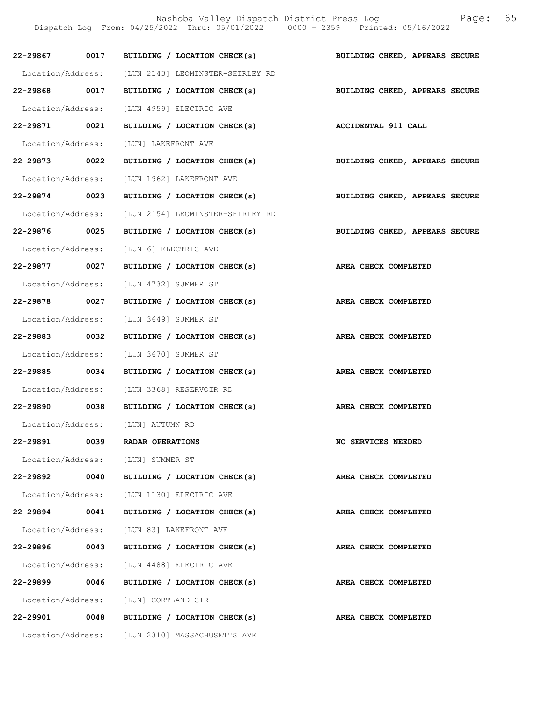Nashoba Valley Dispatch District Press Log Fage: 65 Dispatch Log From: 04/25/2022 Thru: 05/01/2022 0000 - 2359 Printed: 05/16/2022 22-29867 0017 BUILDING / LOCATION CHECK(s) BUILDING CHKED, APPEARS SECURE Location/Address: [LUN 2143] LEOMINSTER-SHIRLEY RD 22-29868 0017 BUILDING / LOCATION CHECK(s) BUILDING CHKED, APPEARS SECURE Location/Address: [LUN 4959] ELECTRIC AVE 22-29871 0021 BUILDING / LOCATION CHECK(s) ACCIDENTAL 911 CALL Location/Address: [LUN] LAKEFRONT AVE 22-29873 0022 BUILDING / LOCATION CHECK(s) BUILDING CHKED, APPEARS SECURE Location/Address: [LUN 1962] LAKEFRONT AVE 22-29874 0023 BUILDING / LOCATION CHECK(s) BUILDING CHKED, APPEARS SECURE Location/Address: [LUN 2154] LEOMINSTER-SHIRLEY RD 22-29876 0025 BUILDING / LOCATION CHECK(s) BUILDING CHKED, APPEARS SECURE Location/Address: [LUN 6] ELECTRIC AVE 22-29877 0027 BUILDING / LOCATION CHECK(s) AREA CHECK COMPLETED Location/Address: [LUN 4732] SUMMER ST 22-29878 0027 BUILDING / LOCATION CHECK(s) AREA CHECK COMPLETED Location/Address: [LUN 3649] SUMMER ST 22-29883 0032 BUILDING / LOCATION CHECK(s) AREA CHECK COMPLETED Location/Address: [LUN 3670] SUMMER ST 22-29885 0034 BUILDING / LOCATION CHECK(s) AREA CHECK COMPLETED Location/Address: [LUN 3368] RESERVOIR RD 22-29890 0038 BUILDING / LOCATION CHECK(s) AREA CHECK COMPLETED Location/Address: [LUN] AUTUMN RD 22-29891 0039 RADAR OPERATIONS NO SERVICES NEEDED Location/Address: [LUN] SUMMER ST 22-29892 0040 BUILDING / LOCATION CHECK(s) AREA CHECK COMPLETED Location/Address: [LUN 1130] ELECTRIC AVE 22-29894 0041 BUILDING / LOCATION CHECK(s) AREA CHECK COMPLETED Location/Address: [LUN 83] LAKEFRONT AVE 22-29896 0043 BUILDING / LOCATION CHECK(s) AREA CHECK COMPLETED Location/Address: [LUN 4488] ELECTRIC AVE 22-29899 0046 BUILDING / LOCATION CHECK(s) AREA CHECK COMPLETED Location/Address: [LUN] CORTLAND CIR 22-29901 0048 BUILDING / LOCATION CHECK(s) AREA CHECK COMPLETED Location/Address: [LUN 2310] MASSACHUSETTS AVE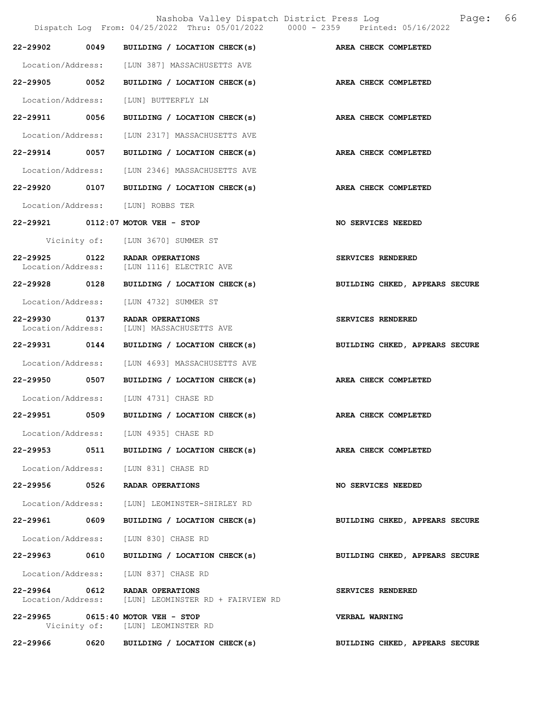|                               |      | Nashoba Valley Dispatch District Press Log<br>Dispatch Log From: 04/25/2022 Thru: 05/01/2022 0000 - 2359 Printed: 05/16/2022 | 66<br>Page:                    |
|-------------------------------|------|------------------------------------------------------------------------------------------------------------------------------|--------------------------------|
| 22-29902                      | 0049 | BUILDING / LOCATION CHECK(s)                                                                                                 | AREA CHECK COMPLETED           |
| Location/Address:             |      | [LUN 387] MASSACHUSETTS AVE                                                                                                  |                                |
| 22-29905 0052                 |      | BUILDING / LOCATION CHECK(s)                                                                                                 | AREA CHECK COMPLETED           |
| Location/Address:             |      | [LUN] BUTTERFLY LN                                                                                                           |                                |
| 22-29911 0056                 |      | BUILDING / LOCATION CHECK(s)                                                                                                 | AREA CHECK COMPLETED           |
| Location/Address:             |      | [LUN 2317] MASSACHUSETTS AVE                                                                                                 |                                |
| 22-29914                      | 0057 | BUILDING / LOCATION CHECK(s)                                                                                                 | AREA CHECK COMPLETED           |
| Location/Address:             |      | [LUN 2346] MASSACHUSETTS AVE                                                                                                 |                                |
| 22-29920 0107                 |      | BUILDING / LOCATION CHECK(s)                                                                                                 | AREA CHECK COMPLETED           |
|                               |      | Location/Address: [LUN] ROBBS TER                                                                                            |                                |
|                               |      | 22-29921 0112:07 MOTOR VEH - STOP                                                                                            | NO SERVICES NEEDED             |
|                               |      | Vicinity of: [LUN 3670] SUMMER ST                                                                                            |                                |
| 22-29925<br>Location/Address: | 0122 | RADAR OPERATIONS<br>[LUN 1116] ELECTRIC AVE                                                                                  | SERVICES RENDERED              |
| 22-29928 0128                 |      | BUILDING / LOCATION CHECK(s)                                                                                                 | BUILDING CHKED, APPEARS SECURE |
| Location/Address:             |      | [LUN 4732] SUMMER ST                                                                                                         |                                |
| 22-29930<br>Location/Address: | 0137 | RADAR OPERATIONS<br>[LUN] MASSACHUSETTS AVE                                                                                  | SERVICES RENDERED              |
| 22-29931 0144                 |      | BUILDING / LOCATION CHECK(s)                                                                                                 | BUILDING CHKED, APPEARS SECURE |
| Location/Address:             |      | [LUN 4693] MASSACHUSETTS AVE                                                                                                 |                                |
| 22-29950 0507                 |      | BUILDING / LOCATION CHECK(s)                                                                                                 | AREA CHECK COMPLETED           |
|                               |      | Location/Address: [LUN 4731] CHASE RD                                                                                        |                                |
| 22-29951                      | 0509 | BUILDING / LOCATION CHECK(s)                                                                                                 | AREA CHECK COMPLETED           |
|                               |      | Location/Address: [LUN 4935] CHASE RD                                                                                        |                                |
| 22-29953 0511                 |      | BUILDING / LOCATION CHECK(s)                                                                                                 | AREA CHECK COMPLETED           |
|                               |      | Location/Address: [LUN 831] CHASE RD                                                                                         |                                |
| 22-29956                      | 0526 | RADAR OPERATIONS                                                                                                             | NO SERVICES NEEDED             |
| Location/Address:             |      | [LUN] LEOMINSTER-SHIRLEY RD                                                                                                  |                                |
| 22-29961 0609                 |      | BUILDING / LOCATION CHECK(s)                                                                                                 | BUILDING CHKED, APPEARS SECURE |
| Location/Address:             |      | [LUN 830] CHASE RD                                                                                                           |                                |
| 22-29963 0610                 |      | BUILDING / LOCATION CHECK(s)                                                                                                 | BUILDING CHKED, APPEARS SECURE |
| Location/Address:             |      | [LUN 837] CHASE RD                                                                                                           |                                |
| 22-29964 0612                 |      | RADAR OPERATIONS<br>Location/Address: [LUN] LEOMINSTER RD + FAIRVIEW RD                                                      | SERVICES RENDERED              |
|                               |      | 22-29965 0615:40 MOTOR VEH - STOP<br>Vicinity of: [LUN] LEOMINSTER RD                                                        | <b>VERBAL WARNING</b>          |
| 22-29966                      |      | 0620 BUILDING / LOCATION CHECK(s)                                                                                            | BUILDING CHKED, APPEARS SECURE |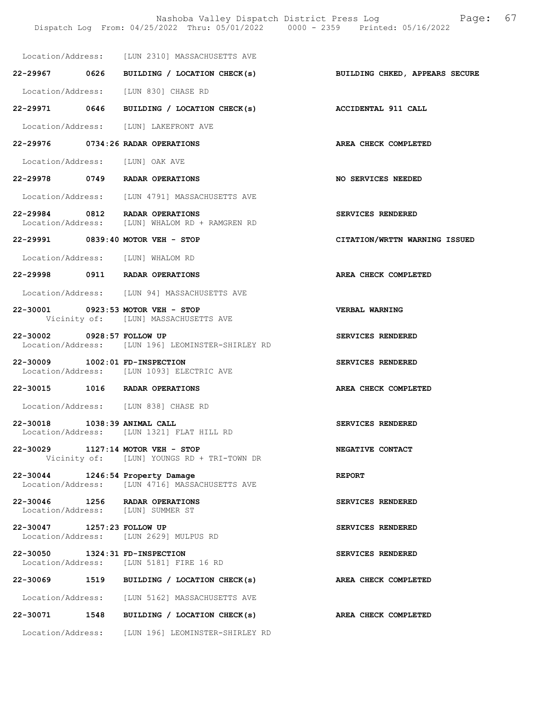Nashoba Valley Dispatch District Press Log Fage: 67

|                                 | Dispatch Log From: 04/25/2022 Thru: 05/01/2022 0000 - 2359 Printed: 05/16/2022     |                               |
|---------------------------------|------------------------------------------------------------------------------------|-------------------------------|
|                                 | Location/Address: [LUN 2310] MASSACHUSETTS AVE                                     |                               |
|                                 | 22-29967 0626 BUILDING / LOCATION CHECK(s) BUILDING CHKED, APPEARS SECURE          |                               |
|                                 | Location/Address: [LUN 830] CHASE RD                                               |                               |
|                                 | 22-29971 0646 BUILDING / LOCATION CHECK(s)                                         | <b>ACCIDENTAL 911 CALL</b>    |
|                                 | Location/Address: [LUN] LAKEFRONT AVE                                              |                               |
|                                 | 22-29976 0734:26 RADAR OPERATIONS                                                  | AREA CHECK COMPLETED          |
| Location/Address: [LUN] OAK AVE |                                                                                    |                               |
|                                 | 22-29978 0749 RADAR OPERATIONS                                                     | NO SERVICES NEEDED            |
|                                 | Location/Address: [LUN 4791] MASSACHUSETTS AVE                                     |                               |
|                                 | 22-29984 0812 RADAR OPERATIONS<br>Location/Address: [LUN] WHALOM RD + RAMGREN RD   | SERVICES RENDERED             |
|                                 | 22-29991 0839:40 MOTOR VEH - STOP                                                  | CITATION/WRTTN WARNING ISSUED |
|                                 | Location/Address: [LUN] WHALOM RD                                                  |                               |
|                                 | 22-29998 0911 RADAR OPERATIONS                                                     | AREA CHECK COMPLETED          |
|                                 | Location/Address: [LUN 94] MASSACHUSETTS AVE                                       |                               |
|                                 | 22-30001 0923:53 MOTOR VEH - STOP<br>Vicinity of: [LUN] MASSACHUSETTS AVE          | <b>VERBAL WARNING</b>         |
| 22-30002 0928:57 FOLLOW UP      | Location/Address: [LUN 196] LEOMINSTER-SHIRLEY RD                                  | SERVICES RENDERED             |
| 22-30009 1002:01 FD-INSPECTION  | Location/Address: [LUN 1093] ELECTRIC AVE                                          | SERVICES RENDERED             |
|                                 | 22-30015 1016 RADAR OPERATIONS                                                     | AREA CHECK COMPLETED          |
|                                 | Location/Address: [LUN 838] CHASE RD                                               |                               |
| 22-30018 1038:39 ANIMAL CALL    | Location/Address: [LUN 1321] FLAT HILL RD                                          | SERVICES RENDERED             |
|                                 | 22-30029 1127:14 MOTOR VEH - STOP<br>Vicinity of: [LUN] YOUNGS RD + TRI-TOWN DR    | NEGATIVE CONTACT              |
|                                 | 22-30044 1246:54 Property Damage<br>Location/Address: [LUN 4716] MASSACHUSETTS AVE | <b>REPORT</b>                 |
|                                 | 22-30046 1256 RADAR OPERATIONS<br>Location/Address: [LUN] SUMMER ST                | SERVICES RENDERED             |
| 22-30047 1257:23 FOLLOW UP      | Location/Address: [LUN 2629] MULPUS RD                                             | SERVICES RENDERED             |
| 22-30050 1324:31 FD-INSPECTION  | Location/Address: [LUN 5181] FIRE 16 RD                                            | SERVICES RENDERED             |
|                                 | 22-30069 1519 BUILDING / LOCATION CHECK(s)                                         | AREA CHECK COMPLETED          |
|                                 | Location/Address: [LUN 5162] MASSACHUSETTS AVE                                     |                               |
|                                 | 22-30071 1548 BUILDING / LOCATION CHECK(s)                                         | AREA CHECK COMPLETED          |

Location/Address: [LUN 196] LEOMINSTER-SHIRLEY RD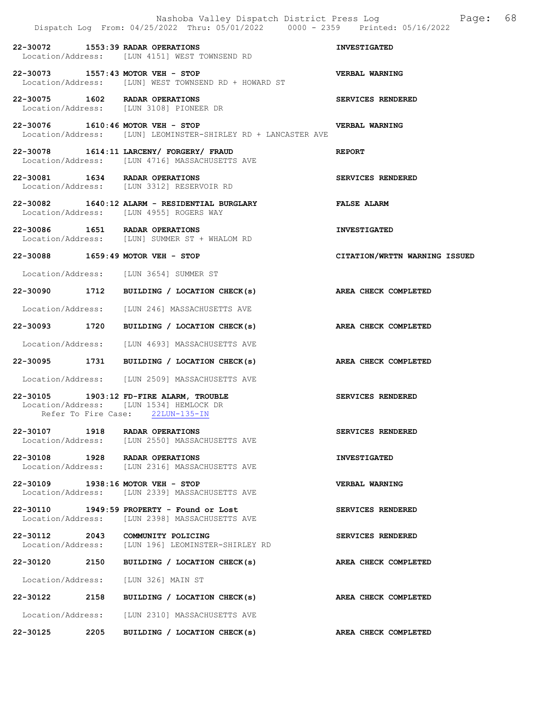|                     | Nashoba Valley Dispatch District Press Log<br>Dispatch Log From: 04/25/2022 Thru: 05/01/2022 0000 - 2359 Printed: 05/16/2022 | Page:                         | 68 |
|---------------------|------------------------------------------------------------------------------------------------------------------------------|-------------------------------|----|
|                     | 22-30072 1553:39 RADAR OPERATIONS<br>Location/Address: [LUN 4151] WEST TOWNSEND RD                                           | <b>INVESTIGATED</b>           |    |
|                     | 22-30073 1557:43 MOTOR VEH - STOP<br>Location/Address: [LUN] WEST TOWNSEND RD + HOWARD ST                                    | <b>VERBAL WARNING</b>         |    |
|                     | 22-30075 1602 RADAR OPERATIONS<br>Location/Address: [LUN 3108] PIONEER DR                                                    | SERVICES RENDERED             |    |
|                     | 22-30076 1610:46 MOTOR VEH - STOP<br>Location/Address: [LUN] LEOMINSTER-SHIRLEY RD + LANCASTER AVE                           | VERBAL WARNING                |    |
|                     | 22-30078 1614:11 LARCENY/ FORGERY/ FRAUD<br>Location/Address: [LUN 4716] MASSACHUSETTS AVE                                   | <b>REPORT</b>                 |    |
|                     | 22-30081 1634 RADAR OPERATIONS<br>Location/Address: [LUN 3312] RESERVOIR RD                                                  | SERVICES RENDERED             |    |
|                     | 22-30082 1640:12 ALARM - RESIDENTIAL BURGLARY<br>Location/Address: [LUN 4955] ROGERS WAY                                     | <b>FALSE ALARM</b>            |    |
|                     | 22-30086 1651 RADAR OPERATIONS<br>Location/Address: [LUN] SUMMER ST + WHALOM RD                                              | <b>INVESTIGATED</b>           |    |
|                     | 22-30088 1659:49 MOTOR VEH - STOP                                                                                            | CITATION/WRTTN WARNING ISSUED |    |
|                     | Location/Address: [LUN 3654] SUMMER ST                                                                                       |                               |    |
| 22-30090 1712       | BUILDING / LOCATION CHECK(s) AREA CHECK COMPLETED                                                                            |                               |    |
|                     | Location/Address: [LUN 246] MASSACHUSETTS AVE                                                                                |                               |    |
| 22-30093 1720       | BUILDING / LOCATION CHECK(s)                                                                                                 | AREA CHECK COMPLETED          |    |
|                     | Location/Address: [LUN 4693] MASSACHUSETTS AVE                                                                               |                               |    |
|                     | 22-30095 1731 BUILDING / LOCATION CHECK(s)                                                                                   | AREA CHECK COMPLETED          |    |
|                     | Location/Address: [LUN 2509] MASSACHUSETTS AVE                                                                               |                               |    |
| Refer To Fire Case: | 22-30105 1903:12 FD-FIRE ALARM, TROUBLE<br>Location/Address: [LUN 1534] HEMLOCK DR<br>$22LUN-135-IN$                         | SERVICES RENDERED             |    |
| 22-30107 1918       | RADAR OPERATIONS<br>Location/Address: [LUN 2550] MASSACHUSETTS AVE                                                           | SERVICES RENDERED             |    |
|                     | 22-30108 1928 RADAR OPERATIONS<br>Location/Address: [LUN 2316] MASSACHUSETTS AVE                                             | <b>INVESTIGATED</b>           |    |
|                     | 22-30109 1938:16 MOTOR VEH - STOP<br>Location/Address: [LUN 2339] MASSACHUSETTS AVE                                          | <b>VERBAL WARNING</b>         |    |
|                     | 22-30110 1949:59 PROPERTY - Found or Lost<br>Location/Address: [LUN 2398] MASSACHUSETTS AVE                                  | SERVICES RENDERED             |    |
|                     | 22-30112 2043 COMMUNITY POLICING<br>Location/Address: [LUN 196] LEOMINSTER-SHIRLEY RD                                        | SERVICES RENDERED             |    |
| 22-30120<br>2150    | BUILDING / LOCATION CHECK(s)                                                                                                 | AREA CHECK COMPLETED          |    |
| Location/Address:   | [LUN 326] MAIN ST                                                                                                            |                               |    |
| 22-30122 2158       | BUILDING / LOCATION CHECK(s)                                                                                                 | AREA CHECK COMPLETED          |    |
| Location/Address:   | [LUN 2310] MASSACHUSETTS AVE                                                                                                 |                               |    |
| 2205<br>22-30125    | BUILDING / LOCATION CHECK(s)                                                                                                 | AREA CHECK COMPLETED          |    |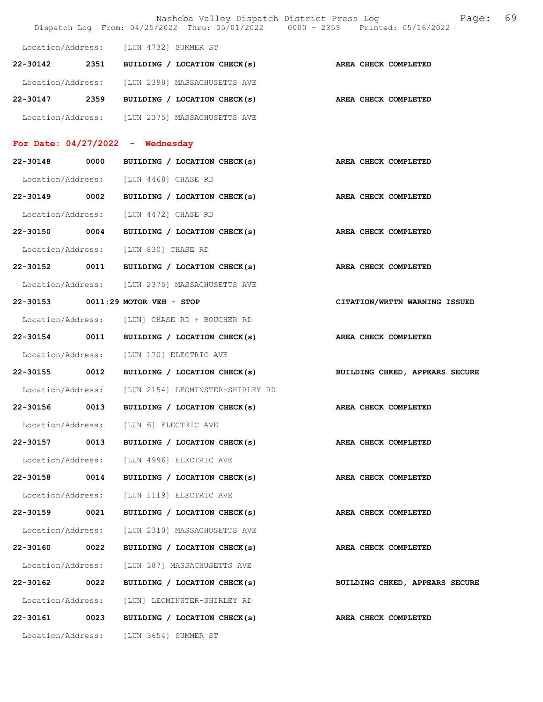|                   |      |                                                | 69<br>Nashoba Valley Dispatch District Press Log<br>Page:<br>Dispatch Log From: 04/25/2022 Thru: 05/01/2022 0000 - 2359 Printed: 05/16/2022 |
|-------------------|------|------------------------------------------------|---------------------------------------------------------------------------------------------------------------------------------------------|
| Location/Address: |      | [LUN 4732] SUMMER ST                           |                                                                                                                                             |
| 22-30142          | 2351 | BUILDING / LOCATION CHECK(s)                   | AREA CHECK COMPLETED                                                                                                                        |
|                   |      | Location/Address: [LUN 2398] MASSACHUSETTS AVE |                                                                                                                                             |
| 22-30147          | 2359 | BUILDING / LOCATION CHECK(s)                   | AREA CHECK COMPLETED                                                                                                                        |
|                   |      | Location/Address: [LUN 2375] MASSACHUSETTS AVE |                                                                                                                                             |
|                   |      | For Date: $04/27/2022 -$ Wednesday             |                                                                                                                                             |
| 22-30148          | 0000 | BUILDING / LOCATION CHECK(s)                   | AREA CHECK COMPLETED                                                                                                                        |
| Location/Address: |      | [LUN 4468] CHASE RD                            |                                                                                                                                             |
| 22-30149          | 0002 | BUILDING / LOCATION CHECK(s)                   | AREA CHECK COMPLETED                                                                                                                        |
| Location/Address: |      | [LUN 4472] CHASE RD                            |                                                                                                                                             |
| 22-30150 0004     |      | BUILDING / LOCATION CHECK(s)                   | AREA CHECK COMPLETED                                                                                                                        |
| Location/Address: |      | [LUN 830] CHASE RD                             |                                                                                                                                             |
| 22-30152          | 0011 | BUILDING / LOCATION CHECK(s)                   | AREA CHECK COMPLETED                                                                                                                        |
|                   |      | Location/Address: [LUN 2375] MASSACHUSETTS AVE |                                                                                                                                             |
| 22-30153          |      | $0011:29$ MOTOR VEH - STOP                     | CITATION/WRTTN WARNING ISSUED                                                                                                               |
|                   |      | Location/Address: [LUN] CHASE RD + BOUCHER RD  |                                                                                                                                             |
| 22-30154 0011     |      | BUILDING / LOCATION CHECK(s)                   | AREA CHECK COMPLETED                                                                                                                        |
| Location/Address: |      | [LUN 170] ELECTRIC AVE                         |                                                                                                                                             |
| $22 - 30155$      | 0012 | BUILDING / LOCATION CHECK(s)                   | BUILDING CHKED, APPEARS SECURE                                                                                                              |
| Location/Address: |      | [LUN 2154] LEOMINSTER-SHIRLEY RD               |                                                                                                                                             |
| 22-30156          | 0013 | BUILDING / LOCATION CHECK(s)                   | AREA CHECK COMPLETED                                                                                                                        |
|                   |      | Location/Address: [LUN 6] ELECTRIC AVE         |                                                                                                                                             |
| 22-30157          | 0013 | BUILDING / LOCATION CHECK(s)                   | AREA CHECK COMPLETED                                                                                                                        |
| Location/Address: |      | [LUN 4996] ELECTRIC AVE                        |                                                                                                                                             |
| 22-30158          | 0014 | BUILDING / LOCATION CHECK(s)                   | AREA CHECK COMPLETED                                                                                                                        |
| Location/Address: |      | [LUN 1119] ELECTRIC AVE                        |                                                                                                                                             |
| 22-30159          | 0021 | BUILDING / LOCATION CHECK(s)                   | AREA CHECK COMPLETED                                                                                                                        |
| Location/Address: |      | [LUN 2310] MASSACHUSETTS AVE                   |                                                                                                                                             |
| 22-30160          | 0022 | BUILDING / LOCATION CHECK(s)                   | AREA CHECK COMPLETED                                                                                                                        |
| Location/Address: |      | [LUN 387] MASSACHUSETTS AVE                    |                                                                                                                                             |
| 22-30162          | 0022 | BUILDING / LOCATION CHECK(s)                   | BUILDING CHKED, APPEARS SECURE                                                                                                              |
| Location/Address: |      | [LUN] LEOMINSTER-SHIRLEY RD                    |                                                                                                                                             |
| 22-30161          | 0023 | BUILDING / LOCATION CHECK(s)                   | AREA CHECK COMPLETED                                                                                                                        |
| Location/Address: |      | [LUN 3654] SUMMER ST                           |                                                                                                                                             |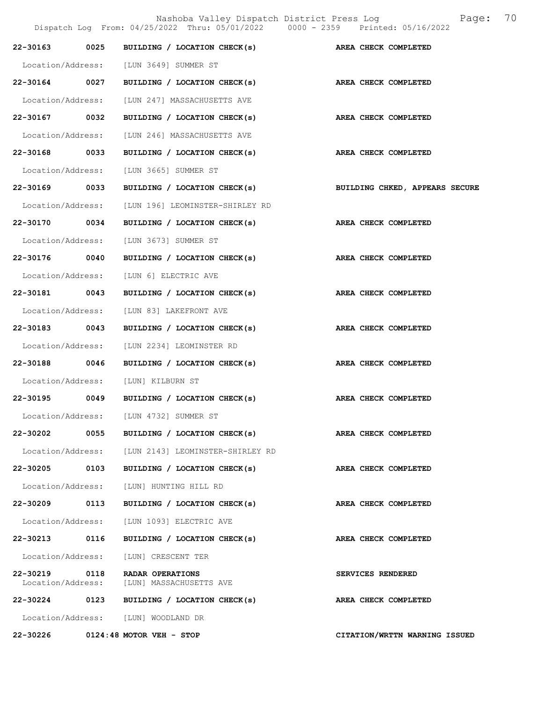Nashoba Valley Dispatch District Press Log  $P = \frac{2022 \text{ Thru: } 05/01/2022} 0000 - 2359 \text{ Printed: } 05/16/2022}$ Dispatch Log From:  $04/25/2022$  Thru:  $05/01/2022$  0000 - 2359 22-30163 0025 BUILDING / LOCATION CHECK(s) AREA CHECK COMPLETED Location/Address: [LUN 3649] SUMMER ST 22-30164 0027 BUILDING / LOCATION CHECK(s) AREA CHECK COMPLETED Location/Address: [LUN 247] MASSACHUSETTS AVE 22-30167 0032 BUILDING / LOCATION CHECK(s) AREA CHECK COMPLETED Location/Address: [LUN 246] MASSACHUSETTS AVE 22-30168 0033 BUILDING / LOCATION CHECK(s) AREA CHECK COMPLETED Location/Address: [LUN 3665] SUMMER ST 22-30169 0033 BUILDING / LOCATION CHECK(s) BUILDING CHKED, APPEARS SECURE Location/Address: [LUN 196] LEOMINSTER-SHIRLEY RD 22-30170 0034 BUILDING / LOCATION CHECK(s) AREA CHECK COMPLETED Location/Address: [LUN 3673] SUMMER ST 22-30176 0040 BUILDING / LOCATION CHECK(s) AREA CHECK COMPLETED Location/Address: [LUN 6] ELECTRIC AVE 22-30181 0043 BUILDING / LOCATION CHECK(s) AREA CHECK COMPLETED Location/Address: [LUN 83] LAKEFRONT AVE 22-30183 0043 BUILDING / LOCATION CHECK(s) AREA CHECK COMPLETED Location/Address: [LUN 2234] LEOMINSTER RD 22-30188 0046 BUILDING / LOCATION CHECK(s) AREA CHECK COMPLETED Location/Address: [LUN] KILBURN ST 22-30195 0049 BUILDING / LOCATION CHECK(s) AREA CHECK COMPLETED Location/Address: [LUN 4732] SUMMER ST 22-30202 0055 BUILDING / LOCATION CHECK(s) AREA CHECK COMPLETED Location/Address: [LUN 2143] LEOMINSTER-SHIRLEY RD 22-30205 0103 BUILDING / LOCATION CHECK(s) AREA CHECK COMPLETED Location/Address: [LUN] HUNTING HILL RD 22-30209 0113 BUILDING / LOCATION CHECK(s) AREA CHECK COMPLETED Location/Address: [LUN 1093] ELECTRIC AVE 22-30213 0116 BUILDING / LOCATION CHECK(s) AREA CHECK COMPLETED Location/Address: [LUN] CRESCENT TER 22-30219 0118 RADAR OPERATIONS<br>
Location/Address: [LUN] MASSACHUSETTS AVE [LUN] MASSACHUSETTS AVE 22-30224 0123 BUILDING / LOCATION CHECK(s) AREA CHECK COMPLETED Location/Address: [LUN] WOODLAND DR 22-30226 0124:48 MOTOR VEH - STOP CITATION/WRTTN WARNING ISSUED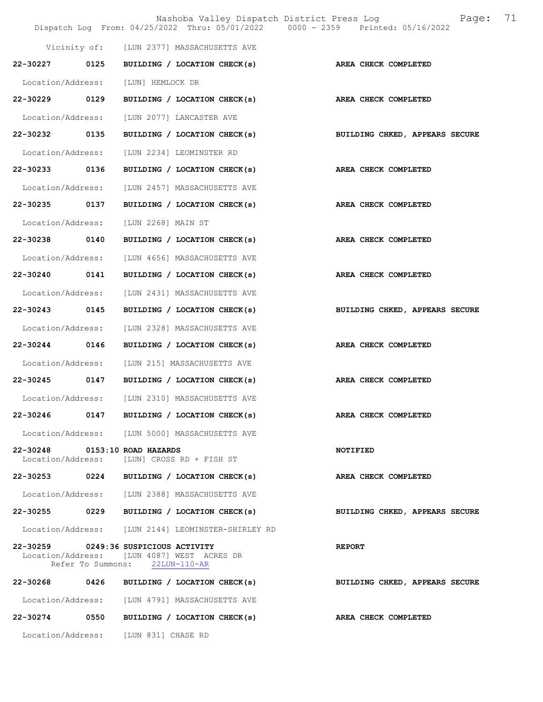|                   |      | Nashoba Valley Dispatch District Press Log<br>Dispatch Log From: 04/25/2022 Thru: 05/01/2022 0000 - 2359 Printed: 05/16/2022 | Page:                          | 71 |
|-------------------|------|------------------------------------------------------------------------------------------------------------------------------|--------------------------------|----|
|                   |      | Vicinity of: [LUN 2377] MASSACHUSETTS AVE                                                                                    |                                |    |
| 22-30227          | 0125 | BUILDING / LOCATION CHECK(s)                                                                                                 | AREA CHECK COMPLETED           |    |
| Location/Address: |      | [LUN] HEMLOCK DR                                                                                                             |                                |    |
| 22-30229          | 0129 | BUILDING / LOCATION CHECK(s)                                                                                                 | AREA CHECK COMPLETED           |    |
| Location/Address: |      | [LUN 2077] LANCASTER AVE                                                                                                     |                                |    |
| 22-30232 0135     |      | BUILDING / LOCATION CHECK(s)                                                                                                 | BUILDING CHKED, APPEARS SECURE |    |
| Location/Address: |      | [LUN 2234] LEOMINSTER RD                                                                                                     |                                |    |
| 22-30233 0136     |      | BUILDING / LOCATION CHECK(s)                                                                                                 | AREA CHECK COMPLETED           |    |
| Location/Address: |      | [LUN 2457] MASSACHUSETTS AVE                                                                                                 |                                |    |
| 22-30235          | 0137 | BUILDING / LOCATION CHECK(s)                                                                                                 | AREA CHECK COMPLETED           |    |
| Location/Address: |      | [LUN 2268] MAIN ST                                                                                                           |                                |    |
| 22-30238 0140     |      | BUILDING / LOCATION CHECK(s)                                                                                                 | AREA CHECK COMPLETED           |    |
| Location/Address: |      | [LUN 4656] MASSACHUSETTS AVE                                                                                                 |                                |    |
| 22-30240 0141     |      | BUILDING / LOCATION CHECK(s)                                                                                                 | AREA CHECK COMPLETED           |    |
| Location/Address: |      | [LUN 2431] MASSACHUSETTS AVE                                                                                                 |                                |    |
| 22-30243          | 0145 | BUILDING / LOCATION CHECK(s)                                                                                                 | BUILDING CHKED, APPEARS SECURE |    |
| Location/Address: |      | [LUN 2328] MASSACHUSETTS AVE                                                                                                 |                                |    |
| 22-30244 0146     |      | BUILDING / LOCATION CHECK(s)                                                                                                 | AREA CHECK COMPLETED           |    |
| Location/Address: |      | [LUN 215] MASSACHUSETTS AVE                                                                                                  |                                |    |
| 22-30245 0147     |      | BUILDING / LOCATION CHECK(s)                                                                                                 | AREA CHECK COMPLETED           |    |
| Location/Address: |      | [LUN 2310] MASSACHUSETTS AVE                                                                                                 |                                |    |
| 22-30246          | 0147 | BUILDING / LOCATION CHECK(s)                                                                                                 | AREA CHECK COMPLETED           |    |
|                   |      | Location/Address: [LUN 5000] MASSACHUSETTS AVE                                                                               |                                |    |
| Location/Address: |      | 22-30248 0153:10 ROAD HAZARDS<br>[LUN] CROSS RD + FISH ST                                                                    | <b>NOTIFIED</b>                |    |
| 22-30253          | 0224 | BUILDING / LOCATION CHECK(s)                                                                                                 | AREA CHECK COMPLETED           |    |
|                   |      | Location/Address: [LUN 2388] MASSACHUSETTS AVE                                                                               |                                |    |
| 22-30255 0229     |      | BUILDING / LOCATION CHECK(s)                                                                                                 | BUILDING CHKED, APPEARS SECURE |    |
|                   |      | Location/Address: [LUN 2144] LEOMINSTER-SHIRLEY RD                                                                           |                                |    |
| Location/Address: |      | 22-30259 0249:36 SUSPICIOUS ACTIVITY<br>[LUN 4087] WEST ACRES DR<br>Refer To Summons: 22LUN-110-AR                           | <b>REPORT</b>                  |    |
| 22-30268          | 0426 | BUILDING / LOCATION CHECK(s)                                                                                                 | BUILDING CHKED, APPEARS SECURE |    |
|                   |      | Location/Address: [LUN 4791] MASSACHUSETTS AVE                                                                               |                                |    |
|                   |      | 22-30274 0550 BUILDING / LOCATION CHECK(s)                                                                                   | AREA CHECK COMPLETED           |    |
|                   |      | Location/Address: [LUN 831] CHASE RD                                                                                         |                                |    |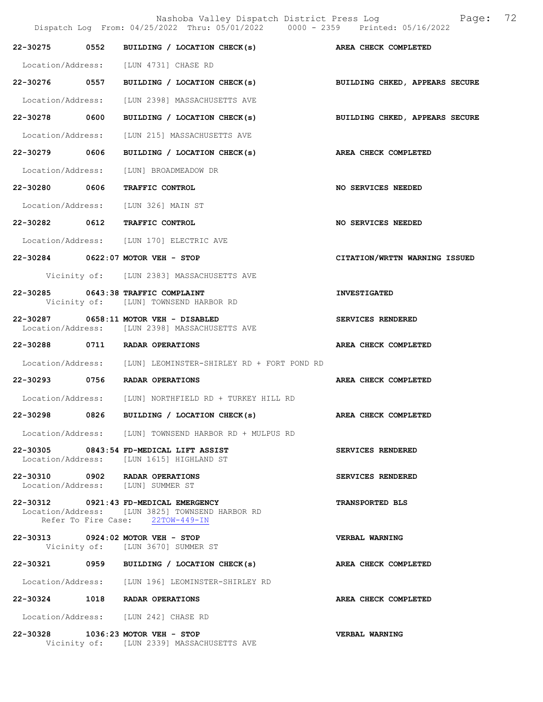|                   | Nashoba Valley Dispatch District Press Log Bage:<br>Dispatch Log From: 04/25/2022 Thru: 05/01/2022 0000 - 2359 Printed: 05/16/2022 | 72                             |
|-------------------|------------------------------------------------------------------------------------------------------------------------------------|--------------------------------|
| 22-30275 0552     | BUILDING / LOCATION CHECK(s) $areline$ area check completed                                                                        |                                |
|                   | Location/Address: [LUN 4731] CHASE RD                                                                                              |                                |
|                   | 22-30276 0557 BUILDING / LOCATION CHECK(s)                                                                                         | BUILDING CHKED, APPEARS SECURE |
|                   | Location/Address: [LUN 2398] MASSACHUSETTS AVE                                                                                     |                                |
| 22-30278 0600     | BUILDING / LOCATION CHECK(s)                                                                                                       | BUILDING CHKED, APPEARS SECURE |
| Location/Address: | [LUN 215] MASSACHUSETTS AVE                                                                                                        |                                |
| 22-30279 0606     | BUILDING / LOCATION CHECK(s)                                                                                                       | AREA CHECK COMPLETED           |
| Location/Address: | [LUN] BROADMEADOW DR                                                                                                               |                                |
| 22-30280 0606     | TRAFFIC CONTROL                                                                                                                    | NO SERVICES NEEDED             |
|                   | Location/Address: [LUN 326] MAIN ST                                                                                                |                                |
|                   | 22-30282 0612 TRAFFIC CONTROL                                                                                                      | <b>NO SERVICES NEEDED</b>      |
|                   | Location/Address: [LUN 170] ELECTRIC AVE                                                                                           |                                |
|                   | 22-30284 0622:07 MOTOR VEH - STOP                                                                                                  | CITATION/WRTTN WARNING ISSUED  |
|                   | Vicinity of: [LUN 2383] MASSACHUSETTS AVE                                                                                          |                                |
|                   | 22-30285 0643:38 TRAFFIC COMPLAINT<br>Vicinity of: [LUN] TOWNSEND HARBOR RD                                                        | <b>INVESTIGATED</b>            |
|                   | 22-30287 0658:11 MOTOR VEH - DISABLED<br>Location/Address: [LUN 2398] MASSACHUSETTS AVE                                            | SERVICES RENDERED              |
|                   | 22-30288 0711 RADAR OPERATIONS                                                                                                     | AREA CHECK COMPLETED           |
|                   | Location/Address: [LUN] LEOMINSTER-SHIRLEY RD + FORT POND RD                                                                       |                                |
|                   | 22-30293 0756 RADAR OPERATIONS                                                                                                     | AREA CHECK COMPLETED           |
|                   | Location/Address: [LUN] NORTHFIELD RD + TURKEY HILL RD                                                                             |                                |
|                   | 22-30298 0826 BUILDING / LOCATION CHECK(s)                                                                                         | AREA CHECK COMPLETED           |
|                   | Location/Address: [LUN] TOWNSEND HARBOR RD + MULPUS RD                                                                             |                                |
|                   | 22-30305 0843:54 FD-MEDICAL LIFT ASSIST<br>Location/Address: [LUN 1615] HIGHLAND ST                                                | SERVICES RENDERED              |
|                   | 22-30310 0902 RADAR OPERATIONS<br>Location/Address: [LUN] SUMMER ST                                                                | SERVICES RENDERED              |
|                   | 22-30312 0921:43 FD-MEDICAL EMERGENCY<br>Location/Address: [LUN 3825] TOWNSEND HARBOR RD<br>Refer To Fire Case: 22TOW-449-IN       | <b>TRANSPORTED BLS</b>         |
|                   | 22-30313 0924:02 MOTOR VEH - STOP<br>Vicinity of: [LUN 3670] SUMMER ST                                                             | <b>VERBAL WARNING</b>          |
|                   | 22-30321 0959 BUILDING / LOCATION CHECK(s)                                                                                         | AREA CHECK COMPLETED           |
|                   | Location/Address: [LUN 196] LEOMINSTER-SHIRLEY RD                                                                                  |                                |
|                   | 22-30324 1018 RADAR OPERATIONS                                                                                                     | AREA CHECK COMPLETED           |
|                   | Location/Address: [LUN 242] CHASE RD                                                                                               |                                |
|                   | 22-30328 1036:23 MOTOR VEH - STOP<br>Vicinity of: [LUN 2339] MASSACHUSETTS AVE                                                     | <b>VERBAL WARNING</b>          |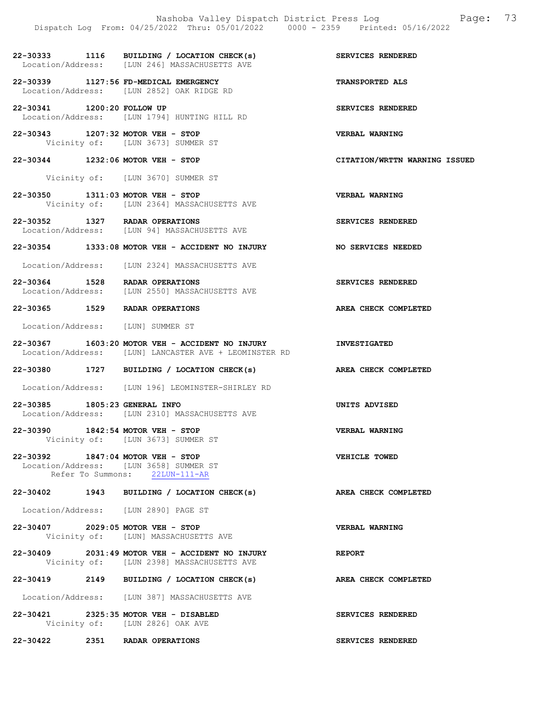- 22-30333 1116 BUILDING / LOCATION CHECK(s) SERVICES RENDERED Location/Address: [LUN 246] MASSACHUSETTS AVE
- 22-30339 1127:56 FD-MEDICAL EMERGENCY TRANSPORTED ALS Location/Address: [LUN 2852] OAK RIDGE RD
- 22-30341 1200:20 FOLLOW UP SERVICES RENDERED Location/Address: [LUN 1794] HUNTING HILL RD
- 22-30343 1207:32 MOTOR VEH STOP VERBAL WARNING Vicinity of: [LUN 3673] SUMMER ST
- 22-30344 1232:06 MOTOR VEH STOP CITATION/WRTTN WARNING ISSUED
	- Vicinity of: [LUN 3670] SUMMER ST
- 22-30350 1311:03 MOTOR VEH STOP VERBAL WARNING<br>Vicinity of: [LUN 2364] MASSACHUSETTS AVE [LUN 2364] MASSACHUSETTS AVE
- 22-30352 1327 RADAR OPERATIONS SERVICES RENDERED Location/Address: [LUN 94] MASSACHUSETTS AVE
- 22-30354 1333:08 MOTOR VEH ACCIDENT NO INJURY NO SERVICES NEEDED
- Location/Address: [LUN 2324] MASSACHUSETTS AVE
- 22-30364 1528 RADAR OPERATIONS<br>
Location/Address: [LUN 2550] MASSACHUSETTS AVE Location/Address: [LUN 2550] MASSACHUSETTS AVE
- 22-30365 1529 RADAR OPERATIONS AREA CHECK COMPLETED
- Location/Address: [LUN] SUMMER ST
- 22-30367 1603:20 MOTOR VEH ACCIDENT NO INJURY INVESTIGATED Location/Address: [LUN] LANCASTER AVE + LEOMINSTER RD
- 22-30380 1727 BUILDING / LOCATION CHECK(s) AREA CHECK COMPLETED
- Location/Address: [LUN 196] LEOMINSTER-SHIRLEY RD
- 22-30385 1805:23 GENERAL INFO UNITS ADVISED Location/Address: [LUN 2310] MASSACHUSETTS AVE
- 22-30390 1842:54 MOTOR VEH STOP VERBAL WARNING Vicinity of: [LUN 3673] SUMMER ST
- 22-30392 1847:04 MOTOR VEH STOP VEHICLE TOWED Location/Address: [LUN 3658] SUMMER ST Refer To Summons: 22LUN-111-AR
- 22-30402 1943 BUILDING / LOCATION CHECK(s) AREA CHECK COMPLETED
- Location/Address: [LUN 2890] PAGE ST
- 22-30407 2029:05 MOTOR VEH STOP<br>Vicinity of: [LUN] MASSACHUSETTS AVE [LUN] MASSACHUSETTS AVE
- 22-30409 2031:49 MOTOR VEH ACCIDENT NO INJURY REPORT Vicinity of: [LUN 2398] MASSACHUSETTS AVE
- 22-30419 2149 BUILDING / LOCATION CHECK(s) AREA CHECK COMPLETED
- Location/Address: [LUN 387] MASSACHUSETTS AVE
- 22-30421 2325:35 MOTOR VEH DISABLED SERVICES RENDERED Vicinity of: [LUN 2826] OAK AVE
- 22-30422 2351 RADAR OPERATIONS SERVICES RENDERED
- 
- 
- 
- 
- 
- 
- 
- 
- 
- 
- 
- 
- 
- 
- 
- 
- 
- 
- 
- 
-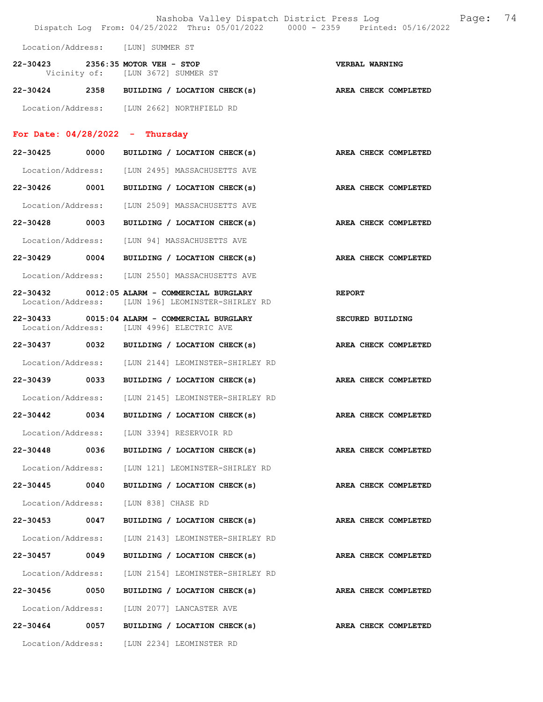|                                   |      | Nashoba Valley Dispatch District Press Log<br>Dispatch Log From: 04/25/2022 Thru: 05/01/2022 0000 - 2359 Printed: 05/16/2022 |               |                             | Page: | 74 |
|-----------------------------------|------|------------------------------------------------------------------------------------------------------------------------------|---------------|-----------------------------|-------|----|
|                                   |      | Location/Address: [LUN] SUMMER ST                                                                                            |               |                             |       |    |
|                                   |      | 22-30423 2356:35 MOTOR VEH - STOP<br>Vicinity of: [LUN 3672] SUMMER ST                                                       |               | VERBAL WARNING              |       |    |
|                                   |      | 22-30424 2358 BUILDING / LOCATION CHECK(s)                                                                                   |               | AREA CHECK COMPLETED        |       |    |
|                                   |      | Location/Address: [LUN 2662] NORTHFIELD RD                                                                                   |               |                             |       |    |
| For Date: $04/28/2022 - Thursday$ |      |                                                                                                                              |               |                             |       |    |
| 22-30425                          | 0000 | BUILDING / LOCATION CHECK(s)                                                                                                 |               | <b>AREA CHECK COMPLETED</b> |       |    |
|                                   |      | Location/Address: [LUN 2495] MASSACHUSETTS AVE                                                                               |               |                             |       |    |
| 22-30426 0001                     |      | BUILDING / LOCATION CHECK(s)                                                                                                 |               | AREA CHECK COMPLETED        |       |    |
|                                   |      | Location/Address: [LUN 2509] MASSACHUSETTS AVE                                                                               |               |                             |       |    |
|                                   |      | 22-30428 0003 BUILDING / LOCATION CHECK(s)                                                                                   |               | AREA CHECK COMPLETED        |       |    |
|                                   |      | Location/Address: [LUN 94] MASSACHUSETTS AVE                                                                                 |               |                             |       |    |
| 22-30429 0004                     |      | BUILDING / LOCATION CHECK(s)                                                                                                 |               | AREA CHECK COMPLETED        |       |    |
|                                   |      | Location/Address: [LUN 2550] MASSACHUSETTS AVE                                                                               |               |                             |       |    |
|                                   |      | 22-30432 0012:05 ALARM - COMMERCIAL BURGLARY<br>Location/Address: [LUN 196] LEOMINSTER-SHIRLEY RD                            | <b>REPORT</b> |                             |       |    |
|                                   |      | 22-30433 0015:04 ALARM - COMMERCIAL BURGLARY<br>Location/Address: [LUN 4996] ELECTRIC AVE                                    |               | <b>SECURED BUILDING</b>     |       |    |
|                                   |      | 22-30437 0032 BUILDING / LOCATION CHECK(s)                                                                                   |               | AREA CHECK COMPLETED        |       |    |
|                                   |      | Location/Address: [LUN 2144] LEOMINSTER-SHIRLEY RD                                                                           |               |                             |       |    |
|                                   |      | 22-30439 0033 BUILDING / LOCATION CHECK(s)                                                                                   |               | AREA CHECK COMPLETED        |       |    |
|                                   |      | Location/Address: [LUN 2145] LEOMINSTER-SHIRLEY RD                                                                           |               |                             |       |    |
| 22-30442                          | 0034 | BUILDING / LOCATION CHECK(s)                                                                                                 |               | AREA CHECK COMPLETED        |       |    |
|                                   |      | Location/Address: [LUN 3394] RESERVOIR RD                                                                                    |               |                             |       |    |
| 22-30448 0036                     |      | BUILDING / LOCATION CHECK(s) AREA CHECK COMPLETED                                                                            |               |                             |       |    |
| Location/Address:                 |      | [LUN 121] LEOMINSTER-SHIRLEY RD                                                                                              |               |                             |       |    |
| 22-30445                          | 0040 | BUILDING / LOCATION CHECK(s)                                                                                                 |               | AREA CHECK COMPLETED        |       |    |
| Location/Address:                 |      | [LUN 838] CHASE RD                                                                                                           |               |                             |       |    |
| 22-30453                          | 0047 | BUILDING / LOCATION CHECK(s)                                                                                                 |               | AREA CHECK COMPLETED        |       |    |
| Location/Address:                 |      | [LUN 2143] LEOMINSTER-SHIRLEY RD                                                                                             |               |                             |       |    |
| 22-30457 0049                     |      | BUILDING / LOCATION CHECK(s)                                                                                                 |               | AREA CHECK COMPLETED        |       |    |
| Location/Address:                 |      | [LUN 2154] LEOMINSTER-SHIRLEY RD                                                                                             |               |                             |       |    |
| 22-30456                          | 0050 | BUILDING / LOCATION CHECK(s)                                                                                                 |               | <b>AREA CHECK COMPLETED</b> |       |    |
| Location/Address:                 |      | [LUN 2077] LANCASTER AVE                                                                                                     |               |                             |       |    |
| 22-30464                          | 0057 | BUILDING / LOCATION CHECK(s)                                                                                                 |               | AREA CHECK COMPLETED        |       |    |
| Location/Address:                 |      | [LUN 2234] LEOMINSTER RD                                                                                                     |               |                             |       |    |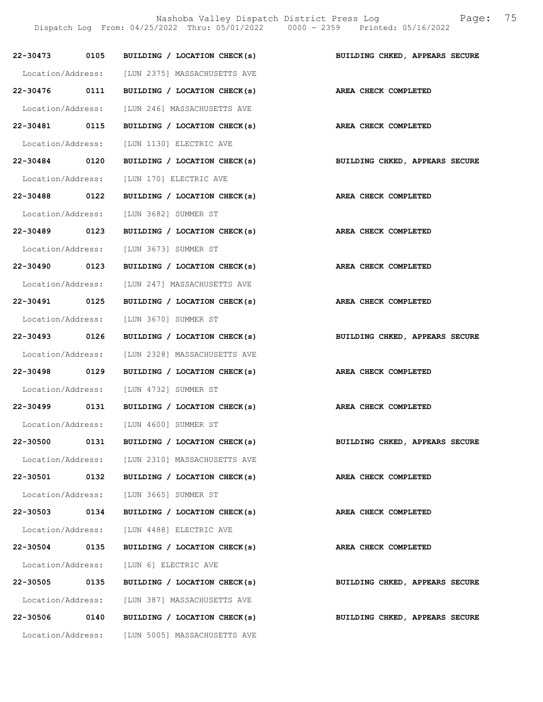Nashoba Valley Dispatch District Press Log Fage: 75

Dispatch Log From: 04/25/2022 Thru: 05/01/2022 0000 - 2359 Printed: 05/16/2022

|                   |      | 22-30473 0105 BUILDING / LOCATION CHECK(s)        | BUILDING CHKED, APPEARS SECURE |
|-------------------|------|---------------------------------------------------|--------------------------------|
|                   |      | Location/Address: [LUN 2375] MASSACHUSETTS AVE    |                                |
|                   |      | 22-30476 0111 BUILDING / LOCATION CHECK(s)        | AREA CHECK COMPLETED           |
|                   |      | Location/Address: [LUN 246] MASSACHUSETTS AVE     |                                |
| 22-30481 0115     |      | BUILDING / LOCATION CHECK(s)                      | AREA CHECK COMPLETED           |
|                   |      | Location/Address: [LUN 1130] ELECTRIC AVE         |                                |
| 22-30484 0120     |      | BUILDING / LOCATION CHECK(s)                      | BUILDING CHKED, APPEARS SECURE |
|                   |      | Location/Address: [LUN 170] ELECTRIC AVE          |                                |
| 22-30488 0122     |      | BUILDING / LOCATION CHECK(s)                      | AREA CHECK COMPLETED           |
|                   |      | Location/Address: [LUN 3682] SUMMER ST            |                                |
| 22-30489 0123     |      | BUILDING / LOCATION CHECK(s)                      | AREA CHECK COMPLETED           |
|                   |      | Location/Address: [LUN 3673] SUMMER ST            |                                |
| 22-30490 0123     |      | BUILDING / LOCATION CHECK(s) AREA CHECK COMPLETED |                                |
|                   |      | Location/Address: [LUN 247] MASSACHUSETTS AVE     |                                |
| 22-30491 0125     |      | BUILDING / LOCATION CHECK(s)                      | AREA CHECK COMPLETED           |
|                   |      | Location/Address: [LUN 3670] SUMMER ST            |                                |
| 22-30493 0126     |      | BUILDING / LOCATION CHECK(s)                      | BUILDING CHKED, APPEARS SECURE |
|                   |      | Location/Address: [LUN 2328] MASSACHUSETTS AVE    |                                |
| 22-30498 0129     |      | BUILDING / LOCATION CHECK(s)                      | AREA CHECK COMPLETED           |
|                   |      | Location/Address: [LUN 4732] SUMMER ST            |                                |
|                   |      | 22-30499 0131 BUILDING / LOCATION CHECK(s)        | AREA CHECK COMPLETED           |
|                   |      | Location/Address: [LUN 4600] SUMMER ST            |                                |
| 22-30500          | 0131 | BUILDING / LOCATION CHECK(s)                      | BUILDING CHKED, APPEARS SECURE |
|                   |      | Location/Address: [LUN 2310] MASSACHUSETTS AVE    |                                |
| 22-30501          | 0132 | BUILDING / LOCATION CHECK(s)                      | AREA CHECK COMPLETED           |
|                   |      | Location/Address: [LUN 3665] SUMMER ST            |                                |
| 22-30503          | 0134 | BUILDING / LOCATION CHECK(s)                      | AREA CHECK COMPLETED           |
|                   |      | Location/Address: [LUN 4488] ELECTRIC AVE         |                                |
| 22-30504          | 0135 | BUILDING / LOCATION CHECK(s)                      | AREA CHECK COMPLETED           |
| Location/Address: |      | [LUN 6] ELECTRIC AVE                              |                                |
| 22-30505 0135     |      | BUILDING / LOCATION CHECK(s)                      | BUILDING CHKED, APPEARS SECURE |
| Location/Address: |      | [LUN 387] MASSACHUSETTS AVE                       |                                |
| 22-30506          | 0140 | BUILDING / LOCATION CHECK(s)                      | BUILDING CHKED, APPEARS SECURE |
| Location/Address: |      | [LUN 5005] MASSACHUSETTS AVE                      |                                |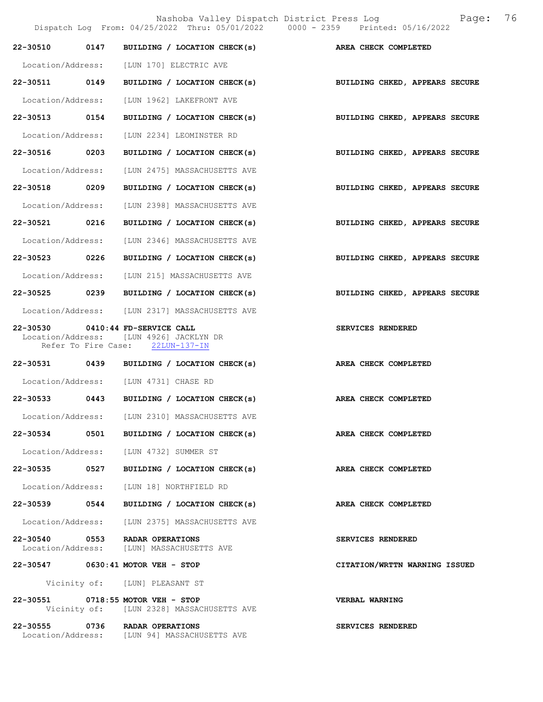Nashoba Valley Dispatch District Press Log Fage: 76

|                   |                                                                                                                 | Dispatch Log From: 04/25/2022 Thru: 05/01/2022 0000 - 2359 Printed: 05/16/2022 |
|-------------------|-----------------------------------------------------------------------------------------------------------------|--------------------------------------------------------------------------------|
| 22-30510 0147     | BUILDING / LOCATION CHECK(s) AREA CHECK COMPLETED                                                               |                                                                                |
|                   | Location/Address: [LUN 170] ELECTRIC AVE                                                                        |                                                                                |
|                   |                                                                                                                 | 22-30511 0149 BUILDING / LOCATION CHECK(s) BUILDING CHKED, APPEARS SECURE      |
|                   | Location/Address: [LUN 1962] LAKEFRONT AVE                                                                      |                                                                                |
| 22-30513 0154     | BUILDING / LOCATION CHECK(s)                                                                                    | BUILDING CHKED, APPEARS SECURE                                                 |
|                   | Location/Address: [LUN 2234] LEOMINSTER RD                                                                      |                                                                                |
| 22-30516 0203     | BUILDING / LOCATION CHECK(s)                                                                                    | BUILDING CHKED, APPEARS SECURE                                                 |
|                   | Location/Address: [LUN 2475] MASSACHUSETTS AVE                                                                  |                                                                                |
| 22-30518 0209     | BUILDING / LOCATION CHECK(s)                                                                                    | BUILDING CHKED, APPEARS SECURE                                                 |
| Location/Address: | [LUN 2398] MASSACHUSETTS AVE                                                                                    |                                                                                |
| 22-30521 0216     | BUILDING / LOCATION CHECK(s)                                                                                    | BUILDING CHKED, APPEARS SECURE                                                 |
| Location/Address: | [LUN 2346] MASSACHUSETTS AVE                                                                                    |                                                                                |
| 22-30523 0226     | BUILDING / LOCATION CHECK(s)                                                                                    | BUILDING CHKED, APPEARS SECURE                                                 |
|                   | Location/Address: [LUN 215] MASSACHUSETTS AVE                                                                   |                                                                                |
| 22-30525 0239     | BUILDING / LOCATION CHECK(s)                                                                                    | BUILDING CHKED, APPEARS SECURE                                                 |
|                   | Location/Address: [LUN 2317] MASSACHUSETTS AVE                                                                  |                                                                                |
|                   | 22-30530 0410:44 FD-SERVICE CALL<br>Location/Address: [LUN 4926] JACKLYN DR<br>Refer To Fire Case: 22LUN-137-IN | SERVICES RENDERED                                                              |
|                   | 22-30531 0439 BUILDING / LOCATION CHECK(s) AREA CHECK COMPLETED                                                 |                                                                                |
|                   | Location/Address: [LUN 4731] CHASE RD                                                                           |                                                                                |
|                   | 22-30533 0443 BUILDING / LOCATION CHECK(s)                                                                      | AREA CHECK COMPLETED                                                           |
|                   | Location/Address: [LUN 2310] MASSACHUSETTS AVE                                                                  |                                                                                |
|                   | 22-30534 0501 BUILDING / LOCATION CHECK(s)                                                                      | AREA CHECK COMPLETED                                                           |
|                   | Location/Address: [LUN 4732] SUMMER ST                                                                          |                                                                                |
| 22-30535 0527     | BUILDING / LOCATION CHECK(s)                                                                                    | AREA CHECK COMPLETED                                                           |
|                   | Location/Address: [LUN 18] NORTHFIELD RD                                                                        |                                                                                |
| 22-30539 0544     | BUILDING / LOCATION CHECK(s)                                                                                    | AREA CHECK COMPLETED                                                           |
|                   | Location/Address: [LUN 2375] MASSACHUSETTS AVE                                                                  |                                                                                |
|                   | 22-30540 0553 RADAR OPERATIONS<br>Location/Address: [LUN] MASSACHUSETTS AVE                                     | SERVICES RENDERED                                                              |
|                   | 22-30547 0630:41 MOTOR VEH - STOP                                                                               | CITATION/WRTTN WARNING ISSUED                                                  |
|                   | Vicinity of: [LUN] PLEASANT ST                                                                                  |                                                                                |
|                   | 22-30551 0718:55 MOTOR VEH - STOP<br>Vicinity of: [LUN 2328] MASSACHUSETTS AVE                                  | <b>VERBAL WARNING</b>                                                          |
|                   | 22-30555 0736 RADAR OPERATIONS<br>Location/Address: [LUN 94] MASSACHUSETTS AVE                                  | SERVICES RENDERED                                                              |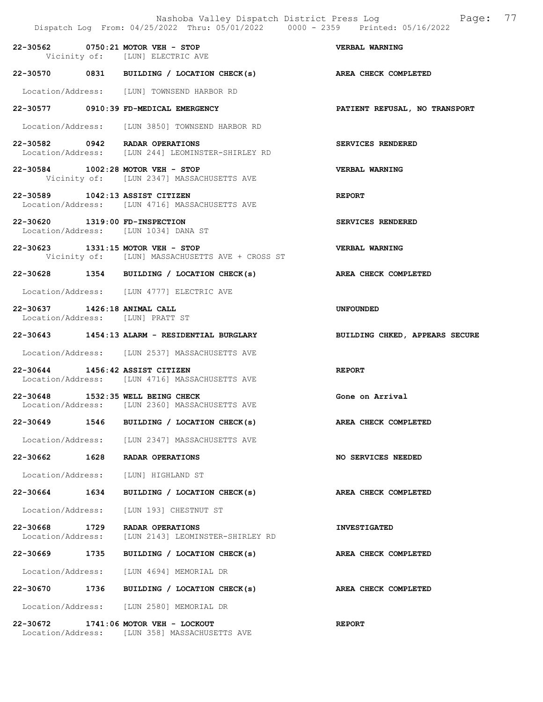|                                                                  |      | Dispatch Log From: 04/25/2022 Thru: 05/01/2022 0000 - 2359 Printed: 05/16/2022       | Nashoba Valley Dispatch District Press Log Faqe: 77 |
|------------------------------------------------------------------|------|--------------------------------------------------------------------------------------|-----------------------------------------------------|
|                                                                  |      | 22-30562 0750:21 MOTOR VEH - STOP<br>Vicinity of: [LUN] ELECTRIC AVE                 | <b>VERBAL WARNING</b>                               |
|                                                                  |      | 22-30570 0831 BUILDING / LOCATION CHECK(s) AREA CHECK COMPLETED                      |                                                     |
|                                                                  |      | Location/Address: [LUN] TOWNSEND HARBOR RD                                           |                                                     |
|                                                                  |      | 22-30577 0910:39 FD-MEDICAL EMERGENCY                                                | PATIENT REFUSAL, NO TRANSPORT                       |
|                                                                  |      | Location/Address: [LUN 3850] TOWNSEND HARBOR RD                                      |                                                     |
|                                                                  |      | 22-30582 0942 RADAR OPERATIONS<br>Location/Address: [LUN 244] LEOMINSTER-SHIRLEY RD  | SERVICES RENDERED                                   |
|                                                                  |      | 22-30584 1002:28 MOTOR VEH - STOP<br>Vicinity of: [LUN 2347] MASSACHUSETTS AVE       | <b>VERBAL WARNING</b>                               |
| 22-30589 1042:13 ASSIST CITIZEN                                  |      | Location/Address: [LUN 4716] MASSACHUSETTS AVE                                       | <b>REPORT</b>                                       |
| 22-30620 1319:00 FD-INSPECTION                                   |      | Location/Address: [LUN 1034] DANA ST                                                 | SERVICES RENDERED                                   |
|                                                                  |      | 22-30623 1331:15 MOTOR VEH - STOP<br>Vicinity of: [LUN] MASSACHUSETTS AVE + CROSS ST | VERBAL WARNING                                      |
|                                                                  |      | 22-30628 1354 BUILDING / LOCATION CHECK(s) AREA CHECK COMPLETED                      |                                                     |
|                                                                  |      | Location/Address: [LUN 4777] ELECTRIC AVE                                            |                                                     |
| 22-30637 1426:18 ANIMAL CALL<br>Location/Address: [LUN] PRATT ST |      |                                                                                      | <b>UNFOUNDED</b>                                    |
|                                                                  |      | 22-30643 1454:13 ALARM - RESIDENTIAL BURGLARY                                        | BUILDING CHKED, APPEARS SECURE                      |
|                                                                  |      | Location/Address: [LUN 2537] MASSACHUSETTS AVE                                       |                                                     |
| 22-30644 1456:42 ASSIST CITIZEN                                  |      | Location/Address: [LUN 4716] MASSACHUSETTS AVE                                       | <b>REPORT</b>                                       |
|                                                                  |      | 22-30648 1532:35 WELL BEING CHECK<br>Location/Address: [LUN 2360] MASSACHUSETTS AVE  | Gone on Arrival                                     |
| 22-30649                                                         | 1546 | BUILDING / LOCATION CHECK(s)                                                         | AREA CHECK COMPLETED                                |
|                                                                  |      | Location/Address: [LUN 2347] MASSACHUSETTS AVE                                       |                                                     |
| 22-30662 1628                                                    |      | RADAR OPERATIONS                                                                     | <b>NO SERVICES NEEDED</b>                           |
| Location/Address:                                                |      | [LUN] HIGHLAND ST                                                                    |                                                     |
| 22-30664 1634                                                    |      | BUILDING / LOCATION CHECK(s)                                                         | AREA CHECK COMPLETED                                |
| Location/Address:                                                |      | [LUN 193] CHESTNUT ST                                                                |                                                     |
| 22-30668<br>Location/Address:                                    | 1729 | RADAR OPERATIONS<br>[LUN 2143] LEOMINSTER-SHIRLEY RD                                 | <b>INVESTIGATED</b>                                 |
| 22-30669 1735                                                    |      | BUILDING / LOCATION CHECK(s)                                                         | AREA CHECK COMPLETED                                |
| Location/Address:                                                |      | [LUN 4694] MEMORIAL DR                                                               |                                                     |
| 22-30670 1736                                                    |      | BUILDING / LOCATION CHECK(s)                                                         | AREA CHECK COMPLETED                                |
|                                                                  |      | Location/Address: [LUN 2580] MEMORIAL DR                                             |                                                     |
|                                                                  |      | 22-30672 1741:06 MOTOR VEH - LOCKOUT                                                 | <b>REPORT</b>                                       |

Location/Address: [LUN 358] MASSACHUSETTS AVE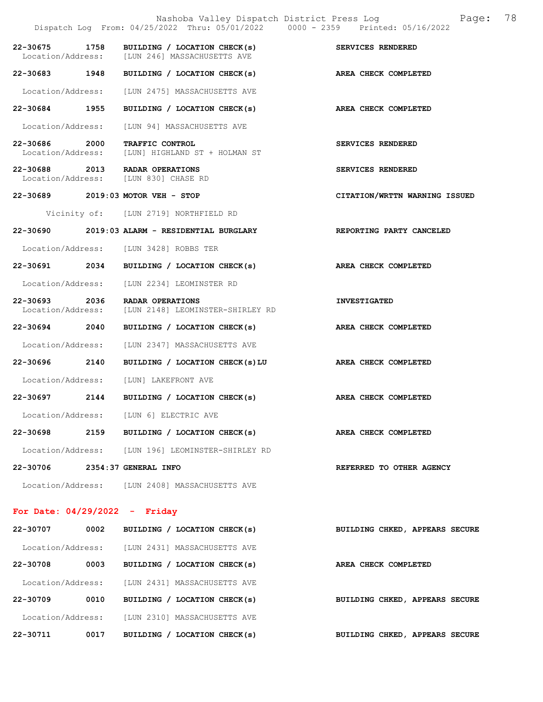|                                    |      | Dispatch Log From: 04/25/2022 Thru: 05/01/2022 0000 - 2359 Printed: 05/16/2022 | Nashoba Valley Dispatch District Press Log Fage: 78 |
|------------------------------------|------|--------------------------------------------------------------------------------|-----------------------------------------------------|
| 22-30675 1758                      |      | BUILDING / LOCATION CHECK(s)<br>Location/Address: [LUN 246] MASSACHUSETTS AVE  | SERVICES RENDERED                                   |
| 22-30683 1948                      |      | BUILDING / LOCATION CHECK(s)                                                   | AREA CHECK COMPLETED                                |
| Location/Address:                  |      | [LUN 2475] MASSACHUSETTS AVE                                                   |                                                     |
| 22-30684 1955                      |      | BUILDING / LOCATION CHECK(s)                                                   | AREA CHECK COMPLETED                                |
| Location/Address:                  |      | [LUN 94] MASSACHUSETTS AVE                                                     |                                                     |
| 22-30686 2000<br>Location/Address: |      | TRAFFIC CONTROL<br>[LUN] HIGHLAND ST + HOLMAN ST                               | SERVICES RENDERED                                   |
|                                    |      | 22-30688 2013 RADAR OPERATIONS<br>Location/Address: [LUN 830] CHASE RD         | SERVICES RENDERED                                   |
|                                    |      | 22-30689 2019:03 MOTOR VEH - STOP                                              | CITATION/WRTTN WARNING ISSUED                       |
|                                    |      | Vicinity of: [LUN 2719] NORTHFIELD RD                                          |                                                     |
|                                    |      | 22-30690 2019:03 ALARM - RESIDENTIAL BURGLARY                                  | REPORTING PARTY CANCELED                            |
|                                    |      | Location/Address: [LUN 3428] ROBBS TER                                         |                                                     |
| 22-30691 2034                      |      | BUILDING / LOCATION CHECK(s)                                                   | AREA CHECK COMPLETED                                |
|                                    |      | Location/Address: [LUN 2234] LEOMINSTER RD                                     |                                                     |
| 22-30693 2036<br>Location/Address: |      | RADAR OPERATIONS<br>[LUN 2148] LEOMINSTER-SHIRLEY RD                           | <b>INVESTIGATED</b>                                 |
| 22-30694 2040                      |      | BUILDING / LOCATION CHECK(s)                                                   | AREA CHECK COMPLETED                                |
| Location/Address:                  |      | [LUN 2347] MASSACHUSETTS AVE                                                   |                                                     |
| 22-30696 2140                      |      | BUILDING / LOCATION CHECK(s)LU AREA CHECK COMPLETED                            |                                                     |
| Location/Address:                  |      | [LUN] LAKEFRONT AVE                                                            |                                                     |
| 22-30697 2144                      |      | BUILDING / LOCATION CHECK(s) AREA CHECK COMPLETED                              |                                                     |
|                                    |      | Location/Address: [LUN 6] ELECTRIC AVE                                         |                                                     |
| 22-30698                           |      | 2159 BUILDING / LOCATION CHECK(s)                                              | AREA CHECK COMPLETED                                |
|                                    |      | Location/Address: [LUN 196] LEOMINSTER-SHIRLEY RD                              |                                                     |
| 22-30706 2354:37 GENERAL INFO      |      |                                                                                | REFERRED TO OTHER AGENCY                            |
|                                    |      | Location/Address: [LUN 2408] MASSACHUSETTS AVE                                 |                                                     |
| For Date: $04/29/2022 -$ Friday    |      |                                                                                |                                                     |
| 22-30707                           | 0002 | BUILDING / LOCATION CHECK(s)                                                   | BUILDING CHKED, APPEARS SECURE                      |
| Location/Address:                  |      | [LUN 2431] MASSACHUSETTS AVE                                                   |                                                     |
| 22-30708                           | 0003 | BUILDING / LOCATION CHECK(s)                                                   | AREA CHECK COMPLETED                                |
| Location/Address:                  |      | [LUN 2431] MASSACHUSETTS AVE                                                   |                                                     |
| 22-30709                           | 0010 | BUILDING / LOCATION CHECK(s)                                                   | BUILDING CHKED, APPEARS SECURE                      |
|                                    |      | Location/Address: [LUN 2310] MASSACHUSETTS AVE                                 |                                                     |

22-30711 0017 BUILDING / LOCATION CHECK(s) BUILDING CHKED, APPEARS SECURE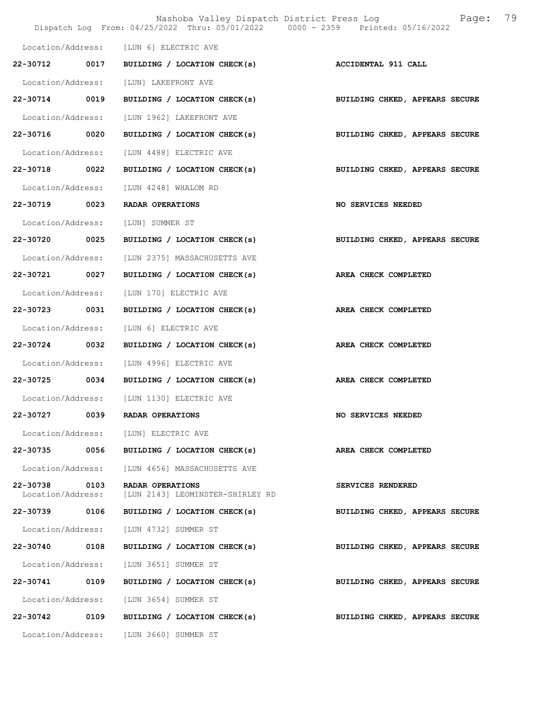|                                    |      | Nashoba Valley Dispatch District Press Log<br>Dispatch Log From: 04/25/2022 Thru: 05/01/2022 0000 - 2359 Printed: 05/16/2022 | 79<br>Page:                    |
|------------------------------------|------|------------------------------------------------------------------------------------------------------------------------------|--------------------------------|
|                                    |      | Location/Address: [LUN 6] ELECTRIC AVE                                                                                       |                                |
| 22-30712 0017                      |      | BUILDING / LOCATION CHECK(s)                                                                                                 | <b>ACCIDENTAL 911 CALL</b>     |
| Location/Address:                  |      | [LUN] LAKEFRONT AVE                                                                                                          |                                |
| 22-30714                           | 0019 | BUILDING / LOCATION CHECK(s)                                                                                                 | BUILDING CHKED, APPEARS SECURE |
| Location/Address:                  |      | [LUN 1962] LAKEFRONT AVE                                                                                                     |                                |
| 22-30716 0020                      |      | BUILDING / LOCATION CHECK(s)                                                                                                 | BUILDING CHKED, APPEARS SECURE |
| Location/Address:                  |      | [LUN 4488] ELECTRIC AVE                                                                                                      |                                |
| 22-30718 0022                      |      | BUILDING / LOCATION CHECK(s)                                                                                                 | BUILDING CHKED, APPEARS SECURE |
| Location/Address:                  |      | [LUN 4248] WHALOM RD                                                                                                         |                                |
| 22-30719                           | 0023 | RADAR OPERATIONS                                                                                                             | NO SERVICES NEEDED             |
| Location/Address:                  |      | [LUN] SUMMER ST                                                                                                              |                                |
| 22-30720 0025                      |      | BUILDING / LOCATION CHECK(s)                                                                                                 | BUILDING CHKED, APPEARS SECURE |
| Location/Address:                  |      | [LUN 2375] MASSACHUSETTS AVE                                                                                                 |                                |
| 22-30721 0027                      |      | BUILDING / LOCATION CHECK(s)                                                                                                 | AREA CHECK COMPLETED           |
| Location/Address:                  |      | [LUN 170] ELECTRIC AVE                                                                                                       |                                |
| 22-30723                           | 0031 | BUILDING / LOCATION CHECK(s)                                                                                                 | AREA CHECK COMPLETED           |
| Location/Address:                  |      | [LUN 6] ELECTRIC AVE                                                                                                         |                                |
| 22-30724 0032                      |      | BUILDING / LOCATION CHECK(s)                                                                                                 | AREA CHECK COMPLETED           |
| Location/Address:                  |      | [LUN 4996] ELECTRIC AVE                                                                                                      |                                |
| 22-30725 0034                      |      | BUILDING / LOCATION CHECK(s)                                                                                                 | AREA CHECK COMPLETED           |
|                                    |      | Location/Address: [LUN 1130] ELECTRIC AVE                                                                                    |                                |
| 22-30727                           | 0039 | RADAR OPERATIONS                                                                                                             | NO SERVICES NEEDED             |
| Location/Address:                  |      | [LUN] ELECTRIC AVE                                                                                                           |                                |
| 22-30735 0056                      |      | BUILDING / LOCATION CHECK(s)                                                                                                 | AREA CHECK COMPLETED           |
| Location/Address:                  |      | [LUN 4656] MASSACHUSETTS AVE                                                                                                 |                                |
| 22-30738 0103<br>Location/Address: |      | RADAR OPERATIONS<br>[LUN 2143] LEOMINSTER-SHIRLEY RD                                                                         | SERVICES RENDERED              |
| 22-30739 0106                      |      | BUILDING / LOCATION CHECK(s)                                                                                                 | BUILDING CHKED, APPEARS SECURE |
| Location/Address:                  |      | [LUN 4732] SUMMER ST                                                                                                         |                                |
| 22-30740 0108                      |      | BUILDING / LOCATION CHECK(s)                                                                                                 | BUILDING CHKED, APPEARS SECURE |
| Location/Address:                  |      | [LUN 3651] SUMMER ST                                                                                                         |                                |
| 22-30741                           | 0109 | BUILDING / LOCATION CHECK(s)                                                                                                 | BUILDING CHKED, APPEARS SECURE |
| Location/Address:                  |      | [LUN 3654] SUMMER ST                                                                                                         |                                |
| 22-30742 0109                      |      | BUILDING / LOCATION CHECK(s)                                                                                                 | BUILDING CHKED, APPEARS SECURE |
|                                    |      | Location/Address: [LUN 3660] SUMMER ST                                                                                       |                                |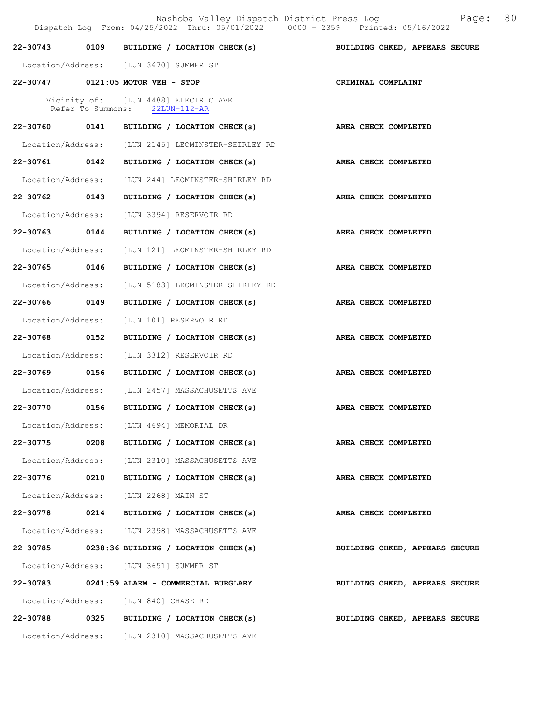|                   |                   | Dispatch Log From: 04/25/2022 Thru: 05/01/2022 0000 - 2359 Printed: 05/16/2022 |                                |
|-------------------|-------------------|--------------------------------------------------------------------------------|--------------------------------|
| 22-30743          |                   | 0109 BUILDING / LOCATION CHECK(s)                                              | BUILDING CHKED, APPEARS SECURE |
|                   |                   | Location/Address: [LUN 3670] SUMMER ST                                         |                                |
|                   |                   | 22-30747 0121:05 MOTOR VEH - STOP                                              | CRIMINAL COMPLAINT             |
|                   | Refer To Summons: | Vicinity of: [LUN 4488] ELECTRIC AVE<br>$22LUN-112-AR$                         |                                |
|                   |                   | 22-30760 0141 BUILDING / LOCATION CHECK(s) AREA CHECK COMPLETED                |                                |
|                   |                   | Location/Address: [LUN 2145] LEOMINSTER-SHIRLEY RD                             |                                |
| 22-30761 0142     |                   | BUILDING / LOCATION CHECK(s)                                                   | AREA CHECK COMPLETED           |
|                   |                   | Location/Address: [LUN 244] LEOMINSTER-SHIRLEY RD                              |                                |
| 22-30762 0143     |                   | BUILDING / LOCATION CHECK(s)                                                   | AREA CHECK COMPLETED           |
|                   |                   | Location/Address: [LUN 3394] RESERVOIR RD                                      |                                |
| 22-30763 0144     |                   | BUILDING / LOCATION CHECK(s)                                                   | AREA CHECK COMPLETED           |
| Location/Address: |                   | [LUN 121] LEOMINSTER-SHIRLEY RD                                                |                                |
| 22-30765 0146     |                   | BUILDING / LOCATION CHECK(s)                                                   | AREA CHECK COMPLETED           |
| Location/Address: |                   | [LUN 5183] LEOMINSTER-SHIRLEY RD                                               |                                |
| 22-30766 0149     |                   | BUILDING / LOCATION CHECK(s)                                                   | AREA CHECK COMPLETED           |
| Location/Address: |                   | [LUN 101] RESERVOIR RD                                                         |                                |
| 22-30768 0152     |                   | BUILDING / LOCATION CHECK(s)                                                   | AREA CHECK COMPLETED           |
| Location/Address: |                   | [LUN 3312] RESERVOIR RD                                                        |                                |
| 22-30769 0156     |                   | BUILDING / LOCATION CHECK(s)                                                   | AREA CHECK COMPLETED           |
|                   |                   | Location/Address: [LUN 2457] MASSACHUSETTS AVE                                 |                                |
| 22-30770          | 0156              | BUILDING / LOCATION CHECK(s)                                                   | AREA CHECK COMPLETED           |
|                   |                   | Location/Address: [LUN 4694] MEMORIAL DR                                       |                                |
| 22-30775 0208     |                   | BUILDING / LOCATION CHECK(s)                                                   | AREA CHECK COMPLETED           |
|                   |                   | Location/Address: [LUN 2310] MASSACHUSETTS AVE                                 |                                |
| 22-30776          | 0210              | BUILDING / LOCATION CHECK(s)                                                   | AREA CHECK COMPLETED           |
|                   |                   | Location/Address: [LUN 2268] MAIN ST                                           |                                |
|                   |                   | 22-30778 0214 BUILDING / LOCATION CHECK(s)                                     | AREA CHECK COMPLETED           |
|                   |                   | Location/Address: [LUN 2398] MASSACHUSETTS AVE                                 |                                |
|                   |                   | $22-30785$ 0238:36 BUILDING / LOCATION CHECK(s)                                | BUILDING CHKED, APPEARS SECURE |
|                   |                   | Location/Address: [LUN 3651] SUMMER ST                                         |                                |
|                   |                   | 22-30783 0241:59 ALARM - COMMERCIAL BURGLARY                                   | BUILDING CHKED, APPEARS SECURE |
|                   |                   | Location/Address: [LUN 840] CHASE RD                                           |                                |
|                   |                   | 22-30788 0325 BUILDING / LOCATION CHECK(s)                                     | BUILDING CHKED, APPEARS SECURE |
|                   |                   | Location/Address: [LUN 2310] MASSACHUSETTS AVE                                 |                                |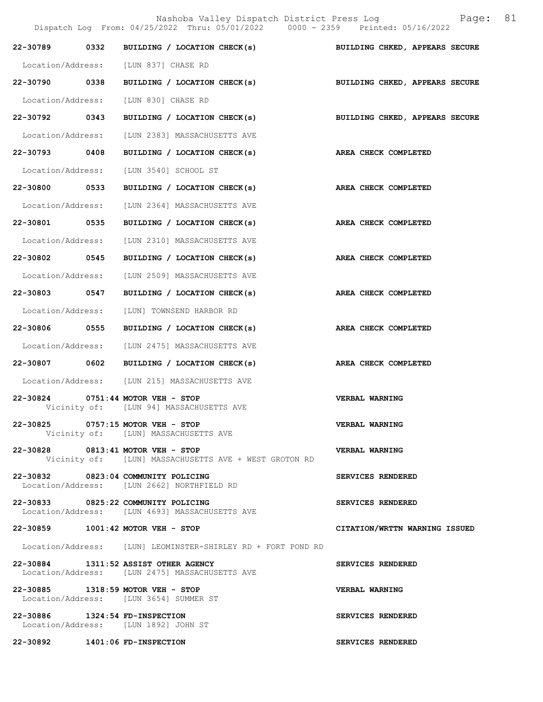Nashoba Valley Dispatch District Press Log Fage: 81 Dispatch Log From: 04/25/2022 Thru: 05/01/2022 0000 - 2359 Printed: 05/16/2022

|                                | 22-30789 0332 BUILDING / LOCATION CHECK(s)                                                 | BUILDING CHKED, APPEARS SECURE |
|--------------------------------|--------------------------------------------------------------------------------------------|--------------------------------|
|                                | Location/Address: [LUN 837] CHASE RD                                                       |                                |
|                                | 22-30790 0338 BUILDING / LOCATION CHECK(s)                                                 | BUILDING CHKED, APPEARS SECURE |
|                                | Location/Address: [LUN 830] CHASE RD                                                       |                                |
|                                | 22-30792 0343 BUILDING / LOCATION CHECK(s)                                                 | BUILDING CHKED, APPEARS SECURE |
|                                | Location/Address: [LUN 2383] MASSACHUSETTS AVE                                             |                                |
|                                | 22-30793 0408 BUILDING / LOCATION CHECK(s)                                                 | AREA CHECK COMPLETED           |
|                                | Location/Address: [LUN 3540] SCHOOL ST                                                     |                                |
|                                | 22-30800 0533 BUILDING / LOCATION CHECK(s) AREA CHECK COMPLETED                            |                                |
|                                | Location/Address: [LUN 2364] MASSACHUSETTS AVE                                             |                                |
|                                | 22-30801 0535 BUILDING / LOCATION CHECK(s)                                                 | AREA CHECK COMPLETED           |
|                                | Location/Address: [LUN 2310] MASSACHUSETTS AVE                                             |                                |
|                                | 22-30802 0545 BUILDING / LOCATION CHECK(s)                                                 | AREA CHECK COMPLETED           |
|                                | Location/Address: [LUN 2509] MASSACHUSETTS AVE                                             |                                |
|                                | 22-30803 0547 BUILDING / LOCATION CHECK(s)                                                 | AREA CHECK COMPLETED           |
|                                | Location/Address: [LUN] TOWNSEND HARBOR RD                                                 |                                |
|                                | 22-30806 0555 BUILDING / LOCATION CHECK(s)                                                 | AREA CHECK COMPLETED           |
|                                | Location/Address: [LUN 2475] MASSACHUSETTS AVE                                             |                                |
|                                | 22-30807 0602 BUILDING / LOCATION CHECK(s)                                                 | AREA CHECK COMPLETED           |
|                                | Location/Address: [LUN 215] MASSACHUSETTS AVE                                              |                                |
|                                | 22-30824 0751:44 MOTOR VEH - STOP<br>Vicinity of: [LUN 94] MASSACHUSETTS AVE               | VERBAL WARNING                 |
|                                | 22-30825 0757:15 MOTOR VEH - STOP<br>Vicinity of: [LUN] MASSACHUSETTS AVE                  | VERBAL WARNING                 |
|                                | 22-30828 0813:41 MOTOR VEH - STOP<br>Vicinity of: [LUN] MASSACHUSETTS AVE + WEST GROTON RD | <b>VERBAL WARNING</b>          |
|                                | 22-30832 0823:04 COMMUNITY POLICING<br>Location/Address: [LUN 2662] NORTHFIELD RD          | SERVICES RENDERED              |
|                                | 22-30833 0825:22 COMMUNITY POLICING<br>Location/Address: [LUN 4693] MASSACHUSETTS AVE      | SERVICES RENDERED              |
|                                | 22-30859 1001:42 MOTOR VEH - STOP                                                          | CITATION/WRTTN WARNING ISSUED  |
|                                | Location/Address: [LUN] LEOMINSTER-SHIRLEY RD + FORT POND RD                               |                                |
|                                | 22-30884 1311:52 ASSIST OTHER AGENCY<br>Location/Address: [LUN 2475] MASSACHUSETTS AVE     | SERVICES RENDERED              |
|                                | 22-30885 1318:59 MOTOR VEH - STOP<br>Location/Address: [LUN 3654] SUMMER ST                | <b>VERBAL WARNING</b>          |
| 22-30886 1324:54 FD-INSPECTION | Location/Address: [LUN 1892] JOHN ST                                                       | SERVICES RENDERED              |
| 22-30892 1401:06 FD-INSPECTION |                                                                                            | SERVICES RENDERED              |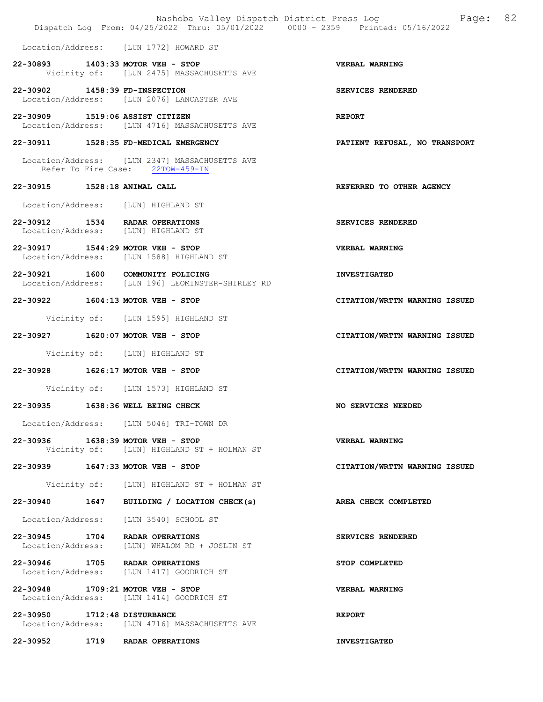|                                   | Nashoba Valley Dispatch District Press Log<br>Dispatch Log From: 04/25/2022 Thru: 05/01/2022 0000 - 2359 Printed: 05/16/2022 | 82<br>Page:                   |
|-----------------------------------|------------------------------------------------------------------------------------------------------------------------------|-------------------------------|
|                                   | Location/Address: [LUN 1772] HOWARD ST                                                                                       |                               |
|                                   | 22-30893 1403:33 MOTOR VEH - STOP<br>Vicinity of: [LUN 2475] MASSACHUSETTS AVE                                               | VERBAL WARNING                |
| 22-30902 1458:39 FD-INSPECTION    | Location/Address: [LUN 2076] LANCASTER AVE                                                                                   | SERVICES RENDERED             |
| 22-30909 1519:06 ASSIST CITIZEN   | Location/Address: [LUN 4716] MASSACHUSETTS AVE                                                                               | <b>REPORT</b>                 |
|                                   | 22-30911 1528:35 FD-MEDICAL EMERGENCY                                                                                        | PATIENT REFUSAL, NO TRANSPORT |
|                                   | Location/Address: [LUN 2347] MASSACHUSETTS AVE<br>Refer To Fire Case: 22TOW-459-IN                                           |                               |
| 22-30915 1528:18 ANIMAL CALL      |                                                                                                                              | REFERRED TO OTHER AGENCY      |
|                                   | Location/Address: [LUN] HIGHLAND ST                                                                                          |                               |
|                                   | 22-30912 1534 RADAR OPERATIONS<br>Location/Address: [LUN] HIGHLAND ST                                                        | SERVICES RENDERED             |
|                                   | 22-30917 1544:29 MOTOR VEH - STOP<br>Location/Address: [LUN 1588] HIGHLAND ST                                                | <b>VERBAL WARNING</b>         |
|                                   | 22-30921 1600 COMMUNITY POLICING<br>Location/Address: [LUN 196] LEOMINSTER-SHIRLEY RD                                        | <b>INVESTIGATED</b>           |
|                                   | 22-30922 1604:13 MOTOR VEH - STOP                                                                                            | CITATION/WRTTN WARNING ISSUED |
|                                   | Vicinity of: [LUN 1595] HIGHLAND ST                                                                                          |                               |
|                                   | 22-30927 1620:07 MOTOR VEH - STOP                                                                                            | CITATION/WRTTN WARNING ISSUED |
|                                   | Vicinity of: [LUN] HIGHLAND ST                                                                                               |                               |
|                                   | 22-30928 1626:17 MOTOR VEH - STOP                                                                                            | CITATION/WRTTN WARNING ISSUED |
|                                   | Vicinity of: [LUN 1573] HIGHLAND ST                                                                                          |                               |
|                                   | 22-30935 1638:36 WELL BEING CHECK                                                                                            | NO SERVICES NEEDED            |
|                                   | Location/Address: [LUN 5046] TRI-TOWN DR                                                                                     |                               |
| 22-30936 1638:39 MOTOR VEH - STOP |                                                                                                                              |                               |
|                                   | Vicinity of: [LUN] HIGHLAND ST + HOLMAN ST                                                                                   | VERBAL WARNING                |
|                                   | 22-30939 1647:33 MOTOR VEH - STOP                                                                                            | CITATION/WRTTN WARNING ISSUED |
|                                   | Vicinity of: [LUN] HIGHLAND ST + HOLMAN ST                                                                                   |                               |
|                                   | 22-30940 1647 BUILDING / LOCATION CHECK(s)                                                                                   | AREA CHECK COMPLETED          |
|                                   | Location/Address: [LUN 3540] SCHOOL ST                                                                                       |                               |
| Location/Address:                 | 22-30945 1704 RADAR OPERATIONS<br>[LUN] WHALOM RD + JOSLIN ST                                                                | SERVICES RENDERED             |
|                                   | 22-30946 1705 RADAR OPERATIONS<br>Location/Address: [LUN 1417] GOODRICH ST                                                   | STOP COMPLETED                |
|                                   | 22-30948 1709:21 MOTOR VEH - STOP<br>Location/Address: [LUN 1414] GOODRICH ST                                                | VERBAL WARNING                |
| 22-30950 1712:48 DISTURBANCE      | Location/Address: [LUN 4716] MASSACHUSETTS AVE                                                                               | <b>REPORT</b>                 |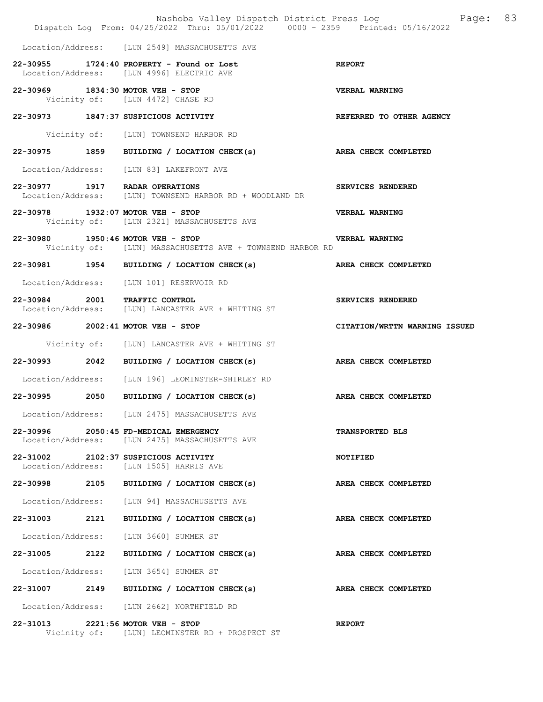|                                   |      | Nashoba Valley Dispatch District Press Loq<br>Dispatch Log From: 04/25/2022 Thru: 05/01/2022 0000 - 2359 Printed: 05/16/2022 | 83<br>Page:                   |  |
|-----------------------------------|------|------------------------------------------------------------------------------------------------------------------------------|-------------------------------|--|
|                                   |      | Location/Address: [LUN 2549] MASSACHUSETTS AVE                                                                               |                               |  |
|                                   |      | 22-30955 1724:40 PROPERTY - Found or Lost<br>Location/Address: [LUN 4996] ELECTRIC AVE                                       | <b>REPORT</b>                 |  |
|                                   |      | 22-30969 1834:30 MOTOR VEH - STOP<br>Vicinity of: [LUN 4472] CHASE RD                                                        | <b>VERBAL WARNING</b>         |  |
|                                   |      | 22-30973 1847:37 SUSPICIOUS ACTIVITY                                                                                         | REFERRED TO OTHER AGENCY      |  |
|                                   |      | Vicinity of: [LUN] TOWNSEND HARBOR RD                                                                                        |                               |  |
|                                   |      | 22-30975 1859 BUILDING / LOCATION CHECK(s)                                                                                   | AREA CHECK COMPLETED          |  |
|                                   |      | Location/Address: [LUN 83] LAKEFRONT AVE                                                                                     |                               |  |
|                                   |      | 22-30977 1917 RADAR OPERATIONS<br>Location/Address: [LUN] TOWNSEND HARBOR RD + WOODLAND DR                                   | SERVICES RENDERED             |  |
|                                   |      | 22-30978 1932:07 MOTOR VEH - STOP<br>Vicinity of: [LUN 2321] MASSACHUSETTS AVE                                               | <b>VERBAL WARNING</b>         |  |
| 22-30980 1950:46 MOTOR VEH - STOP |      | Vicinity of: [LUN] MASSACHUSETTS AVE + TOWNSEND HARBOR RD                                                                    | VERBAL WARNING                |  |
|                                   |      | 22-30981 1954 BUILDING / LOCATION CHECK(s) AREA CHECK COMPLETED                                                              |                               |  |
|                                   |      | Location/Address: [LUN 101] RESERVOIR RD                                                                                     |                               |  |
|                                   |      | 22-30984 2001 TRAFFIC CONTROL<br>Location/Address: [LUN] LANCASTER AVE + WHITING ST                                          | SERVICES RENDERED             |  |
| 22-30986 2002:41 MOTOR VEH - STOP |      |                                                                                                                              | CITATION/WRTTN WARNING ISSUED |  |
|                                   |      | Vicinity of: [LUN] LANCASTER AVE + WHITING ST                                                                                |                               |  |
|                                   |      | 22-30993 2042 BUILDING / LOCATION CHECK(s) AREA CHECK COMPLETED                                                              |                               |  |
|                                   |      | Location/Address: [LUN 196] LEOMINSTER-SHIRLEY RD                                                                            |                               |  |
|                                   |      | 22-30995 2050 BUILDING / LOCATION CHECK(s) AREA CHECK COMPLETED                                                              |                               |  |
|                                   |      | Location/Address: [LUN 2475] MASSACHUSETTS AVE                                                                               |                               |  |
|                                   |      | 22-30996 2050:45 FD-MEDICAL EMERGENCY<br>Location/Address: [LUN 2475] MASSACHUSETTS AVE                                      | <b>TRANSPORTED BLS</b>        |  |
|                                   |      | 22-31002 2102:37 SUSPICIOUS ACTIVITY<br>Location/Address: [LUN 1505] HARRIS AVE                                              | <b>NOTIFIED</b>               |  |
|                                   |      | 22-30998 2105 BUILDING / LOCATION CHECK(s)                                                                                   | AREA CHECK COMPLETED          |  |
|                                   |      | Location/Address: [LUN 94] MASSACHUSETTS AVE                                                                                 |                               |  |
| 22-31003                          | 2121 | BUILDING / LOCATION CHECK(s)                                                                                                 | AREA CHECK COMPLETED          |  |
| Location/Address:                 |      | [LUN 3660] SUMMER ST                                                                                                         |                               |  |
| 22-31005 2122                     |      | BUILDING / LOCATION CHECK(s)                                                                                                 | AREA CHECK COMPLETED          |  |
| Location/Address:                 |      | [LUN 3654] SUMMER ST                                                                                                         |                               |  |
|                                   |      | 22-31007 2149 BUILDING / LOCATION CHECK(s)                                                                                   | AREA CHECK COMPLETED          |  |
|                                   |      | Location/Address: [LUN 2662] NORTHFIELD RD                                                                                   |                               |  |
|                                   |      | 22-31013 2221:56 MOTOR VEH - STOP<br>Vicinity of: [LUN] LEOMINSTER RD + PROSPECT ST                                          | <b>REPORT</b>                 |  |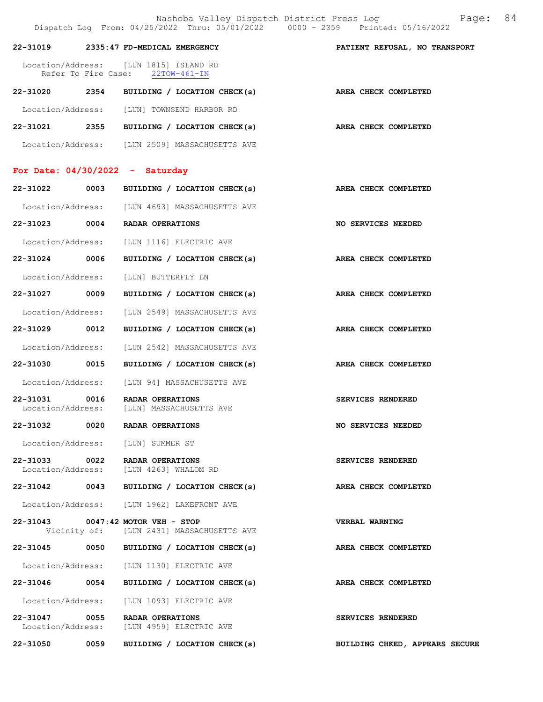Nashoba Valley Dispatch District Press Log Fage: 84 Dispatch Log From: 04/25/2022 Thru: 05/01/2022 0000 - 2359 Printed: 05/16/2022

|                                   |      | DISPACUL DOG TIOM. 07/20/2022 INIU. 00/01/2022<br>vvvv                         |                                |
|-----------------------------------|------|--------------------------------------------------------------------------------|--------------------------------|
|                                   |      | 22-31019 2335:47 FD-MEDICAL EMERGENCY                                          | PATIENT REFUSAL, NO TRANSPORT  |
|                                   |      | Location/Address: [LUN 1815] ISLAND RD<br>Refer To Fire Case: 22TOW-461-IN     |                                |
|                                   |      | 22-31020 2354 BUILDING / LOCATION CHECK(s)                                     | AREA CHECK COMPLETED           |
|                                   |      | Location/Address: [LUN] TOWNSEND HARBOR RD                                     |                                |
|                                   |      | 22-31021 2355 BUILDING / LOCATION CHECK(s)                                     | AREA CHECK COMPLETED           |
|                                   |      | Location/Address: [LUN 2509] MASSACHUSETTS AVE                                 |                                |
| For Date: $04/30/2022 - Saturday$ |      |                                                                                |                                |
| 22-31022                          |      | 0003 BUILDING / LOCATION CHECK(s)                                              | AREA CHECK COMPLETED           |
|                                   |      | Location/Address: [LUN 4693] MASSACHUSETTS AVE                                 |                                |
|                                   |      | 22-31023 0004 RADAR OPERATIONS                                                 | NO SERVICES NEEDED             |
|                                   |      | Location/Address: [LUN 1116] ELECTRIC AVE                                      |                                |
| 22-31024 0006                     |      | BUILDING / LOCATION CHECK(s)                                                   | AREA CHECK COMPLETED           |
|                                   |      | Location/Address: [LUN] BUTTERFLY LN                                           |                                |
| 22-31027 0009                     |      | BUILDING / LOCATION CHECK(s)                                                   | AREA CHECK COMPLETED           |
|                                   |      | Location/Address: [LUN 2549] MASSACHUSETTS AVE                                 |                                |
| 22-31029 0012                     |      | BUILDING / LOCATION CHECK(s)                                                   | AREA CHECK COMPLETED           |
|                                   |      | Location/Address: [LUN 2542] MASSACHUSETTS AVE                                 |                                |
| 22-31030 0015                     |      | BUILDING / LOCATION CHECK(s)                                                   | AREA CHECK COMPLETED           |
|                                   |      | Location/Address: [LUN 94] MASSACHUSETTS AVE                                   |                                |
| 22-31031                          | 0016 | RADAR OPERATIONS<br>Location/Address: [LUN] MASSACHUSETTS AVE                  | SERVICES RENDERED              |
|                                   |      | 22-31032 0020 RADAR OPERATIONS                                                 | NO SERVICES NEEDED             |
|                                   |      | Location/Address: [LUN] SUMMER ST                                              |                                |
|                                   |      | 22-31033 0022 RADAR OPERATIONS<br>Location/Address: [LUN 4263] WHALOM RD       | SERVICES RENDERED              |
|                                   |      | 22-31042 0043 BUILDING / LOCATION CHECK(s)                                     | AREA CHECK COMPLETED           |
|                                   |      | Location/Address: [LUN 1962] LAKEFRONT AVE                                     |                                |
|                                   |      | 22-31043 0047:42 MOTOR VEH - STOP<br>Vicinity of: [LUN 2431] MASSACHUSETTS AVE | <b>VERBAL WARNING</b>          |
|                                   |      | 22-31045 0050 BUILDING / LOCATION CHECK(s)                                     | AREA CHECK COMPLETED           |
|                                   |      | Location/Address: [LUN 1130] ELECTRIC AVE                                      |                                |
|                                   |      | 22-31046 0054 BUILDING / LOCATION CHECK(s)                                     | AREA CHECK COMPLETED           |
|                                   |      | Location/Address: [LUN 1093] ELECTRIC AVE                                      |                                |
|                                   |      | 22-31047 0055 RADAR OPERATIONS<br>Location/Address: [LUN 4959] ELECTRIC AVE    | SERVICES RENDERED              |
|                                   |      | 22-31050 0059 BUILDING / LOCATION CHECK(s)                                     | BUILDING CHKED, APPEARS SECURE |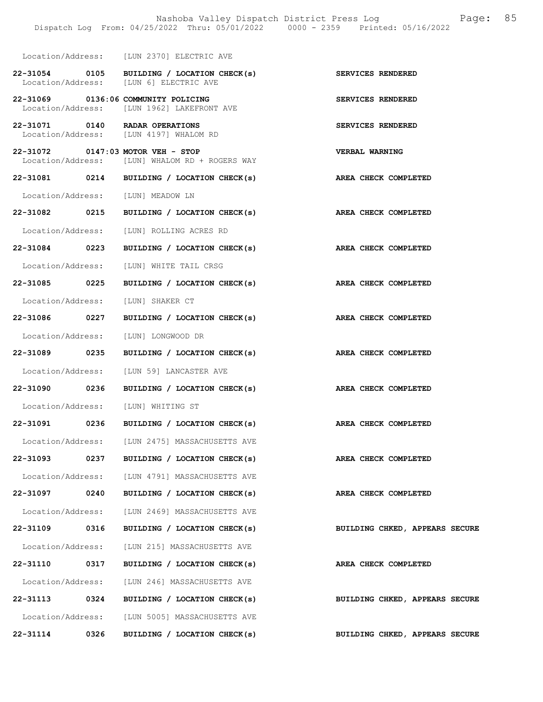|                   |      | Dispatch Log From: 04/25/2022 Thru: 05/01/2022 0000 - 2359 Printed: 05/16/2022       |                                |
|-------------------|------|--------------------------------------------------------------------------------------|--------------------------------|
|                   |      | Location/Address: [LUN 2370] ELECTRIC AVE                                            |                                |
|                   |      | 22-31054 0105 BUILDING / LOCATION CHECK(s)<br>Location/Address: [LUN 6] ELECTRIC AVE | <b>SERVICES RENDERED</b>       |
|                   |      | 22-31069 0136:06 COMMUNITY POLICING<br>Location/Address: [LUN 1962] LAKEFRONT AVE    | SERVICES RENDERED              |
|                   |      | 22-31071 0140 RADAR OPERATIONS<br>Location/Address: [LUN 4197] WHALOM RD             | SERVICES RENDERED              |
|                   |      | 22-31072 0147:03 MOTOR VEH - STOP<br>Location/Address: [LUN] WHALOM RD + ROGERS WAY  | VERBAL WARNING                 |
|                   |      | 22-31081 0214 BUILDING / LOCATION CHECK(s)                                           | AREA CHECK COMPLETED           |
| Location/Address: |      | [LUN] MEADOW LN                                                                      |                                |
| 22-31082 0215     |      | BUILDING / LOCATION CHECK(s)                                                         | AREA CHECK COMPLETED           |
| Location/Address: |      | [LUN] ROLLING ACRES RD                                                               |                                |
| 22-31084          | 0223 | BUILDING / LOCATION CHECK(s)                                                         | AREA CHECK COMPLETED           |
| Location/Address: |      | [LUN] WHITE TAIL CRSG                                                                |                                |
| 22-31085          | 0225 | BUILDING / LOCATION CHECK(s)                                                         | AREA CHECK COMPLETED           |
| Location/Address: |      | [LUN] SHAKER CT                                                                      |                                |
| 22-31086 0227     |      | BUILDING / LOCATION CHECK(s)                                                         | <b>AREA CHECK COMPLETED</b>    |
| Location/Address: |      | [LUN] LONGWOOD DR                                                                    |                                |
| 22-31089 0235     |      | BUILDING / LOCATION CHECK(s)                                                         | AREA CHECK COMPLETED           |
| Location/Address: |      | [LUN 59] LANCASTER AVE                                                               |                                |
| 22-31090          | 0236 | BUILDING / LOCATION CHECK(s) AREA CHECK COMPLETED                                    |                                |
|                   |      | Location/Address: [LUN] WHITING ST                                                   |                                |
|                   |      | 22-31091 0236 BUILDING / LOCATION CHECK(s) AREA CHECK COMPLETED                      |                                |
|                   |      | Location/Address: [LUN 2475] MASSACHUSETTS AVE                                       |                                |
| 22-31093          | 0237 | BUILDING / LOCATION CHECK(s)                                                         | AREA CHECK COMPLETED           |
| Location/Address: |      | [LUN 4791] MASSACHUSETTS AVE                                                         |                                |
| 22-31097          | 0240 | BUILDING / LOCATION CHECK(s)                                                         | AREA CHECK COMPLETED           |
| Location/Address: |      | [LUN 2469] MASSACHUSETTS AVE                                                         |                                |
| 22-31109          | 0316 | BUILDING / LOCATION CHECK(s)                                                         | BUILDING CHKED, APPEARS SECURE |
| Location/Address: |      | [LUN 215] MASSACHUSETTS AVE                                                          |                                |
| 22-31110          | 0317 | BUILDING / LOCATION CHECK(s)                                                         | AREA CHECK COMPLETED           |
| Location/Address: |      | [LUN 246] MASSACHUSETTS AVE                                                          |                                |
| 22-31113 0324     |      | BUILDING / LOCATION CHECK(s)                                                         | BUILDING CHKED, APPEARS SECURE |
| Location/Address: |      | [LUN 5005] MASSACHUSETTS AVE                                                         |                                |
| 22-31114          | 0326 | BUILDING / LOCATION CHECK(s)                                                         | BUILDING CHKED, APPEARS SECURE |

Nashoba Valley Dispatch District Press Log Fage: 85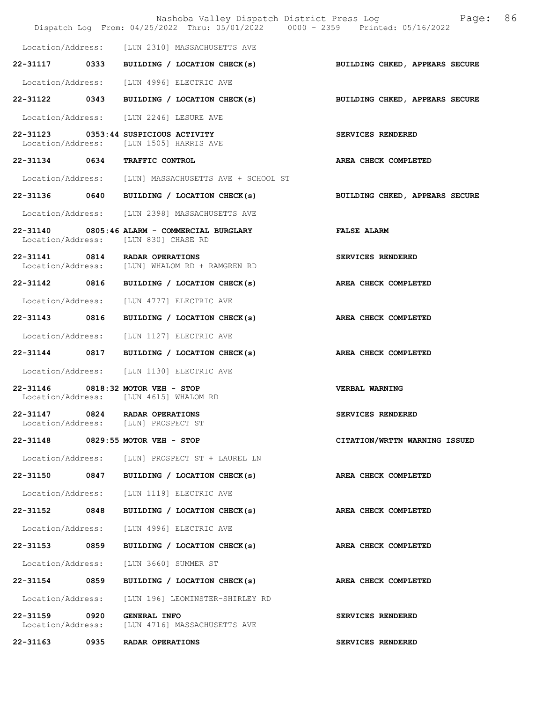|                                    | Dispatch Log From: 04/25/2022 Thru: 05/01/2022 0000 - 2359 Printed: 05/16/2022       | Nashoba Valley Dispatch District Press Log Mashoba Valley Dispatch District Press Log |
|------------------------------------|--------------------------------------------------------------------------------------|---------------------------------------------------------------------------------------|
|                                    | Location/Address: [LUN 2310] MASSACHUSETTS AVE                                       |                                                                                       |
|                                    | 22-31117 0333 BUILDING / LOCATION CHECK(s)                                           | BUILDING CHKED, APPEARS SECURE                                                        |
|                                    | Location/Address: [LUN 4996] ELECTRIC AVE                                            |                                                                                       |
|                                    | 22-31122 0343 BUILDING / LOCATION CHECK(s) BUILDING CHKED, APPEARS SECURE            |                                                                                       |
|                                    | Location/Address: [LUN 2246] LESURE AVE                                              |                                                                                       |
|                                    | 22-31123 0353:44 SUSPICIOUS ACTIVITY<br>Location/Address: [LUN 1505] HARRIS AVE      | SERVICES RENDERED                                                                     |
|                                    | 22-31134 0634 TRAFFIC CONTROL                                                        | AREA CHECK COMPLETED                                                                  |
|                                    | Location/Address: [LUN] MASSACHUSETTS AVE + SCHOOL ST                                |                                                                                       |
|                                    | 22-31136 0640 BUILDING / LOCATION CHECK(s) BUILDING CHKED, APPEARS SECURE            |                                                                                       |
|                                    | Location/Address: [LUN 2398] MASSACHUSETTS AVE                                       |                                                                                       |
|                                    | 22-31140 0805:46 ALARM - COMMERCIAL BURGLARY<br>Location/Address: [LUN 830] CHASE RD | <b>FALSE ALARM</b>                                                                    |
|                                    | 22-31141 0814 RADAR OPERATIONS<br>Location/Address: [LUN] WHALOM RD + RAMGREN RD     | <b>SERVICES RENDERED</b>                                                              |
|                                    | 22-31142 0816 BUILDING / LOCATION CHECK(s)                                           | AREA CHECK COMPLETED                                                                  |
|                                    | Location/Address: [LUN 4777] ELECTRIC AVE                                            |                                                                                       |
|                                    | 22-31143 0816 BUILDING / LOCATION CHECK(s) AREA CHECK COMPLETED                      |                                                                                       |
|                                    | Location/Address: [LUN 1127] ELECTRIC AVE                                            |                                                                                       |
|                                    | 22-31144 0817 BUILDING / LOCATION CHECK(s) AREA CHECK COMPLETED                      |                                                                                       |
|                                    | Location/Address: [LUN 1130] ELECTRIC AVE                                            |                                                                                       |
|                                    | 22-31146 0818:32 MOTOR VEH - STOP<br>Location/Address: [LUN 4615] WHALOM RD          | <b>VERBAL WARNING</b>                                                                 |
|                                    | 22-31147 0824 RADAR OPERATIONS<br>Location/Address: [LUN] PROSPECT ST                | SERVICES RENDERED                                                                     |
|                                    | 22-31148 0829:55 MOTOR VEH - STOP                                                    | CITATION/WRTTN WARNING ISSUED                                                         |
|                                    | Location/Address: [LUN] PROSPECT ST + LAUREL LN                                      |                                                                                       |
|                                    | 22-31150 0847 BUILDING / LOCATION CHECK(s)                                           | AREA CHECK COMPLETED                                                                  |
|                                    | Location/Address: [LUN 1119] ELECTRIC AVE                                            |                                                                                       |
|                                    | 22-31152 0848 BUILDING / LOCATION CHECK(s)                                           | AREA CHECK COMPLETED                                                                  |
|                                    | Location/Address: [LUN 4996] ELECTRIC AVE                                            |                                                                                       |
| 22-31153 0859                      | BUILDING / LOCATION CHECK(s)                                                         | AREA CHECK COMPLETED                                                                  |
|                                    | Location/Address: [LUN 3660] SUMMER ST                                               |                                                                                       |
| 22-31154 0859                      | BUILDING / LOCATION CHECK(s)                                                         | AREA CHECK COMPLETED                                                                  |
| Location/Address:                  | [LUN 196] LEOMINSTER-SHIRLEY RD                                                      |                                                                                       |
| 22-31159 0920<br>Location/Address: | <b>GENERAL INFO</b><br>[LUN 4716] MASSACHUSETTS AVE                                  | SERVICES RENDERED                                                                     |
| 22-31163 0935                      | RADAR OPERATIONS                                                                     | SERVICES RENDERED                                                                     |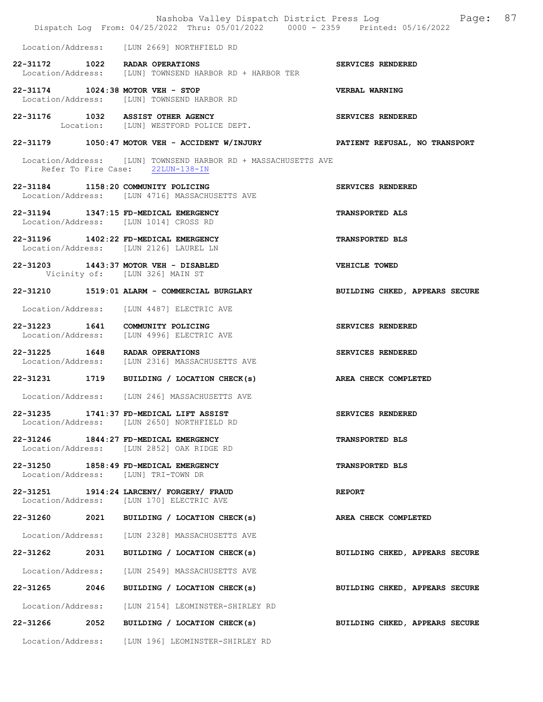|                                                                                 | Nashoba Valley Dispatch District Press Log Nashoba Valley Dispatch District Press Log<br>Dispatch Log From: 04/25/2022 Thru: 05/01/2022 0000 - 2359 Printed: 05/16/2022 | 87                             |
|---------------------------------------------------------------------------------|-------------------------------------------------------------------------------------------------------------------------------------------------------------------------|--------------------------------|
|                                                                                 | Location/Address: [LUN 2669] NORTHFIELD RD                                                                                                                              |                                |
| 22-31172 1022 RADAR OPERATIONS                                                  | Location/Address: [LUN] TOWNSEND HARBOR RD + HARBOR TER                                                                                                                 | SERVICES RENDERED              |
| 22-31174 1024:38 MOTOR VEH - STOP                                               | Location/Address: [LUN] TOWNSEND HARBOR RD                                                                                                                              | VERBAL WARNING                 |
|                                                                                 | 22-31176 1032 ASSIST OTHER AGENCY<br>Location: [LUN] WESTFORD POLICE DEPT.                                                                                              | SERVICES RENDERED              |
|                                                                                 | 22-31179 1050:47 MOTOR VEH - ACCIDENT W/INJURY PATIENT REFUSAL, NO TRANSPORT                                                                                            |                                |
|                                                                                 | Location/Address: [LUN] TOWNSEND HARBOR RD + MASSACHUSETTS AVE<br>Refer To Fire Case: 22LUN-138-IN                                                                      |                                |
| 22-31184 1158:20 COMMUNITY POLICING                                             | Location/Address: [LUN 4716] MASSACHUSETTS AVE                                                                                                                          | SERVICES RENDERED              |
| 22-31194 1347:15 FD-MEDICAL EMERGENCY<br>Location/Address: [LUN 1014] CROSS RD  |                                                                                                                                                                         | <b>TRANSPORTED ALS</b>         |
| 22-31196 1402:22 FD-MEDICAL EMERGENCY<br>Location/Address: [LUN 2126] LAUREL LN |                                                                                                                                                                         | TRANSPORTED BLS                |
| 22-31203 1443:37 MOTOR VEH - DISABLED                                           | Vicinity of: [LUN 326] MAIN ST                                                                                                                                          | VEHICLE TOWED                  |
|                                                                                 | 22-31210 1519:01 ALARM - COMMERCIAL BURGLARY                                                                                                                            | BUILDING CHKED, APPEARS SECURE |
|                                                                                 | Location/Address: [LUN 4487] ELECTRIC AVE                                                                                                                               |                                |
| 22-31223 1641 COMMUNITY POLICING                                                | Location/Address: [LUN 4996] ELECTRIC AVE                                                                                                                               | SERVICES RENDERED              |
| 22-31225 1648 RADAR OPERATIONS                                                  | Location/Address: [LUN 2316] MASSACHUSETTS AVE                                                                                                                          | SERVICES RENDERED              |
|                                                                                 | 22-31231 1719 BUILDING / LOCATION CHECK(s)                                                                                                                              | AREA CHECK COMPLETED           |
|                                                                                 | Location/Address: [LUN 246] MASSACHUSETTS AVE                                                                                                                           |                                |
|                                                                                 | 22-31235 1741:37 FD-MEDICAL LIFT ASSIST<br>Location/Address: [LUN 2650] NORTHFIELD RD                                                                                   | SERVICES RENDERED              |
| 22-31246 1844:27 FD-MEDICAL EMERGENCY                                           | Location/Address: [LUN 2852] OAK RIDGE RD                                                                                                                               | <b>TRANSPORTED BLS</b>         |
| 22-31250 1858:49 FD-MEDICAL EMERGENCY<br>Location/Address: [LUN] TRI-TOWN DR    |                                                                                                                                                                         | <b>TRANSPORTED BLS</b>         |
|                                                                                 | 22-31251 1914:24 LARCENY/ FORGERY/ FRAUD<br>Location/Address: [LUN 170] ELECTRIC AVE                                                                                    | <b>REPORT</b>                  |
| 22-31260                                                                        | 2021 BUILDING / LOCATION CHECK(s)                                                                                                                                       | AREA CHECK COMPLETED           |
|                                                                                 | Location/Address: [LUN 2328] MASSACHUSETTS AVE                                                                                                                          |                                |
| 22-31262 2031                                                                   | BUILDING / LOCATION CHECK(s)                                                                                                                                            | BUILDING CHKED, APPEARS SECURE |
| Location/Address:                                                               | [LUN 2549] MASSACHUSETTS AVE                                                                                                                                            |                                |
| 22-31265<br>2046                                                                | BUILDING / LOCATION CHECK(s)                                                                                                                                            | BUILDING CHKED, APPEARS SECURE |
| Location/Address:                                                               | [LUN 2154] LEOMINSTER-SHIRLEY RD                                                                                                                                        |                                |
| 2052<br>22-31266                                                                | BUILDING / LOCATION CHECK(s)                                                                                                                                            | BUILDING CHKED, APPEARS SECURE |
|                                                                                 | Location/Address: [LUN 196] LEOMINSTER-SHIRLEY RD                                                                                                                       |                                |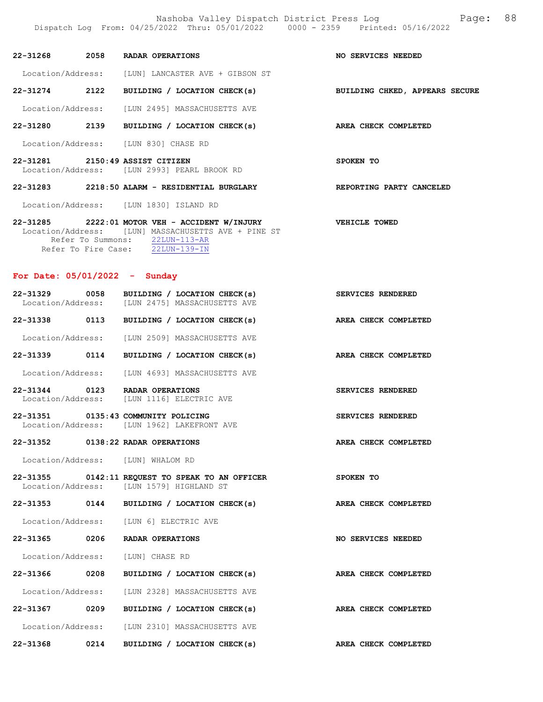| Location/Address: | [LUN] LANCASTER AVE + GIBSON ST |  |  |
|-------------------|---------------------------------|--|--|

22-31274 2122 BUILDING / LOCATION CHECK(s) BUILDING CHKED, APPEARS SECURE

Location/Address: [LUN 2495] MASSACHUSETTS AVE

22-31280 2139 BUILDING / LOCATION CHECK(s) AREA CHECK COMPLETED

Location/Address: [LUN 830] CHASE RD

### 22-31281 2150:49 ASSIST CITIZEN SPOKEN TO Location/Address: [LUN 2993] PEARL BROOK RD

22-31283 2218:50 ALARM - RESIDENTIAL BURGLARY REPORTING PARTY CANCELED

Location/Address: [LUN 1830] ISLAND RD

### 22-31285 2222:01 MOTOR VEH - ACCIDENT W/INJURY VEHICLE TOWED Location/Address: [LUN] MASSACHUSETTS AVE + PINE ST Refer To Summons:  $\frac{22LUN-113-AR}{22LUN-139-IN}$ Refer To Fire Case:

22-31268 2058 RADAR OPERATIONS NO SERVICES NEEDED

#### For Date: 05/01/2022 - Sunday

| 22-31329          | 0058 | BUILDING / LOCATION CHECK(s) | SERVICES RENDERED    |
|-------------------|------|------------------------------|----------------------|
| Location/Address: |      | [LUN 2475] MASSACHUSETTS AVE |                      |
| 22-31338          | 0113 | BUILDING / LOCATION CHECK(s) | AREA CHECK COMPLETED |

Location/Address: [LUN 2509] MASSACHUSETTS AVE

22-31339 0114 BUILDING / LOCATION CHECK(s) AREA CHECK COMPLETED

Location/Address: [LUN 4693] MASSACHUSETTS AVE

22-31344 0123 RADAR OPERATIONS SERVICES RENDERED Location/Address: [LUN 1116] ELECTRIC AVE

#### 22-31351 0135:43 COMMUNITY POLICING<br>
Location/Address: [LUN 1962] LAKEFRONT AVE Location/Address: [LUN 1962] LAKEFRONT AVE

#### 22-31352 0138:22 RADAR OPERATIONS AREA CHECK COMPLETED

Location/Address: [LUN] WHALOM RD

22-31355 0142:11 REQUEST TO SPEAK TO AN OFFICER SPOKEN TO Location/Address: [LUN 1579] HIGHLAND ST Location/Address: [LUN 1579] HIGHLAND ST

22-31353 0144 BUILDING / LOCATION CHECK(s) AREA CHECK COMPLETED

Location/Address: [LUN 6] ELECTRIC AVE

22-31365 0206 RADAR OPERATIONS NO SERVICES NEEDED

Location/Address: [LUN] CHASE RD

- 22-31366 0208 BUILDING / LOCATION CHECK(s) AREA CHECK COMPLETED Location/Address: [LUN 2328] MASSACHUSETTS AVE 22-31367 0209 BUILDING / LOCATION CHECK(s) AREA CHECK COMPLETED Location/Address: [LUN 2310] MASSACHUSETTS AVE
- 22-31368 0214 BUILDING / LOCATION CHECK(s) AREA CHECK COMPLETED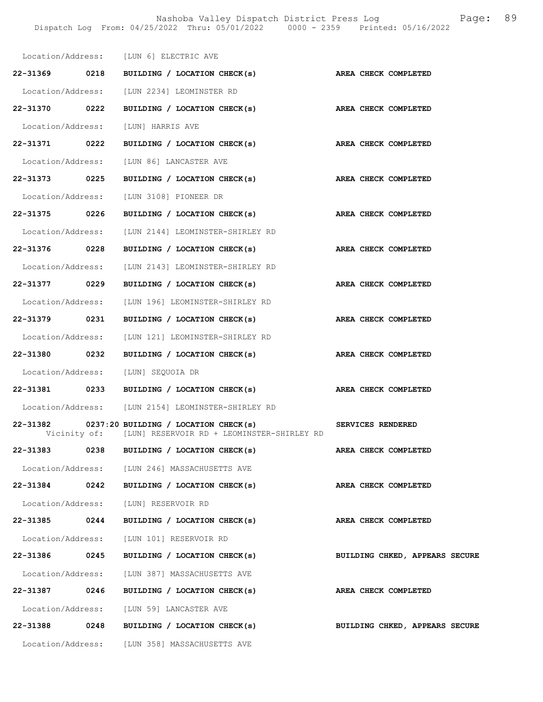|                   |      | Location/Address: [LUN 6] ELECTRIC AVE                                                                   |                                |
|-------------------|------|----------------------------------------------------------------------------------------------------------|--------------------------------|
|                   |      | 22-31369 0218 BUILDING / LOCATION CHECK(s) AREA CHECK COMPLETED                                          |                                |
|                   |      | Location/Address: [LUN 2234] LEOMINSTER RD                                                               |                                |
| 22-31370 0222     |      | BUILDING / LOCATION CHECK(s)                                                                             | AREA CHECK COMPLETED           |
|                   |      | Location/Address: [LUN] HARRIS AVE                                                                       |                                |
| 22-31371 0222     |      | BUILDING / LOCATION CHECK(s)                                                                             | AREA CHECK COMPLETED           |
|                   |      | Location/Address: [LUN 86] LANCASTER AVE                                                                 |                                |
| 22-31373 0225     |      | BUILDING / LOCATION CHECK(s) AREA CHECK COMPLETED                                                        |                                |
|                   |      | Location/Address: [LUN 3108] PIONEER DR                                                                  |                                |
| 22-31375 0226     |      | BUILDING / LOCATION CHECK(s)                                                                             | AREA CHECK COMPLETED           |
| Location/Address: |      | [LUN 2144] LEOMINSTER-SHIRLEY RD                                                                         |                                |
| 22-31376          | 0228 | BUILDING / LOCATION CHECK(s)                                                                             | AREA CHECK COMPLETED           |
|                   |      | Location/Address: [LUN 2143] LEOMINSTER-SHIRLEY RD                                                       |                                |
| 22-31377 0229     |      | BUILDING / LOCATION CHECK(s) AREA CHECK COMPLETED                                                        |                                |
|                   |      | Location/Address: [LUN 196] LEOMINSTER-SHIRLEY RD                                                        |                                |
| 22-31379 0231     |      | BUILDING / LOCATION CHECK(s) AREA CHECK COMPLETED                                                        |                                |
| Location/Address: |      | [LUN 121] LEOMINSTER-SHIRLEY RD                                                                          |                                |
| 22-31380 0232     |      | BUILDING / LOCATION CHECK(s)                                                                             | <b>AREA CHECK COMPLETED</b>    |
|                   |      | Location/Address: [LUN] SEQUOIA DR                                                                       |                                |
|                   |      | 22-31381 0233 BUILDING / LOCATION CHECK(s) AREA CHECK COMPLETED                                          |                                |
|                   |      | Location/Address: [LUN 2154] LEOMINSTER-SHIRLEY RD                                                       |                                |
|                   |      | 22-31382 0237:20 BUILDING / LOCATION CHECK(s)<br>Vicinity of: [LUN] RESERVOIR RD + LEOMINSTER-SHIRLEY RD | SERVICES RENDERED              |
| 22-31383          | 0238 | BUILDING / LOCATION CHECK(s)                                                                             | AREA CHECK COMPLETED           |
|                   |      | Location/Address: [LUN 246] MASSACHUSETTS AVE                                                            |                                |
|                   |      | 22-31384 0242 BUILDING / LOCATION CHECK(s)                                                               | AREA CHECK COMPLETED           |
|                   |      | Location/Address: [LUN] RESERVOIR RD                                                                     |                                |
| 22-31385          | 0244 | BUILDING / LOCATION CHECK(s)                                                                             | AREA CHECK COMPLETED           |
|                   |      |                                                                                                          |                                |
|                   |      | Location/Address: [LUN 101] RESERVOIR RD                                                                 |                                |
|                   |      | 22-31386 0245 BUILDING / LOCATION CHECK(s)                                                               | BUILDING CHKED, APPEARS SECURE |
|                   |      | Location/Address: [LUN 387] MASSACHUSETTS AVE                                                            |                                |
| 22-31387 0246     |      | BUILDING / LOCATION CHECK(s)                                                                             | AREA CHECK COMPLETED           |
|                   |      | Location/Address: [LUN 59] LANCASTER AVE                                                                 |                                |
| 22-31388          | 0248 | BUILDING / LOCATION CHECK(s)                                                                             | BUILDING CHKED, APPEARS SECURE |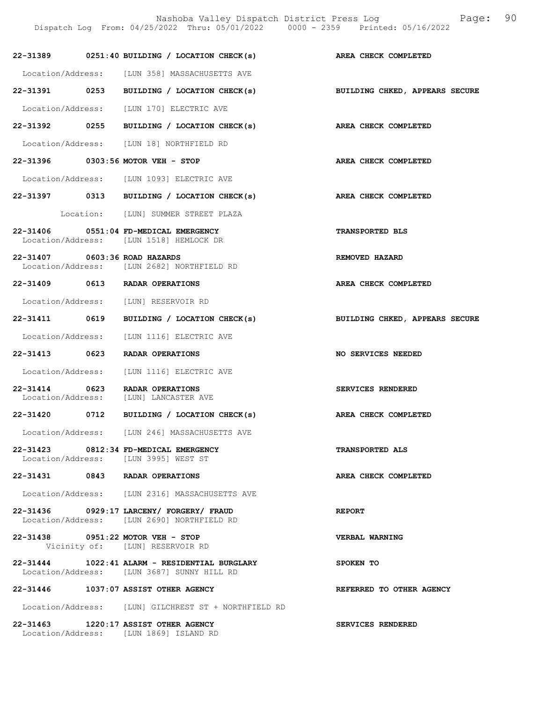Nashoba Valley Dispatch District Press Log Fage: 90 Dispatch Log From: 04/25/2022 Thru: 05/01/2022 0000 - 2359 Printed: 05/16/2022

|                               | 22-31389 0251:40 BUILDING / LOCATION CHECK(s) AREA CHECK COMPLETED                          |                                |
|-------------------------------|---------------------------------------------------------------------------------------------|--------------------------------|
|                               | Location/Address: [LUN 358] MASSACHUSETTS AVE                                               |                                |
|                               | 22-31391 0253 BUILDING / LOCATION CHECK(s) BUILDING CHKED, APPEARS SECURE                   |                                |
|                               | Location/Address: [LUN 170] ELECTRIC AVE                                                    |                                |
|                               | 22-31392 0255 BUILDING / LOCATION CHECK(s) AREA CHECK COMPLETED                             |                                |
|                               | Location/Address: [LUN 18] NORTHFIELD RD                                                    |                                |
|                               | 22-31396 0303:56 MOTOR VEH - STOP                                                           | AREA CHECK COMPLETED           |
|                               | Location/Address: [LUN 1093] ELECTRIC AVE                                                   |                                |
|                               | 22-31397 0313 BUILDING / LOCATION CHECK(s) AREA CHECK COMPLETED                             |                                |
|                               | Location: [LUN] SUMMER STREET PLAZA                                                         |                                |
|                               | 22-31406 0551:04 FD-MEDICAL EMERGENCY<br>Location/Address: [LUN 1518] HEMLOCK DR            | <b>TRANSPORTED BLS</b>         |
| 22-31407 0603:36 ROAD HAZARDS | Location/Address: [LUN 2682] NORTHFIELD RD                                                  | REMOVED HAZARD                 |
|                               | 22-31409 0613 RADAR OPERATIONS                                                              | AREA CHECK COMPLETED           |
|                               | Location/Address: [LUN] RESERVOIR RD                                                        |                                |
|                               | 22-31411 0619 BUILDING / LOCATION CHECK(s)                                                  | BUILDING CHKED, APPEARS SECURE |
|                               | Location/Address: [LUN 1116] ELECTRIC AVE                                                   |                                |
|                               | 22-31413 0623 RADAR OPERATIONS                                                              | NO SERVICES NEEDED             |
|                               | Location/Address: [LUN 1116] ELECTRIC AVE                                                   |                                |
|                               | 22-31414 0623 RADAR OPERATIONS<br>Location/Address: [LUN] LANCASTER AVE                     | SERVICES RENDERED              |
|                               | 22-31420 0712 BUILDING / LOCATION CHECK(s) AREA CHECK COMPLETED                             |                                |
|                               | Location/Address: [LUN 246] MASSACHUSETTS AVE                                               |                                |
|                               | 22-31423 0812:34 FD-MEDICAL EMERGENCY<br>Location/Address: [LUN 3995] WEST ST               | <b>TRANSPORTED ALS</b>         |
|                               | 22-31431 0843 RADAR OPERATIONS                                                              | AREA CHECK COMPLETED           |
|                               | Location/Address: [LUN 2316] MASSACHUSETTS AVE                                              |                                |
|                               | 22-31436 0929:17 LARCENY/ FORGERY/ FRAUD<br>Location/Address: [LUN 2690] NORTHFIELD RD      | <b>REPORT</b>                  |
|                               | 22-31438 0951:22 MOTOR VEH - STOP<br>Vicinity of: [LUN] RESERVOIR RD                        | VERBAL WARNING                 |
|                               | 22-31444 1022:41 ALARM - RESIDENTIAL BURGLARY<br>Location/Address: [LUN 3687] SUNNY HILL RD | SPOKEN TO                      |
|                               | 22-31446 1037:07 ASSIST OTHER AGENCY                                                        | REFERRED TO OTHER AGENCY       |
|                               | Location/Address: [LUN] GILCHREST ST + NORTHFIELD RD                                        |                                |
|                               | 22-31463 1220:17 ASSIST OTHER AGENCY<br>Location/Address: [LUN 1869] ISLAND RD              | SERVICES RENDERED              |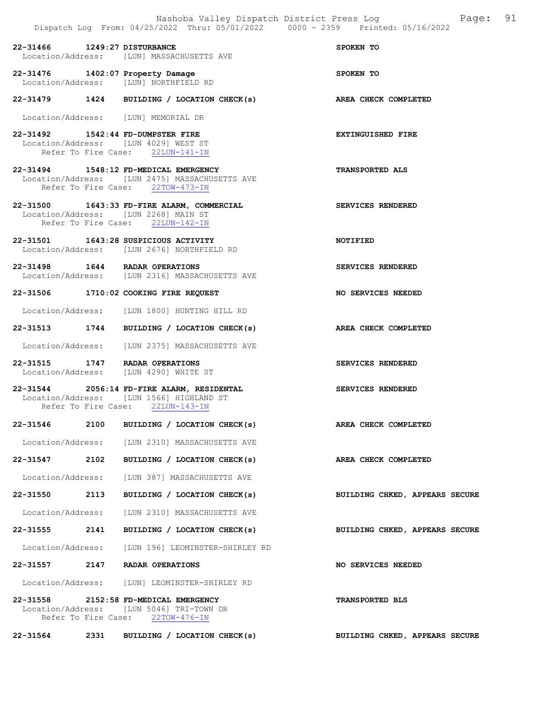22-31466 1249:27 DISTURBANCE SPOKEN TO Location/Address: [LUN] MASSACHUSETTS AVE 22-31476 1402:07 Property Damage SPOKEN TO<br>
Location/Address: [LUN] NORTHFIELD RD Location/Address: [LUN] NORTHFIELD RD 22-31479 1424 BUILDING / LOCATION CHECK(s) AREA CHECK COMPLETED Location/Address: [LUN] MEMORIAL DR

22-31492 1542:44 FD-DUMPSTER FIRE EXTINGUISHED FIRE Location/Address: [LUN 4029] WEST ST Refer To Fire Case: 22LUN-141-IN

22-31494 1548:12 FD-MEDICAL EMERGENCY TRANSPORTED ALS Location/Address: [LUN 2475] MASSACHUSETTS AVE Refer To Fire Case: 22TOW-473-IN

22-31500 1643:33 FD-FIRE ALARM, COMMERCIAL SERVICES RENDERED Location/Address: [LUN 2268] MAIN ST<br>Refer To Fire Case: 22LUN-142-IN Refer To Fire Case:

22-31501 1643:28 SUSPICIOUS ACTIVITY NOTIFIED Location/Address: [LUN 2676] NORTHFIELD RD

22-31498 1644 RADAR OPERATIONS SERVICES RENDERED Location/Address: [LUN 2316] MASSACHUSETTS AVE

22-31506 1710:02 COOKING FIRE REQUEST NO SERVICES NEEDED

Location/Address: [LUN 1800] HUNTING HILL RD

22-31513 1744 BUILDING / LOCATION CHECK(s) AREA CHECK COMPLETED

Location/Address: [LUN 2375] MASSACHUSETTS AVE

22-31515 1747 RADAR OPERATIONS SERVICES RENDERED Location/Address: [LUN 4290] WHITE ST

22-31544 2056:14 FD-FIRE ALARM, RESIDENTAL SERVICES RENDERED Location/Address: [LUN 1566] HIGHLAND ST<br>Refer To Fire Case: 22LUN-143-IN Refer To Fire Case:

22-31546 2100 BUILDING / LOCATION CHECK(s) AREA CHECK COMPLETED Location/Address: [LUN 2310] MASSACHUSETTS AVE

22-31547 2102 BUILDING / LOCATION CHECK(s) AREA CHECK COMPLETED

Location/Address: [LUN 387] MASSACHUSETTS AVE

22-31550 2113 BUILDING / LOCATION CHECK(s) BUILDING CHKED, APPEARS SECURE

Location/Address: [LUN 2310] MASSACHUSETTS AVE

22-31555 2141 BUILDING / LOCATION CHECK(s) BUILDING CHKED, APPEARS SECURE

Location/Address: [LUN 196] LEOMINSTER-SHIRLEY RD

22-31557 2147 RADAR OPERATIONS NO SERVICES NEEDED

Location/Address: [LUN] LEOMINSTER-SHIRLEY RD

22-31558 2152:58 FD-MEDICAL EMERGENCY TRANSPORTED BLS Location/Address: [LUN 5046] TRI-TOWN DR Refer To Fire Case: 22TOW-476-IN

22-31564 2331 BUILDING / LOCATION CHECK(s) BUILDING CHKED, APPEARS SECURE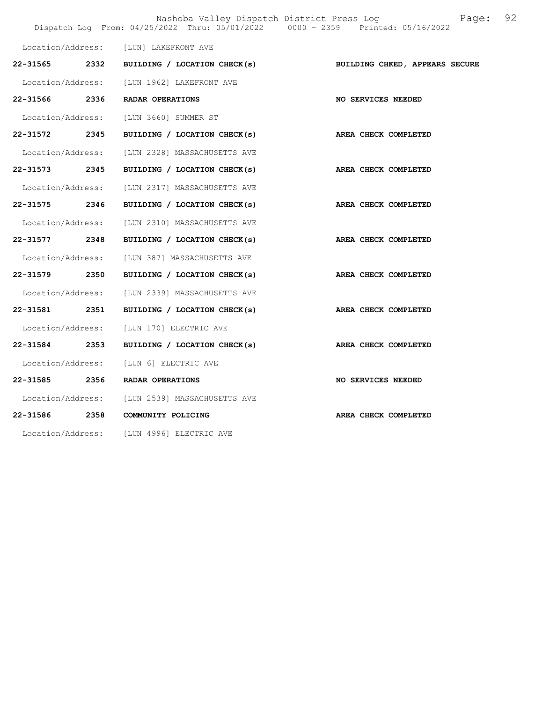|                   |      |                                           | Nashoba Valley Dispatch District Press Log<br>Page:<br>Dispatch Log From: 04/25/2022 Thru: 05/01/2022 0000 - 2359 Printed: 05/16/2022 | 92 |
|-------------------|------|-------------------------------------------|---------------------------------------------------------------------------------------------------------------------------------------|----|
| Location/Address: |      | [LUN] LAKEFRONT AVE                       |                                                                                                                                       |    |
| 22-31565 2332     |      | BUILDING / LOCATION CHECK(s)              | BUILDING CHKED, APPEARS SECURE                                                                                                        |    |
| Location/Address: |      | [LUN 1962] LAKEFRONT AVE                  |                                                                                                                                       |    |
|                   |      | 22-31566 2336 RADAR OPERATIONS            | <b>NO SERVICES NEEDED</b>                                                                                                             |    |
| Location/Address: |      | [LUN 3660] SUMMER ST                      |                                                                                                                                       |    |
| 22-31572 2345     |      | BUILDING / LOCATION CHECK(s)              | AREA CHECK COMPLETED                                                                                                                  |    |
| Location/Address: |      | [LUN 2328] MASSACHUSETTS AVE              |                                                                                                                                       |    |
| 22-31573 2345     |      | BUILDING / LOCATION CHECK(s)              | AREA CHECK COMPLETED                                                                                                                  |    |
| Location/Address: |      | [LUN 2317] MASSACHUSETTS AVE              |                                                                                                                                       |    |
| 22-31575 2346     |      | BUILDING / LOCATION CHECK(s)              | AREA CHECK COMPLETED                                                                                                                  |    |
| Location/Address: |      | [LUN 2310] MASSACHUSETTS AVE              |                                                                                                                                       |    |
| 22-31577 2348     |      | BUILDING / LOCATION CHECK(s)              | AREA CHECK COMPLETED                                                                                                                  |    |
| Location/Address: |      | [LUN 387] MASSACHUSETTS AVE               |                                                                                                                                       |    |
| 22-31579 2350     |      | BUILDING / LOCATION CHECK(s)              | AREA CHECK COMPLETED                                                                                                                  |    |
| Location/Address: |      | [LUN 2339] MASSACHUSETTS AVE              |                                                                                                                                       |    |
| 22-31581          | 2351 | BUILDING / LOCATION CHECK(s)              | AREA CHECK COMPLETED                                                                                                                  |    |
| Location/Address: |      | [LUN 170] ELECTRIC AVE                    |                                                                                                                                       |    |
| 22-31584          | 2353 | BUILDING / LOCATION CHECK(s)              | AREA CHECK COMPLETED                                                                                                                  |    |
| Location/Address: |      | [LUN 6] ELECTRIC AVE                      |                                                                                                                                       |    |
| 22-31585          | 2356 | RADAR OPERATIONS                          | NO SERVICES NEEDED                                                                                                                    |    |
| Location/Address: |      | [LUN 2539] MASSACHUSETTS AVE              |                                                                                                                                       |    |
| 22-31586          | 2358 | COMMUNITY POLICING                        | AREA CHECK COMPLETED                                                                                                                  |    |
|                   |      | Location/Address: [LUN 4996] ELECTRIC AVE |                                                                                                                                       |    |
|                   |      |                                           |                                                                                                                                       |    |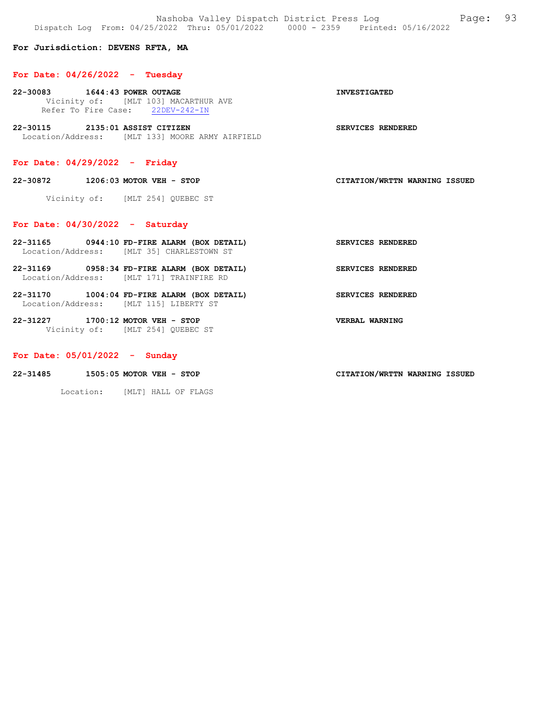Nashoba Valley Dispatch District Press Log Fage: 93 Dispatch Log From: 04/25/2022 Thru: 05/01/2022 0000 - 2359 Printed: 05/16/2022

### For Jurisdiction: DEVENS RFTA, MA

#### For Date:  $04/26/2022 - Tuesday$

- 22-30083 1644:43 POWER OUTAGE INVESTIGATED Vicinity of: [MLT 103] MACARTHUR AVE<br>Refer To Fire Case: 22DEV-242-IN Refer To Fire Case:
- 22-30115 2135:01 ASSIST CITIZEN SERVICES RENDERED Location/Address: [MLT 133] MOORE ARMY AIRFIELD

# For Date: 04/29/2022 - Friday

22-30872 1206:03 MOTOR VEH - STOP CITATION/WRTTN WARNING ISSUED

Vicinity of: [MLT 254] QUEBEC ST

### For Date: 04/30/2022 - Saturday

- 22-31165 0944:10 FD-FIRE ALARM (BOX DETAIL) SERVICES RENDERED Location/Address: [MLT 35] CHARLESTOWN ST
- 22-31169 0958:34 FD-FIRE ALARM (BOX DETAIL) SERVICES RENDERED Location/Address: [MLT 171] TRAINFIRE RD
- 22-31170 1004:04 FD-FIRE ALARM (BOX DETAIL) SERVICES RENDERED Location/Address: [MLT 115] LIBERTY ST
- 22-31227 1700:12 MOTOR VEH STOP VERBAL WARNING Vicinity of: [MLT 254] QUEBEC ST

### For Date: 05/01/2022 - Sunday

22-31485 1505:05 MOTOR VEH - STOP CITATION/WRTTN WARNING ISSUED

Location: [MLT] HALL OF FLAGS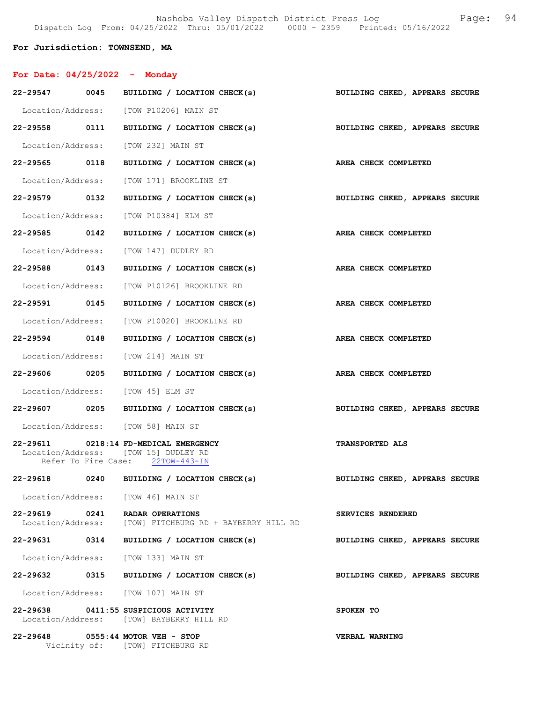Nashoba Valley Dispatch District Press Log Fage: 94 Dispatch Log From: 04/25/2022 Thru: 05/01/2022 0000 - 2359 Printed: 05/16/2022

### For Jurisdiction: TOWNSEND, MA

| For Date: $04/25/2022 -$ Monday |                                                                                                                   |                                |
|---------------------------------|-------------------------------------------------------------------------------------------------------------------|--------------------------------|
|                                 | 22-29547 0045 BUILDING / LOCATION CHECK(s)                                                                        | BUILDING CHKED, APPEARS SECURE |
|                                 | Location/Address: [TOW P10206] MAIN ST                                                                            |                                |
|                                 | 22-29558 0111 BUILDING / LOCATION CHECK(s)                                                                        | BUILDING CHKED, APPEARS SECURE |
|                                 | Location/Address: [TOW 232] MAIN ST                                                                               |                                |
| 22-29565 0118                   | BUILDING / LOCATION CHECK(s) AREA CHECK COMPLETED                                                                 |                                |
|                                 | Location/Address: [TOW 171] BROOKLINE ST                                                                          |                                |
| 22-29579 0132                   | BUILDING / LOCATION CHECK(s)                                                                                      | BUILDING CHKED, APPEARS SECURE |
|                                 | Location/Address: [TOW P10384] ELM ST                                                                             |                                |
| 22-29585 0142                   | BUILDING / LOCATION CHECK(s) AREA CHECK COMPLETED                                                                 |                                |
|                                 | Location/Address: [TOW 147] DUDLEY RD                                                                             |                                |
| 22-29588 0143                   | BUILDING / LOCATION CHECK(s) AREA CHECK COMPLETED                                                                 |                                |
|                                 | Location/Address: [TOW P10126] BROOKLINE RD                                                                       |                                |
| 22-29591 0145                   | BUILDING / LOCATION CHECK(s)                                                                                      | <b>AREA CHECK COMPLETED</b>    |
|                                 | Location/Address: [TOW P10020] BROOKLINE RD                                                                       |                                |
|                                 | 22-29594 0148 BUILDING / LOCATION CHECK(s)                                                                        | AREA CHECK COMPLETED           |
|                                 | Location/Address: [TOW 214] MAIN ST                                                                               |                                |
| 22-29606 0205                   | BUILDING / LOCATION CHECK(s)                                                                                      | AREA CHECK COMPLETED           |
|                                 | Location/Address: [TOW 45] ELM ST                                                                                 |                                |
|                                 | 22-29607 0205 BUILDING / LOCATION CHECK(s)                                                                        | BUILDING CHKED, APPEARS SECURE |
|                                 | Location/Address: [TOW 58] MAIN ST                                                                                |                                |
|                                 | 22-29611 0218:14 FD-MEDICAL EMERGENCY<br>Location/Address: [TOW 15] DUDLEY RD<br>Refer To Fire Case: 22TOW-443-IN | <b>TRANSPORTED ALS</b>         |
|                                 | 22-29618 0240 BUILDING / LOCATION CHECK(s)                                                                        | BUILDING CHKED, APPEARS SECURE |
|                                 | Location/Address: [TOW 46] MAIN ST                                                                                |                                |
| 22-29619 0241                   | RADAR OPERATIONS<br>Location/Address: [TOW] FITCHBURG RD + BAYBERRY HILL RD                                       | SERVICES RENDERED              |
|                                 | 22-29631 0314 BUILDING / LOCATION CHECK(s)                                                                        | BUILDING CHKED, APPEARS SECURE |
|                                 | Location/Address: [TOW 133] MAIN ST                                                                               |                                |
| 22-29632 0315                   | BUILDING / LOCATION CHECK(s)                                                                                      | BUILDING CHKED, APPEARS SECURE |
|                                 | Location/Address: [TOW 107] MAIN ST                                                                               |                                |
|                                 | 22-29638 0411:55 SUSPICIOUS ACTIVITY<br>Location/Address: [TOW] BAYBERRY HILL RD                                  | SPOKEN TO                      |
|                                 | 22-29648 0555:44 MOTOR VEH - STOP<br>Vicinity of: [TOW] FITCHBURG RD                                              | VERBAL WARNING                 |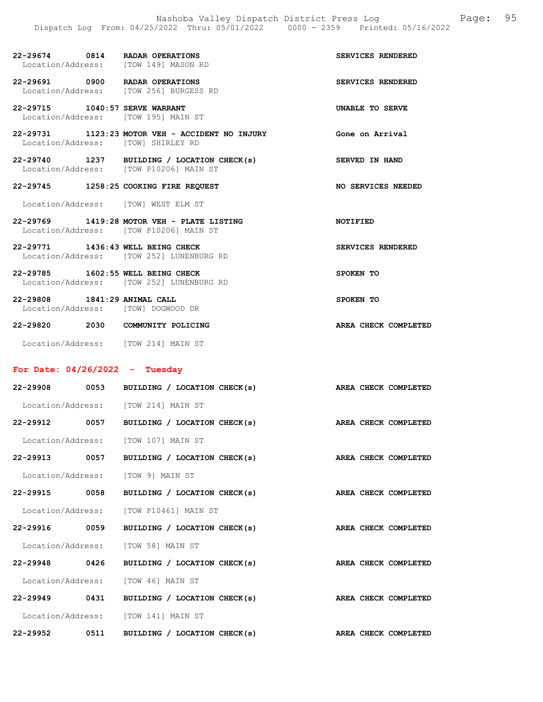| 22-29674 0814 RADAR OPERATIONS<br>Location/Address: [TOW 149] MASON RD   |                                                   | SERVICES RENDERED        |
|--------------------------------------------------------------------------|---------------------------------------------------|--------------------------|
| 22-29691 0900 RADAR OPERATIONS<br>Location/Address: [TOW 256] BURGESS RD |                                                   | SERVICES RENDERED        |
| 22-29715 1040:57 SERVE WARRANT<br>Location/Address: [TOW 195] MAIN ST    |                                                   | UNABLE TO SERVE          |
| Location/Address: [TOW] SHIRLEY RD                                       | $22-29731$ 1123:23 MOTOR VEH - ACCIDENT NO INJURY | Gone on Arrival          |
| Location/Address: [TOW P10206] MAIN ST                                   | 22-29740 1237 BUILDING / LOCATION CHECK(s)        | SERVED IN HAND           |
| 22-29745 1258:25 COOKING FIRE REQUEST                                    |                                                   | NO SERVICES NEEDED       |
| Location/Address: [TOW] WEST ELM ST                                      |                                                   |                          |
| Location/Address: [TOW P10206] MAIN ST                                   | 22-29769 1419:28 MOTOR VEH - PLATE LISTING        | <b>NOTIFIED</b>          |
| 22-29771 1436:43 WELL BEING CHECK                                        | Location/Address: [TOW 252] LUNENBURG RD          | <b>SERVICES RENDERED</b> |
| 22-29785 1602:55 WELL BEING CHECK                                        | Location/Address: [TOW 252] LUNENBURG RD          | SPOKEN TO                |
| 22-29808 1841:29 ANIMAL CALL<br>Location/Address: [TOW] DOGWOOD DR       |                                                   | SPOKEN TO                |
| 22-29820 2030 COMMUNITY POLICING                                         |                                                   | AREA CHECK COMPLETED     |

Location/Address: [TOW 214] MAIN ST

# For Date: 04/26/2022 - Tuesday

| $22 - 29908$      | 0053 | BUILDING / LOCATION CHECK(s) | AREA CHECK COMPLETED |
|-------------------|------|------------------------------|----------------------|
| Location/Address: |      | [TOW 214] MAIN ST            |                      |
| 22-29912          | 0057 | BUILDING / LOCATION CHECK(s) | AREA CHECK COMPLETED |
| Location/Address: |      | TOW 1071 MAIN ST             |                      |
| 22-29913          | 0057 | BUILDING / LOCATION CHECK(s) | AREA CHECK COMPLETED |
| Location/Address: |      | TOW 91 MAIN ST               |                      |
| 22-29915          | 0058 | BUILDING / LOCATION CHECK(s) | AREA CHECK COMPLETED |
| Location/Address: |      | [TOW P10461] MAIN ST         |                      |
| $22 - 29916$      | 0059 | BUILDING / LOCATION CHECK(s) | AREA CHECK COMPLETED |
| Location/Address: |      | [TOW 58] MAIN ST             |                      |
| 22-29948 0426     |      | BUILDING / LOCATION CHECK(s) | AREA CHECK COMPLETED |
| Location/Address: |      | TOW 461 MAIN ST              |                      |
| 22-29949 0431     |      | BUILDING / LOCATION CHECK(s) | AREA CHECK COMPLETED |
| Location/Address: |      | [TOW 141] MAIN ST            |                      |
| $22 - 29952$      | 0511 | BUILDING / LOCATION CHECK(s) | AREA CHECK COMPLETED |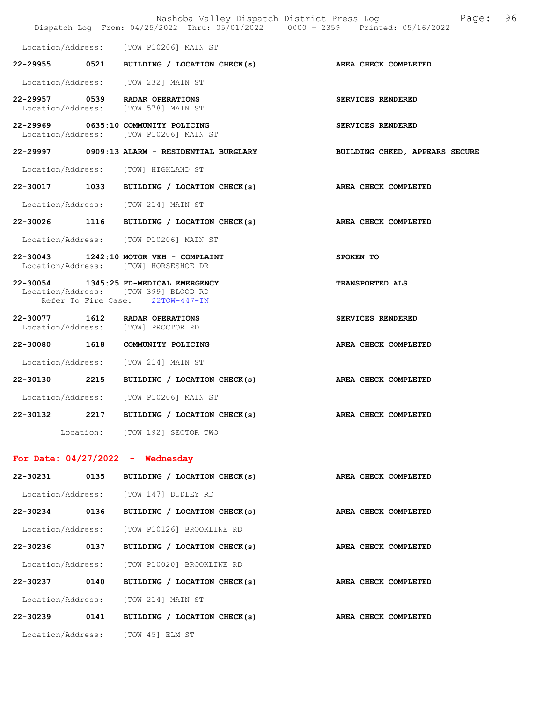|               |      |                                                                                                                   | Nashoba Valley Dispatch District Press Log Fage: 96<br>Dispatch Log From: 04/25/2022 Thru: 05/01/2022 0000 - 2359 Printed: 05/16/2022 |  |
|---------------|------|-------------------------------------------------------------------------------------------------------------------|---------------------------------------------------------------------------------------------------------------------------------------|--|
|               |      | Location/Address: [TOW P10206] MAIN ST                                                                            |                                                                                                                                       |  |
|               |      | 22-29955 0521 BUILDING / LOCATION CHECK(s) AREA CHECK COMPLETED                                                   |                                                                                                                                       |  |
|               |      | Location/Address: [TOW 232] MAIN ST                                                                               |                                                                                                                                       |  |
|               |      | 22-29957 0539 RADAR OPERATIONS<br>Location/Address: [TOW 578] MAIN ST                                             | SERVICES RENDERED                                                                                                                     |  |
|               |      | 22-29969 0635:10 COMMUNITY POLICING<br>Location/Address: [TOW P10206] MAIN ST                                     | SERVICES RENDERED                                                                                                                     |  |
|               |      | 22-29997 0909:13 ALARM - RESIDENTIAL BURGLARY                                                                     | BUILDING CHKED, APPEARS SECURE                                                                                                        |  |
|               |      | Location/Address: [TOW] HIGHLAND ST                                                                               |                                                                                                                                       |  |
|               |      | 22-30017 1033 BUILDING / LOCATION CHECK(s) AREA CHECK COMPLETED                                                   |                                                                                                                                       |  |
|               |      | Location/Address: [TOW 214] MAIN ST                                                                               |                                                                                                                                       |  |
|               |      | 22-30026 1116 BUILDING / LOCATION CHECK(s)                                                                        | AREA CHECK COMPLETED                                                                                                                  |  |
|               |      | Location/Address: [TOW P10206] MAIN ST                                                                            |                                                                                                                                       |  |
|               |      | 22-30043 1242:10 MOTOR VEH - COMPLAINT<br>Location/Address: [TOW] HORSESHOE DR                                    | SPOKEN TO                                                                                                                             |  |
|               |      | 22-30054 1345:25 FD-MEDICAL EMERGENCY<br>Location/Address: [TOW 399] BLOOD RD<br>Refer To Fire Case: 22TOW-447-IN | <b>TRANSPORTED ALS</b>                                                                                                                |  |
|               |      | 22-30077 1612 RADAR OPERATIONS<br>Location/Address: [TOW] PROCTOR RD                                              | SERVICES RENDERED                                                                                                                     |  |
|               |      | 22-30080 1618 COMMUNITY POLICING                                                                                  | AREA CHECK COMPLETED                                                                                                                  |  |
|               |      | Location/Address: [TOW 214] MAIN ST                                                                               |                                                                                                                                       |  |
|               |      | 22-30130 2215 BUILDING / LOCATION CHECK(s) AREA CHECK COMPLETED                                                   |                                                                                                                                       |  |
|               |      | Location/Address: [TOW P10206] MAIN ST                                                                            |                                                                                                                                       |  |
| 22-30132      |      | 2217 BUILDING / LOCATION CHECK(s)                                                                                 | AREA CHECK COMPLETED                                                                                                                  |  |
|               |      | Location: [TOW 192] SECTOR TWO                                                                                    |                                                                                                                                       |  |
|               |      | For Date: $04/27/2022 -$ Wednesday                                                                                |                                                                                                                                       |  |
| 22-30231 0135 |      | BUILDING / LOCATION CHECK(s)                                                                                      | AREA CHECK COMPLETED                                                                                                                  |  |
|               |      | Location/Address: [TOW 147] DUDLEY RD                                                                             |                                                                                                                                       |  |
| 22-30234      |      | 0136 BUILDING / LOCATION CHECK(s)                                                                                 | AREA CHECK COMPLETED                                                                                                                  |  |
|               |      | Location/Address: [TOW P10126] BROOKLINE RD                                                                       |                                                                                                                                       |  |
| 22-30236      | 0137 | BUILDING / LOCATION CHECK(s)                                                                                      | AREA CHECK COMPLETED                                                                                                                  |  |
|               |      | Location/Address: [TOW P10020] BROOKLINE RD                                                                       |                                                                                                                                       |  |

22-30237 0140 BUILDING / LOCATION CHECK(s) AREA CHECK COMPLETED Location/Address: [TOW 214] MAIN ST 22-30239 0141 BUILDING / LOCATION CHECK(s) AREA CHECK COMPLETED Location/Address: [TOW 45] ELM ST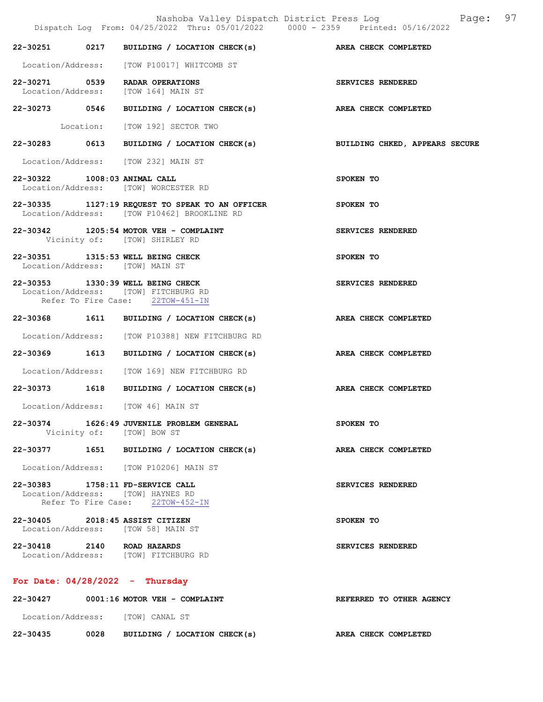|                                   | Nashoba Valley Dispatch District Press Log Mashoba Valley Dispatch District Press Log<br>Dispatch Log From: 04/25/2022 Thru: 05/01/2022 0000 - 2359 Printed: 05/16/2022 |                          |
|-----------------------------------|-------------------------------------------------------------------------------------------------------------------------------------------------------------------------|--------------------------|
|                                   | 22-30251 0217 BUILDING / LOCATION CHECK(s) AREA CHECK COMPLETED                                                                                                         |                          |
|                                   | Location/Address: [TOW P10017] WHITCOMB ST                                                                                                                              |                          |
|                                   | 22-30271 0539 RADAR OPERATIONS<br>Location/Address: [TOW 164] MAIN ST                                                                                                   | SERVICES RENDERED        |
|                                   | 22-30273 0546 BUILDING / LOCATION CHECK(s) AREA CHECK COMPLETED                                                                                                         |                          |
|                                   | Location: [TOW 192] SECTOR TWO                                                                                                                                          |                          |
|                                   | 22-30283 0613 BUILDING / LOCATION CHECK(s) BUILDING CHKED, APPEARS SECURE                                                                                               |                          |
|                                   | Location/Address: [TOW 232] MAIN ST                                                                                                                                     |                          |
| 22-30322 1008:03 ANIMAL CALL      | Location/Address: [TOW] WORCESTER RD                                                                                                                                    | SPOKEN TO                |
|                                   | $22-30335$ 1127:19 REQUEST TO SPEAK TO AN OFFICER<br>SPOKEN TO<br>Location/Address: [TOW P10462] BROOKLINE RD                                                           |                          |
|                                   | 22-30342 1205:54 MOTOR VEH - COMPLAINT<br>Vicinity of: [TOW] SHIRLEY RD                                                                                                 | SERVICES RENDERED        |
| Location/Address: [TOW] MAIN ST   | 22-30351 1315:53 WELL BEING CHECK                                                                                                                                       | SPOKEN TO                |
|                                   | 22-30353 1330:39 WELL BEING CHECK<br>Location/Address: [TOW] FITCHBURG RD<br>Refer To Fire Case: 22TOW-451-IN                                                           | SERVICES RENDERED        |
|                                   | 22-30368 1611 BUILDING / LOCATION CHECK(s) AREA CHECK COMPLETED                                                                                                         |                          |
|                                   | Location/Address: [TOW P10388] NEW FITCHBURG RD                                                                                                                         |                          |
|                                   | 22-30369 1613 BUILDING / LOCATION CHECK(s) AREA CHECK COMPLETED                                                                                                         |                          |
|                                   | Location/Address: [TOW 169] NEW FITCHBURG RD                                                                                                                            |                          |
|                                   | 22-30373 1618 BUILDING / LOCATION CHECK(s) AREA CHECK COMPLETED                                                                                                         |                          |
|                                   | Location/Address: [TOW 46] MAIN ST                                                                                                                                      |                          |
|                                   | 22-30374 1626:49 JUVENILE PROBLEM GENERAL<br>Vicinity of: [TOW] BOW ST                                                                                                  | SPOKEN TO                |
|                                   | 22-30377 1651 BUILDING / LOCATION CHECK(s) AREA CHECK COMPLETED                                                                                                         |                          |
|                                   | Location/Address: [TOW P10206] MAIN ST                                                                                                                                  |                          |
|                                   | 22-30383 1758:11 FD-SERVICE CALL<br>Location/Address: [TOW] HAYNES RD<br>Refer To Fire Case: 22TOW-452-IN                                                               | SERVICES RENDERED        |
| 22-30405 2018:45 ASSIST CITIZEN   | Location/Address: [TOW 58] MAIN ST                                                                                                                                      | SPOKEN TO                |
|                                   | 22-30418 2140 ROAD HAZARDS<br>Location/Address: [TOW] FITCHBURG RD                                                                                                      | SERVICES RENDERED        |
| For Date: $04/28/2022 -$ Thursday |                                                                                                                                                                         |                          |
|                                   | 22-30427 0001:16 MOTOR VEH - COMPLAINT                                                                                                                                  | REFERRED TO OTHER AGENCY |

Location/Address: [TOW] CANAL ST

22-30435 0028 BUILDING / LOCATION CHECK(s) AREA CHECK COMPLETED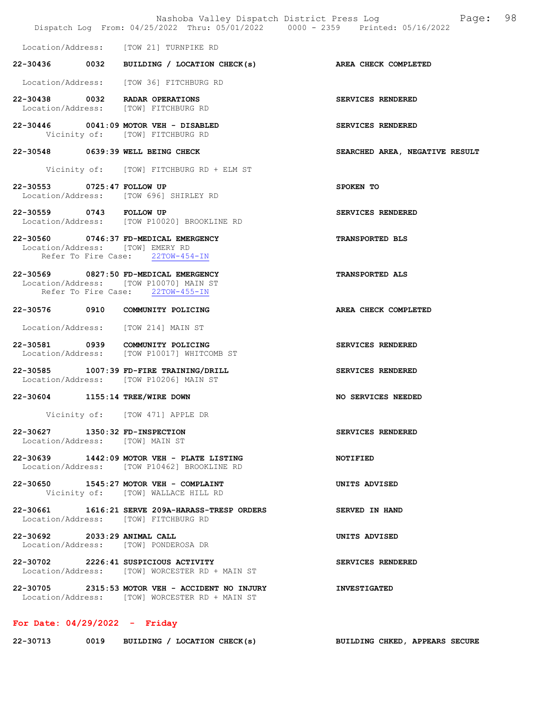|                                                                   |                                                                                                                     | Nashoba Valley Dispatch District Press Log<br>98<br>Page:<br>Dispatch Log From: 04/25/2022 Thru: 05/01/2022 0000 - 2359 Printed: 05/16/2022 |
|-------------------------------------------------------------------|---------------------------------------------------------------------------------------------------------------------|---------------------------------------------------------------------------------------------------------------------------------------------|
|                                                                   | Location/Address: [TOW 21] TURNPIKE RD                                                                              |                                                                                                                                             |
|                                                                   | 22-30436 0032 BUILDING / LOCATION CHECK(s) AREA CHECK COMPLETED                                                     |                                                                                                                                             |
|                                                                   | Location/Address: [TOW 36] FITCHBURG RD                                                                             |                                                                                                                                             |
| 22-30438 0032 RADAR OPERATIONS                                    | Location/Address: [TOW] FITCHBURG RD                                                                                | SERVICES RENDERED                                                                                                                           |
|                                                                   | 22-30446 0041:09 MOTOR VEH - DISABLED<br>Vicinity of: [TOW] FITCHBURG RD                                            | SERVICES RENDERED                                                                                                                           |
| 22-30548 0639:39 WELL BEING CHECK                                 |                                                                                                                     | SEARCHED AREA, NEGATIVE RESULT                                                                                                              |
|                                                                   | Vicinity of: [TOW] FITCHBURG RD + ELM ST                                                                            |                                                                                                                                             |
| 22-30553 0725:47 FOLLOW UP                                        | Location/Address: [TOW 696] SHIRLEY RD                                                                              | SPOKEN TO                                                                                                                                   |
| 22-30559 0743 FOLLOW UP                                           | Location/Address: [TOW P10020] BROOKLINE RD                                                                         | SERVICES RENDERED                                                                                                                           |
| Location/Address: [TOW] EMERY RD                                  | 22-30560 0746:37 FD-MEDICAL EMERGENCY<br>Refer To Fire Case: 22TOW-454-IN                                           | TRANSPORTED BLS                                                                                                                             |
|                                                                   | 22-30569 0827:50 FD-MEDICAL EMERGENCY<br>Location/Address: [TOW P10070] MAIN ST<br>Refer To Fire Case: 22TOW-455-IN | <b>TRANSPORTED ALS</b>                                                                                                                      |
|                                                                   | 22-30576 0910 COMMUNITY POLICING                                                                                    | AREA CHECK COMPLETED                                                                                                                        |
|                                                                   | Location/Address: [TOW 214] MAIN ST                                                                                 |                                                                                                                                             |
|                                                                   | 22-30581 0939 COMMUNITY POLICING<br>Location/Address: [TOW P10017] WHITCOMB ST                                      | SERVICES RENDERED                                                                                                                           |
|                                                                   | 22-30585 1007:39 FD-FIRE TRAINING/DRILL<br>Location/Address: [TOW P10206] MAIN ST                                   | SERVICES RENDERED                                                                                                                           |
| 22-30604 1155:14 TREE/WIRE DOWN                                   |                                                                                                                     | NO SERVICES NEEDED                                                                                                                          |
|                                                                   | Vicinity of: [TOW 471] APPLE DR                                                                                     |                                                                                                                                             |
| 22-30627 1350:32 FD-INSPECTION<br>Location/Address: [TOW] MAIN ST |                                                                                                                     | SERVICES RENDERED                                                                                                                           |
|                                                                   | 22-30639 1442:09 MOTOR VEH - PLATE LISTING<br>Location/Address: [TOW P10462] BROOKLINE RD                           | NOTIFIED                                                                                                                                    |
|                                                                   | 22-30650 1545:27 MOTOR VEH - COMPLAINT<br>Vicinity of: [TOW] WALLACE HILL RD                                        | UNITS ADVISED                                                                                                                               |
|                                                                   | 22-30661 1616:21 SERVE 209A-HARASS-TRESP ORDERS<br>Location/Address: [TOW] FITCHBURG RD                             | SERVED IN HAND                                                                                                                              |
| 22-30692 2033:29 ANIMAL CALL                                      | Location/Address: [TOW] PONDEROSA DR                                                                                | UNITS ADVISED                                                                                                                               |
|                                                                   | 22-30702 2226:41 SUSPICIOUS ACTIVITY<br>Location/Address: [TOW] WORCESTER RD + MAIN ST                              | SERVICES RENDERED                                                                                                                           |
|                                                                   | $22-30705$ 2315:53 MOTOR VEH - ACCIDENT NO INJURY<br>Location/Address: [TOW] WORCESTER RD + MAIN ST                 | <b>INVESTIGATED</b>                                                                                                                         |
|                                                                   |                                                                                                                     |                                                                                                                                             |

# For Date: 04/29/2022 - Friday

| 22-30713 | 0019 | BUILDING / LOCATION CHECK(s) | BUILDING CHKED, APPEARS SECURE |  |
|----------|------|------------------------------|--------------------------------|--|
|          |      |                              |                                |  |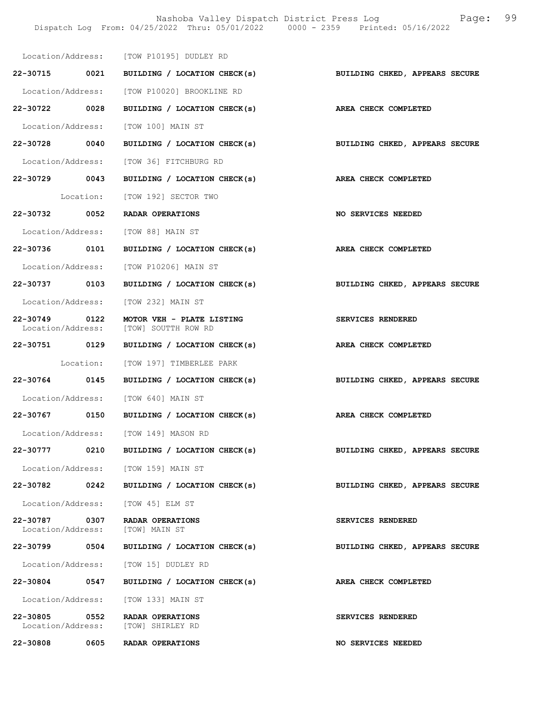Nashoba Valley Dispatch District Press Log Fage: 99 Dispatch Log From: 04/25/2022 Thru: 05/01/2022 0000 - 2359 Printed: 05/16/2022

|                                                  | Location/Address: [TOW P10195] DUDLEY RD                                  |                                |
|--------------------------------------------------|---------------------------------------------------------------------------|--------------------------------|
|                                                  | 22-30715 0021 BUILDING / LOCATION CHECK(s) BUILDING CHKED, APPEARS SECURE |                                |
|                                                  | Location/Address: [TOW P10020] BROOKLINE RD                               |                                |
| 22-30722 0028                                    | BUILDING / LOCATION CHECK(s) AREA CHECK COMPLETED                         |                                |
|                                                  | Location/Address: [TOW 100] MAIN ST                                       |                                |
| 22-30728 0040                                    | BUILDING / LOCATION CHECK(s)                                              | BUILDING CHKED, APPEARS SECURE |
|                                                  | Location/Address: [TOW 36] FITCHBURG RD                                   |                                |
|                                                  | 22-30729 0043 BUILDING / LOCATION CHECK(s) AREA CHECK COMPLETED           |                                |
|                                                  | Location: [TOW 192] SECTOR TWO                                            |                                |
|                                                  | 22-30732 0052 RADAR OPERATIONS                                            | NO SERVICES NEEDED             |
|                                                  | Location/Address: [TOW 88] MAIN ST                                        |                                |
| 22-30736 0101                                    | BUILDING / LOCATION CHECK(s)                                              | AREA CHECK COMPLETED           |
|                                                  | Location/Address: [TOW P10206] MAIN ST                                    |                                |
| 22-30737 0103                                    | BUILDING / LOCATION CHECK(s)                                              | BUILDING CHKED, APPEARS SECURE |
|                                                  | Location/Address: [TOW 232] MAIN ST                                       |                                |
| 22-30749 0122                                    | MOTOR VEH - PLATE LISTING<br>Location/Address: [TOW] SOUTTH ROW RD        | SERVICES RENDERED              |
|                                                  | 22-30751 0129 BUILDING / LOCATION CHECK(s)                                | AREA CHECK COMPLETED           |
|                                                  | Location: [TOW 197] TIMBERLEE PARK                                        |                                |
|                                                  | 22-30764 0145 BUILDING / LOCATION CHECK(s)                                | BUILDING CHKED, APPEARS SECURE |
|                                                  | Location/Address: [TOW 640] MAIN ST                                       |                                |
|                                                  | 22-30767 0150 BUILDING / LOCATION CHECK(s)                                | AREA CHECK COMPLETED           |
|                                                  | Location/Address: [TOW 149] MASON RD                                      |                                |
|                                                  | 22-30777 0210 BUILDING / LOCATION CHECK(s)                                | BUILDING CHKED, APPEARS SECURE |
|                                                  | Location/Address: [TOW 159] MAIN ST                                       |                                |
|                                                  | 22-30782 0242 BUILDING / LOCATION CHECK(s)                                | BUILDING CHKED, APPEARS SECURE |
|                                                  | Location/Address: [TOW 45] ELM ST                                         |                                |
| 22-30787 0307<br>Location/Address: [TOW] MAIN ST | RADAR OPERATIONS                                                          | SERVICES RENDERED              |
|                                                  | 22-30799 0504 BUILDING / LOCATION CHECK(s)                                | BUILDING CHKED, APPEARS SECURE |
|                                                  | Location/Address: [TOW 15] DUDLEY RD                                      |                                |
|                                                  | 22-30804 0547 BUILDING / LOCATION CHECK(s)                                | AREA CHECK COMPLETED           |
|                                                  | Location/Address: [TOW 133] MAIN ST                                       |                                |
| 22-30805 0552                                    | RADAR OPERATIONS<br>Location/Address: [TOW] SHIRLEY RD                    | SERVICES RENDERED              |
| 22-30808 0605                                    | RADAR OPERATIONS                                                          | NO SERVICES NEEDED             |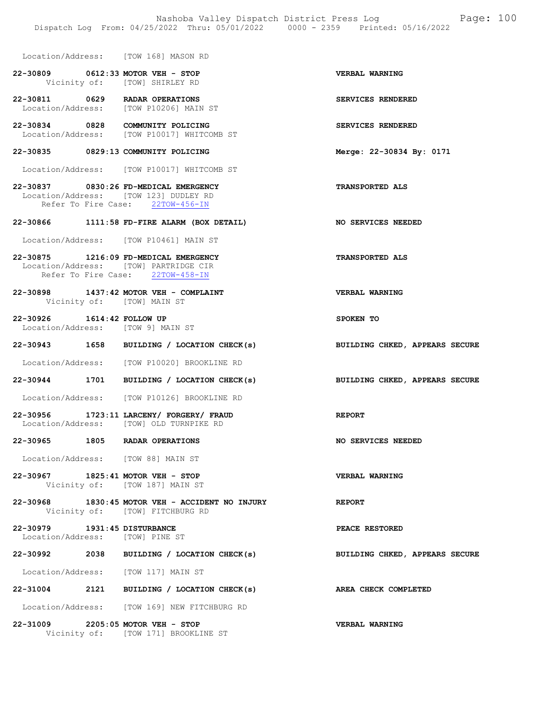Location/Address: [TOW 168] MASON RD

- 22-30809 0612:33 MOTOR VEH STOP VERBAL WARNING<br>Vicinity of: [TOW] SHIRLEY RD [TOW] SHIRLEY RD
- 22-30811 0629 RADAR OPERATIONS SERVICES RENDERED Location/Address: [TOW P10206] MAIN ST
- 22-30834 0828 COMMUNITY POLICING SERVICES RENDERED Location/Address: [TOW P10017] WHITCOMB ST

#### 22-30835 0829:13 COMMUNITY POLICING Merge: 22-30834 By: 0171

Location/Address: [TOW P10017] WHITCOMB ST

22-30837 0830:26 FD-MEDICAL EMERGENCY TRANSPORTED ALS Location/Address: [TOW 123] DUDLEY RD<br>Refer To Fire Case: 22TOW-456-IN Refer To Fire Case:

#### 22-30866 1111:58 FD-FIRE ALARM (BOX DETAIL) NO SERVICES NEEDED

Location/Address: [TOW P10461] MAIN ST

- 22-30875 1216:09 FD-MEDICAL EMERGENCY TRANSPORTED ALS Location/Address: [TOW] PARTRIDGE CIR Refer To Fire Case: 22TOW-458-IN
- 22-30898 1437:42 MOTOR VEH COMPLAINT VERBAL WARNING<br>Vicinity of: [TOW] MAIN ST [TOW] MAIN ST
- 22-30926 1614:42 FOLLOW UP SPOKEN TO Location/Address: [TOW 9] MAIN ST
- 22-30943 1658 BUILDING / LOCATION CHECK(s) BUILDING CHKED, APPEARS SECURE
- Location/Address: [TOW P10020] BROOKLINE RD
- 22-30944 1701 BUILDING / LOCATION CHECK(s) BUILDING CHKED, APPEARS SECURE
- Location/Address: [TOW P10126] BROOKLINE RD
- 22-30956 1723:11 LARCENY/ FORGERY/ FRAUD REPORT<br>
Location/Address: [TOW] OLD TURNPIKE RD Location/Address: [TOW] OLD TURNPIKE RD
- 22-30965 1805 RADAR OPERATIONS NO SERVICES NEEDED
- Location/Address: [TOW 88] MAIN ST
- 22-30967 1825:41 MOTOR VEH STOP VERBAL WARNING Vicinity of: [TOW 187] MAIN ST
- 22-30968 1830:45 MOTOR VEH ACCIDENT NO INJURY REPORT Vicinity of: [TOW] FITCHBURG RD
- 22-30979 1931:45 DISTURBANCE PEACE RESTORED Location/Address: [TOW] PINE ST
- 22-30992 2038 BUILDING / LOCATION CHECK(s) BUILDING CHKED, APPEARS SECURE

Location/Address: [TOW 117] MAIN ST

- 22-31004 2121 BUILDING / LOCATION CHECK(s) AREA CHECK COMPLETED
- Location/Address: [TOW 169] NEW FITCHBURG RD

22-31009 2205:05 MOTOR VEH - STOP VERBAL WARNING Vicinity of: [TOW 171] BROOKLINE ST

- 
- 
- 
- 
- 
- 
- 
- 
- 
- 
- 
- 
- 
- 
-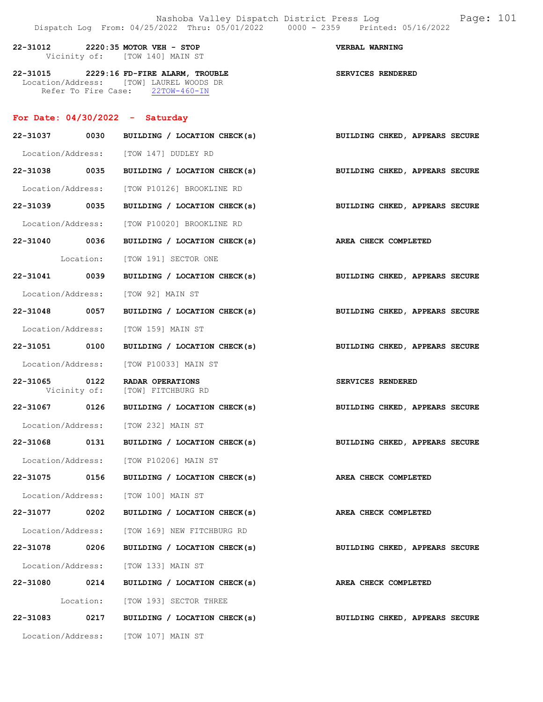| 22-31012 | 2220:35 MOTOR VEH - STOP       | VERBAL WARNING |  |
|----------|--------------------------------|----------------|--|
|          | Vicinity of: [TOW 140] MAIN ST |                |  |

22-31015 2229:16 FD-FIRE ALARM, TROUBLE SERVICES RENDERED Location/Address: [TOW] LAUREL WOODS DR Refer To Fire Case: 22TOW-460-IN

### For Date: 04/30/2022 - Saturday

|          |                   | 22-31037 0030 BUILDING / LOCATION CHECK(s)                                | BUILDING CHKED, APPEARS SECURE |
|----------|-------------------|---------------------------------------------------------------------------|--------------------------------|
|          |                   | Location/Address: [TOW 147] DUDLEY RD                                     |                                |
|          | 22-31038 0035     | BUILDING / LOCATION CHECK(s) BUILDING CHKED, APPEARS SECURE               |                                |
|          |                   | Location/Address: [TOW P10126] BROOKLINE RD                               |                                |
|          |                   | 22-31039 0035 BUILDING / LOCATION CHECK(s) BUILDING CHKED, APPEARS SECURE |                                |
|          |                   | Location/Address: [TOW P10020] BROOKLINE RD                               |                                |
|          | 22-31040 0036     | BUILDING / LOCATION CHECK(s) AREA CHECK COMPLETED                         |                                |
|          |                   | Location: [TOW 191] SECTOR ONE                                            |                                |
|          | 22-31041 0039     | BUILDING / LOCATION CHECK(s)                                              | BUILDING CHKED, APPEARS SECURE |
|          |                   | Location/Address: [TOW 92] MAIN ST                                        |                                |
|          | 22-31048 0057     | BUILDING / LOCATION CHECK(s) BUILDING CHKED, APPEARS SECURE               |                                |
|          |                   | Location/Address: [TOW 159] MAIN ST                                       |                                |
|          | 22-31051 0100     | BUILDING / LOCATION CHECK(s)                                              | BUILDING CHKED, APPEARS SECURE |
|          |                   | Location/Address: [TOW P10033] MAIN ST                                    |                                |
|          | 22-31065 0122     | RADAR OPERATIONS<br>Vicinity of: [TOW] FITCHBURG RD                       | <b>SERVICES RENDERED</b>       |
|          |                   | 22-31067 0126 BUILDING / LOCATION CHECK(s) BUILDING CHKED, APPEARS SECURE |                                |
|          |                   | Location/Address: [TOW 232] MAIN ST                                       |                                |
|          | 22-31068 0131     | BUILDING / LOCATION CHECK(s)                                              | BUILDING CHKED, APPEARS SECURE |
|          |                   | Location/Address: [TOW P10206] MAIN ST                                    |                                |
|          | 22-31075 0156     | BUILDING / LOCATION CHECK(s) AREA CHECK COMPLETED                         |                                |
|          |                   | Location/Address: [TOW 100] MAIN ST                                       |                                |
|          |                   | 22-31077 0202 BUILDING / LOCATION CHECK(s) AREA CHECK COMPLETED           |                                |
|          |                   | Location/Address: [TOW 169] NEW FITCHBURG RD                              |                                |
| 22-31078 | 0206              | BUILDING / LOCATION CHECK(s)                                              | BUILDING CHKED, APPEARS SECURE |
|          |                   | Location/Address: [TOW 133] MAIN ST                                       |                                |
| 22-31080 | 0214              | BUILDING / LOCATION CHECK(s)                                              | AREA CHECK COMPLETED           |
|          |                   | Location: [TOW 193] SECTOR THREE                                          |                                |
|          | 22-31083 0217     | BUILDING / LOCATION CHECK(s)                                              | BUILDING CHKED, APPEARS SECURE |
|          | Location/Address: | [TOW 107] MAIN ST                                                         |                                |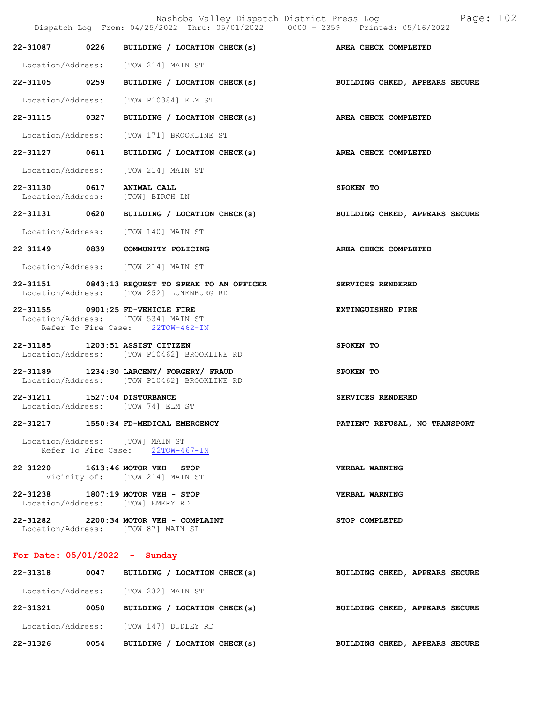Nashoba Valley Dispatch District Press Log Page: 102 Dispatch Log From: 04/25/2022 Thru: 05/01/2022 0000 - 2359 Printed: 05/16/2022 22-31087 0226 BUILDING / LOCATION CHECK(s) AREA CHECK COMPLETED Location/Address: [TOW 214] MAIN ST 22-31105 0259 BUILDING / LOCATION CHECK(s) BUILDING CHKED, APPEARS SECURE Location/Address: [TOW P10384] ELM ST 22-31115 0327 BUILDING / LOCATION CHECK(s) AREA CHECK COMPLETED Location/Address: [TOW 171] BROOKLINE ST 22-31127 0611 BUILDING / LOCATION CHECK(s) AREA CHECK COMPLETED Location/Address: [TOW 214] MAIN ST 22-31130 0617 ANIMAL CALL SPOKEN TO Location/Address: [TOW] BIRCH LN Location/Address: 22-31131 0620 BUILDING / LOCATION CHECK(s) BUILDING CHKED, APPEARS SECURE Location/Address: [TOW 140] MAIN ST 22-31149 0839 COMMUNITY POLICING AREA CHECK COMPLETED Location/Address: [TOW 214] MAIN ST 22-31151 0843:13 REQUEST TO SPEAK TO AN OFFICER SERVICES RENDERED<br>Location/Address: [TOW 252] LUNENBURG RD [TOW 252] LUNENBURG RD 22-31155 0901:25 FD-VEHICLE FIRE **EXTINGUISHED** FIRE Location/Address: [TOW 534] MAIN ST Refer To Fire Case: 22TOW-462-IN 22-31185 1203:51 ASSIST CITIZEN SPOKEN TO Location/Address: [TOW P10462] BROOKLINE RD 22-31189 1234:30 LARCENY/ FORGERY/ FRAUD SPOKEN TO Location/Address: [TOW P10462] BROOKLINE RD 22-31211 1527:04 DISTURBANCE SERVICES RENDERED Location/Address: [TOW 74] ELM ST 22-31217 1550:34 FD-MEDICAL EMERGENCY PATIENT REFUSAL, NO TRANSPORT Location/Address: [TOW] MAIN ST Refer To Fire Case: 22TOW-467-IN 22-31220 1613:46 MOTOR VEH - STOP VERBAL WARNING Vicinity of: [TOW 214] MAIN ST 22-31238 1807:19 MOTOR VEH - STOP VERBAL WARNING Location/Address: [TOW] EMERY RD 22-31282 2200:34 MOTOR VEH - COMPLAINT STOP COMPLETED Location/Address: [TOW 87] MAIN ST For Date: 05/01/2022 - Sunday

| 22-31318          | 0047 | BUILDING / LOCATION CHECK(s)  | BUILDING CHKED, APPEARS SECURE |  |  |
|-------------------|------|-------------------------------|--------------------------------|--|--|
| Location/Address: |      | [TOW 232] MAIN ST             |                                |  |  |
| 22-31321          | 0050 | BUILDING / LOCATION CHECK(s)  | BUILDING CHKED, APPEARS SECURE |  |  |
| Location/Address: |      | [TOW 147] DUDLEY RD           |                                |  |  |
| 22-31326          | 0054 | LOCATION CHECK(s)<br>BUILDING | BUILDING CHKED, APPEARS SECURE |  |  |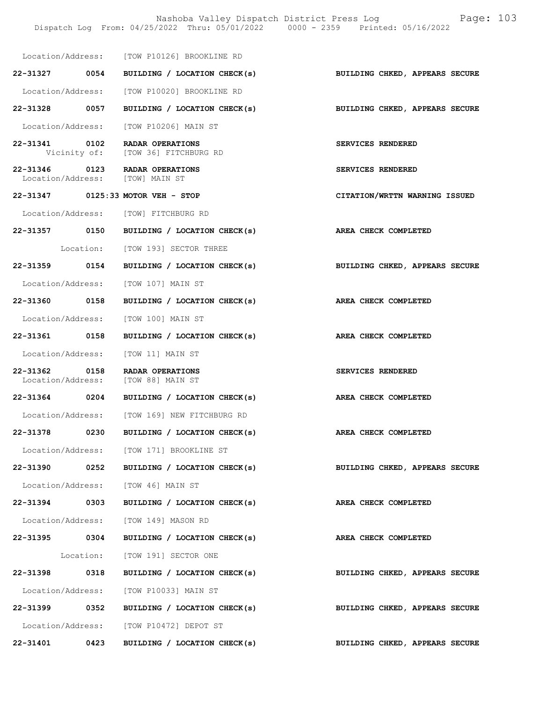Nashoba Valley Dispatch District Press Log Fage: 103 Dispatch Log From: 04/25/2022 Thru: 05/01/2022 0000 - 2359 Printed: 05/16/2022

|          |               | Location/Address: [TOW P10126] BROOKLINE RD                       |                                |
|----------|---------------|-------------------------------------------------------------------|--------------------------------|
|          | 22-31327 0054 | BUILDING / LOCATION CHECK(s)                                      | BUILDING CHKED, APPEARS SECURE |
|          |               | Location/Address: [TOW P10020] BROOKLINE RD                       |                                |
|          | 22-31328 0057 | BUILDING / LOCATION CHECK(s)                                      | BUILDING CHKED, APPEARS SECURE |
|          |               | Location/Address: [TOW P10206] MAIN ST                            |                                |
|          | 22-31341 0102 | RADAR OPERATIONS<br>Vicinity of: [TOW 36] FITCHBURG RD            | SERVICES RENDERED              |
|          |               | 22-31346 0123 RADAR OPERATIONS<br>Location/Address: [TOW] MAIN ST | SERVICES RENDERED              |
|          |               | 22-31347 0125:33 MOTOR VEH - STOP                                 | CITATION/WRTTN WARNING ISSUED  |
|          |               | Location/Address: [TOW] FITCHBURG RD                              |                                |
|          |               | 22-31357 0150 BUILDING / LOCATION CHECK(s)                        | AREA CHECK COMPLETED           |
|          |               | Location: [TOW 193] SECTOR THREE                                  |                                |
|          |               | 22-31359 0154 BUILDING / LOCATION CHECK(s)                        | BUILDING CHKED, APPEARS SECURE |
|          |               | Location/Address: [TOW 107] MAIN ST                               |                                |
|          | 22-31360 0158 | BUILDING / LOCATION CHECK(s)                                      | AREA CHECK COMPLETED           |
|          |               | Location/Address: [TOW 100] MAIN ST                               |                                |
|          | 22-31361 0158 | BUILDING / LOCATION CHECK(s)                                      | AREA CHECK COMPLETED           |
|          |               | Location/Address: [TOW 11] MAIN ST                                |                                |
|          | 22-31362 0158 | RADAR OPERATIONS<br>Location/Address: [TOW 88] MAIN ST            | SERVICES RENDERED              |
|          |               | 22-31364 0204 BUILDING / LOCATION CHECK(s)                        | AREA CHECK COMPLETED           |
|          |               | Location/Address: [TOW 169] NEW FITCHBURG RD                      |                                |
| 22-31378 | 0230          | BUILDING / LOCATION CHECK(s)                                      | <b>AREA CHECK COMPLETED</b>    |
|          |               | Location/Address: [TOW 171] BROOKLINE ST                          |                                |
|          |               | 22-31390 0252 BUILDING / LOCATION CHECK(s)                        | BUILDING CHKED, APPEARS SECURE |
|          |               | Location/Address: [TOW 46] MAIN ST                                |                                |
|          | 22-31394 0303 | BUILDING / LOCATION CHECK(s)                                      | AREA CHECK COMPLETED           |
|          |               | Location/Address: [TOW 149] MASON RD                              |                                |
|          | 22-31395 0304 | BUILDING / LOCATION CHECK(s)                                      | AREA CHECK COMPLETED           |
|          |               | Location: [TOW 191] SECTOR ONE                                    |                                |
|          | 22-31398 0318 | BUILDING / LOCATION CHECK(s)                                      | BUILDING CHKED, APPEARS SECURE |
|          |               | Location/Address: [TOW P10033] MAIN ST                            |                                |
| 22-31399 | 0352          | BUILDING / LOCATION CHECK(s)                                      | BUILDING CHKED, APPEARS SECURE |
|          |               | Location/Address: [TOW P10472] DEPOT ST                           |                                |
| 22-31401 | 0423          | BUILDING / LOCATION CHECK(s)                                      | BUILDING CHKED, APPEARS SECURE |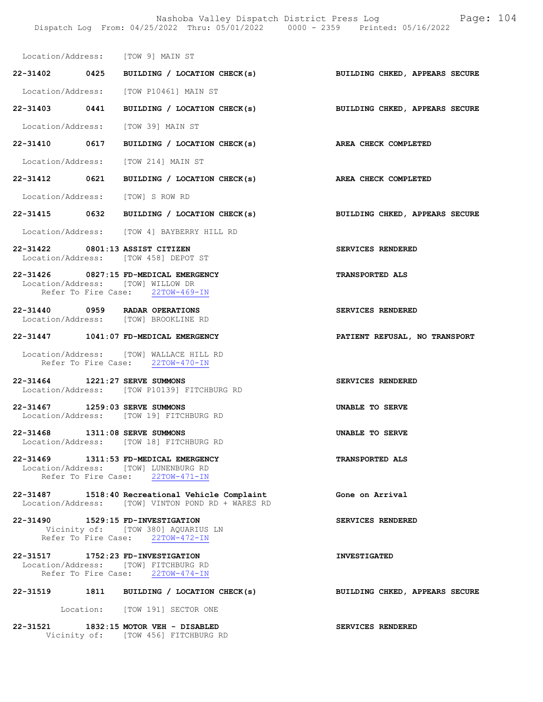| Location/Address: |  |  | [TOW 9] MAIN ST |  |  |
|-------------------|--|--|-----------------|--|--|
|-------------------|--|--|-----------------|--|--|

- 22-31402 0425 BUILDING / LOCATION CHECK(s) BUILDING CHKED, APPEARS SECURE Location/Address: [TOW P10461] MAIN ST
- 22-31403 0441 BUILDING / LOCATION CHECK(s) BUILDING CHKED, APPEARS SECURE

Location/Address: [TOW 39] MAIN ST

22-31410 0617 BUILDING / LOCATION CHECK(s) AREA CHECK COMPLETED

Location/Address: [TOW 214] MAIN ST

22-31412 0621 BUILDING / LOCATION CHECK(s) AREA CHECK COMPLETED

Location/Address: [TOW] S ROW RD

22-31415 0632 BUILDING / LOCATION CHECK(s) BUILDING CHKED, APPEARS SECURE

Location/Address: [TOW 4] BAYBERRY HILL RD

22-31422 0801:13 ASSIST CITIZEN SERVICES RENDERED Location/Address: [TOW 458] DEPOT ST

### 22-31426 0827:15 FD-MEDICAL EMERGENCY TRANSPORTED ALS Location/Address: [TOW] WILLOW DR Refer To Fire Case: 22TOW-469-IN

22-31440 0959 RADAR OPERATIONS SERVICES RENDERED Location/Address: [TOW] BROOKLINE RD

22-31447 1041:07 FD-MEDICAL EMERGENCY PATIENT REFUSAL, NO TRANSPORT

 Location/Address: [TOW] WALLACE HILL RD Refer To Fire Case: 22TOW-470-IN

22-31464 1221:27 SERVE SUMMONS SERVICES RENDERED Location/Address: [TOW P10139] FITCHBURG RD

22-31467 1259:03 SERVE SUMMONS UNABLE TO SERVE Location/Address: [TOW 19] FITCHBURG RD

22-31468 1311:08 SERVE SUMMONS UNABLE TO SERVE Location/Address: [TOW 18] FITCHBURG RD

22-31469 1311:53 FD-MEDICAL EMERGENCY TRANSPORTED ALS Location/Address: [TOW] LUNENBURG RD Refer To Fire Case: 22TOW-471-IN

22-31487 1518:40 Recreational Vehicle Complaint Gone on Arrival Location/Address: [TOW] VINTON POND RD + WARES RD

22-31490 1529:15 FD-INVESTIGATION SERVICES RENDERED Vicinity of: [TOW 380] AQUARIUS LN Refer To Fire Case: 22TOW-472-IN

22-31517 1752:23 FD-INVESTIGATION INVESTIGATED Location/Address: [TOW] FITCHBURG RD Refer To Fire Case: 22TOW-474-IN

22-31519 1811 BUILDING / LOCATION CHECK(s) BUILDING CHKED, APPEARS SECURE

Location: [TOW 191] SECTOR ONE

22-31521 1832:15 MOTOR VEH - DISABLED SERVICES RENDERED Vicinity of: [TOW 456] FITCHBURG RD